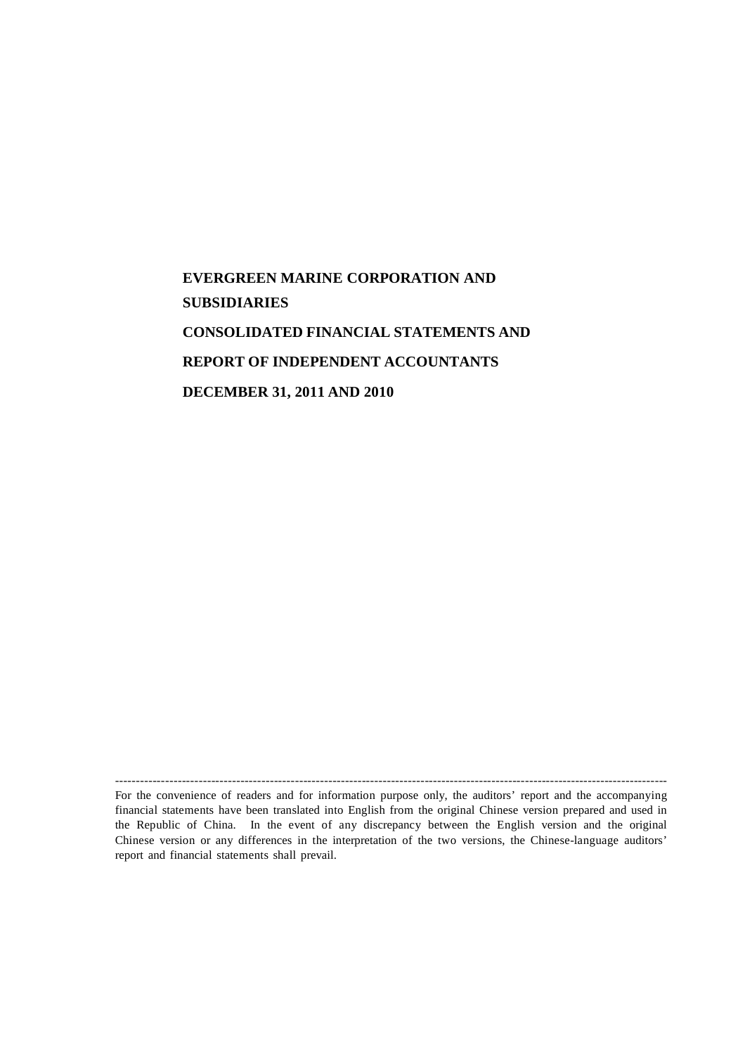# **EVERGREEN MARINE CORPORATION AND SUBSIDIARIES CONSOLIDATED FINANCIAL STATEMENTS AND REPORT OF INDEPENDENT ACCOUNTANTS DECEMBER 31, 2011 AND 2010**

------------------------------------------------------------------------------------------------------------------------------------ For the convenience of readers and for information purpose only, the auditors' report and the accompanying financial statements have been translated into English from the original Chinese version prepared and used in the Republic of China. In the event of any discrepancy between the English version and the original Chinese version or any differences in the interpretation of the two versions, the Chinese-language auditors' report and financial statements shall prevail.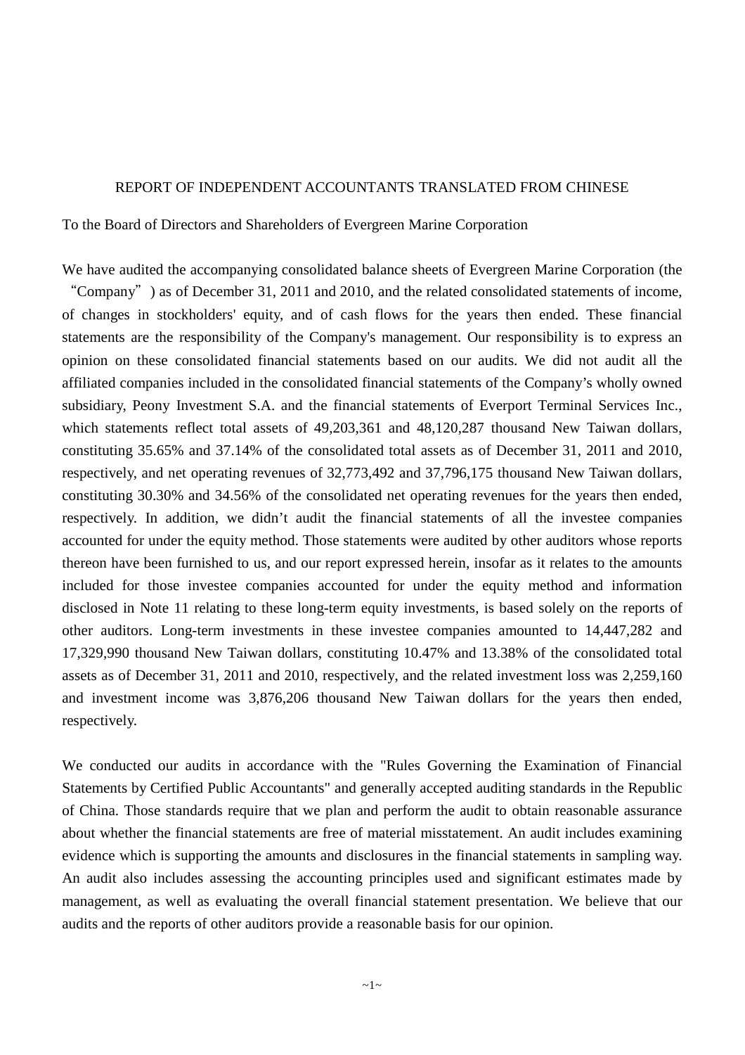#### REPORT OF INDEPENDENT ACCOUNTANTS TRANSLATED FROM CHINESE

To the Board of Directors and Shareholders of Evergreen Marine Corporation

respectively.

We have audited the accompanying consolidated balance sheets of Evergreen Marine Corporation (the "Company") as of December 31, 2011 and 2010, and the related consolidated statements of income, of changes in stockholders' equity, and of cash flows for the years then ended. These financial statements are the responsibility of the Company's management. Our responsibility is to express an opinion on these consolidated financial statements based on our audits. We did not audit all the affiliated companies included in the consolidated financial statements of the Company's wholly owned subsidiary, Peony Investment S.A. and the financial statements of Everport Terminal Services Inc., which statements reflect total assets of 49,203,361 and 48,120,287 thousand New Taiwan dollars, constituting 35.65% and 37.14% of the consolidated total assets as of December 31, 2011 and 2010, respectively, and net operating revenues of 32,773,492 and 37,796,175 thousand New Taiwan dollars, constituting 30.30% and 34.56% of the consolidated net operating revenues for the years then ended, respectively. In addition, we didn't audit the financial statements of all the investee companies accounted for under the equity method. Those statements were audited by other auditors whose reports thereon have been furnished to us, and our report expressed herein, insofar as it relates to the amounts included for those investee companies accounted for under the equity method and information disclosed in Note 11 relating to these long-term equity investments, is based solely on the reports of other auditors. Long-term investments in these investee companies amounted to 14,447,282 and 17,329,990 thousand New Taiwan dollars, constituting 10.47% and 13.38% of the consolidated total assets as of December 31, 2011 and 2010, respectively, and the related investment loss was 2,259,160 and investment income was 3,876,206 thousand New Taiwan dollars for the years then ended,

We conducted our audits in accordance with the "Rules Governing the Examination of Financial Statements by Certified Public Accountants" and generally accepted auditing standards in the Republic of China. Those standards require that we plan and perform the audit to obtain reasonable assurance about whether the financial statements are free of material misstatement. An audit includes examining evidence which is supporting the amounts and disclosures in the financial statements in sampling way. An audit also includes assessing the accounting principles used and significant estimates made by management, as well as evaluating the overall financial statement presentation. We believe that our audits and the reports of other auditors provide a reasonable basis for our opinion.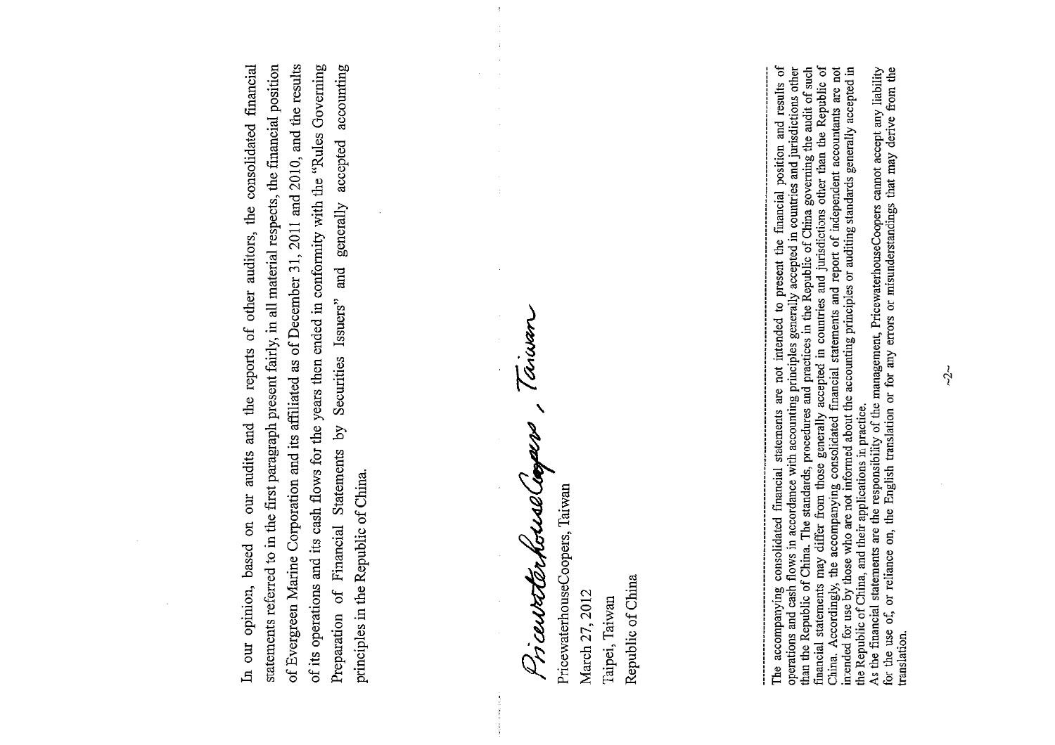In our opinion, based on our audits and the reports of other auditors, the consolidated financial statements referred to in the first paragraph present fairly, in all material respects, the financial position of Evergreen Marine Corporation and its affiliated as of December 31, 2011 and 2010, and the results of its operations and its cash flows for the years then ended in conformity with the "Rules Governing Securities Issuers" and generally accepted accounting Financial Statements by principles in the Republic of China. of Preparation

Anavan AQ<br>S スク ncessater

 $\bar{\chi}$ 

PricewaterhouseCoopers, Taiwan Republic of China March 27, 2012 Taipei, Taiwan

The accompanying consolidated financial statements are not intended to present the financial position and results of operations and cash flows in accordance with accounting principles generally accepted in countries and ju As the financial statements are the responsibility of the management, PricewaterhouseCoopers cannot accept any liability the Republic of China, and their applications in practice.

for the use of, or reliance on, the English translation or for any errors or misunderstandings that may derive from the translation.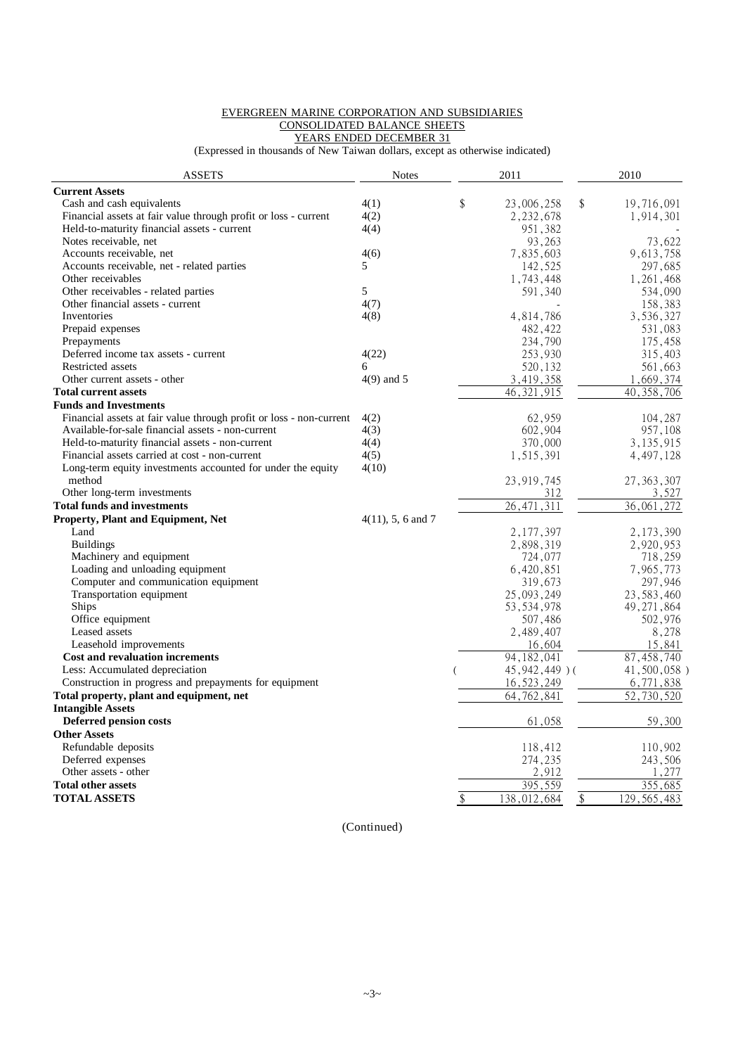#### EVERGREEN MARINE CORPORATION AND SUBSIDIARIES CONSOLIDATED BALANCE SHEETS YEARS ENDED DECEMBER 31

(Expressed in thousands of New Taiwan dollars, except as otherwise indicated)

| <b>ASSETS</b>                                                       | <b>Notes</b>         | 2011 |                 | 2010 |               |
|---------------------------------------------------------------------|----------------------|------|-----------------|------|---------------|
| <b>Current Assets</b>                                               |                      |      |                 |      |               |
| Cash and cash equivalents                                           | 4(1)                 | \$   | 23,006,258      | \$   | 19,716,091    |
| Financial assets at fair value through profit or loss - current     | 4(2)                 |      | 2,232,678       |      | 1,914,301     |
| Held-to-maturity financial assets - current                         | 4(4)                 |      | 951, 382        |      |               |
| Notes receivable, net                                               |                      |      | 93,263          |      | 73,622        |
| Accounts receivable, net                                            | 4(6)                 |      | 7,835,603       |      | 9,613,758     |
| Accounts receivable, net - related parties                          | 5                    |      | 142,525         |      | 297,685       |
| Other receivables                                                   |                      |      | 1,743,448       |      | 1,261,468     |
| Other receivables - related parties                                 | 5                    |      | 591,340         |      | 534,090       |
| Other financial assets - current                                    | 4(7)                 |      |                 |      | 158,383       |
| Inventories                                                         | 4(8)                 |      | 4,814,786       |      | 3,536,327     |
| Prepaid expenses                                                    |                      |      | 482,422         |      | 531,083       |
| Prepayments                                                         |                      |      | 234,790         |      | 175,458       |
| Deferred income tax assets - current                                | 4(22)                |      | 253,930         |      | 315,403       |
| Restricted assets                                                   | 6                    |      | 520,132         |      | 561,663       |
| Other current assets - other                                        | $4(9)$ and 5         |      | 3,419,358       |      | 1,669,374     |
| <b>Total current assets</b>                                         |                      |      | 46, 321, 915    |      | 40, 358, 706  |
| <b>Funds and Investments</b>                                        |                      |      |                 |      |               |
| Financial assets at fair value through profit or loss - non-current | 4(2)                 |      | 62,959          |      | 104,287       |
| Available-for-sale financial assets - non-current                   | 4(3)                 |      | 602,904         |      | 957,108       |
| Held-to-maturity financial assets - non-current                     | 4(4)                 |      | 370,000         |      | 3, 135, 915   |
| Financial assets carried at cost - non-current                      | 4(5)                 |      | 1,515,391       |      | 4,497,128     |
| Long-term equity investments accounted for under the equity         | 4(10)                |      |                 |      |               |
| method                                                              |                      |      | 23, 919, 745    |      | 27, 363, 307  |
| Other long-term investments                                         |                      |      | 312             |      | 3,527         |
| <b>Total funds and investments</b>                                  |                      |      | 26, 471, 311    |      | 36,061,272    |
| Property, Plant and Equipment, Net                                  | $4(11)$ , 5, 6 and 7 |      |                 |      |               |
| Land                                                                |                      |      | 2,177,397       |      | 2, 173, 390   |
| <b>Buildings</b>                                                    |                      |      | 2,898,319       |      | 2,920,953     |
| Machinery and equipment                                             |                      |      | 724,077         |      | 718,259       |
| Loading and unloading equipment                                     |                      |      | 6,420,851       |      | 7,965,773     |
| Computer and communication equipment                                |                      |      | 319,673         |      | 297,946       |
| Transportation equipment                                            |                      |      | 25,093,249      |      | 23, 583, 460  |
| <b>Ships</b>                                                        |                      |      | 53, 534, 978    |      | 49, 271, 864  |
| Office equipment                                                    |                      |      | 507,486         |      | 502,976       |
| Leased assets                                                       |                      |      | 2,489,407       |      | 8,278         |
| Leasehold improvements                                              |                      |      | 16,604          |      | 15,841        |
| Cost and revaluation increments                                     |                      |      | 94, 182, 041    |      | 87, 458, 740  |
| Less: Accumulated depreciation                                      |                      |      | 45, 942, 449) ( |      | 41,500,058)   |
| Construction in progress and prepayments for equipment              |                      |      | 16, 523, 249    |      | 6,771,838     |
| Total property, plant and equipment, net                            |                      |      | 64, 762, 841    |      | 52,730,520    |
| <b>Intangible Assets</b>                                            |                      |      |                 |      |               |
| <b>Deferred pension costs</b>                                       |                      |      | 61,058          |      | 59,300        |
| <b>Other Assets</b>                                                 |                      |      |                 |      |               |
| Refundable deposits                                                 |                      |      | 118,412         |      | 110,902       |
| Deferred expenses                                                   |                      |      | 274,235         |      | 243,506       |
| Other assets - other                                                |                      |      | 2,912           |      | 1,277         |
| <b>Total other assets</b>                                           |                      |      | 395,559         |      | 355.685       |
| <b>TOTAL ASSETS</b>                                                 |                      | \$   | 138,012,684     | \$   | 129, 565, 483 |

(Continued)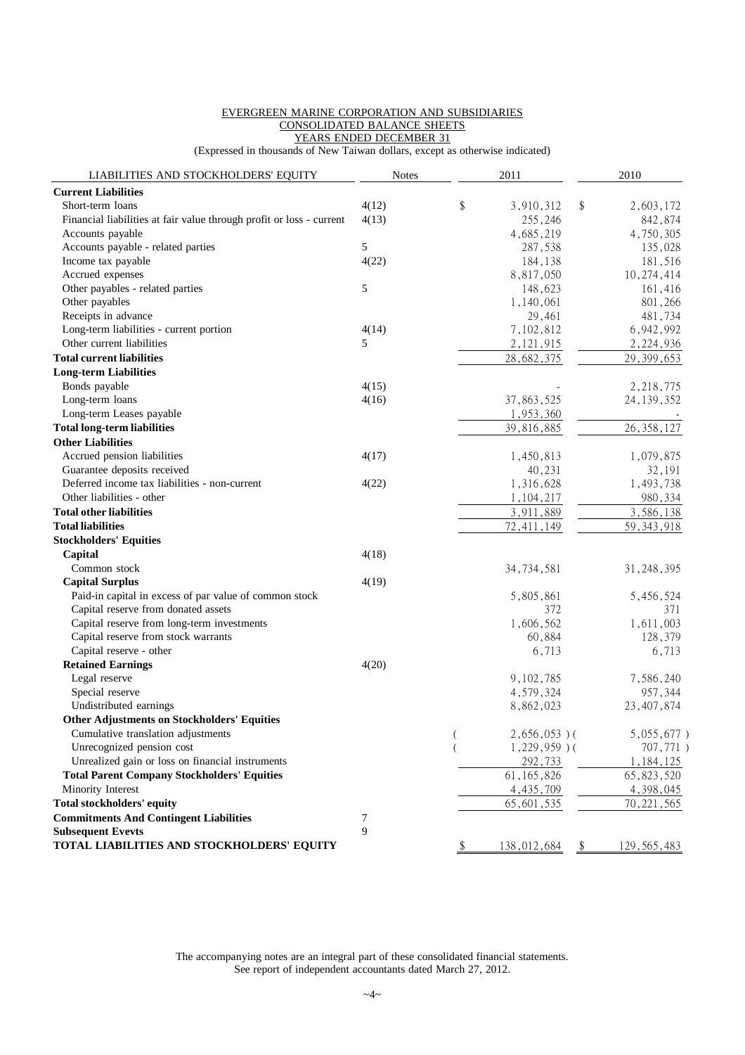#### EVERGREEN MARINE CORPORATION AND SUBSIDIARIES CONSOLIDATED BALANCE SHEETS YEARS ENDED DECEMBER 31

(Expressed in thousands of New Taiwan dollars, except as otherwise indicated)

| LIABILITIES AND STOCKHOLDERS' EQUITY                                 | <b>Notes</b> |               | 2011                    |            | 2010          |
|----------------------------------------------------------------------|--------------|---------------|-------------------------|------------|---------------|
| <b>Current Liabilities</b>                                           |              |               |                         |            |               |
| Short-term loans                                                     | 4(12)        | \$            | 3,910,312               | \$         | 2,603,172     |
| Financial liabilities at fair value through profit or loss - current | 4(13)        |               | 255,246                 |            | 842,874       |
| Accounts payable                                                     |              |               | 4,685,219               |            | 4,750,305     |
| Accounts payable - related parties                                   | 5            |               | 287,538                 |            | 135,028       |
| Income tax payable                                                   | 4(22)        |               | 184,138                 |            | 181,516       |
| Accrued expenses                                                     |              |               | 8,817,050               |            | 10,274,414    |
| Other payables - related parties                                     | 5            |               | 148,623                 |            | 161,416       |
| Other payables                                                       |              |               | 1,140,061               |            | 801,266       |
| Receipts in advance                                                  |              |               | 29,461                  |            | 481,734       |
| Long-term liabilities - current portion                              | 4(14)        |               | 7,102,812               |            | 6,942,992     |
| Other current liabilities                                            | 5            |               | 2, 121, 915             |            | 2,224,936     |
| <b>Total current liabilities</b>                                     |              |               | 28,682,375              |            | 29, 399, 653  |
| <b>Long-term Liabilities</b>                                         |              |               |                         |            |               |
| Bonds payable                                                        | 4(15)        |               |                         |            | 2,218,775     |
| Long-term loans                                                      | 4(16)        |               | 37,863,525              |            | 24, 139, 352  |
| Long-term Leases payable                                             |              |               | 1,953,360               |            |               |
| <b>Total long-term liabilities</b>                                   |              |               | 39,816,885              |            | 26, 358, 127  |
| <b>Other Liabilities</b>                                             |              |               |                         |            |               |
| Accrued pension liabilities                                          | 4(17)        |               | 1,450,813               |            | 1,079,875     |
| Guarantee deposits received                                          |              |               | 40,231                  |            | 32,191        |
| Deferred income tax liabilities - non-current                        | 4(22)        |               | 1,316,628               |            | 1,493,738     |
| Other liabilities - other                                            |              |               |                         |            | 980,334       |
| <b>Total other liabilities</b>                                       |              |               | 1,104,217               |            |               |
| <b>Total liabilities</b>                                             |              |               | 3,911,889<br>72,411,149 |            | 3,586,138     |
|                                                                      |              |               |                         |            | 59, 343, 918  |
| <b>Stockholders' Equities</b>                                        |              |               |                         |            |               |
| Capital                                                              | 4(18)        |               |                         |            |               |
| Common stock                                                         |              |               | 34, 734, 581            |            | 31, 248, 395  |
| <b>Capital Surplus</b>                                               | 4(19)        |               |                         |            |               |
| Paid-in capital in excess of par value of common stock               |              |               | 5,805,861               |            | 5,456,524     |
| Capital reserve from donated assets                                  |              |               | 372                     |            | 371           |
| Capital reserve from long-term investments                           |              |               | 1,606,562               |            | 1,611,003     |
| Capital reserve from stock warrants                                  |              |               | 60,884                  |            | 128,379       |
| Capital reserve - other                                              |              |               | 6,713                   |            | 6,713         |
| <b>Retained Earnings</b>                                             | 4(20)        |               |                         |            |               |
| Legal reserve                                                        |              |               | 9,102,785               |            | 7,586,240     |
| Special reserve                                                      |              |               | 4,579,324               |            | 957,344       |
| Undistributed earnings                                               |              |               | 8,862,023               |            | 23, 407, 874  |
| <b>Other Adjustments on Stockholders' Equities</b>                   |              |               |                         |            |               |
| Cumulative translation adjustments                                   |              | (             | $2,656,053$ )(          |            | 5,055,677)    |
| Unrecognized pension cost                                            |              |               | $1,229,959$ )(          |            | 707,771)      |
| Unrealized gain or loss on financial instruments                     |              |               | 292,733                 |            | 1,184,125     |
| <b>Total Parent Company Stockholders' Equities</b>                   |              |               | 61, 165, 826            |            | 65, 823, 520  |
| Minority Interest                                                    |              |               | 4, 435, 709             |            | 4,398,045     |
| <b>Total stockholders' equity</b>                                    |              |               | 65,601,535              |            | 70, 221, 565  |
| <b>Commitments And Contingent Liabilities</b>                        | 7            |               |                         |            |               |
| <b>Subsequent Evevts</b>                                             | 9            |               |                         |            |               |
| TOTAL LIABILITIES AND STOCKHOLDERS' EQUITY                           |              | $\mathcal{P}$ | <u>138,012,684</u>      | $\sqrt{2}$ | 129, 565, 483 |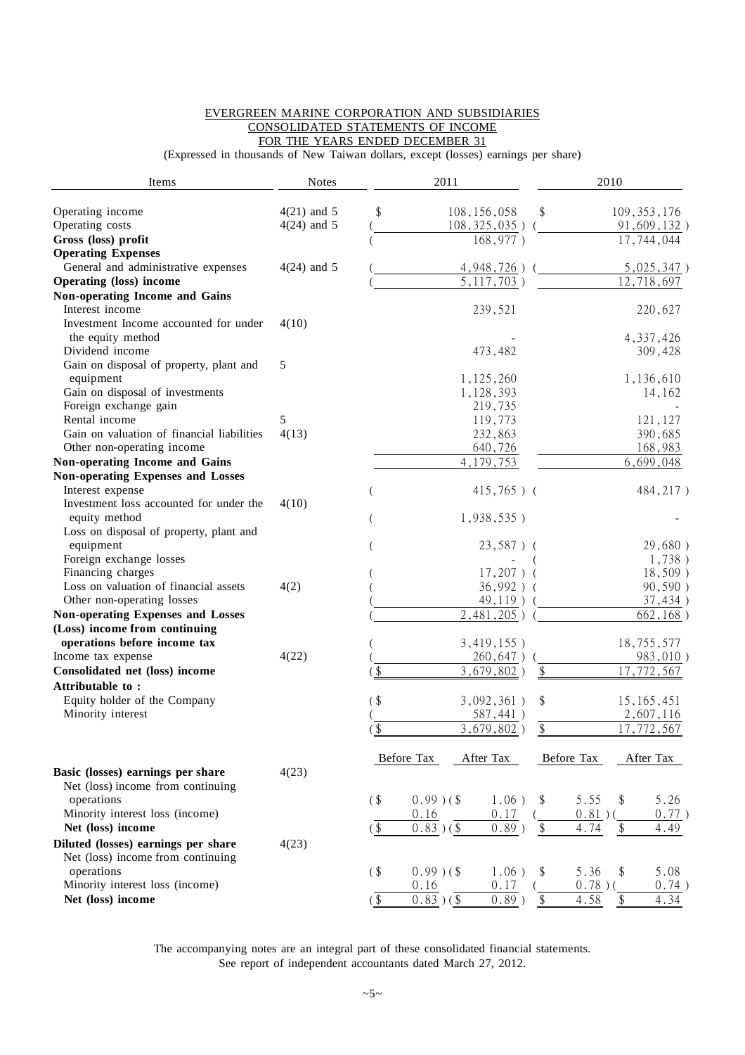#### EVERGREEN MARINE CORPORATION AND SUBSIDIARIES CONSOLIDATED STATEMENTS OF INCOME FOR THE YEARS ENDED DECEMBER 31

(Expressed in thousands of New Taiwan dollars, except (losses) earnings per share)

| Items                                      | <b>Notes</b>  |                          | 2011         |                   |                            | 2010       |                           |                         |
|--------------------------------------------|---------------|--------------------------|--------------|-------------------|----------------------------|------------|---------------------------|-------------------------|
| Operating income                           | $4(21)$ and 5 | \$                       |              | 108, 156, 058     | \$                         |            | 109, 353, 176             |                         |
| Operating costs                            | $4(24)$ and 5 |                          |              | $108, 325, 035$ ) |                            |            |                           | 91,609,132)             |
| Gross (loss) profit                        |               |                          |              | 168,977)          |                            |            | 17,744,044                |                         |
| <b>Operating Expenses</b>                  |               |                          |              |                   |                            |            |                           |                         |
| General and administrative expenses        | $4(24)$ and 5 |                          |              | 4,948,726)        |                            |            |                           | 5,025,347)              |
| <b>Operating (loss) income</b>             |               |                          |              | $5, 117, 703$ )   |                            |            | 12,718,697                |                         |
| Non-operating Income and Gains             |               |                          |              |                   |                            |            |                           |                         |
| Interest income                            |               |                          |              | 239,521           |                            |            |                           | 220,627                 |
| Investment Income accounted for under      | 4(10)         |                          |              |                   |                            |            |                           |                         |
| the equity method                          |               |                          |              |                   |                            |            |                           | 4, 337, 426             |
| Dividend income                            |               |                          |              | 473,482           |                            |            |                           | 309,428                 |
| Gain on disposal of property, plant and    | 5             |                          |              |                   |                            |            |                           |                         |
| equipment                                  |               |                          |              | 1,125,260         |                            |            |                           | 1,136,610               |
| Gain on disposal of investments            |               |                          |              | 1,128,393         |                            |            |                           | 14,162                  |
| Foreign exchange gain                      |               |                          |              | 219,735           |                            |            |                           |                         |
| Rental income                              | 5             |                          |              | 119,773           |                            |            |                           | 121,127                 |
| Gain on valuation of financial liabilities | 4(13)         |                          |              | 232,863           |                            |            |                           | 390,685                 |
| Other non-operating income                 |               |                          |              | 640,726           |                            |            |                           | 168,983                 |
| Non-operating Income and Gains             |               |                          |              | 4, 179, 753       |                            |            |                           | 6,699,048               |
| <b>Non-operating Expenses and Losses</b>   |               |                          |              |                   |                            |            |                           |                         |
| Interest expense                           |               |                          |              | $415,765$ ) (     |                            |            |                           | 484, 217)               |
| Investment loss accounted for under the    | 4(10)         |                          |              |                   |                            |            |                           |                         |
| equity method                              |               |                          |              | $1,938,535$ )     |                            |            |                           |                         |
| Loss on disposal of property, plant and    |               |                          |              |                   |                            |            |                           |                         |
| equipment                                  |               |                          |              | $23,587$ ) (      |                            |            |                           | 29,680)                 |
| Foreign exchange losses                    |               |                          |              |                   |                            |            |                           | 1,738)                  |
| Financing charges                          |               |                          |              | $17,207$ ) (      |                            |            |                           | 18,509)                 |
| Loss on valuation of financial assets      | 4(2)          |                          |              | 36,992) (         |                            |            |                           | 90,590)                 |
| Other non-operating losses                 |               |                          |              | 49,119)           |                            |            |                           | 37,434)                 |
| <b>Non-operating Expenses and Losses</b>   |               |                          |              | $2,481,205$ )     |                            |            |                           | $\overline{662, 168}$ ) |
| (Loss) income from continuing              |               |                          |              |                   |                            |            |                           |                         |
| operations before income tax               |               |                          |              | 3,419,155)        |                            |            | 18,755,577                |                         |
| Income tax expense                         | 4(22)         |                          |              | 260,647)          |                            |            |                           | 983,010)                |
| Consolidated net (loss) income             |               | $\overline{\mathcal{S}}$ |              | $3,679,802$ )     | $\boldsymbol{\mathsf{\$}}$ |            | 17,772,567                |                         |
| Attributable to:                           |               |                          |              |                   |                            |            |                           |                         |
| Equity holder of the Company               |               | $($ \$                   |              | 3,092,361)        | \$                         |            | 15, 165, 451              |                         |
| Minority interest                          |               |                          |              | $587,441$ )       |                            |            |                           | 2,607,116               |
|                                            |               | $\sqrt{3}$               |              | $3,679,802$ )     | \$                         |            | 17,772,567                |                         |
|                                            |               | Before Tax               |              | After Tax         |                            | Before Tax | After Tax                 |                         |
| Basic (losses) earnings per share          | 4(23)         |                          |              |                   |                            |            |                           |                         |
| Net (loss) income from continuing          |               |                          |              |                   |                            |            |                           |                         |
| operations                                 |               | $($ \$                   | $0.99$ )(\$  | $1.06$ )          | \$                         | 5.55       | \$                        | 5.26                    |
| Minority interest loss (income)            |               |                          | 0.16         | 0.17              |                            | $0.81$ )(  |                           | 0.77)                   |
| Net (loss) income                          |               | $($ \$                   | $0.83)$ (\$) | $0.89$ )          | $\$\$                      | 4.74       | $\boldsymbol{\mathsf{S}}$ | 4.49                    |
| Diluted (losses) earnings per share        | 4(23)         |                          |              |                   |                            |            |                           |                         |
| Net (loss) income from continuing          |               |                          |              |                   |                            |            |                           |                         |
| operations                                 |               | $($ \$                   | $0.99$ )(\$  | $1.06$ )          | \$                         | 5.36       | \$                        | 5.08                    |
| Minority interest loss (income)            |               |                          | 0.16         | 0.17              |                            | $0.78$ )(  |                           | 0.74)                   |
| Net (loss) income                          |               | $($ \$                   | $0.83)$ (\$  | $0.89$ )          | $\$\,$                     | 4.58       | \$                        | 4.34                    |
|                                            |               |                          |              |                   |                            |            |                           |                         |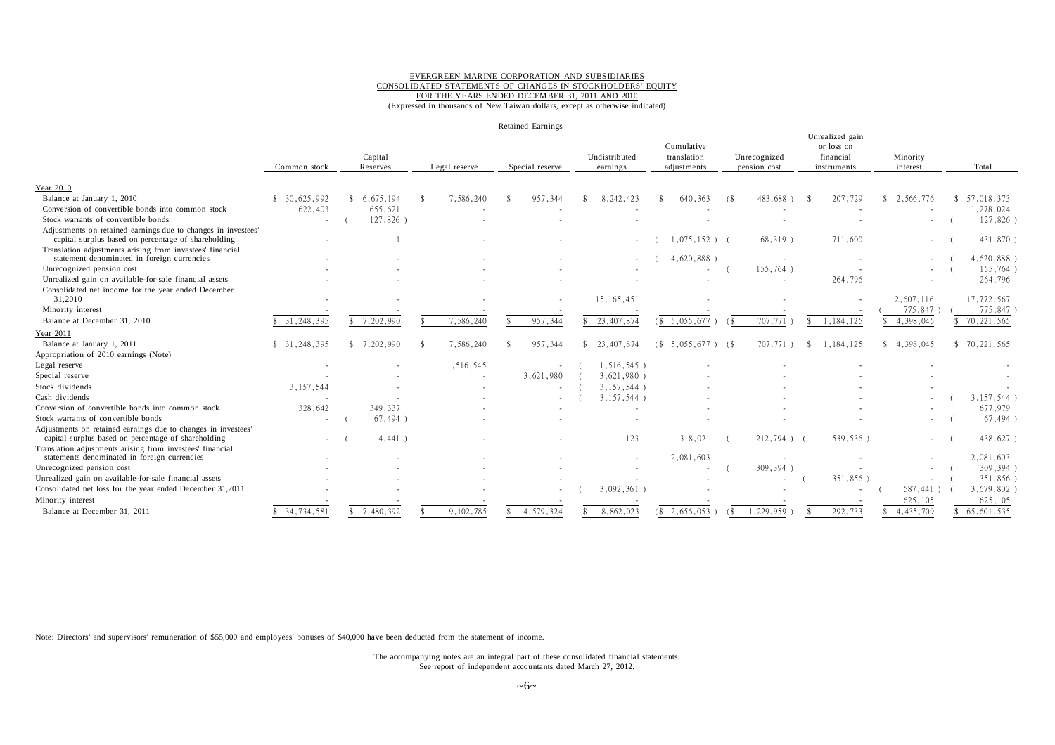#### EVERGREEN MARINE CORPORATION AND SUBSIDIARIES CONSOLIDATED STATEMENTS OF CHANGES IN STOCKHOLDERS' EQUITY FOR THE YEARS ENDED DECEMBER 31, 2011 AND 2010

(Expressed in thousands of New Taiwan dollars, except as otherwise indicated)

|                                                                                                                      |              |                          |               | <b>Retained Earnings</b> |                           |                                          |                              |                                                           |                      |              |
|----------------------------------------------------------------------------------------------------------------------|--------------|--------------------------|---------------|--------------------------|---------------------------|------------------------------------------|------------------------------|-----------------------------------------------------------|----------------------|--------------|
|                                                                                                                      | Common stock | Capital<br>Reserves      | Legal reserve | Special reserve          | Undistributed<br>earnings | Cumulative<br>translation<br>adjustments | Unrecognized<br>pension cost | Unrealized gain<br>or loss on<br>financial<br>instruments | Minority<br>interest | Total        |
| Year 2010                                                                                                            |              |                          |               |                          |                           |                                          |                              |                                                           |                      |              |
| Balance at January 1, 2010                                                                                           | \$30,625,992 | \$6.675.194              | 7,586,240     | 957,344                  | 8, 242, 423               | 640, 363                                 | 483,688<br>(S                | 207,729                                                   | 2,566,776<br>\$.     | 57,018,373   |
| Conversion of convertible bonds into common stock                                                                    | 622,403      | 655.621                  |               |                          |                           |                                          |                              |                                                           |                      | 1,278,024    |
| Stock warrants of convertible bonds                                                                                  |              | 127,826)                 |               |                          |                           |                                          |                              |                                                           |                      | 127,826)     |
| Adjustments on retained earnings due to changes in investees'<br>capital surplus based on percentage of shareholding |              |                          |               |                          | $\sim$                    | $1,075,152$ ) (                          | $68,319$ )                   | 711,600                                                   | $\sim$               | 431,870      |
| Translation adjustments arising from investees' financial<br>statement denominated in foreign currencies             |              |                          |               |                          |                           | 4,620,888)                               |                              |                                                           |                      | 4,620,888    |
| Unrecognized pension cost                                                                                            |              |                          |               |                          |                           |                                          | 155,764)                     |                                                           |                      | 155,764)     |
| Unrealized gain on available-for-sale financial assets                                                               |              |                          |               |                          |                           |                                          |                              | 264,796                                                   |                      | 264,796      |
| Consolidated net income for the year ended December<br>31,2010                                                       |              |                          |               |                          | 15, 165, 451              |                                          |                              |                                                           | 2,607,116            | 17,772,567   |
| Minority interest                                                                                                    |              |                          |               |                          |                           |                                          |                              |                                                           | 775,847              | 775,847      |
| Balance at December 31, 2010                                                                                         | 31,248,395   | 7,202,990                | 7,586,240     | 957,344                  | 23, 407, 874              | (\$5,055,677                             | 707,771<br>(                 | 1,184,125                                                 | 4,398,045            | 70, 221, 565 |
| Year 2011                                                                                                            |              |                          |               |                          |                           |                                          |                              |                                                           |                      |              |
| Balance at January 1, 2011                                                                                           | \$31,248,395 | \$7,202,990              | 7,586,240     | 957.344                  | 23,407,874<br>\$          | (S<br>$5.055.677$ ) (\$                  | 707,771 1                    | 1.184.125<br>-Ŝ                                           | \$4,398,045          | \$70,221,565 |
| Appropriation of 2010 earnings (Note)                                                                                |              |                          |               |                          |                           |                                          |                              |                                                           |                      |              |
| Legal reserve                                                                                                        |              |                          | 1,516,545     |                          | 1,516,545)                |                                          |                              |                                                           |                      |              |
| Special reserve                                                                                                      |              |                          |               | 3,621,980                | 3,621,980)                |                                          |                              |                                                           |                      |              |
| Stock dividends                                                                                                      | 3,157,544    |                          |               |                          | 3,157,544)                |                                          |                              |                                                           |                      |              |
| Cash dividends                                                                                                       |              | $\overline{\phantom{a}}$ |               |                          | 3,157,544)                |                                          |                              |                                                           |                      | 3,157,544)   |
| Conversion of convertible bonds into common stock                                                                    | 328,642      | 349, 337                 |               |                          |                           |                                          |                              |                                                           |                      | 677,979      |
| Stock warrants of convertible bonds                                                                                  |              | $67,494$ )               |               |                          |                           |                                          |                              |                                                           |                      | $67,494$ )   |
| Adjustments on retained earnings due to changes in investees'<br>capital surplus based on percentage of shareholding |              | 4,441)                   |               |                          | 123                       | 318,021                                  | $212,794$ ) (                | 539,536)                                                  | $\sim$               | 438,627      |
| Translation adjustments arising from investees' financial<br>statements denominated in foreign currencies            |              |                          |               |                          |                           | 2,081,603                                |                              |                                                           |                      | 2,081,603    |
| Unrecognized pension cost                                                                                            |              |                          |               |                          |                           |                                          | 309,394)                     |                                                           |                      | 309,394)     |
| Unrealized gain on available-for-sale financial assets                                                               |              |                          |               |                          |                           |                                          |                              | 351,856)                                                  |                      | 351,856)     |
| Consolidated net loss for the year ended December 31,2011                                                            |              |                          |               |                          | 3,092,361)                |                                          |                              |                                                           | 587,441)             | 3,679,802    |
| Minority interest                                                                                                    |              |                          |               |                          |                           |                                          |                              |                                                           | 625,105              | 625,105      |
| Balance at December 31, 2011                                                                                         | \$34.734.581 | 7.480.392<br>\$          | 9.102.785     | 4.579.324                | 8,862,023                 | $($ \$ 2,656,053                         | .229.959<br>(S)              | 292.733                                                   | 4,435,709            | 65,601,535   |

Note: Directors' and supervisors' remuneration of \$55,000 and employees' bonuses of \$40,000 have been deducted from the statement of income.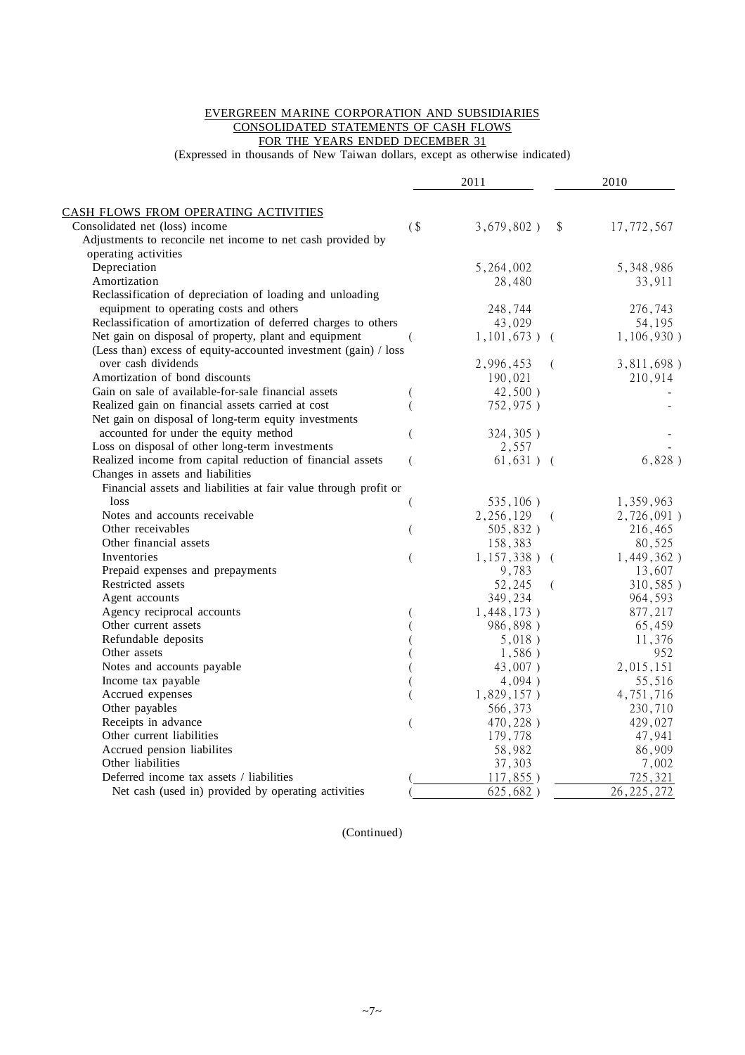#### EVERGREEN MARINE CORPORATION AND SUBSIDIARIES CONSOLIDATED STATEMENTS OF CASH FLOWS FOR THE YEARS ENDED DECEMBER 31

(Expressed in thousands of New Taiwan dollars, except as otherwise indicated)

|                                                                  |        | 2011                            | 2010              |
|------------------------------------------------------------------|--------|---------------------------------|-------------------|
| CASH FLOWS FROM OPERATING ACTIVITIES                             |        |                                 |                   |
| Consolidated net (loss) income                                   | $($ \$ | $3,679,802$ )<br>$\$\$          | 17,772,567        |
| Adjustments to reconcile net income to net cash provided by      |        |                                 |                   |
| operating activities                                             |        |                                 |                   |
| Depreciation                                                     |        | 5,264,002                       | 5,348,986         |
| Amortization                                                     |        | 28,480                          | 33,911            |
| Reclassification of depreciation of loading and unloading        |        |                                 |                   |
| equipment to operating costs and others                          |        | 248,744                         | 276,743           |
| Reclassification of amortization of deferred charges to others   |        | 43,029                          | 54,195            |
| Net gain on disposal of property, plant and equipment            |        | $1,101,673$ ) (                 | 1,106,930)        |
| (Less than) excess of equity-accounted investment (gain) / loss  |        |                                 |                   |
| over cash dividends                                              |        | 2,996,453<br>- (                | 3,811,698)        |
| Amortization of bond discounts                                   |        | 190,021                         | 210,914           |
| Gain on sale of available-for-sale financial assets              |        | 42,500)                         |                   |
| Realized gain on financial assets carried at cost                | (      | 752,975)                        |                   |
| Net gain on disposal of long-term equity investments             |        |                                 |                   |
| accounted for under the equity method                            |        | 324, 305)                       |                   |
| Loss on disposal of other long-term investments                  |        | 2,557                           |                   |
| Realized income from capital reduction of financial assets       |        | $61,631)$ (                     | 6,828)            |
| Changes in assets and liabilities                                |        |                                 |                   |
| Financial assets and liabilities at fair value through profit or |        |                                 |                   |
| loss                                                             |        | 535,106)                        |                   |
| Notes and accounts receivable                                    |        |                                 | 1,359,963         |
| Other receivables                                                |        | 2,256,129<br>- (<br>$505,832$ ) | 2,726,091)        |
| Other financial assets                                           |        | 158,383                         | 216,465<br>80,525 |
| Inventories                                                      |        |                                 |                   |
|                                                                  |        | $1,157,338$ ) (                 | 1,449,362)        |
| Prepaid expenses and prepayments<br>Restricted assets            |        | 9,783<br>52,245                 | 13,607            |
|                                                                  |        | $\left($                        | 310,585)          |
| Agent accounts                                                   |        | 349,234                         | 964,593           |
| Agency reciprocal accounts                                       |        | 1,448,173)                      | 877,217           |
| Other current assets                                             |        | 986,898)                        | 65,459            |
| Refundable deposits                                              |        | 5,018)                          | 11,376            |
| Other assets                                                     |        | 1,586)                          | 952               |
| Notes and accounts payable                                       |        | 43,007)                         | 2,015,151         |
| Income tax payable                                               |        | 4,094)                          | 55,516            |
| Accrued expenses                                                 |        | $1,829,157$ )                   | 4,751,716         |
| Other payables                                                   |        | 566,373                         | 230,710           |
| Receipts in advance                                              |        | 470,228)                        | 429,027           |
| Other current liabilities                                        |        | 179,778                         | 47,941            |
| Accrued pension liabilites                                       |        | 58,982                          | 86,909            |
| Other liabilities                                                |        | 37,303                          | 7,002             |
| Deferred income tax assets / liabilities                         |        | $117,855$ )                     | 725,321           |
| Net cash (used in) provided by operating activities              |        | 625,682)                        | 26, 225, 272      |

(Continued)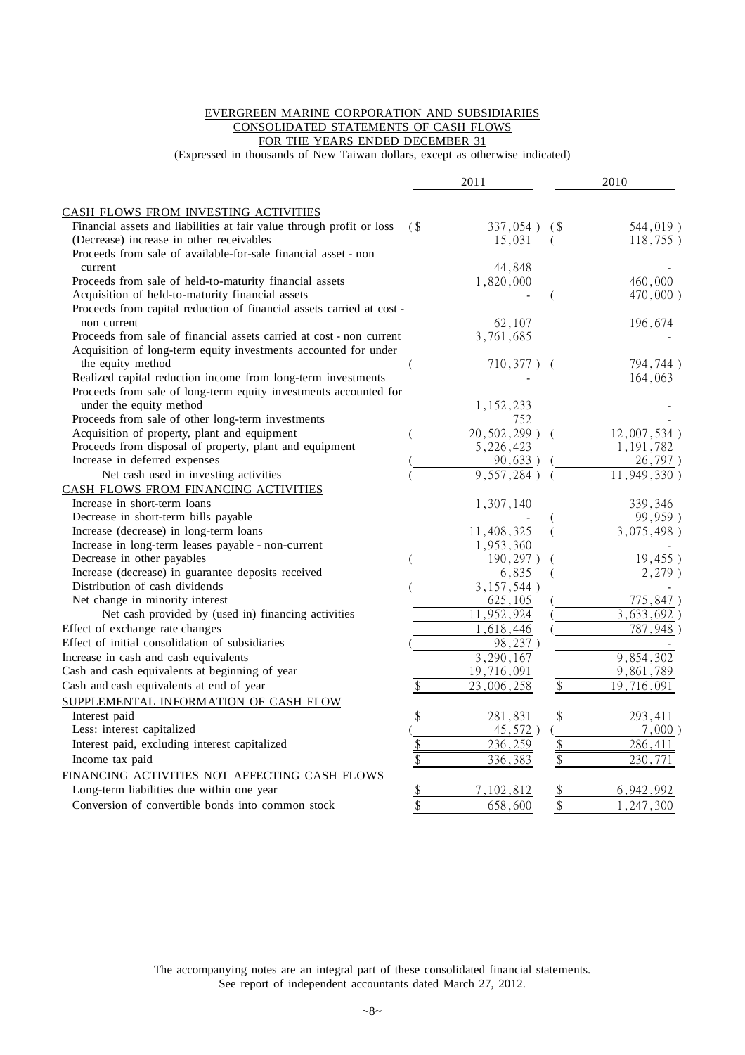#### EVERGREEN MARINE CORPORATION AND SUBSIDIARIES CONSOLIDATED STATEMENTS OF CASH FLOWS FOR THE YEARS ENDED DECEMBER 31

(Expressed in thousands of New Taiwan dollars, except as otherwise indicated)

|                                                                       |                            | 2011               |                 | 2010        |
|-----------------------------------------------------------------------|----------------------------|--------------------|-----------------|-------------|
| CASH FLOWS FROM INVESTING ACTIVITIES                                  |                            |                    |                 |             |
| Financial assets and liabilities at fair value through profit or loss | (                          | $337,054$ )        | (\$             | 544,019)    |
| (Decrease) increase in other receivables                              |                            | 15,031             | (               | 118,755)    |
| Proceeds from sale of available-for-sale financial asset - non        |                            |                    |                 |             |
| current                                                               |                            | 44,848             |                 |             |
| Proceeds from sale of held-to-maturity financial assets               |                            | 1,820,000          |                 | 460,000     |
| Acquisition of held-to-maturity financial assets                      |                            |                    | (               | 470,000)    |
| Proceeds from capital reduction of financial assets carried at cost-  |                            |                    |                 |             |
| non current                                                           |                            | 62,107             |                 | 196,674     |
| Proceeds from sale of financial assets carried at cost - non current  |                            | 3,761,685          |                 |             |
| Acquisition of long-term equity investments accounted for under       |                            |                    |                 |             |
| the equity method                                                     |                            | $710,377$ ) (      |                 | 794,744)    |
| Realized capital reduction income from long-term investments          |                            |                    |                 | 164,063     |
| Proceeds from sale of long-term equity investments accounted for      |                            |                    |                 |             |
| under the equity method                                               |                            | 1,152,233          |                 |             |
| Proceeds from sale of other long-term investments                     |                            | 752                |                 |             |
| Acquisition of property, plant and equipment                          |                            | $20, 502, 299$ ) ( |                 | 12,007,534) |
| Proceeds from disposal of property, plant and equipment               |                            | 5,226,423          |                 | 1, 191, 782 |
| Increase in deferred expenses                                         |                            | 90,633)            |                 | 26,797)     |
| Net cash used in investing activities                                 |                            | 9,557,284)         |                 | 11,949,330) |
| CASH FLOWS FROM FINANCING ACTIVITIES                                  |                            |                    |                 |             |
| Increase in short-term loans                                          |                            | 1,307,140          |                 | 339,346     |
| Decrease in short-term bills payable                                  |                            |                    |                 | 99,959)     |
| Increase (decrease) in long-term loans                                |                            | 11,408,325         | (               | 3,075,498)  |
| Increase in long-term leases payable - non-current                    |                            | 1,953,360          |                 |             |
| Decrease in other payables                                            |                            | 190, 297)          | (               | 19,455)     |
| Increase (decrease) in guarantee deposits received                    |                            | 6,835              | (               | $2,279$ )   |
| Distribution of cash dividends                                        |                            | $3,157,544$ )      |                 |             |
| Net change in minority interest                                       |                            | 625, 105           |                 | 775,847)    |
| Net cash provided by (used in) financing activities                   |                            | 11,952,924         |                 | 3,633,692)  |
| Effect of exchange rate changes                                       |                            | 1,618,446          |                 | 787,948)    |
| Effect of initial consolidation of subsidiaries                       |                            | 98,237)            |                 |             |
| Increase in cash and cash equivalents                                 |                            | 3,290,167          |                 | 9,854,302   |
| Cash and cash equivalents at beginning of year                        |                            | 19,716,091         |                 | 9,861,789   |
| Cash and cash equivalents at end of year                              | \$                         | 23,006,258         | \$              | 19,716,091  |
|                                                                       |                            |                    |                 |             |
| SUPPLEMENTAL INFORMATION OF CASH FLOW                                 |                            |                    |                 |             |
| Interest paid                                                         | \$                         | 281,831            | \$              | 293,411     |
| Less: interest capitalized                                            |                            | 45,572)            |                 | $7,000$ )   |
| Interest paid, excluding interest capitalized                         | \$                         | 236,259            | \$              | 286,411     |
| Income tax paid                                                       | \$                         | 336,383            | \$              | 230,771     |
| FINANCING ACTIVITIES NOT AFFECTING CASH FLOWS                         |                            |                    |                 |             |
| Long-term liabilities due within one year                             | $\boldsymbol{\mathsf{\$}}$ | 7,102,812          | \$              | 6,942,992   |
| Conversion of convertible bonds into common stock                     | $\overline{\$}$            | 658,600            | $\overline{\$}$ | , 247, 300  |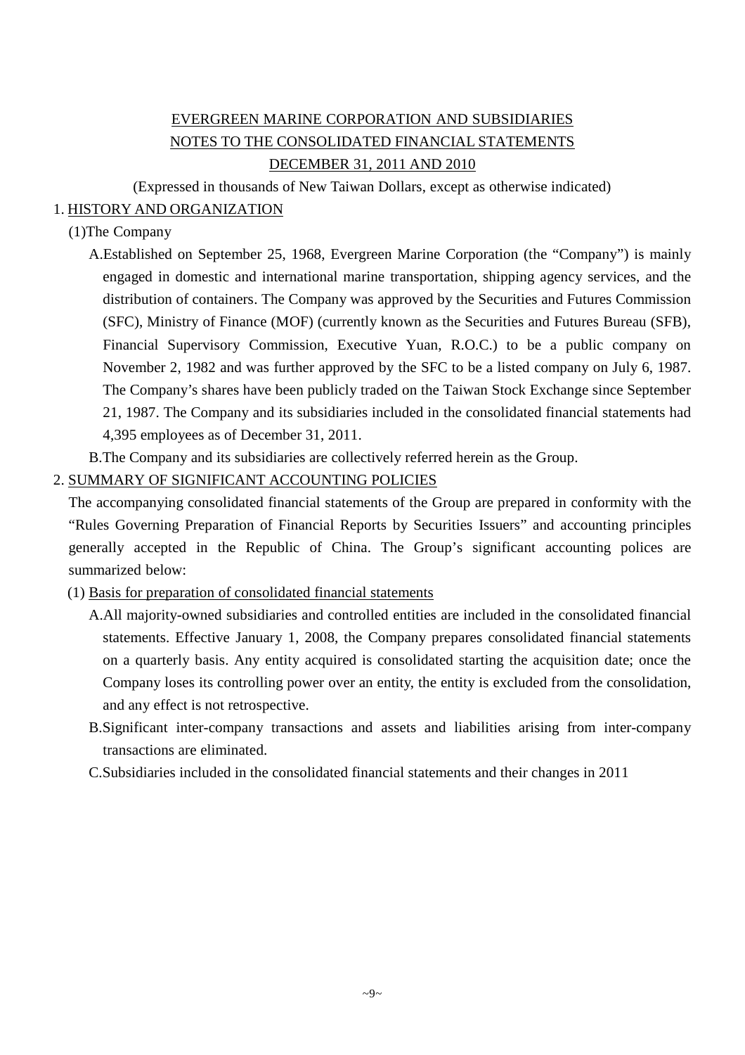# EVERGREEN MARINE CORPORATION AND SUBSIDIARIES NOTES TO THE CONSOLIDATED FINANCIAL STATEMENTS DECEMBER 31, 2011 AND 2010

(Expressed in thousands of New Taiwan Dollars, except as otherwise indicated)

# 1. HISTORY AND ORGANIZATION

# (1)The Company

- A.Established on September 25, 1968, Evergreen Marine Corporation (the "Company") is mainly engaged in domestic and international marine transportation, shipping agency services, and the distribution of containers. The Company was approved by the Securities and Futures Commission (SFC), Ministry of Finance (MOF) (currently known as the Securities and Futures Bureau (SFB), Financial Supervisory Commission, Executive Yuan, R.O.C.) to be a public company on November 2, 1982 and was further approved by the SFC to be a listed company on July 6, 1987. The Company's shares have been publicly traded on the Taiwan Stock Exchange since September 21, 1987. The Company and its subsidiaries included in the consolidated financial statements had 4,395 employees as of December 31, 2011.
- B.The Company and its subsidiaries are collectively referred herein as the Group.

# 2. SUMMARY OF SIGNIFICANT ACCOUNTING POLICIES

The accompanying consolidated financial statements of the Group are prepared in conformity with the "Rules Governing Preparation of Financial Reports by Securities Issuers" and accounting principles generally accepted in the Republic of China. The Group's significant accounting polices are summarized below:

- (1) Basis for preparation of consolidated financial statements
	- A.All majority-owned subsidiaries and controlled entities are included in the consolidated financial statements. Effective January 1, 2008, the Company prepares consolidated financial statements on a quarterly basis. Any entity acquired is consolidated starting the acquisition date; once the Company loses its controlling power over an entity, the entity is excluded from the consolidation, and any effect is not retrospective.
	- B.Significant inter-company transactions and assets and liabilities arising from inter-company transactions are eliminated.
	- C.Subsidiaries included in the consolidated financial statements and their changes in 2011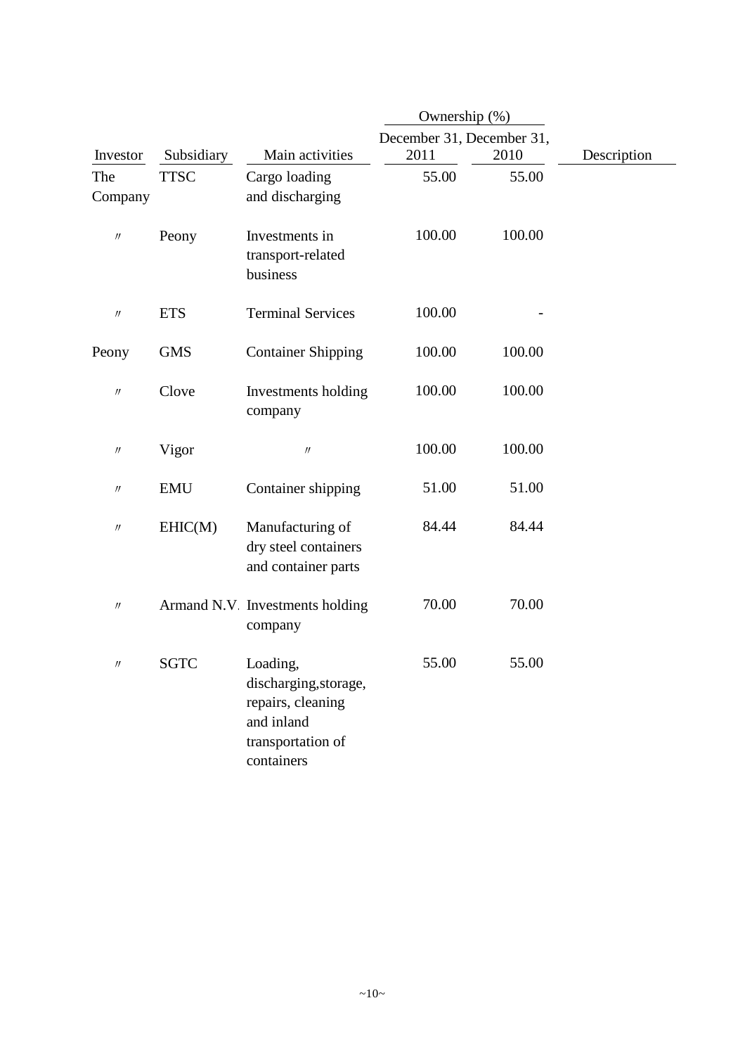|                   |             |                                                                                                         | Ownership (%)             |        |             |
|-------------------|-------------|---------------------------------------------------------------------------------------------------------|---------------------------|--------|-------------|
|                   |             |                                                                                                         | December 31, December 31, |        |             |
| Investor          | Subsidiary  | Main activities                                                                                         | 2011                      | 2010   | Description |
| The<br>Company    | <b>TTSC</b> | Cargo loading<br>and discharging                                                                        | 55.00                     | 55.00  |             |
| $\prime\prime$    | Peony       | Investments in<br>transport-related<br>business                                                         | 100.00                    | 100.00 |             |
| $^{\prime\prime}$ | <b>ETS</b>  | <b>Terminal Services</b>                                                                                | 100.00                    |        |             |
| Peony             | <b>GMS</b>  | <b>Container Shipping</b>                                                                               | 100.00                    | 100.00 |             |
| $\prime\prime$    | Clove       | Investments holding<br>company                                                                          | 100.00                    | 100.00 |             |
| $^{\prime\prime}$ | Vigor       | $\prime\prime$                                                                                          | 100.00                    | 100.00 |             |
| $^{\prime\prime}$ | <b>EMU</b>  | Container shipping                                                                                      | 51.00                     | 51.00  |             |
| $\prime\prime$    | EHIC(M)     | Manufacturing of<br>dry steel containers<br>and container parts                                         | 84.44                     | 84.44  |             |
| $\prime\prime$    |             | Armand N.V Investments holding<br>company                                                               | 70.00                     | 70.00  |             |
| $\prime\prime$    | <b>SGTC</b> | Loading,<br>discharging, storage,<br>repairs, cleaning<br>and inland<br>transportation of<br>containers | 55.00                     | 55.00  |             |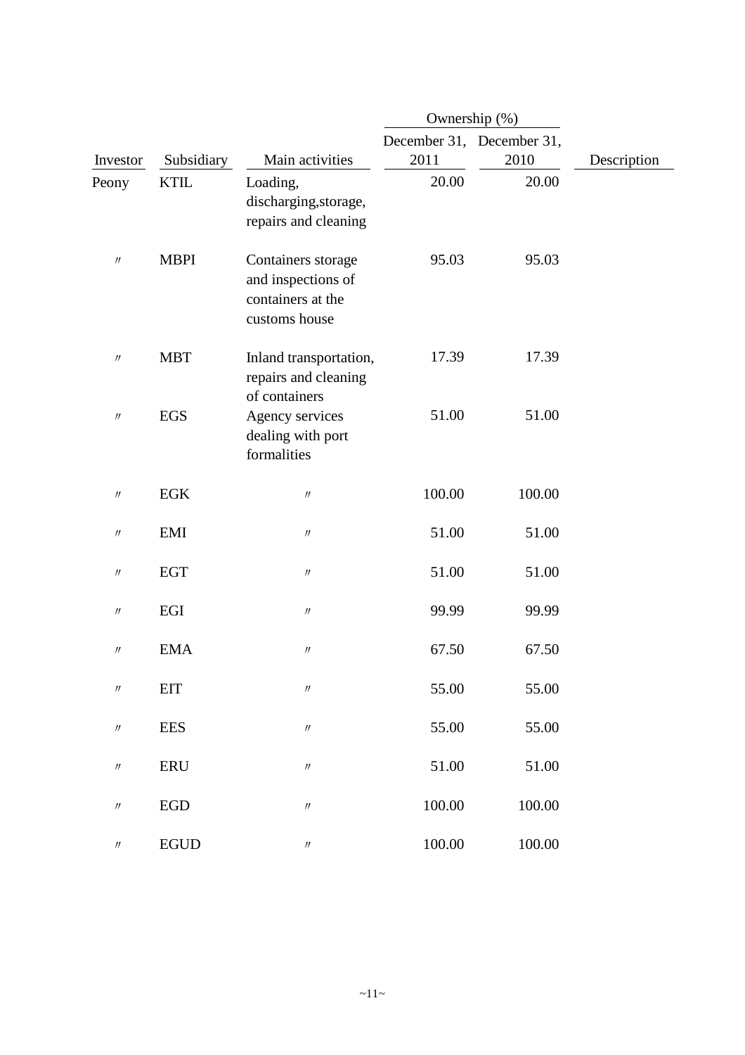|                               |             |                                                                                | Ownership (%)             |        |             |
|-------------------------------|-------------|--------------------------------------------------------------------------------|---------------------------|--------|-------------|
|                               |             |                                                                                | December 31, December 31, |        |             |
| Investor                      | Subsidiary  | Main activities                                                                | 2011                      | 2010   | Description |
| Peony                         | <b>KTIL</b> | Loading,<br>discharging, storage,<br>repairs and cleaning                      | 20.00                     | 20.00  |             |
| $\prime\prime$                | <b>MBPI</b> | Containers storage<br>and inspections of<br>containers at the<br>customs house | 95.03                     | 95.03  |             |
| $\ensuremath{\mathnormal{H}}$ | <b>MBT</b>  | Inland transportation,<br>repairs and cleaning<br>of containers                | 17.39                     | 17.39  |             |
| $\ensuremath{\mathnormal{H}}$ | <b>EGS</b>  | Agency services<br>dealing with port<br>formalities                            | 51.00                     | 51.00  |             |
| $\prime\prime$                | <b>EGK</b>  | $\prime\prime$                                                                 | 100.00                    | 100.00 |             |
| $\prime\prime$                | <b>EMI</b>  | $\prime\prime$                                                                 | 51.00                     | 51.00  |             |
| $\prime\prime$                | <b>EGT</b>  | $^{\prime\prime}$                                                              | 51.00                     | 51.00  |             |
| $\prime\prime$                | EGI         | $\prime\prime$                                                                 | 99.99                     | 99.99  |             |
| $\prime\prime$                | <b>EMA</b>  | $\prime\prime$                                                                 | 67.50                     | 67.50  |             |
| $\ensuremath{\mathnormal{H}}$ | <b>EIT</b>  | $\ensuremath{\mathnormal{H}}$                                                  | 55.00                     | 55.00  |             |
| $\ensuremath{\mathnormal{H}}$ | <b>EES</b>  | $\ensuremath{\mathnormal{H}}$                                                  | 55.00                     | 55.00  |             |
| $\prime\prime$                | ERU         | $\prime\prime$                                                                 | 51.00                     | 51.00  |             |
| $\prime\prime$                | ${\rm EGD}$ | $\ensuremath{\mathnormal{H}}$                                                  | 100.00                    | 100.00 |             |
| $\prime\prime$                | <b>EGUD</b> | $\boldsymbol{\eta}$                                                            | 100.00                    | 100.00 |             |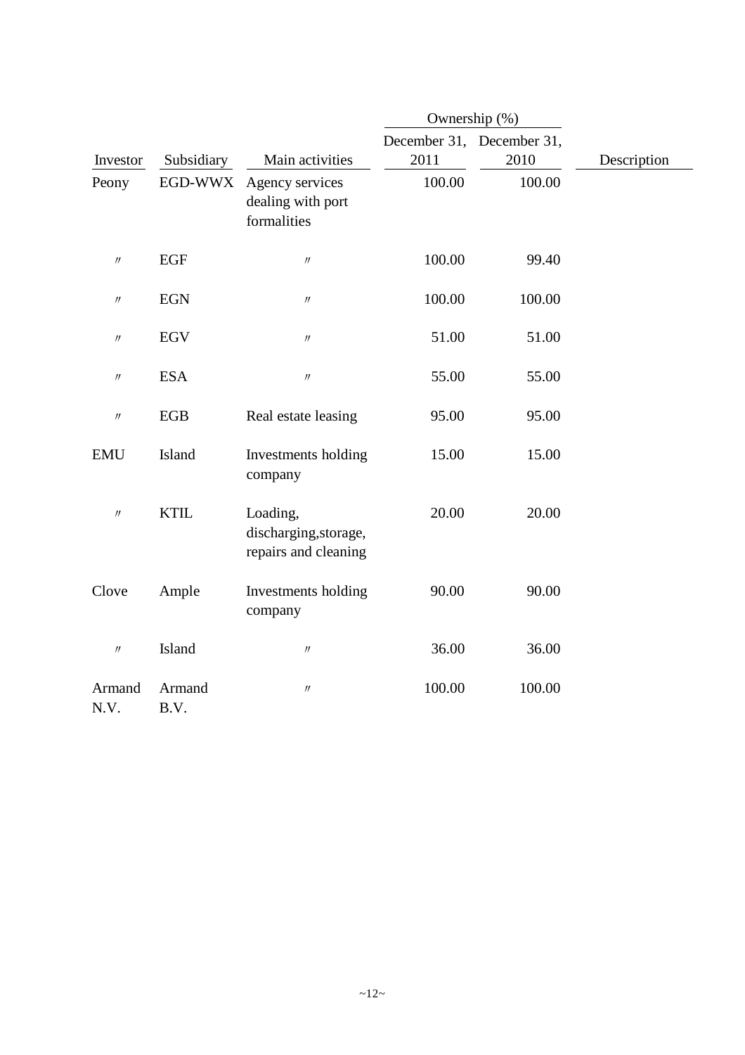|                               |                |                                                           |        | Ownership (%)             |             |
|-------------------------------|----------------|-----------------------------------------------------------|--------|---------------------------|-------------|
|                               |                |                                                           |        | December 31, December 31, |             |
| Investor                      | Subsidiary     | Main activities                                           | 2011   | 2010                      | Description |
| Peony                         | EGD-WWX        | Agency services<br>dealing with port<br>formalities       | 100.00 | 100.00                    |             |
| $\prime\prime$                | <b>EGF</b>     | $\prime\prime$                                            | 100.00 | 99.40                     |             |
| $\ensuremath{\mathnormal{H}}$ | <b>EGN</b>     | $\prime\prime$                                            | 100.00 | 100.00                    |             |
| $\prime\prime$                | <b>EGV</b>     | $\ensuremath{\mathnormal{H}}$                             | 51.00  | 51.00                     |             |
| $\ensuremath{\mathnormal{H}}$ | <b>ESA</b>     | $\prime\prime$                                            | 55.00  | 55.00                     |             |
| $\prime\prime$                | EGB            | Real estate leasing                                       | 95.00  | 95.00                     |             |
| <b>EMU</b>                    | Island         | Investments holding<br>company                            | 15.00  | 15.00                     |             |
| $\ensuremath{\mathnormal{H}}$ | <b>KTIL</b>    | Loading,<br>discharging, storage,<br>repairs and cleaning | 20.00  | 20.00                     |             |
| Clove                         | Ample          | Investments holding<br>company                            | 90.00  | 90.00                     |             |
| $\prime\prime$                | Island         | $\prime\prime$                                            | 36.00  | 36.00                     |             |
| Armand<br>N.V.                | Armand<br>B.V. | $^{\prime\prime}$                                         | 100.00 | 100.00                    |             |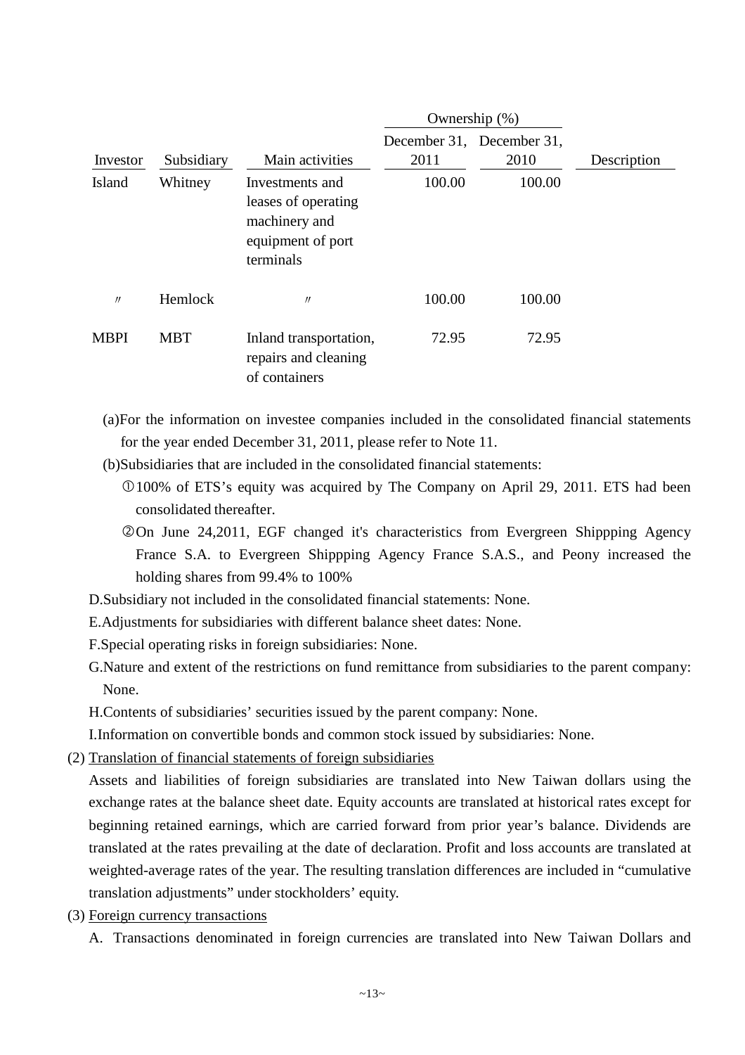|             |            |                                                                                           | Ownership $(\%)$ |                                   |             |
|-------------|------------|-------------------------------------------------------------------------------------------|------------------|-----------------------------------|-------------|
| Investor    | Subsidiary | Main activities                                                                           | 2011             | December 31, December 31,<br>2010 | Description |
| Island      | Whitney    | Investments and<br>leases of operating<br>machinery and<br>equipment of port<br>terminals | 100.00           | 100.00                            |             |
| $\prime$    | Hemlock    | $^{\prime\prime}$                                                                         | 100.00           | 100.00                            |             |
| <b>MBPI</b> | <b>MBT</b> | Inland transportation,<br>repairs and cleaning<br>of containers                           | 72.95            | 72.95                             |             |

- (a)For the information on investee companies included in the consolidated financial statements for the year ended December 31, 2011, please refer to Note 11.
- (b)Subsidiaries that are included in the consolidated financial statements:
	- Å100% of ETS's equity was acquired by The Company on April 29, 2011. ETS had been consolidated thereafter.
	- On June 24,2011, EGF changed it's characteristics from Evergreen Shippping Agency France S.A. to Evergreen Shippping Agency France S.A.S., and Peony increased the holding shares from 99.4% to 100%
- D.Subsidiary not included in the consolidated financial statements: None.
- E.Adjustments for subsidiaries with different balance sheet dates: None.
- F.Special operating risks in foreign subsidiaries: None.
- G.Nature and extent of the restrictions on fund remittance from subsidiaries to the parent company: None.

H.Contents of subsidiaries' securities issued by the parent company: None.

I.Information on convertible bonds and common stock issued by subsidiaries: None.

(2) Translation of financial statements of foreign subsidiaries

Assets and liabilities of foreign subsidiaries are translated into New Taiwan dollars using the exchange rates at the balance sheet date. Equity accounts are translated at historical rates except for beginning retained earnings, which are carried forward from prior year's balance. Dividends are translated at the rates prevailing at the date of declaration. Profit and loss accounts are translated at weighted-average rates of the year. The resulting translation differences are included in "cumulative translation adjustments" under stockholders' equity.

- (3) Foreign currency transactions
	- A. Transactions denominated in foreign currencies are translated into New Taiwan Dollars and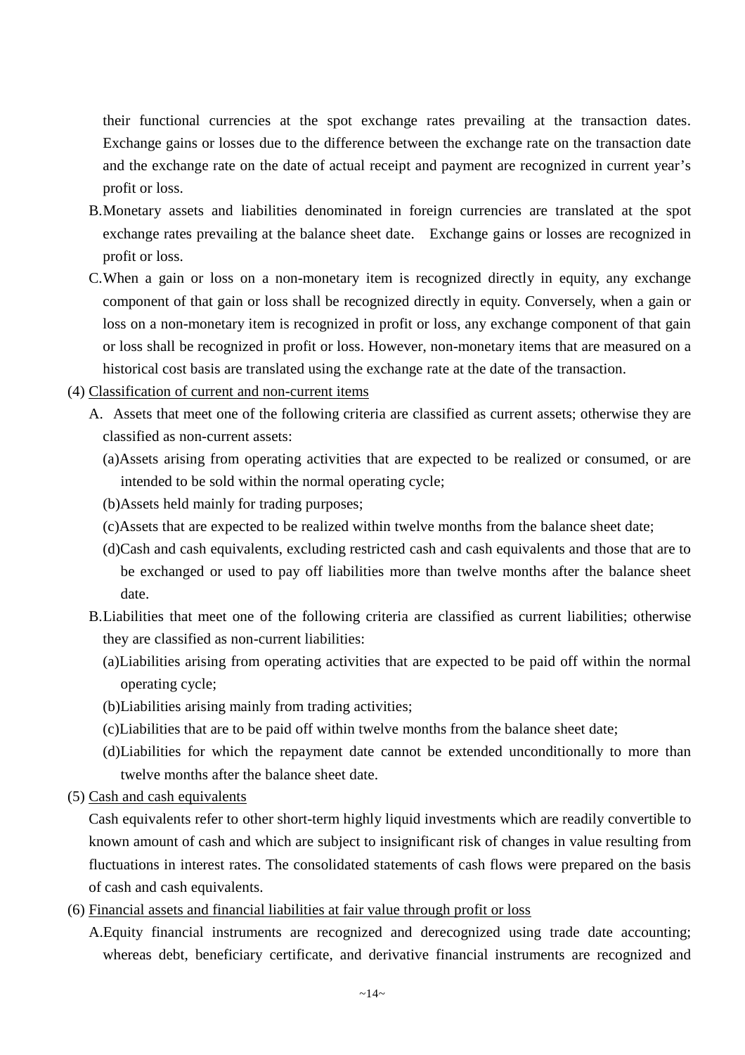their functional currencies at the spot exchange rates prevailing at the transaction dates. Exchange gains or losses due to the difference between the exchange rate on the transaction date and the exchange rate on the date of actual receipt and payment are recognized in current year's profit or loss.

- B.Monetary assets and liabilities denominated in foreign currencies are translated at the spot exchange rates prevailing at the balance sheet date. Exchange gains or losses are recognized in profit or loss.
- C.When a gain or loss on a non-monetary item is recognized directly in equity, any exchange component of that gain or loss shall be recognized directly in equity. Conversely, when a gain or loss on a non-monetary item is recognized in profit or loss, any exchange component of that gain or loss shall be recognized in profit or loss. However, non-monetary items that are measured on a historical cost basis are translated using the exchange rate at the date of the transaction.
- (4) Classification of current and non-current items
	- A. Assets that meet one of the following criteria are classified as current assets; otherwise they are classified as non-current assets:
		- (a)Assets arising from operating activities that are expected to be realized or consumed, or are intended to be sold within the normal operating cycle;
		- (b)Assets held mainly for trading purposes;
		- (c)Assets that are expected to be realized within twelve months from the balance sheet date;
		- (d)Cash and cash equivalents, excluding restricted cash and cash equivalents and those that are to be exchanged or used to pay off liabilities more than twelve months after the balance sheet date.
	- B.Liabilities that meet one of the following criteria are classified as current liabilities; otherwise they are classified as non-current liabilities:
		- (a)Liabilities arising from operating activities that are expected to be paid off within the normal operating cycle;
		- (b)Liabilities arising mainly from trading activities;
		- (c)Liabilities that are to be paid off within twelve months from the balance sheet date;
		- (d)Liabilities for which the repayment date cannot be extended unconditionally to more than twelve months after the balance sheet date.
- (5) Cash and cash equivalents

Cash equivalents refer to other short-term highly liquid investments which are readily convertible to known amount of cash and which are subject to insignificant risk of changes in value resulting from fluctuations in interest rates. The consolidated statements of cash flows were prepared on the basis of cash and cash equivalents.

- (6) Financial assets and financial liabilities at fair value through profit or loss
	- A.Equity financial instruments are recognized and derecognized using trade date accounting; whereas debt, beneficiary certificate, and derivative financial instruments are recognized and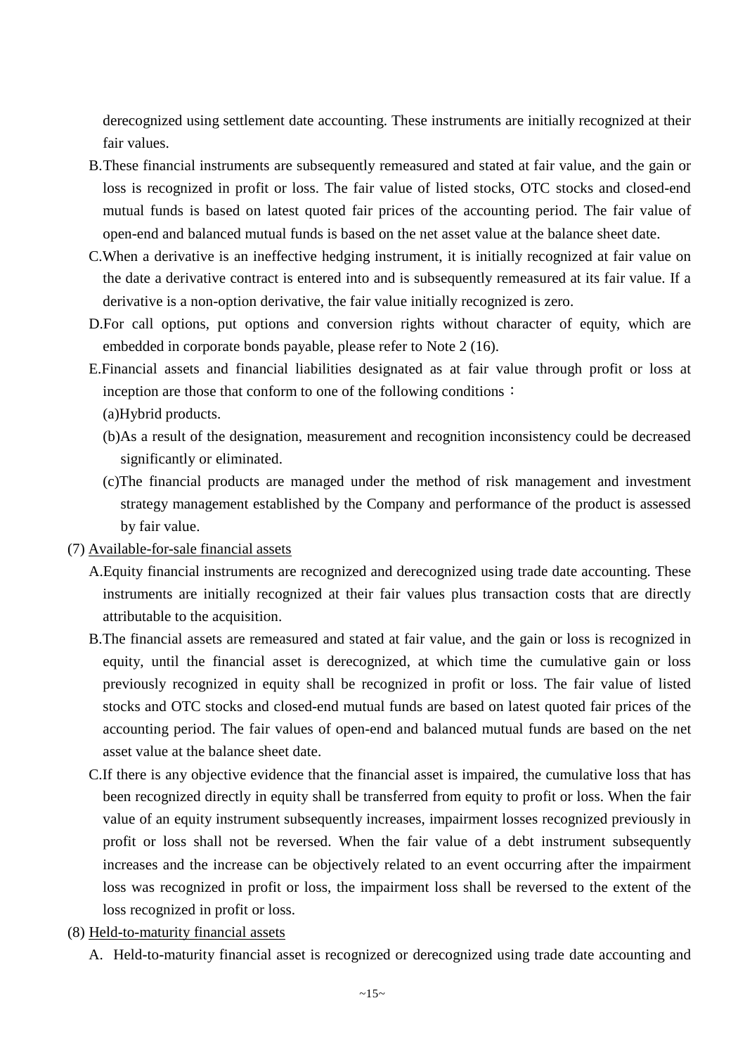derecognized using settlement date accounting. These instruments are initially recognized at their fair values.

- B.These financial instruments are subsequently remeasured and stated at fair value, and the gain or loss is recognized in profit or loss. The fair value of listed stocks, OTC stocks and closed-end mutual funds is based on latest quoted fair prices of the accounting period. The fair value of open-end and balanced mutual funds is based on the net asset value at the balance sheet date.
- C.When a derivative is an ineffective hedging instrument, it is initially recognized at fair value on the date a derivative contract is entered into and is subsequently remeasured at its fair value. If a derivative is a non-option derivative, the fair value initially recognized is zero.
- D.For call options, put options and conversion rights without character of equity, which are embedded in corporate bonds payable, please refer to Note 2 (16).
- E.Financial assets and financial liabilities designated as at fair value through profit or loss at inception are those that conform to one of the following conditions: (a)Hybrid products.
	- (b)As a result of the designation, measurement and recognition inconsistency could be decreased significantly or eliminated.
	- (c)The financial products are managed under the method of risk management and investment strategy management established by the Company and performance of the product is assessed by fair value.
- (7) Available-for-sale financial assets
	- A.Equity financial instruments are recognized and derecognized using trade date accounting. These instruments are initially recognized at their fair values plus transaction costs that are directly attributable to the acquisition.
	- B.The financial assets are remeasured and stated at fair value, and the gain or loss is recognized in equity, until the financial asset is derecognized, at which time the cumulative gain or loss previously recognized in equity shall be recognized in profit or loss. The fair value of listed stocks and OTC stocks and closed-end mutual funds are based on latest quoted fair prices of the accounting period. The fair values of open-end and balanced mutual funds are based on the net asset value at the balance sheet date.
	- C.If there is any objective evidence that the financial asset is impaired, the cumulative loss that has been recognized directly in equity shall be transferred from equity to profit or loss. When the fair value of an equity instrument subsequently increases, impairment losses recognized previously in profit or loss shall not be reversed. When the fair value of a debt instrument subsequently increases and the increase can be objectively related to an event occurring after the impairment loss was recognized in profit or loss, the impairment loss shall be reversed to the extent of the loss recognized in profit or loss.
- (8) Held-to-maturity financial assets
	- A. Held-to-maturity financial asset is recognized or derecognized using trade date accounting and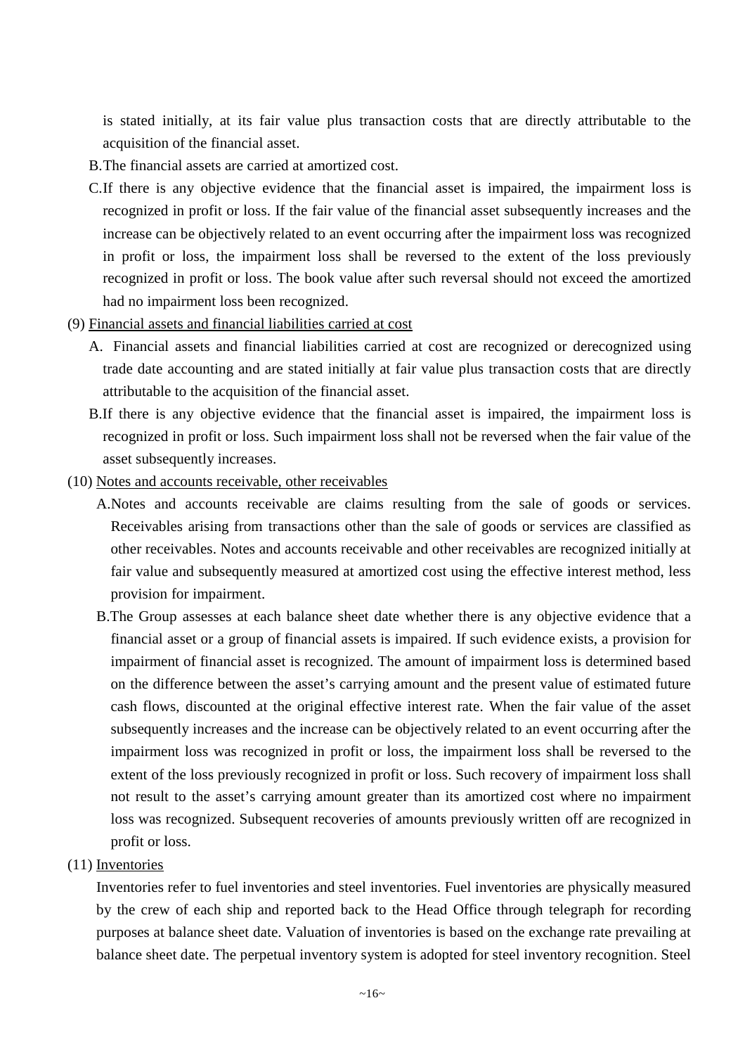is stated initially, at its fair value plus transaction costs that are directly attributable to the acquisition of the financial asset.

- B.The financial assets are carried at amortized cost.
- C.If there is any objective evidence that the financial asset is impaired, the impairment loss is recognized in profit or loss. If the fair value of the financial asset subsequently increases and the increase can be objectively related to an event occurring after the impairment loss was recognized in profit or loss, the impairment loss shall be reversed to the extent of the loss previously recognized in profit or loss. The book value after such reversal should not exceed the amortized had no impairment loss been recognized.
- (9) Financial assets and financial liabilities carried at cost
	- A. Financial assets and financial liabilities carried at cost are recognized or derecognized using trade date accounting and are stated initially at fair value plus transaction costs that are directly attributable to the acquisition of the financial asset.
	- B.If there is any objective evidence that the financial asset is impaired, the impairment loss is recognized in profit or loss. Such impairment loss shall not be reversed when the fair value of the asset subsequently increases.
- (10) Notes and accounts receivable, other receivables
	- A.Notes and accounts receivable are claims resulting from the sale of goods or services. Receivables arising from transactions other than the sale of goods or services are classified as other receivables. Notes and accounts receivable and other receivables are recognized initially at fair value and subsequently measured at amortized cost using the effective interest method, less provision for impairment.
	- B.The Group assesses at each balance sheet date whether there is any objective evidence that a financial asset or a group of financial assets is impaired. If such evidence exists, a provision for impairment of financial asset is recognized. The amount of impairment loss is determined based on the difference between the asset's carrying amount and the present value of estimated future cash flows, discounted at the original effective interest rate. When the fair value of the asset subsequently increases and the increase can be objectively related to an event occurring after the impairment loss was recognized in profit or loss, the impairment loss shall be reversed to the extent of the loss previously recognized in profit or loss. Such recovery of impairment loss shall not result to the asset's carrying amount greater than its amortized cost where no impairment loss was recognized. Subsequent recoveries of amounts previously written off are recognized in profit or loss.
- (11) Inventories

Inventories refer to fuel inventories and steel inventories. Fuel inventories are physically measured by the crew of each ship and reported back to the Head Office through telegraph for recording purposes at balance sheet date. Valuation of inventories is based on the exchange rate prevailing at balance sheet date. The perpetual inventory system is adopted for steel inventory recognition. Steel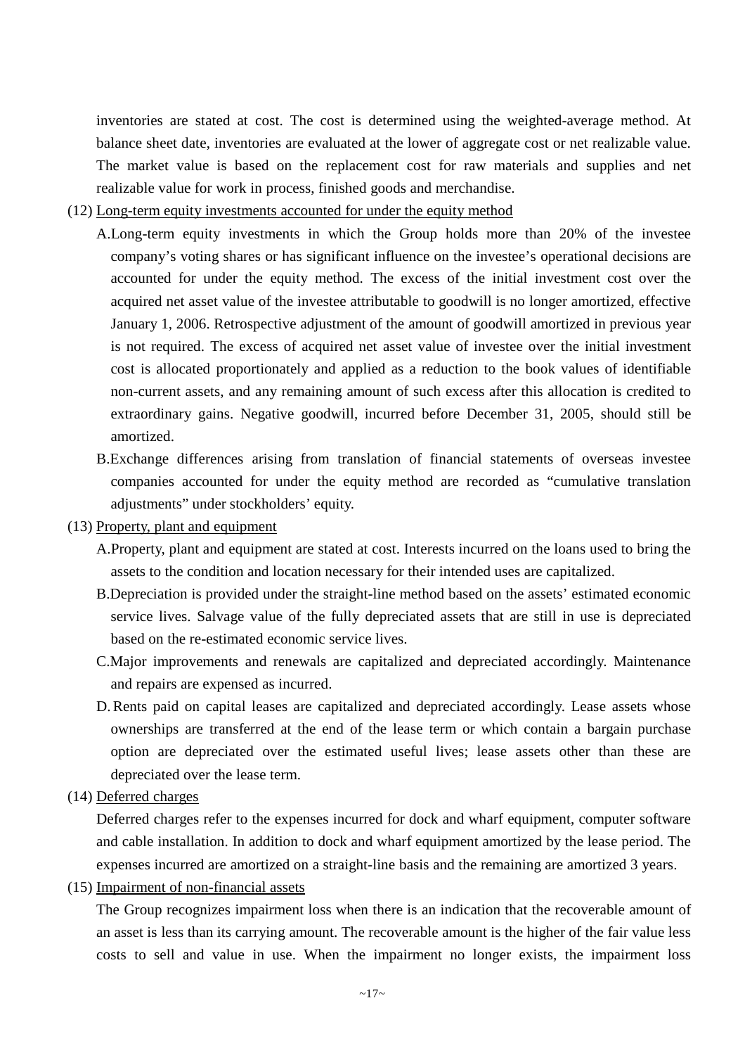inventories are stated at cost. The cost is determined using the weighted-average method. At balance sheet date, inventories are evaluated at the lower of aggregate cost or net realizable value. The market value is based on the replacement cost for raw materials and supplies and net realizable value for work in process, finished goods and merchandise.

- (12) Long-term equity investments accounted for under the equity method
	- A.Long-term equity investments in which the Group holds more than 20% of the investee company's voting shares or has significant influence on the investee's operational decisions are accounted for under the equity method. The excess of the initial investment cost over the acquired net asset value of the investee attributable to goodwill is no longer amortized, effective January 1, 2006. Retrospective adjustment of the amount of goodwill amortized in previous year is not required. The excess of acquired net asset value of investee over the initial investment cost is allocated proportionately and applied as a reduction to the book values of identifiable non-current assets, and any remaining amount of such excess after this allocation is credited to extraordinary gains. Negative goodwill, incurred before December 31, 2005, should still be amortized.
	- B.Exchange differences arising from translation of financial statements of overseas investee companies accounted for under the equity method are recorded as "cumulative translation adjustments" under stockholders' equity.
- (13) Property, plant and equipment
	- A.Property, plant and equipment are stated at cost. Interests incurred on the loans used to bring the assets to the condition and location necessary for their intended uses are capitalized.
	- B.Depreciation is provided under the straight-line method based on the assets' estimated economic service lives. Salvage value of the fully depreciated assets that are still in use is depreciated based on the re-estimated economic service lives.
	- C.Major improvements and renewals are capitalized and depreciated accordingly. Maintenance and repairs are expensed as incurred.
	- D. Rents paid on capital leases are capitalized and depreciated accordingly. Lease assets whose ownerships are transferred at the end of the lease term or which contain a bargain purchase option are depreciated over the estimated useful lives; lease assets other than these are depreciated over the lease term.
- (14) Deferred charges

Deferred charges refer to the expenses incurred for dock and wharf equipment, computer software and cable installation. In addition to dock and wharf equipment amortized by the lease period. The expenses incurred are amortized on a straight-line basis and the remaining are amortized 3 years.

(15) Impairment of non-financial assets

The Group recognizes impairment loss when there is an indication that the recoverable amount of an asset is less than its carrying amount. The recoverable amount is the higher of the fair value less costs to sell and value in use. When the impairment no longer exists, the impairment loss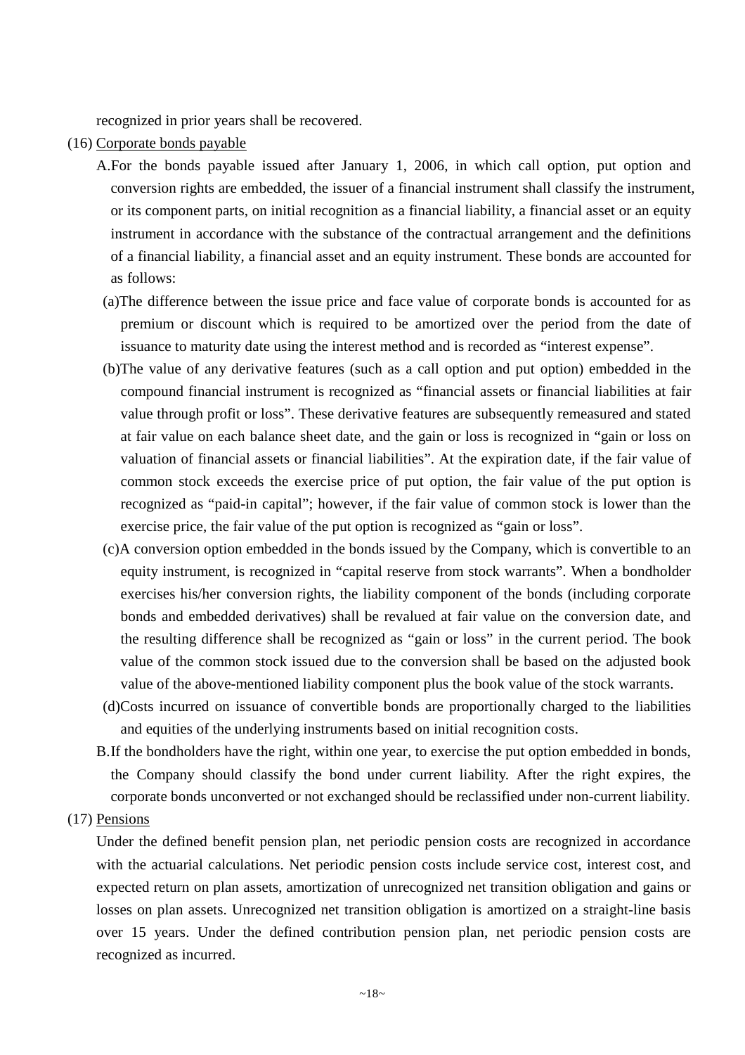recognized in prior years shall be recovered.

- (16) Corporate bonds payable
	- A.For the bonds payable issued after January 1, 2006, in which call option, put option and conversion rights are embedded, the issuer of a financial instrument shall classify the instrument, or its component parts, on initial recognition as a financial liability, a financial asset or an equity instrument in accordance with the substance of the contractual arrangement and the definitions of a financial liability, a financial asset and an equity instrument. These bonds are accounted for as follows:
	- (a)The difference between the issue price and face value of corporate bonds is accounted for as premium or discount which is required to be amortized over the period from the date of issuance to maturity date using the interest method and is recorded as "interest expense".
	- (b)The value of any derivative features (such as a call option and put option) embedded in the compound financial instrument is recognized as "financial assets or financial liabilities at fair value through profit or loss". These derivative features are subsequently remeasured and stated at fair value on each balance sheet date, and the gain or loss is recognized in "gain or loss on valuation of financial assets or financial liabilities". At the expiration date, if the fair value of common stock exceeds the exercise price of put option, the fair value of the put option is recognized as "paid-in capital"; however, if the fair value of common stock is lower than the exercise price, the fair value of the put option is recognized as "gain or loss".
	- (c)A conversion option embedded in the bonds issued by the Company, which is convertible to an equity instrument, is recognized in "capital reserve from stock warrants". When a bondholder exercises his/her conversion rights, the liability component of the bonds (including corporate bonds and embedded derivatives) shall be revalued at fair value on the conversion date, and the resulting difference shall be recognized as "gain or loss" in the current period. The book value of the common stock issued due to the conversion shall be based on the adjusted book value of the above-mentioned liability component plus the book value of the stock warrants.
	- (d)Costs incurred on issuance of convertible bonds are proportionally charged to the liabilities and equities of the underlying instruments based on initial recognition costs.
	- B.If the bondholders have the right, within one year, to exercise the put option embedded in bonds, the Company should classify the bond under current liability. After the right expires, the corporate bonds unconverted or not exchanged should be reclassified under non-current liability.

#### (17) Pensions

Under the defined benefit pension plan, net periodic pension costs are recognized in accordance with the actuarial calculations. Net periodic pension costs include service cost, interest cost, and expected return on plan assets, amortization of unrecognized net transition obligation and gains or losses on plan assets. Unrecognized net transition obligation is amortized on a straight-line basis over 15 years. Under the defined contribution pension plan, net periodic pension costs are recognized as incurred.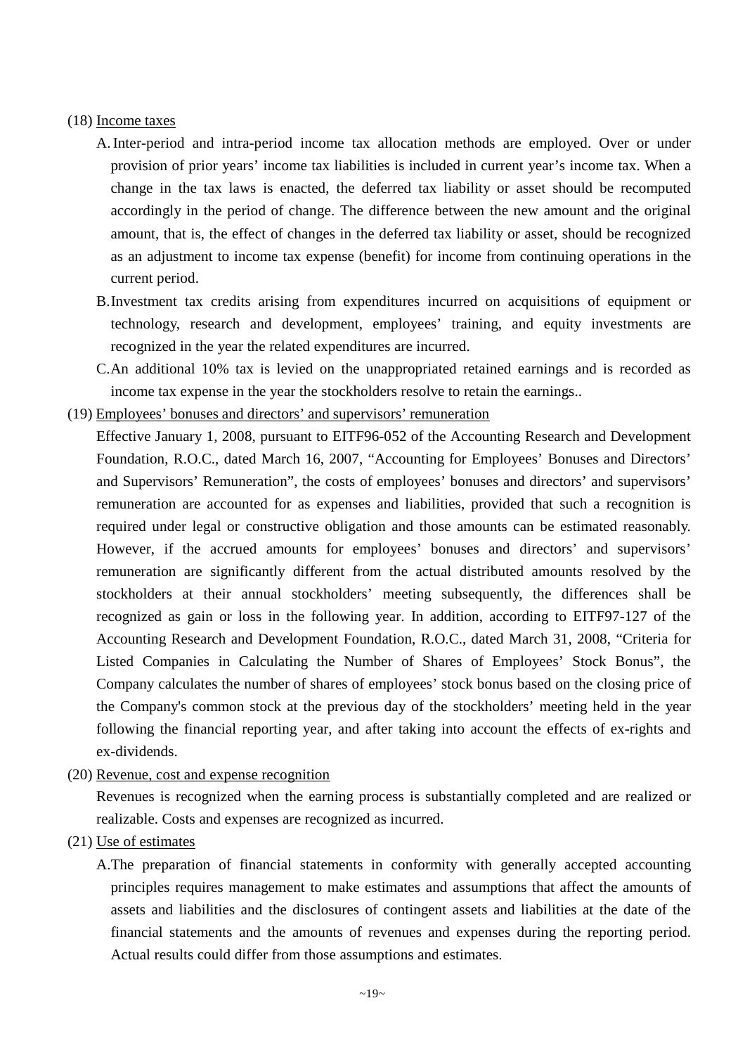#### (18) Income taxes

- A. Inter-period and intra-period income tax allocation methods are employed. Over or under provision of prior years' income tax liabilities is included in current year's income tax. When a change in the tax laws is enacted, the deferred tax liability or asset should be recomputed accordingly in the period of change. The difference between the new amount and the original amount, that is, the effect of changes in the deferred tax liability or asset, should be recognized as an adjustment to income tax expense (benefit) for income from continuing operations in the current period.
- B.Investment tax credits arising from expenditures incurred on acquisitions of equipment or technology, research and development, employees' training, and equity investments are recognized in the year the related expenditures are incurred.
- C.An additional 10% tax is levied on the unappropriated retained earnings and is recorded as income tax expense in the year the stockholders resolve to retain the earnings..
- (19) Employees' bonuses and directors' and supervisors' remuneration
	- Effective January 1, 2008, pursuant to EITF96-052 of the Accounting Research and Development Foundation, R.O.C., dated March 16, 2007, "Accounting for Employees' Bonuses and Directors' and Supervisors' Remuneration", the costs of employees' bonuses and directors' and supervisors' remuneration are accounted for as expenses and liabilities, provided that such a recognition is required under legal or constructive obligation and those amounts can be estimated reasonably. However, if the accrued amounts for employees' bonuses and directors' and supervisors' remuneration are significantly different from the actual distributed amounts resolved by the stockholders at their annual stockholders' meeting subsequently, the differences shall be recognized as gain or loss in the following year. In addition, according to EITF97-127 of the Accounting Research and Development Foundation, R.O.C., dated March 31, 2008, "Criteria for Listed Companies in Calculating the Number of Shares of Employees' Stock Bonus", the Company calculates the number of shares of employees' stock bonus based on the closing price of the Company's common stock at the previous day of the stockholders' meeting held in the year following the financial reporting year, and after taking into account the effects of ex-rights and ex-dividends.
- (20) Revenue, cost and expense recognition

Revenues is recognized when the earning process is substantially completed and are realized or realizable. Costs and expenses are recognized as incurred.

(21) Use of estimates

A.The preparation of financial statements in conformity with generally accepted accounting principles requires management to make estimates and assumptions that affect the amounts of assets and liabilities and the disclosures of contingent assets and liabilities at the date of the financial statements and the amounts of revenues and expenses during the reporting period. Actual results could differ from those assumptions and estimates.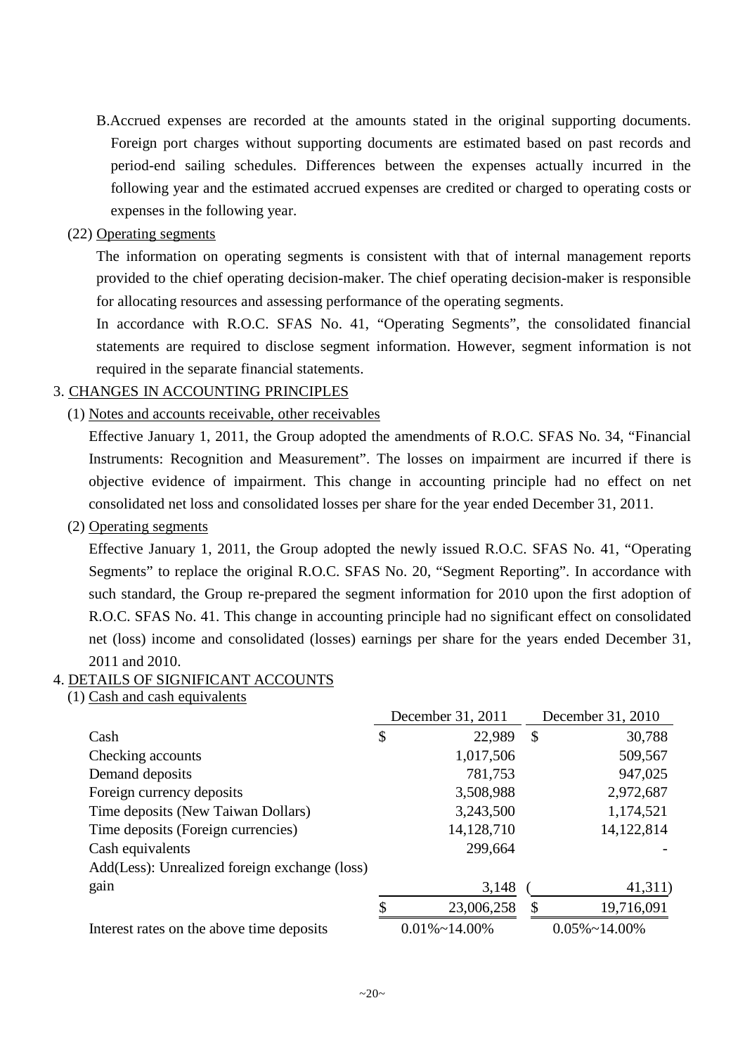B.Accrued expenses are recorded at the amounts stated in the original supporting documents. Foreign port charges without supporting documents are estimated based on past records and period-end sailing schedules. Differences between the expenses actually incurred in the following year and the estimated accrued expenses are credited or charged to operating costs or expenses in the following year.

# (22) Operating segments

The information on operating segments is consistent with that of internal management reports provided to the chief operating decision-maker. The chief operating decision-maker is responsible for allocating resources and assessing performance of the operating segments.

In accordance with R.O.C. SFAS No. 41, "Operating Segments", the consolidated financial statements are required to disclose segment information. However, segment information is not required in the separate financial statements.

# 3. CHANGES IN ACCOUNTING PRINCIPLES

(1) Notes and accounts receivable, other receivables

Effective January 1, 2011, the Group adopted the amendments of R.O.C. SFAS No. 34, "Financial Instruments: Recognition and Measurement". The losses on impairment are incurred if there is objective evidence of impairment. This change in accounting principle had no effect on net consolidated net loss and consolidated losses per share for the year ended December 31, 2011.

# (2) Operating segments

Effective January 1, 2011, the Group adopted the newly issued R.O.C. SFAS No. 41, "Operating Segments" to replace the original R.O.C. SFAS No. 20, "Segment Reporting". In accordance with such standard, the Group re-prepared the segment information for 2010 upon the first adoption of R.O.C. SFAS No. 41. This change in accounting principle had no significant effect on consolidated net (loss) income and consolidated (losses) earnings per share for the years ended December 31, 2011 and 2010.

# 4. DETAILS OF SIGNIFICANT ACCOUNTS

(1) Cash and cash equivalents

|                                               | December 31, 2011 |                       |    | December 31, 2010     |  |  |
|-----------------------------------------------|-------------------|-----------------------|----|-----------------------|--|--|
| Cash                                          | \$                | 22,989                | \$ | 30,788                |  |  |
| Checking accounts                             |                   | 1,017,506             |    | 509,567               |  |  |
| Demand deposits                               |                   | 781,753               |    | 947,025               |  |  |
| Foreign currency deposits                     |                   | 3,508,988             |    | 2,972,687             |  |  |
| Time deposits (New Taiwan Dollars)            |                   | 3,243,500             |    | 1,174,521             |  |  |
| Time deposits (Foreign currencies)            |                   | 14,128,710            |    | 14,122,814            |  |  |
| Cash equivalents                              |                   | 299,664               |    |                       |  |  |
| Add(Less): Unrealized foreign exchange (loss) |                   |                       |    |                       |  |  |
| gain                                          |                   | 3,148                 |    | 41,311)               |  |  |
|                                               |                   | 23,006,258            |    | 19,716,091            |  |  |
| Interest rates on the above time deposits     |                   | $0.01\% \sim 14.00\%$ |    | $0.05\% \sim 14.00\%$ |  |  |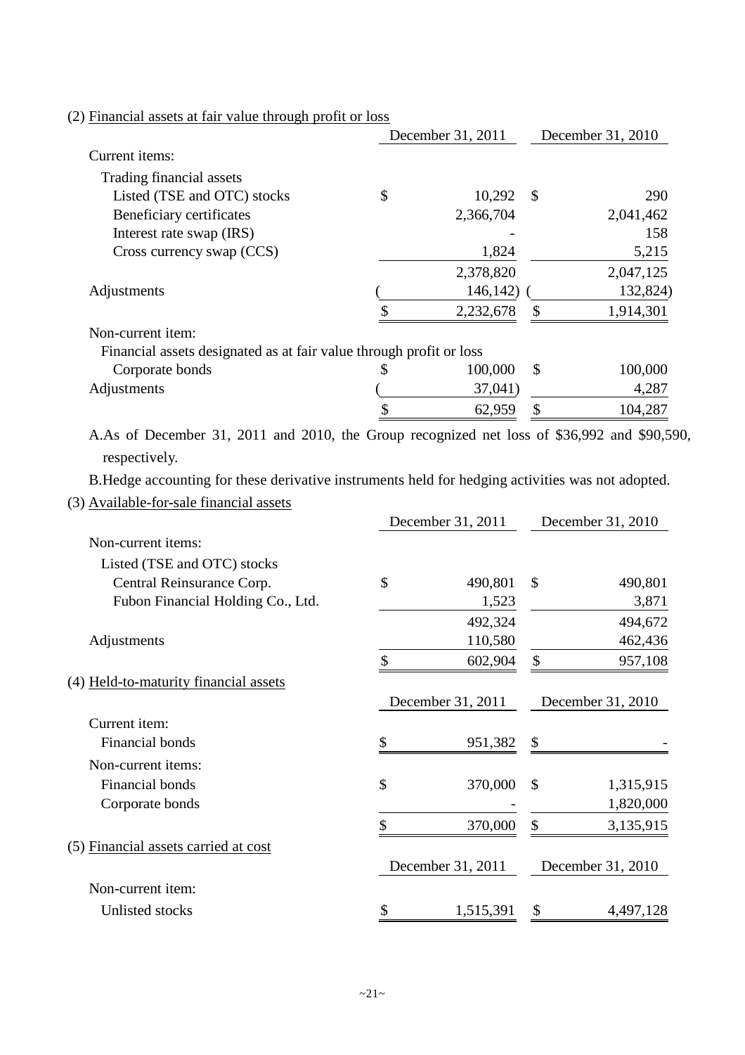| (2) Financial assets at fair value through profit or loss                                         |        |                   |               |                   |
|---------------------------------------------------------------------------------------------------|--------|-------------------|---------------|-------------------|
|                                                                                                   |        | December 31, 2011 |               | December 31, 2010 |
| Current items:                                                                                    |        |                   |               |                   |
| Trading financial assets                                                                          |        |                   |               |                   |
| Listed (TSE and OTC) stocks                                                                       | \$     | 10,292            | $\mathcal{S}$ | 290               |
| Beneficiary certificates<br>Interest rate swap (IRS)                                              |        | 2,366,704         |               | 2,041,462<br>158  |
| Cross currency swap (CCS)                                                                         |        | 1,824             |               | 5,215             |
|                                                                                                   |        | 2,378,820         |               | 2,047,125         |
| Adjustments                                                                                       |        | 146,142           |               | 132,824)          |
|                                                                                                   | \$     | 2,232,678         | \$            | 1,914,301         |
|                                                                                                   |        |                   |               |                   |
| Non-current item:<br>Financial assets designated as at fair value through profit or loss          |        |                   |               |                   |
| Corporate bonds                                                                                   | \$     | 100,000           | \$            | 100,000           |
| Adjustments                                                                                       |        | 37,041)           |               | 4,287             |
|                                                                                                   |        | 62,959            | \$            | 104,287           |
|                                                                                                   |        |                   |               |                   |
| A.As of December 31, 2011 and 2010, the Group recognized net loss of \$36,992 and \$90,590,       |        |                   |               |                   |
| respectively.                                                                                     |        |                   |               |                   |
| B. Hedge accounting for these derivative instruments held for hedging activities was not adopted. |        |                   |               |                   |
| (3) Available-for-sale financial assets                                                           |        |                   |               |                   |
|                                                                                                   |        | December 31, 2011 |               | December 31, 2010 |
| Non-current items:                                                                                |        |                   |               |                   |
| Listed (TSE and OTC) stocks                                                                       |        |                   |               |                   |
| Central Reinsurance Corp.                                                                         | \$     | 490,801           | \$            | 490,801           |
| Fubon Financial Holding Co., Ltd.                                                                 |        | 1,523             |               | 3,871             |
|                                                                                                   |        | 492,324           |               | 494,672           |
| Adjustments                                                                                       |        | 110,580           |               | 462,436           |
|                                                                                                   | ¢<br>Φ | 602,904           | ¢             | 957,108           |
| (4) Held-to-maturity financial assets                                                             |        |                   |               |                   |
|                                                                                                   |        | December 31, 2011 |               | December 31, 2010 |
| Current item:                                                                                     |        |                   |               |                   |
| Financial bonds                                                                                   | \$     | 951,382           | \$            |                   |
| Non-current items:                                                                                |        |                   |               |                   |
| Financial bonds                                                                                   |        |                   | \$            |                   |
|                                                                                                   | \$     | 370,000           |               | 1,315,915         |
| Corporate bonds                                                                                   |        |                   |               | 1,820,000         |
|                                                                                                   | \$     | 370,000           | \$            | 3,135,915         |
| (5) Financial assets carried at cost                                                              |        |                   |               |                   |
|                                                                                                   |        |                   |               |                   |
| Non-current item:                                                                                 |        | December 31, 2011 |               | December 31, 2010 |
|                                                                                                   |        |                   |               |                   |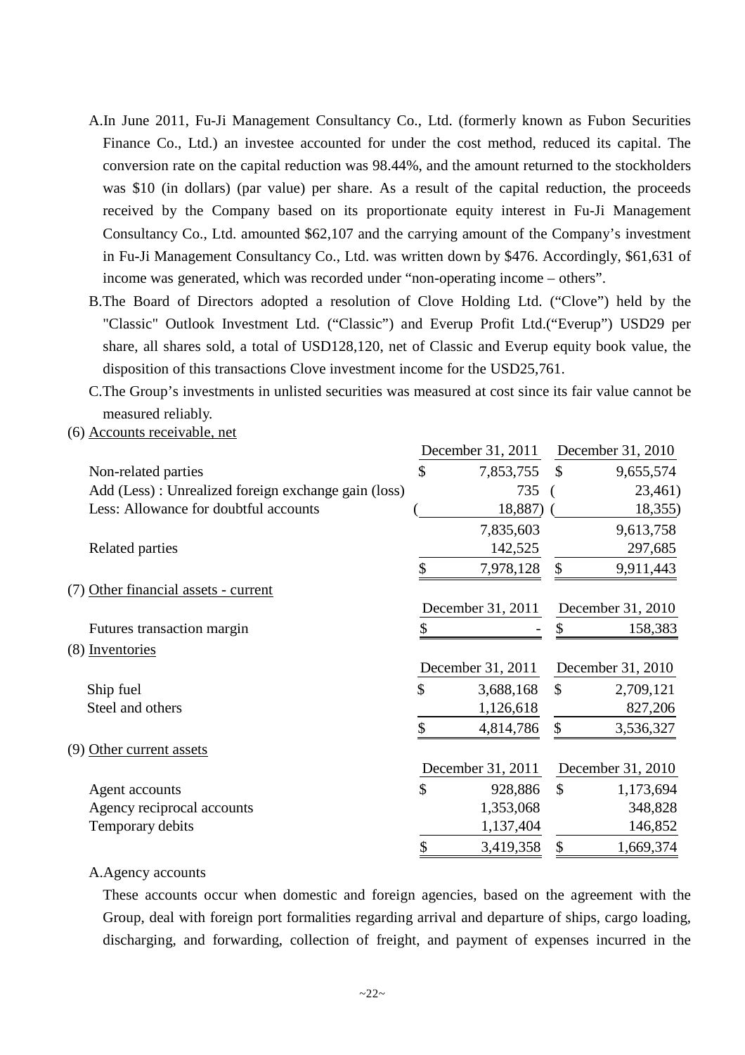- A.In June 2011, Fu-Ji Management Consultancy Co., Ltd. (formerly known as Fubon Securities Finance Co., Ltd.) an investee accounted for under the cost method, reduced its capital. The conversion rate on the capital reduction was 98.44%, and the amount returned to the stockholders was \$10 (in dollars) (par value) per share. As a result of the capital reduction, the proceeds received by the Company based on its proportionate equity interest in Fu-Ji Management Consultancy Co., Ltd. amounted \$62,107 and the carrying amount of the Company's investment in Fu-Ji Management Consultancy Co., Ltd. was written down by \$476. Accordingly, \$61,631 of income was generated, which was recorded under "non-operating income – others".
- B.The Board of Directors adopted a resolution of Clove Holding Ltd. ("Clove") held by the "Classic" Outlook Investment Ltd. ("Classic") and Everup Profit Ltd.("Everup") USD29 per share, all shares sold, a total of USD128,120, net of Classic and Everup equity book value, the disposition of this transactions Clove investment income for the USD25,761.
- C.The Group's investments in unlisted securities was measured at cost since its fair value cannot be measured reliably.
- (6) Accounts receivable, net

|                                                      | December 31, 2011 |               | December 31, 2010 |
|------------------------------------------------------|-------------------|---------------|-------------------|
| Non-related parties                                  | \$<br>7,853,755   | $\mathcal{S}$ | 9,655,574         |
| Add (Less) : Unrealized foreign exchange gain (loss) | 735               |               | 23,461)           |
| Less: Allowance for doubtful accounts                | 18,887)           |               | 18,355)           |
|                                                      | 7,835,603         |               | 9,613,758         |
| Related parties                                      | 142,525           |               | 297,685           |
|                                                      | \$<br>7,978,128   | \$            | 9,911,443         |
| (7) Other financial assets - current                 |                   |               |                   |
|                                                      | December 31, 2011 |               | December 31, 2010 |
| Futures transaction margin                           | \$                |               | 158,383           |
| (8) Inventories                                      |                   |               |                   |
|                                                      | December 31, 2011 |               | December 31, 2010 |
| Ship fuel                                            | \$<br>3,688,168   | $\mathcal{S}$ | 2,709,121         |
| Steel and others                                     | 1,126,618         |               | 827,206           |
|                                                      | 4,814,786         | \$            | 3,536,327         |
| (9) Other current assets                             |                   |               |                   |
|                                                      | December 31, 2011 |               | December 31, 2010 |
| Agent accounts                                       | \$<br>928,886     | $\mathcal{S}$ | 1,173,694         |
| Agency reciprocal accounts                           | 1,353,068         |               | 348,828           |
| Temporary debits                                     | 1,137,404         |               | 146,852           |
|                                                      | \$<br>3,419,358   | \$            | 1,669,374         |
|                                                      |                   |               |                   |

### A.Agency accounts

These accounts occur when domestic and foreign agencies, based on the agreement with the Group, deal with foreign port formalities regarding arrival and departure of ships, cargo loading, discharging, and forwarding, collection of freight, and payment of expenses incurred in the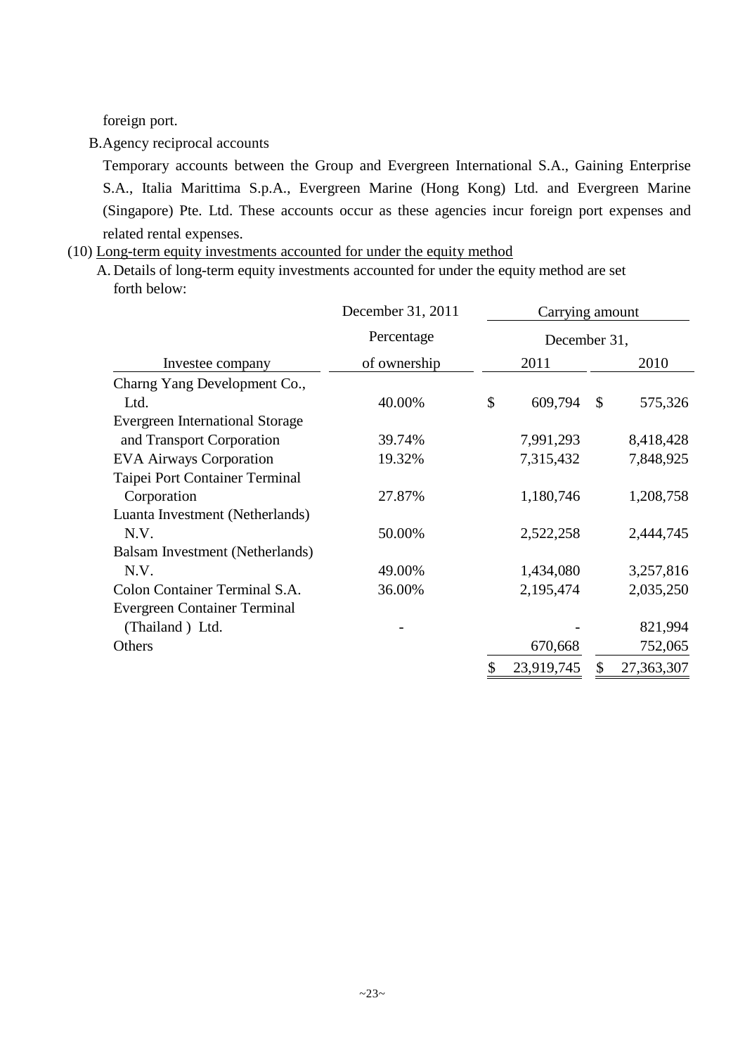foreign port.

B.Agency reciprocal accounts

Temporary accounts between the Group and Evergreen International S.A., Gaining Enterprise S.A., Italia Marittima S.p.A., Evergreen Marine (Hong Kong) Ltd. and Evergreen Marine (Singapore) Pte. Ltd. These accounts occur as these agencies incur foreign port expenses and related rental expenses.

## (10) Long-term equity investments accounted for under the equity method

A. Details of long-term equity investments accounted for under the equity method are set forth below:

|                                        | December 31, 2011 | Carrying amount |              |               |            |  |      |
|----------------------------------------|-------------------|-----------------|--------------|---------------|------------|--|------|
|                                        | Percentage        |                 | December 31, |               |            |  |      |
| Investee company                       | of ownership      |                 | 2011         |               |            |  | 2010 |
| Charng Yang Development Co.,           |                   |                 |              |               |            |  |      |
| Ltd.                                   | 40.00%            | \$              | 609,794      | $\mathcal{S}$ | 575,326    |  |      |
| <b>Evergreen International Storage</b> |                   |                 |              |               |            |  |      |
| and Transport Corporation              | 39.74%            |                 | 7,991,293    |               | 8,418,428  |  |      |
| <b>EVA Airways Corporation</b>         | 19.32%            |                 | 7,315,432    |               | 7,848,925  |  |      |
| Taipei Port Container Terminal         |                   |                 |              |               |            |  |      |
| Corporation                            | 27.87%            |                 | 1,180,746    |               | 1,208,758  |  |      |
| Luanta Investment (Netherlands)        |                   |                 |              |               |            |  |      |
| N.V.                                   | 50.00%            |                 | 2,522,258    |               | 2,444,745  |  |      |
| Balsam Investment (Netherlands)        |                   |                 |              |               |            |  |      |
| N.V.                                   | 49.00%            |                 | 1,434,080    |               | 3,257,816  |  |      |
| Colon Container Terminal S.A.          | 36.00%            |                 | 2,195,474    |               | 2,035,250  |  |      |
| Evergreen Container Terminal           |                   |                 |              |               |            |  |      |
| (Thailand) Ltd.                        |                   |                 |              |               | 821,994    |  |      |
| Others                                 |                   |                 | 670,668      |               | 752,065    |  |      |
|                                        |                   | \$              | 23,919,745   |               | 27,363,307 |  |      |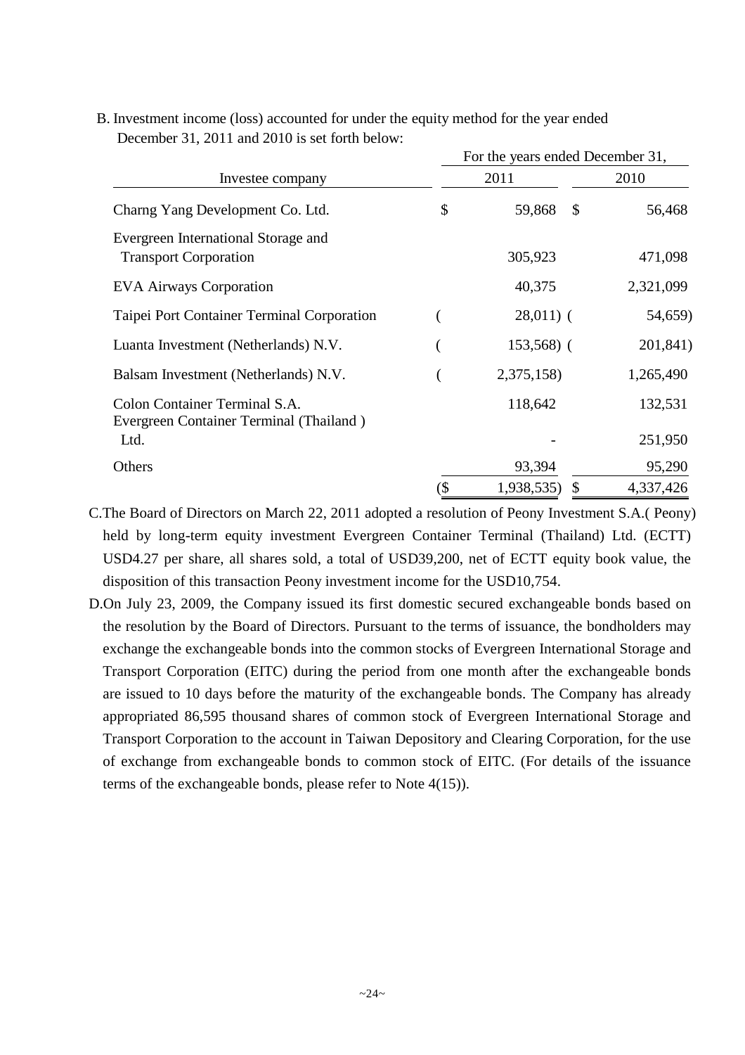|                                                                          | For the years ended December 31, |                         |           |  |  |  |
|--------------------------------------------------------------------------|----------------------------------|-------------------------|-----------|--|--|--|
| Investee company                                                         |                                  | 2011                    | 2010      |  |  |  |
| Charng Yang Development Co. Ltd.                                         | \$                               | 59,868<br>$\mathcal{S}$ | 56,468    |  |  |  |
| Evergreen International Storage and<br><b>Transport Corporation</b>      |                                  | 305,923                 | 471,098   |  |  |  |
| <b>EVA Airways Corporation</b>                                           |                                  | 40,375                  | 2,321,099 |  |  |  |
| Taipei Port Container Terminal Corporation                               |                                  | $28,011)$ (             | 54,659)   |  |  |  |
| Luanta Investment (Netherlands) N.V.                                     |                                  | $153,568$ (             | 201,841)  |  |  |  |
| Balsam Investment (Netherlands) N.V.                                     |                                  | 2,375,158)              | 1,265,490 |  |  |  |
| Colon Container Terminal S.A.<br>Evergreen Container Terminal (Thailand) |                                  | 118,642                 | 132,531   |  |  |  |
| Ltd.                                                                     |                                  |                         | 251,950   |  |  |  |
| Others                                                                   |                                  | 93,394                  | 95,290    |  |  |  |
|                                                                          | (\$                              | 1,938,535)<br>\$        | 4,337,426 |  |  |  |

B. Investment income (loss) accounted for under the equity method for the year ended December 31, 2011 and 2010 is set forth below:

- C.The Board of Directors on March 22, 2011 adopted a resolution of Peony Investment S.A.( Peony) held by long-term equity investment Evergreen Container Terminal (Thailand) Ltd. (ECTT) USD4.27 per share, all shares sold, a total of USD39,200, net of ECTT equity book value, the disposition of this transaction Peony investment income for the USD10,754.
- D.On July 23, 2009, the Company issued its first domestic secured exchangeable bonds based on the resolution by the Board of Directors. Pursuant to the terms of issuance, the bondholders may exchange the exchangeable bonds into the common stocks of Evergreen International Storage and Transport Corporation (EITC) during the period from one month after the exchangeable bonds are issued to 10 days before the maturity of the exchangeable bonds. The Company has already appropriated 86,595 thousand shares of common stock of Evergreen International Storage and Transport Corporation to the account in Taiwan Depository and Clearing Corporation, for the use of exchange from exchangeable bonds to common stock of EITC. (For details of the issuance terms of the exchangeable bonds, please refer to Note 4(15)).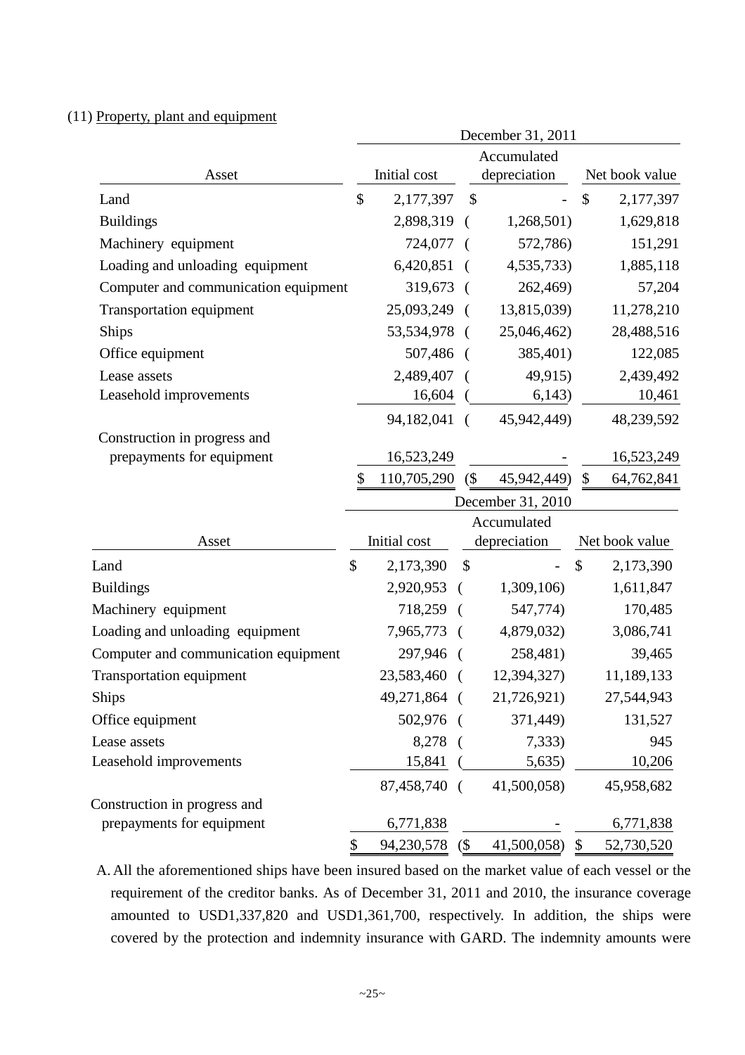## (11) Property, plant and equipment

|                                      | December 31, 2011 |              |            |                                           |               |                |
|--------------------------------------|-------------------|--------------|------------|-------------------------------------------|---------------|----------------|
|                                      |                   |              |            | Accumulated                               |               |                |
| Asset                                |                   | Initial cost |            | depreciation                              |               | Net book value |
| Land                                 | \$                | 2,177,397    |            | $\mathcal{S}$                             | $\mathcal{S}$ | 2,177,397      |
| <b>Buildings</b>                     |                   | 2,898,319    |            | 1,268,501)<br>$\left($                    |               | 1,629,818      |
| Machinery equipment                  |                   | 724,077      |            | 572,786)                                  |               | 151,291        |
| Loading and unloading equipment      |                   | 6,420,851    |            | 4,535,733)                                |               | 1,885,118      |
| Computer and communication equipment |                   | 319,673      |            | 262,469)                                  |               | 57,204         |
| <b>Transportation equipment</b>      |                   | 25,093,249   |            | 13,815,039)<br>$\sqrt{ }$                 |               | 11,278,210     |
| Ships                                |                   | 53,534,978   |            | 25,046,462)<br>$\sqrt{ }$                 |               | 28,488,516     |
| Office equipment                     |                   | 507,486      |            | 385,401)<br>$\sqrt{ }$                    |               | 122,085        |
| Lease assets                         |                   | 2,489,407    |            | 49,915)                                   |               | 2,439,492      |
| Leasehold improvements               |                   | 16,604       |            | 6,143)                                    |               | 10,461         |
|                                      |                   | 94,182,041   |            | 45,942,449)<br>$\sqrt{2}$                 |               | 48,239,592     |
| Construction in progress and         |                   |              |            |                                           |               |                |
| prepayments for equipment            |                   | 16,523,249   |            |                                           |               | 16,523,249     |
|                                      | \$                | 110,705,290  |            | $\left( \text{\$} \right)$<br>45,942,449) | \$            | 64,762,841     |
|                                      |                   |              |            | December 31, 2010                         |               |                |
|                                      |                   |              |            | Accumulated                               |               |                |
| Asset                                |                   | Initial cost |            | depreciation                              |               | Net book value |
| Land                                 | \$                | 2,173,390    |            | \$                                        | \$            | 2,173,390      |
| <b>Buildings</b>                     |                   | 2,920,953    |            | 1,309,106)                                |               | 1,611,847      |
| Machinery equipment                  |                   | 718,259      | $\sqrt{ }$ | 547,774)                                  |               | 170,485        |
| Loading and unloading equipment      |                   | 7,965,773    |            | 4,879,032)                                |               | 3,086,741      |
| Computer and communication equipment |                   | 297,946 (    |            | 258,481)                                  |               | 39,465         |
| <b>Transportation equipment</b>      |                   | 23,583,460   | $\left($   | 12,394,327)                               |               | 11,189,133     |
| <b>Ships</b>                         |                   | 49,271,864 ( |            | 21,726,921)                               |               | 27,544,943     |
| Office equipment                     |                   | 502,976      |            | 371,449)                                  |               | 131,527        |
| Lease assets                         |                   | 8,278        |            | 7,333)                                    |               | 945            |
| Leasehold improvements               |                   | 15,841       |            | 5,635)                                    |               | 10,206         |
|                                      |                   | 87,458,740   |            | 41,500,058)                               |               | 45,958,682     |
| Construction in progress and         |                   |              |            |                                           |               |                |
| prepayments for equipment            |                   | 6,771,838    |            |                                           |               | 6,771,838      |
|                                      | \$                | 94,230,578   | (          | 41,500,058)                               | $\$\$         | 52,730,520     |

A. All the aforementioned ships have been insured based on the market value of each vessel or the requirement of the creditor banks. As of December 31, 2011 and 2010, the insurance coverage amounted to USD1,337,820 and USD1,361,700, respectively. In addition, the ships were covered by the protection and indemnity insurance with GARD. The indemnity amounts were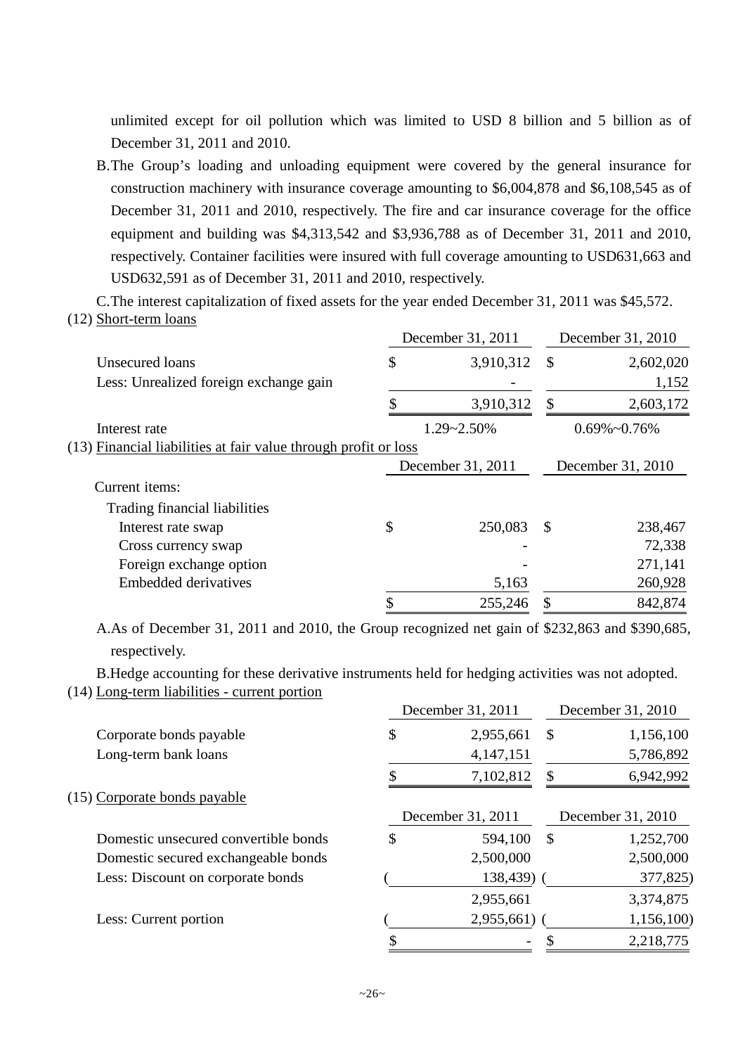unlimited except for oil pollution which was limited to USD 8 billion and 5 billion as of December 31, 2011 and 2010.

B.The Group's loading and unloading equipment were covered by the general insurance for construction machinery with insurance coverage amounting to \$6,004,878 and \$6,108,545 as of December 31, 2011 and 2010, respectively. The fire and car insurance coverage for the office equipment and building was \$4,313,542 and \$3,936,788 as of December 31, 2011 and 2010, respectively. Container facilities were insured with full coverage amounting to USD631,663 and USD632,591 as of December 31, 2011 and 2010, respectively.

C.The interest capitalization of fixed assets for the year ended December 31, 2011 was \$45,572. (12) Short-term loans

|                                                                 | December 31, 2011 | December 31, 2010 |                      |  |
|-----------------------------------------------------------------|-------------------|-------------------|----------------------|--|
| Unsecured loans                                                 | \$<br>3,910,312   | $\mathcal{S}$     | 2,602,020            |  |
| Less: Unrealized foreign exchange gain                          |                   |                   | 1,152                |  |
|                                                                 | 3,910,312         | \$                | 2,603,172            |  |
| Interest rate                                                   | 1.29~2.50%        |                   | $0.69\% \sim 0.76\%$ |  |
| (13) Financial liabilities at fair value through profit or loss |                   |                   |                      |  |
|                                                                 | December 31, 2011 |                   | December 31, 2010    |  |
| Current items:                                                  |                   |                   |                      |  |
| Trading financial liabilities                                   |                   |                   |                      |  |
| Interest rate swap                                              | \$<br>250,083     | <sup>\$</sup>     | 238,467              |  |
| Cross currency swap                                             |                   |                   | 72,338               |  |
| Foreign exchange option                                         |                   |                   | 271,141              |  |
| <b>Embedded derivatives</b>                                     | 5,163             |                   | 260,928              |  |
|                                                                 | \$<br>255,246     | \$                | 842,874              |  |

A.As of December 31, 2011 and 2010, the Group recognized net gain of \$232,863 and \$390,685, respectively.

B.Hedge accounting for these derivative instruments held for hedging activities was not adopted. (14) Long-term liabilities - current portion

|                                      | December 31, 2011 |               | December 31, 2010 |
|--------------------------------------|-------------------|---------------|-------------------|
| Corporate bonds payable              | \$<br>2,955,661   | <sup>\$</sup> | 1,156,100         |
| Long-term bank loans                 | 4, 147, 151       |               | 5,786,892         |
|                                      | 7,102,812         | \$.           | 6,942,992         |
| (15) Corporate bonds payable         |                   |               |                   |
|                                      | December 31, 2011 |               | December 31, 2010 |
| Domestic unsecured convertible bonds | \$<br>594,100     | \$            | 1,252,700         |
| Domestic secured exchangeable bonds  | 2,500,000         |               | 2,500,000         |
| Less: Discount on corporate bonds    | 138,439) (        |               | 377,825)          |
|                                      | 2,955,661         |               | 3,374,875         |
| Less: Current portion                | 2,955,661)        |               | 1,156,100         |
|                                      |                   |               | 2,218,775         |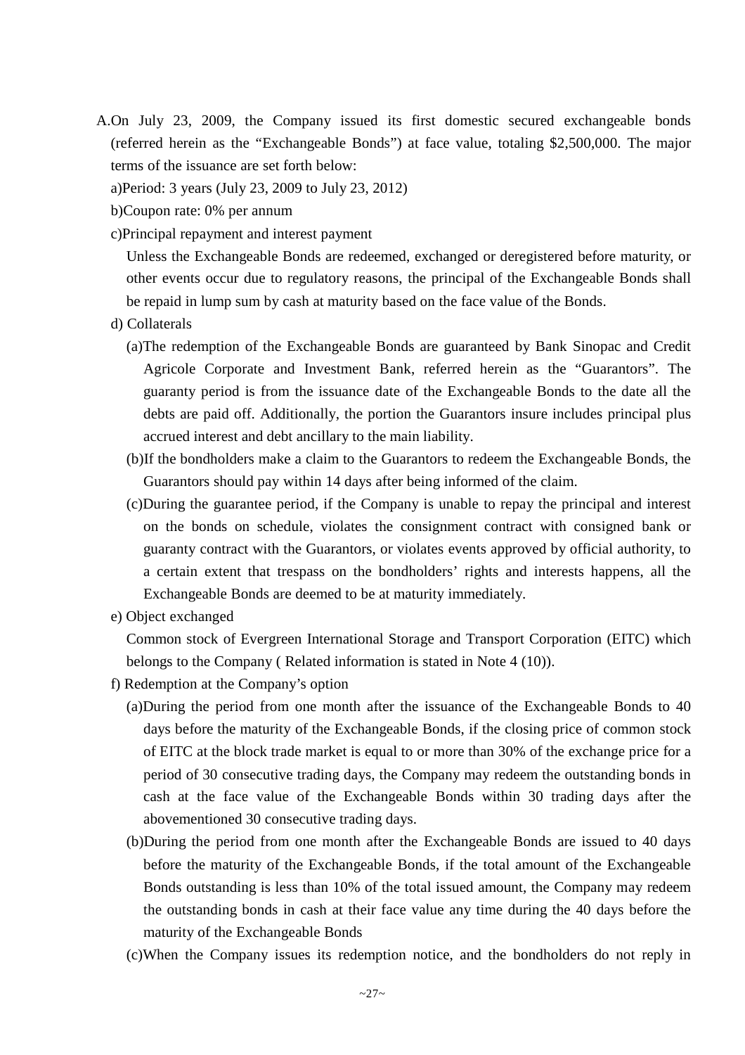A.On July 23, 2009, the Company issued its first domestic secured exchangeable bonds (referred herein as the "Exchangeable Bonds") at face value, totaling \$2,500,000. The major terms of the issuance are set forth below:

a)Period: 3 years (July 23, 2009 to July 23, 2012)

- b)Coupon rate: 0% per annum
- c)Principal repayment and interest payment

Unless the Exchangeable Bonds are redeemed, exchanged or deregistered before maturity, or other events occur due to regulatory reasons, the principal of the Exchangeable Bonds shall be repaid in lump sum by cash at maturity based on the face value of the Bonds.

- d) Collaterals
	- (a)The redemption of the Exchangeable Bonds are guaranteed by Bank Sinopac and Credit Agricole Corporate and Investment Bank, referred herein as the "Guarantors". The guaranty period is from the issuance date of the Exchangeable Bonds to the date all the debts are paid off. Additionally, the portion the Guarantors insure includes principal plus accrued interest and debt ancillary to the main liability.
	- (b)If the bondholders make a claim to the Guarantors to redeem the Exchangeable Bonds, the Guarantors should pay within 14 days after being informed of the claim.
	- (c)During the guarantee period, if the Company is unable to repay the principal and interest on the bonds on schedule, violates the consignment contract with consigned bank or guaranty contract with the Guarantors, or violates events approved by official authority, to a certain extent that trespass on the bondholders' rights and interests happens, all the Exchangeable Bonds are deemed to be at maturity immediately.
- e) Object exchanged

Common stock of Evergreen International Storage and Transport Corporation (EITC) which belongs to the Company ( Related information is stated in Note 4 (10)).

- f) Redemption at the Company's option
	- (a)During the period from one month after the issuance of the Exchangeable Bonds to 40 days before the maturity of the Exchangeable Bonds, if the closing price of common stock of EITC at the block trade market is equal to or more than 30% of the exchange price for a period of 30 consecutive trading days, the Company may redeem the outstanding bonds in cash at the face value of the Exchangeable Bonds within 30 trading days after the abovementioned 30 consecutive trading days.
	- (b)During the period from one month after the Exchangeable Bonds are issued to 40 days before the maturity of the Exchangeable Bonds, if the total amount of the Exchangeable Bonds outstanding is less than 10% of the total issued amount, the Company may redeem the outstanding bonds in cash at their face value any time during the 40 days before the maturity of the Exchangeable Bonds
	- (c)When the Company issues its redemption notice, and the bondholders do not reply in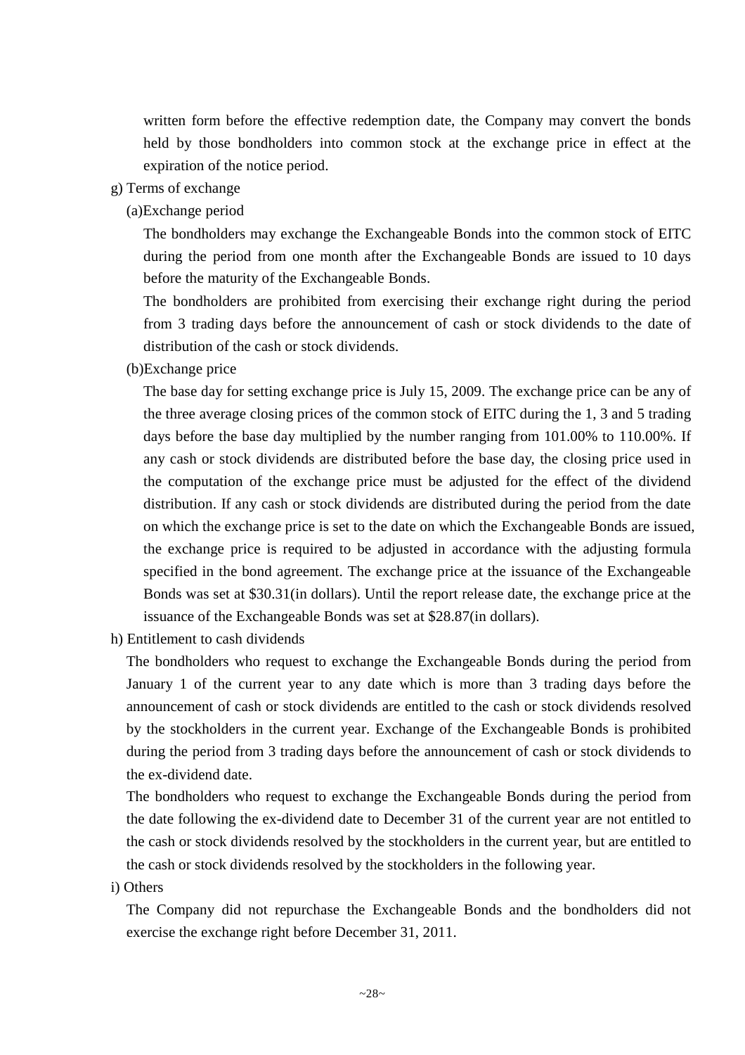written form before the effective redemption date, the Company may convert the bonds held by those bondholders into common stock at the exchange price in effect at the expiration of the notice period.

- g) Terms of exchange
	- (a)Exchange period

The bondholders may exchange the Exchangeable Bonds into the common stock of EITC during the period from one month after the Exchangeable Bonds are issued to 10 days before the maturity of the Exchangeable Bonds.

The bondholders are prohibited from exercising their exchange right during the period from 3 trading days before the announcement of cash or stock dividends to the date of distribution of the cash or stock dividends.

(b)Exchange price

The base day for setting exchange price is July 15, 2009. The exchange price can be any of the three average closing prices of the common stock of EITC during the 1, 3 and 5 trading days before the base day multiplied by the number ranging from 101.00% to 110.00%. If any cash or stock dividends are distributed before the base day, the closing price used in the computation of the exchange price must be adjusted for the effect of the dividend distribution. If any cash or stock dividends are distributed during the period from the date on which the exchange price is set to the date on which the Exchangeable Bonds are issued, the exchange price is required to be adjusted in accordance with the adjusting formula specified in the bond agreement. The exchange price at the issuance of the Exchangeable Bonds was set at \$30.31(in dollars). Until the report release date, the exchange price at the issuance of the Exchangeable Bonds was set at \$28.87(in dollars).

h) Entitlement to cash dividends

The bondholders who request to exchange the Exchangeable Bonds during the period from January 1 of the current year to any date which is more than 3 trading days before the announcement of cash or stock dividends are entitled to the cash or stock dividends resolved by the stockholders in the current year. Exchange of the Exchangeable Bonds is prohibited during the period from 3 trading days before the announcement of cash or stock dividends to the ex-dividend date.

The bondholders who request to exchange the Exchangeable Bonds during the period from the date following the ex-dividend date to December 31 of the current year are not entitled to the cash or stock dividends resolved by the stockholders in the current year, but are entitled to the cash or stock dividends resolved by the stockholders in the following year.

i) Others

The Company did not repurchase the Exchangeable Bonds and the bondholders did not exercise the exchange right before December 31, 2011.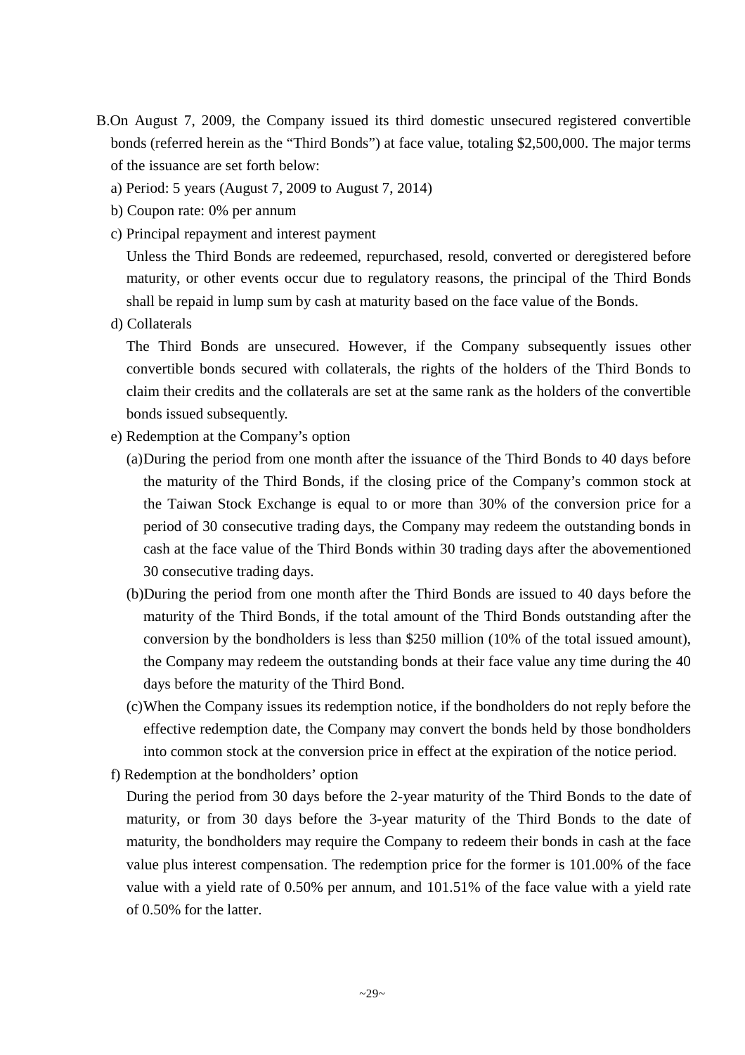- B.On August 7, 2009, the Company issued its third domestic unsecured registered convertible bonds (referred herein as the "Third Bonds") at face value, totaling \$2,500,000. The major terms of the issuance are set forth below:
	- a) Period: 5 years (August 7, 2009 to August 7, 2014)
	- b) Coupon rate: 0% per annum
	- c) Principal repayment and interest payment

Unless the Third Bonds are redeemed, repurchased, resold, converted or deregistered before maturity, or other events occur due to regulatory reasons, the principal of the Third Bonds shall be repaid in lump sum by cash at maturity based on the face value of the Bonds.

d) Collaterals

The Third Bonds are unsecured. However, if the Company subsequently issues other convertible bonds secured with collaterals, the rights of the holders of the Third Bonds to claim their credits and the collaterals are set at the same rank as the holders of the convertible bonds issued subsequently.

- e) Redemption at the Company's option
	- (a)During the period from one month after the issuance of the Third Bonds to 40 days before the maturity of the Third Bonds, if the closing price of the Company's common stock at the Taiwan Stock Exchange is equal to or more than 30% of the conversion price for a period of 30 consecutive trading days, the Company may redeem the outstanding bonds in cash at the face value of the Third Bonds within 30 trading days after the abovementioned 30 consecutive trading days.
	- (b)During the period from one month after the Third Bonds are issued to 40 days before the maturity of the Third Bonds, if the total amount of the Third Bonds outstanding after the conversion by the bondholders is less than \$250 million (10% of the total issued amount), the Company may redeem the outstanding bonds at their face value any time during the 40 days before the maturity of the Third Bond.
	- (c)When the Company issues its redemption notice, if the bondholders do not reply before the effective redemption date, the Company may convert the bonds held by those bondholders into common stock at the conversion price in effect at the expiration of the notice period.
- f) Redemption at the bondholders' option

During the period from 30 days before the 2-year maturity of the Third Bonds to the date of maturity, or from 30 days before the 3-year maturity of the Third Bonds to the date of maturity, the bondholders may require the Company to redeem their bonds in cash at the face value plus interest compensation. The redemption price for the former is 101.00% of the face value with a yield rate of 0.50% per annum, and 101.51% of the face value with a yield rate of 0.50% for the latter.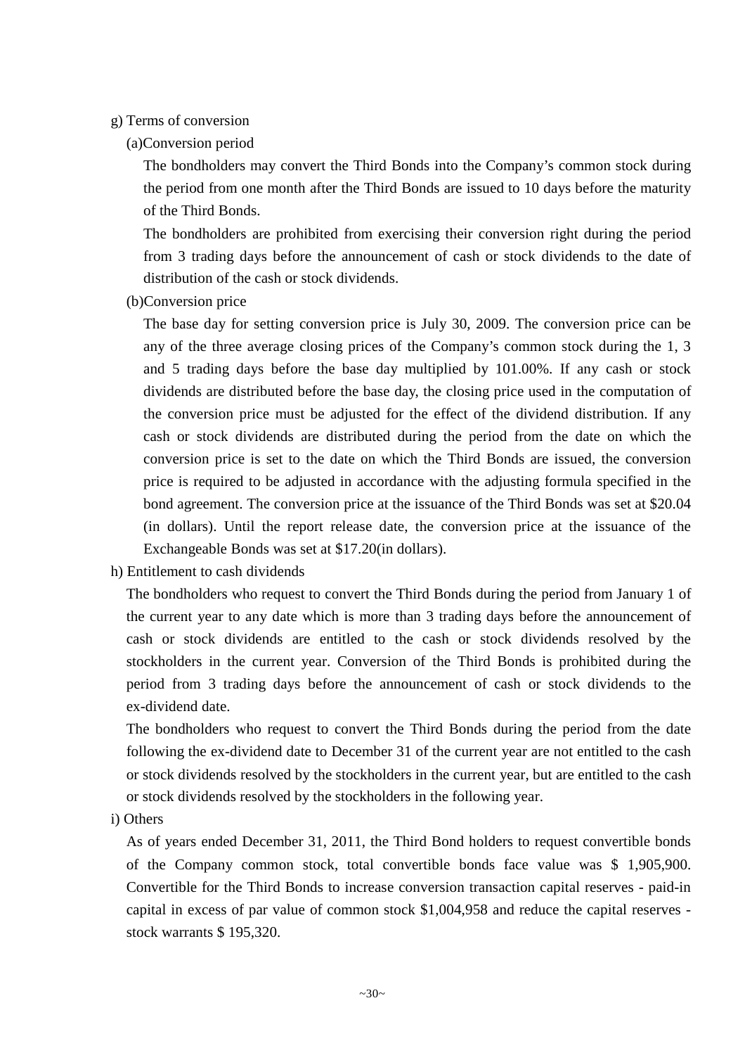### g) Terms of conversion

(a)Conversion period

The bondholders may convert the Third Bonds into the Company's common stock during the period from one month after the Third Bonds are issued to 10 days before the maturity of the Third Bonds.

The bondholders are prohibited from exercising their conversion right during the period from 3 trading days before the announcement of cash or stock dividends to the date of distribution of the cash or stock dividends.

(b)Conversion price

The base day for setting conversion price is July 30, 2009. The conversion price can be any of the three average closing prices of the Company's common stock during the 1, 3 and 5 trading days before the base day multiplied by 101.00%. If any cash or stock dividends are distributed before the base day, the closing price used in the computation of the conversion price must be adjusted for the effect of the dividend distribution. If any cash or stock dividends are distributed during the period from the date on which the conversion price is set to the date on which the Third Bonds are issued, the conversion price is required to be adjusted in accordance with the adjusting formula specified in the bond agreement. The conversion price at the issuance of the Third Bonds was set at \$20.04 (in dollars). Until the report release date, the conversion price at the issuance of the Exchangeable Bonds was set at \$17.20(in dollars).

h) Entitlement to cash dividends

The bondholders who request to convert the Third Bonds during the period from January 1 of the current year to any date which is more than 3 trading days before the announcement of cash or stock dividends are entitled to the cash or stock dividends resolved by the stockholders in the current year. Conversion of the Third Bonds is prohibited during the period from 3 trading days before the announcement of cash or stock dividends to the ex-dividend date.

The bondholders who request to convert the Third Bonds during the period from the date following the ex-dividend date to December 31 of the current year are not entitled to the cash or stock dividends resolved by the stockholders in the current year, but are entitled to the cash or stock dividends resolved by the stockholders in the following year.

i) Others

As of years ended December 31, 2011, the Third Bond holders to request convertible bonds of the Company common stock, total convertible bonds face value was \$ 1,905,900. Convertible for the Third Bonds to increase conversion transaction capital reserves - paid-in capital in excess of par value of common stock \$1,004,958 and reduce the capital reserves stock warrants \$ 195,320.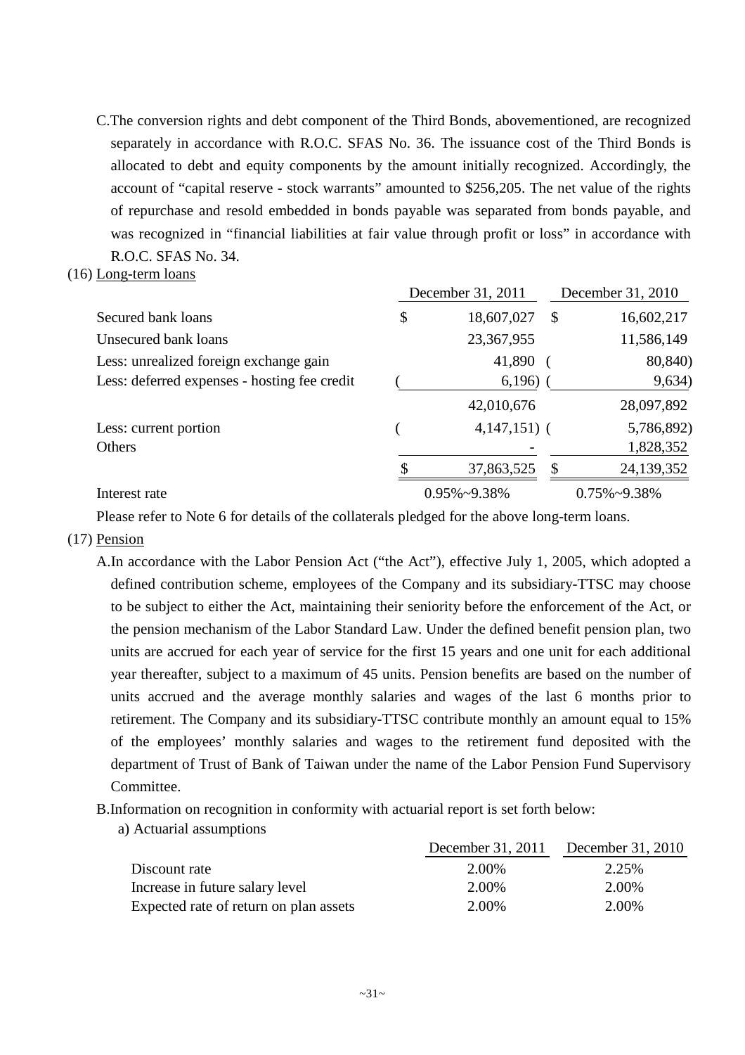- C.The conversion rights and debt component of the Third Bonds, abovementioned, are recognized separately in accordance with R.O.C. SFAS No. 36. The issuance cost of the Third Bonds is allocated to debt and equity components by the amount initially recognized. Accordingly, the account of "capital reserve - stock warrants" amounted to \$256,205. The net value of the rights of repurchase and resold embedded in bonds payable was separated from bonds payable, and was recognized in "financial liabilities at fair value through profit or loss" in accordance with R.O.C. SFAS No. 34.
- (16) Long-term loans

|                                              | December 31, 2011    |   | December 31, 2010    |
|----------------------------------------------|----------------------|---|----------------------|
| Secured bank loans                           | \$<br>18,607,027     | S | 16,602,217           |
| Unsecured bank loans                         | 23,367,955           |   | 11,586,149           |
| Less: unrealized foreign exchange gain       | 41,890               |   | 80,840)              |
| Less: deferred expenses - hosting fee credit | 6,196)               |   | 9,634)               |
|                                              | 42,010,676           |   | 28,097,892           |
| Less: current portion                        | $4,147,151)$ (       |   | 5,786,892)           |
| Others                                       |                      |   | 1,828,352            |
|                                              | 37,863,525           | S | 24,139,352           |
| Interest rate                                | $0.95\% \sim 9.38\%$ |   | $0.75\% \sim 9.38\%$ |

Please refer to Note 6 for details of the collaterals pledged for the above long-term loans.

(17) Pension

A.In accordance with the Labor Pension Act ("the Act"), effective July 1, 2005, which adopted a defined contribution scheme, employees of the Company and its subsidiary-TTSC may choose to be subject to either the Act, maintaining their seniority before the enforcement of the Act, or the pension mechanism of the Labor Standard Law. Under the defined benefit pension plan, two units are accrued for each year of service for the first 15 years and one unit for each additional year thereafter, subject to a maximum of 45 units. Pension benefits are based on the number of units accrued and the average monthly salaries and wages of the last 6 months prior to retirement. The Company and its subsidiary-TTSC contribute monthly an amount equal to 15% of the employees' monthly salaries and wages to the retirement fund deposited with the department of Trust of Bank of Taiwan under the name of the Labor Pension Fund Supervisory Committee.

- B.Information on recognition in conformity with actuarial report is set forth below:
	- a) Actuarial assumptions

|                                        |       | December 31, 2011 December 31, 2010 |
|----------------------------------------|-------|-------------------------------------|
| Discount rate                          | 2.00% | 2.25%                               |
| Increase in future salary level        | 2.00% | 2.00%                               |
| Expected rate of return on plan assets | 2.00% | 2.00%                               |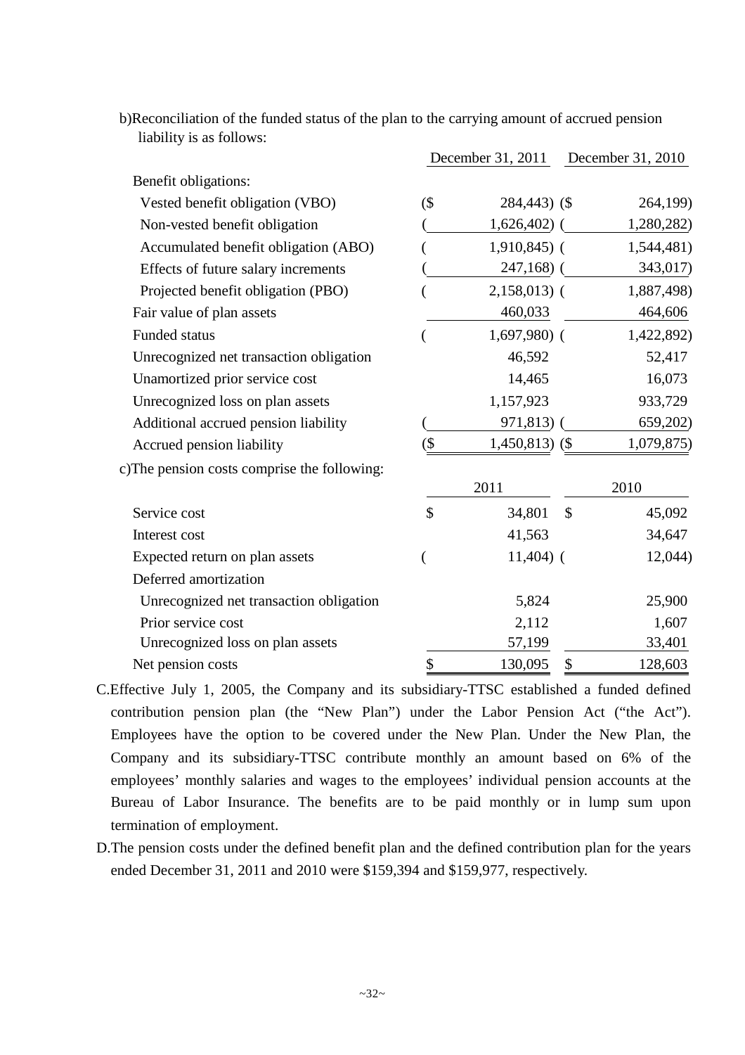|                                              |        | December 31, 2011 |               | December 31, 2010 |
|----------------------------------------------|--------|-------------------|---------------|-------------------|
| Benefit obligations:                         |        |                   |               |                   |
| Vested benefit obligation (VBO)              | $($ \$ | 284,443) (\$      |               | 264,199)          |
| Non-vested benefit obligation                |        | $1,626,402)$ (    |               | 1,280,282)        |
| Accumulated benefit obligation (ABO)         |        | $1,910,845$ (     |               | 1,544,481)        |
| Effects of future salary increments          |        | $247,168$ ) (     |               | 343,017)          |
| Projected benefit obligation (PBO)           |        | $2,158,013$ (     |               | 1,887,498)        |
| Fair value of plan assets                    |        | 460,033           |               | 464,606           |
| <b>Funded status</b>                         |        | $1,697,980$ (     |               | 1,422,892)        |
| Unrecognized net transaction obligation      |        | 46,592            |               | 52,417            |
| Unamortized prior service cost               |        | 14,465            |               | 16,073            |
| Unrecognized loss on plan assets             |        | 1,157,923         |               | 933,729           |
| Additional accrued pension liability         |        | 971,813           |               | 659,202)          |
| Accrued pension liability                    | (\$    | $1,450,813$ (\$)  |               | 1,079,875)        |
| c) The pension costs comprise the following: |        |                   |               |                   |
|                                              |        | 2011              |               | 2010              |
| Service cost                                 | \$     | 34,801            | $\mathcal{S}$ | 45,092            |
| Interest cost                                |        | 41,563            |               | 34,647            |
| Expected return on plan assets               |        | $11,404$ ) (      |               | 12,044)           |
| Deferred amortization                        |        |                   |               |                   |
| Unrecognized net transaction obligation      |        | 5,824             |               | 25,900            |
| Prior service cost                           |        | 2,112             |               | 1,607             |
| Unrecognized loss on plan assets             |        | 57,199            |               | 33,401            |
| Net pension costs                            | \$     | 130,095           | \$            | 128,603           |

b)Reconciliation of the funded status of the plan to the carrying amount of accrued pension liability is as follows:

- C.Effective July 1, 2005, the Company and its subsidiary-TTSC established a funded defined contribution pension plan (the "New Plan") under the Labor Pension Act ("the Act"). Employees have the option to be covered under the New Plan. Under the New Plan, the Company and its subsidiary-TTSC contribute monthly an amount based on 6% of the employees' monthly salaries and wages to the employees' individual pension accounts at the Bureau of Labor Insurance. The benefits are to be paid monthly or in lump sum upon termination of employment.
- D.The pension costs under the defined benefit plan and the defined contribution plan for the years ended December 31, 2011 and 2010 were \$159,394 and \$159,977, respectively.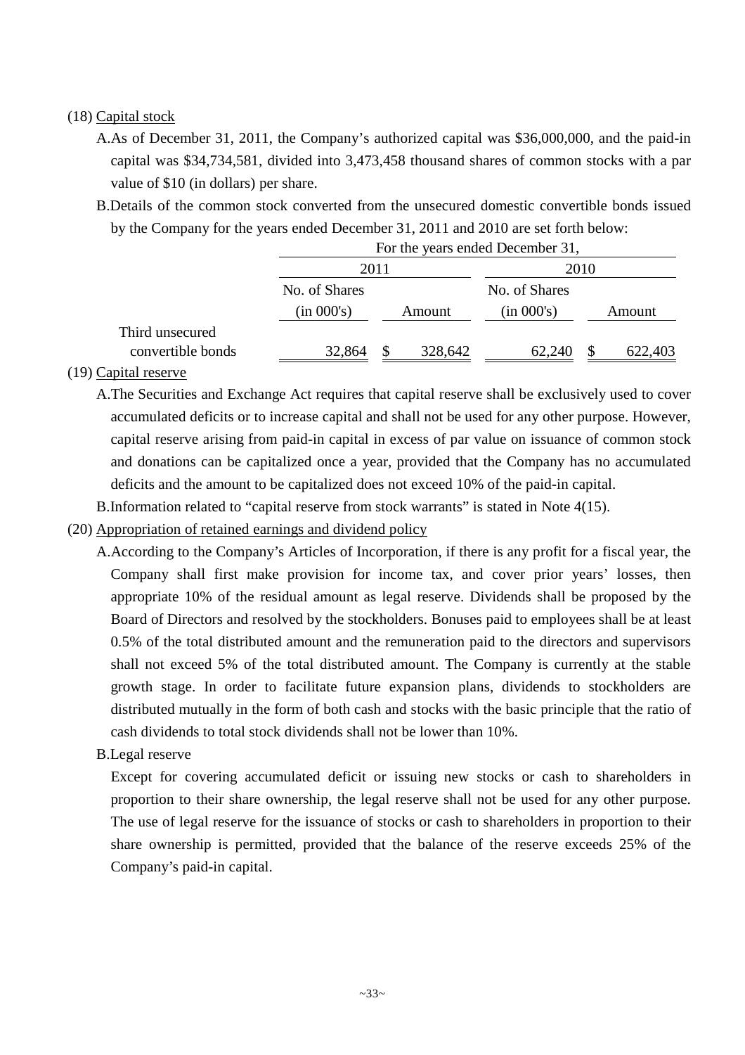# (18) Capital stock

- A.As of December 31, 2011, the Company's authorized capital was \$36,000,000, and the paid-in capital was \$34,734,581, divided into 3,473,458 thousand shares of common stocks with a par value of \$10 (in dollars) per share.
- B.Details of the common stock converted from the unsecured domestic convertible bonds issued by the Company for the years ended December 31, 2011 and 2010 are set forth below:

|                   | For the years ended December 31, |                     |               |         |  |  |  |
|-------------------|----------------------------------|---------------------|---------------|---------|--|--|--|
|                   | 2011                             |                     |               | 2010    |  |  |  |
|                   | No. of Shares                    |                     | No. of Shares |         |  |  |  |
|                   | (in 000's)                       | Amount              | (in 000's)    | Amount  |  |  |  |
| Third unsecured   |                                  |                     |               |         |  |  |  |
| convertible bonds | 32,864                           | 328,642<br><b>S</b> | 62,240        | 622,403 |  |  |  |

### (19) Capital reserve

- A.The Securities and Exchange Act requires that capital reserve shall be exclusively used to cover accumulated deficits or to increase capital and shall not be used for any other purpose. However, capital reserve arising from paid-in capital in excess of par value on issuance of common stock and donations can be capitalized once a year, provided that the Company has no accumulated deficits and the amount to be capitalized does not exceed 10% of the paid-in capital.
- B.Information related to "capital reserve from stock warrants" is stated in Note 4(15).
- (20) Appropriation of retained earnings and dividend policy
	- A.According to the Company's Articles of Incorporation, if there is any profit for a fiscal year, the Company shall first make provision for income tax, and cover prior years' losses, then appropriate 10% of the residual amount as legal reserve. Dividends shall be proposed by the Board of Directors and resolved by the stockholders. Bonuses paid to employees shall be at least 0.5% of the total distributed amount and the remuneration paid to the directors and supervisors shall not exceed 5% of the total distributed amount. The Company is currently at the stable growth stage. In order to facilitate future expansion plans, dividends to stockholders are distributed mutually in the form of both cash and stocks with the basic principle that the ratio of cash dividends to total stock dividends shall not be lower than 10%.

# B.Legal reserve

Except for covering accumulated deficit or issuing new stocks or cash to shareholders in proportion to their share ownership, the legal reserve shall not be used for any other purpose. The use of legal reserve for the issuance of stocks or cash to shareholders in proportion to their share ownership is permitted, provided that the balance of the reserve exceeds 25% of the Company's paid-in capital.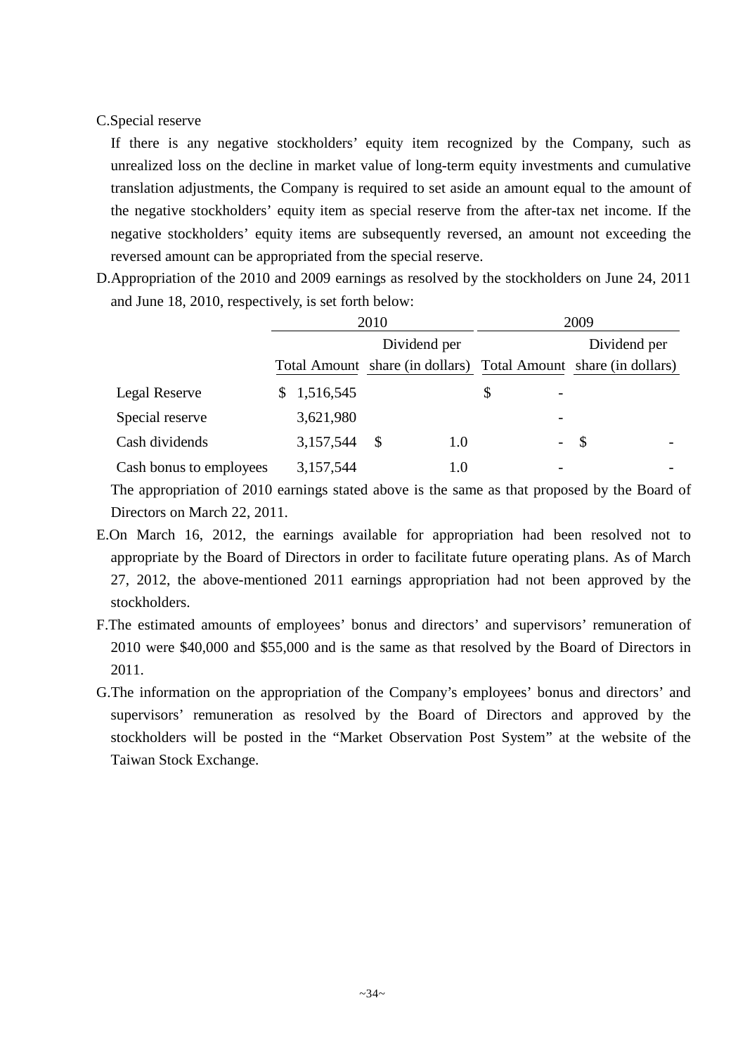## C.Special reserve

If there is any negative stockholders' equity item recognized by the Company, such as unrealized loss on the decline in market value of long-term equity investments and cumulative translation adjustments, the Company is required to set aside an amount equal to the amount of the negative stockholders' equity item as special reserve from the after-tax net income. If the negative stockholders' equity items are subsequently reversed, an amount not exceeding the reversed amount can be appropriated from the special reserve.

D.Appropriation of the 2010 and 2009 earnings as resolved by the stockholders on June 24, 2011 and June 18, 2010, respectively, is set forth below:

|                         | 2010 |           | 2009 |              |                                |  |                                                                 |  |
|-------------------------|------|-----------|------|--------------|--------------------------------|--|-----------------------------------------------------------------|--|
|                         |      |           |      | Dividend per |                                |  | Dividend per                                                    |  |
|                         |      |           |      |              |                                |  | Total Amount share (in dollars) Total Amount share (in dollars) |  |
| <b>Legal Reserve</b>    |      | 1,516,545 |      |              | \$<br>$\overline{\phantom{a}}$ |  |                                                                 |  |
| Special reserve         |      | 3,621,980 |      |              |                                |  |                                                                 |  |
| Cash dividends          |      | 3,157,544 | - S  | 1.0          | $\overline{\phantom{a}}$       |  | - \$                                                            |  |
| Cash bonus to employees |      | 3,157,544 |      | 1.0          | $\overline{\phantom{0}}$       |  |                                                                 |  |

The appropriation of 2010 earnings stated above is the same as that proposed by the Board of Directors on March 22, 2011.

- E.On March 16, 2012, the earnings available for appropriation had been resolved not to appropriate by the Board of Directors in order to facilitate future operating plans. As of March 27, 2012, the above-mentioned 2011 earnings appropriation had not been approved by the stockholders.
- F.The estimated amounts of employees' bonus and directors' and supervisors' remuneration of 2010 were \$40,000 and \$55,000 and is the same as that resolved by the Board of Directors in 2011.
- G.The information on the appropriation of the Company's employees' bonus and directors' and supervisors' remuneration as resolved by the Board of Directors and approved by the stockholders will be posted in the "Market Observation Post System" at the website of the Taiwan Stock Exchange.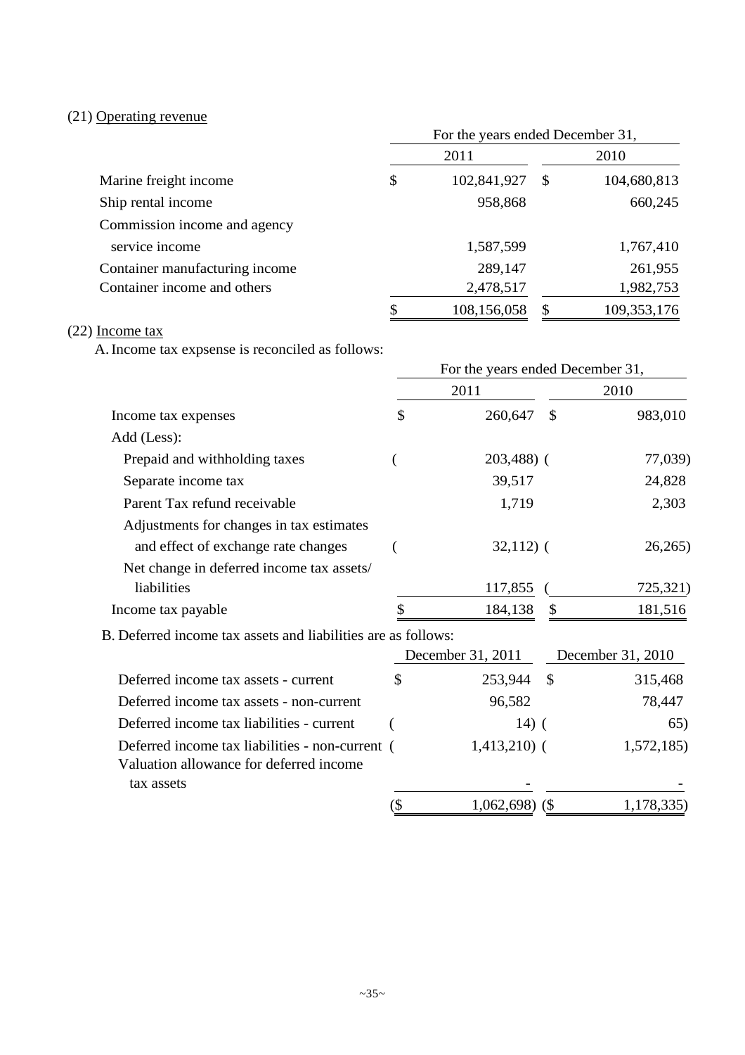# (21) Operating revenue

|                                | For the years ended December 31, |             |    |               |  |  |
|--------------------------------|----------------------------------|-------------|----|---------------|--|--|
|                                |                                  | 2011        |    | 2010          |  |  |
| Marine freight income          | \$                               | 102,841,927 | -S | 104,680,813   |  |  |
| Ship rental income             |                                  | 958,868     |    | 660,245       |  |  |
| Commission income and agency   |                                  |             |    |               |  |  |
| service income                 |                                  | 1,587,599   |    | 1,767,410     |  |  |
| Container manufacturing income |                                  | 289,147     |    | 261,955       |  |  |
| Container income and others    |                                  | 2,478,517   |    | 1,982,753     |  |  |
|                                | \$                               | 108,156,058 |    | 109, 353, 176 |  |  |

# (22) Income tax

A.Income tax expsense is reconciled as follows:

|                                                                                            | For the years ended December 31, |                   |               |                   |
|--------------------------------------------------------------------------------------------|----------------------------------|-------------------|---------------|-------------------|
|                                                                                            |                                  | 2011              |               | 2010              |
| Income tax expenses                                                                        | \$                               | 260,647           | $\mathcal{S}$ | 983,010           |
| Add (Less):                                                                                |                                  |                   |               |                   |
| Prepaid and withholding taxes                                                              |                                  | $203,488$ ) (     |               | 77,039)           |
| Separate income tax                                                                        |                                  | 39,517            |               | 24,828            |
| Parent Tax refund receivable                                                               |                                  | 1,719             |               | 2,303             |
| Adjustments for changes in tax estimates                                                   |                                  |                   |               |                   |
| and effect of exchange rate changes                                                        |                                  | $32,112)$ (       |               | 26,265            |
| Net change in deferred income tax assets/<br>liabilities                                   |                                  |                   |               |                   |
|                                                                                            |                                  | 117,855           |               | 725,321)          |
| Income tax payable                                                                         |                                  | 184,138           |               | 181,516           |
| B. Deferred income tax assets and liabilities are as follows:                              |                                  |                   |               |                   |
|                                                                                            |                                  | December 31, 2011 |               | December 31, 2010 |
| Deferred income tax assets - current                                                       | \$                               | 253,944           | $\mathcal{S}$ | 315,468           |
| Deferred income tax assets - non-current                                                   |                                  | 96,582            |               | 78,447            |
| Deferred income tax liabilities - current                                                  |                                  | $14)$ (           |               | 65)               |
| Deferred income tax liabilities - non-current (<br>Valuation allowance for deferred income |                                  | $1,413,210$ (     |               | 1,572,185)        |
| tax assets                                                                                 |                                  |                   |               |                   |
|                                                                                            | $\overline{\mathcal{S}}$         | $1,062,698$ (\$)  |               | 1,178,335)        |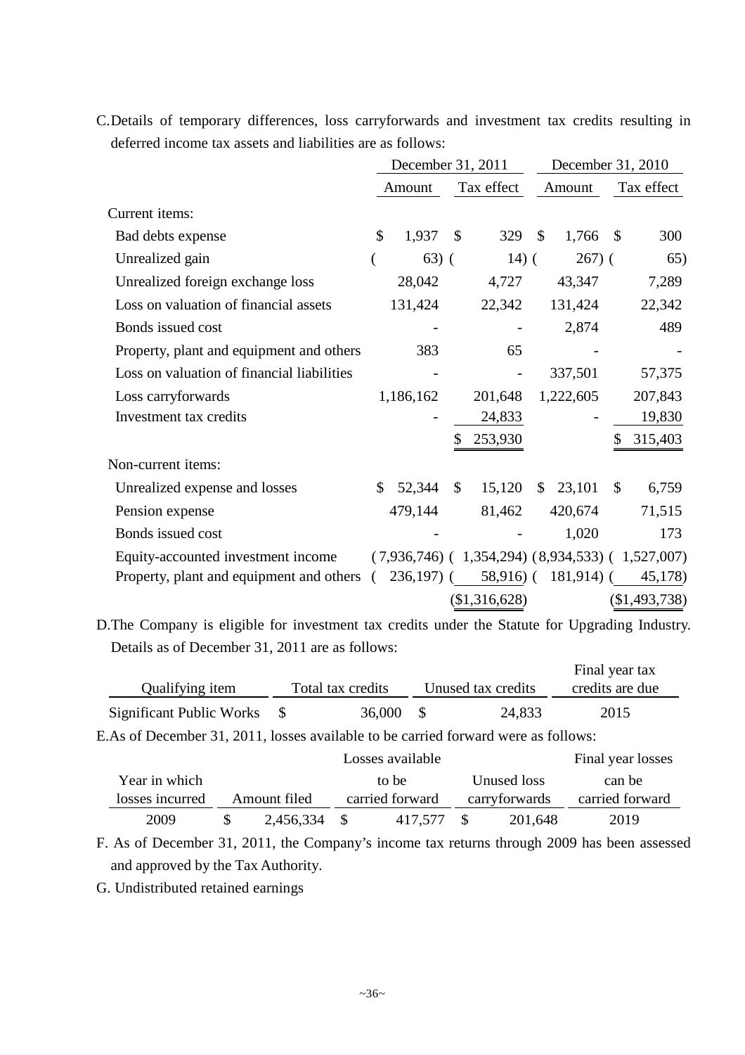|                                            |              | December 31, 2011 |              |                                                   |               | December 31, 2010 |               |               |
|--------------------------------------------|--------------|-------------------|--------------|---------------------------------------------------|---------------|-------------------|---------------|---------------|
|                                            |              | Amount            |              | Tax effect                                        |               | Amount            |               | Tax effect    |
| Current items:                             |              |                   |              |                                                   |               |                   |               |               |
| Bad debts expense                          | $\mathbb{S}$ | 1,937             | $\mathbb{S}$ | 329                                               | $\mathcal{S}$ | 1,766             | $\mathcal{S}$ | 300           |
| Unrealized gain                            |              | $63)$ (           |              | $14)$ (                                           |               | $267)$ (          |               | 65)           |
| Unrealized foreign exchange loss           |              | 28,042            |              | 4,727                                             |               | 43,347            |               | 7,289         |
| Loss on valuation of financial assets      |              | 131,424           |              | 22,342                                            |               | 131,424           |               | 22,342        |
| Bonds issued cost                          |              |                   |              |                                                   |               | 2,874             |               | 489           |
| Property, plant and equipment and others   |              | 383               |              | 65                                                |               |                   |               |               |
| Loss on valuation of financial liabilities |              |                   |              |                                                   |               | 337,501           |               | 57,375        |
| Loss carryforwards                         |              | 1,186,162         |              | 201,648                                           |               | 1,222,605         |               | 207,843       |
| Investment tax credits                     |              |                   |              | 24,833                                            |               |                   |               | 19,830        |
|                                            |              |                   | \$           | 253,930                                           |               |                   | \$            | 315,403       |
| Non-current items:                         |              |                   |              |                                                   |               |                   |               |               |
| Unrealized expense and losses              | \$           | 52,344            | $\mathbb{S}$ | 15,120                                            |               | \$23,101          | $\mathbb{S}$  | 6,759         |
| Pension expense                            |              | 479,144           |              | 81,462                                            |               | 420,674           |               | 71,515        |
| Bonds issued cost                          |              |                   |              |                                                   |               | 1,020             |               | 173           |
| Equity-accounted investment income         |              |                   |              | $(7,936,746)$ (1,354,294) (8,934,533) (1,527,007) |               |                   |               |               |
| Property, plant and equipment and others ( |              |                   |              | $236,197$ ( $58,916$ ( $181,914$ ) (              |               |                   |               | 45,178)       |
|                                            |              |                   |              | (\$1,316,628)                                     |               |                   |               | (\$1,493,738) |

C.Details of temporary differences, loss carryforwards and investment tax credits resulting in deferred income tax assets and liabilities are as follows:

D.The Company is eligible for investment tax credits under the Statute for Upgrading Industry. Details as of December 31, 2011 are as follows:

|                                 |                   |                    | Final year tax  |  |
|---------------------------------|-------------------|--------------------|-----------------|--|
| Qualifying item                 | Total tax credits | Unused tax credits | credits are due |  |
| <b>Significant Public Works</b> | 36,000            | 24,833             | 2015            |  |

E.As of December 31, 2011, losses available to be carried forward were as follows:

|                 |              | Final year losses    |                 |  |               |                 |
|-----------------|--------------|----------------------|-----------------|--|---------------|-----------------|
| Year in which   |              | Unused loss<br>to be |                 |  |               |                 |
| losses incurred | Amount filed |                      | carried forward |  | carryforwards | carried forward |
| 2009            | 2,456,334    |                      | 417.577         |  | 201,648       | 2019            |

F. As of December 31, 2011, the Company's income tax returns through 2009 has been assessed and approved by the Tax Authority.

G. Undistributed retained earnings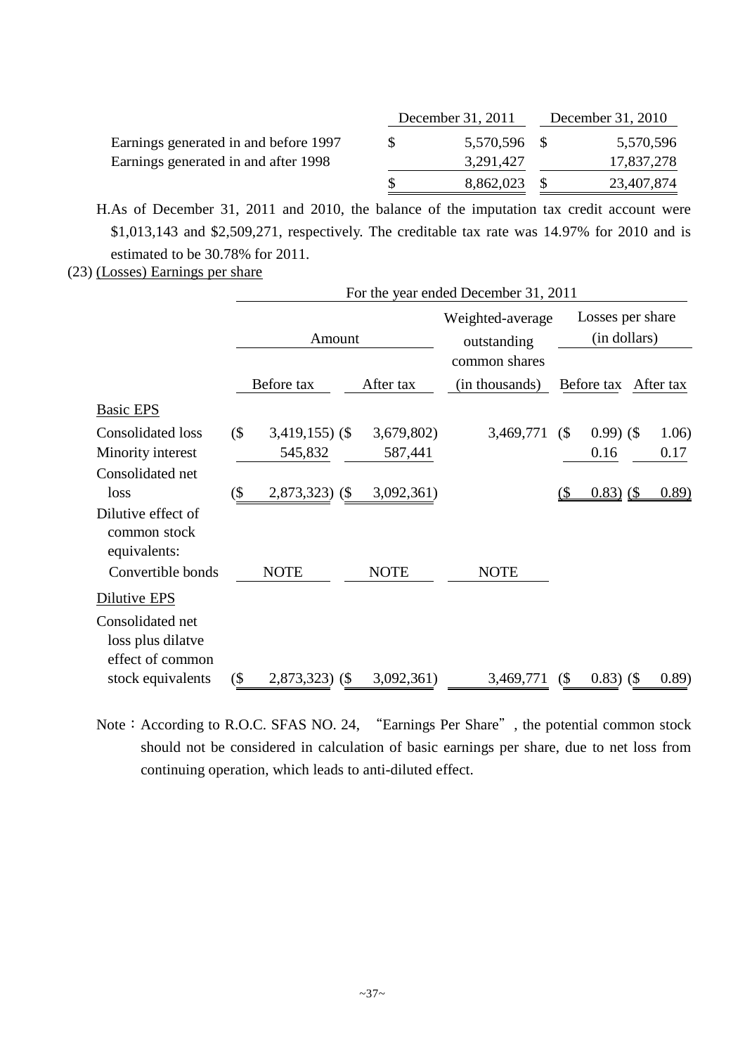|                                       | December 31, 2011 | December 31, 2010 |            |  |
|---------------------------------------|-------------------|-------------------|------------|--|
| Earnings generated in and before 1997 | 5,570,596 \$      |                   | 5,570,596  |  |
| Earnings generated in and after 1998  | 3,291,427         |                   | 17,837,278 |  |
|                                       | 8,862,023         |                   | 23,407,874 |  |

H.As of December 31, 2011 and 2010, the balance of the imputation tax credit account were \$1,013,143 and \$2,509,271, respectively. The creditable tax rate was 14.97% for 2010 and is estimated to be 30.78% for 2011.

(23) (Losses) Earnings per share

|                                                                         |        |                  |                                                  | For the year ended December 31, 2011 |                                  |               |           |
|-------------------------------------------------------------------------|--------|------------------|--------------------------------------------------|--------------------------------------|----------------------------------|---------------|-----------|
|                                                                         |        | Amount           | Weighted-average<br>outstanding<br>common shares |                                      | Losses per share<br>(in dollars) |               |           |
|                                                                         |        | Before tax       | After tax                                        | (in thousands)                       |                                  | Before tax    | After tax |
| Basic EPS                                                               |        |                  |                                                  |                                      |                                  |               |           |
| <b>Consolidated loss</b>                                                | (      | $3,419,155$ (\$) | 3,679,802)                                       | 3,469,771                            | $\left( \text{\$} \right)$       | $0.99)$ (\$   | 1.06)     |
| Minority interest                                                       |        | 545,832          | 587,441                                          |                                      |                                  | 0.16          | 0.17      |
| Consolidated net                                                        |        |                  |                                                  |                                      |                                  |               |           |
| loss                                                                    | (\$    | $2,873,323$ (\$) | 3,092,361)                                       |                                      |                                  | $(0.83)$ (\$) | (0.89)    |
| Dilutive effect of<br>common stock<br>equivalents:<br>Convertible bonds |        | <b>NOTE</b>      | <b>NOTE</b>                                      | <b>NOTE</b>                          |                                  |               |           |
| Dilutive EPS                                                            |        |                  |                                                  |                                      |                                  |               |           |
| Consolidated net<br>loss plus dilatve<br>effect of common               |        |                  |                                                  |                                      |                                  |               |           |
| stock equivalents                                                       | $($ \$ | $2,873,323$ (\$) | 3,092,361)                                       | 3,469,771                            | (                                | $0.83)$ (\$   | (0.89)    |

Note: According to R.O.C. SFAS NO. 24, "Earnings Per Share", the potential common stock should not be considered in calculation of basic earnings per share, due to net loss from continuing operation, which leads to anti-diluted effect.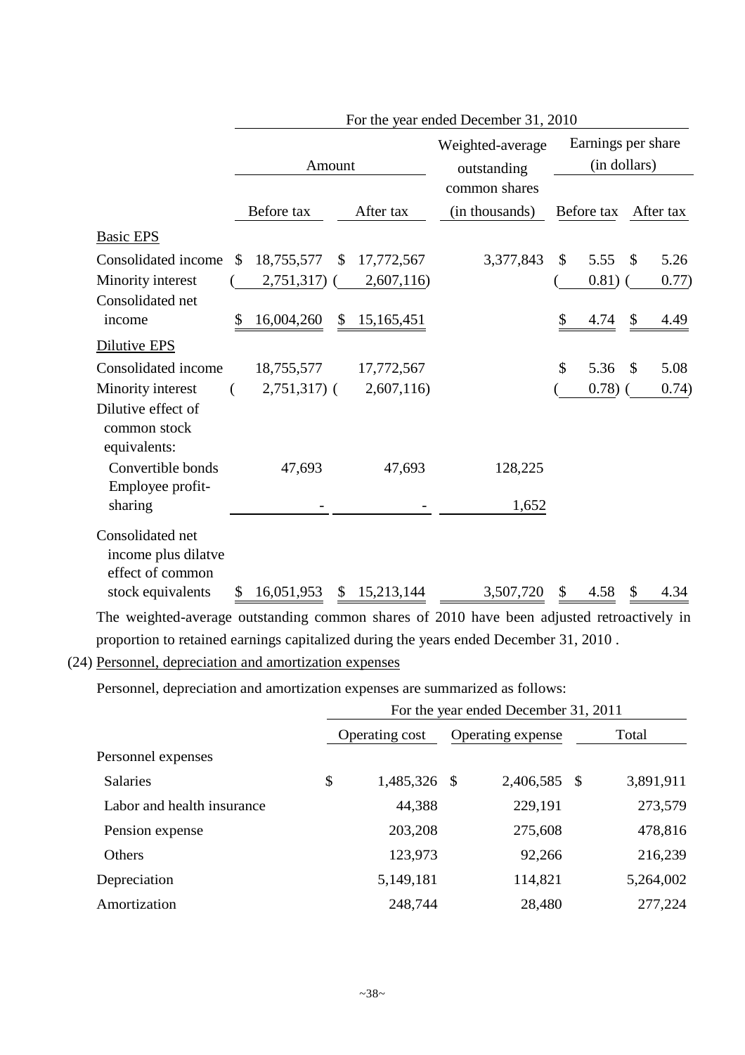|                                                             | For the year ended December 31, 2010 |                 |    |            |                                 |    |                                    |               |           |  |
|-------------------------------------------------------------|--------------------------------------|-----------------|----|------------|---------------------------------|----|------------------------------------|---------------|-----------|--|
|                                                             |                                      | Amount          |    |            | Weighted-average<br>outstanding |    | Earnings per share<br>(in dollars) |               |           |  |
|                                                             |                                      | Before tax      |    | After tax  | common shares<br>(in thousands) |    | Before tax                         |               | After tax |  |
| <b>Basic EPS</b>                                            |                                      |                 |    |            |                                 |    |                                    |               |           |  |
| Consolidated income                                         | \$                                   | 18,755,577      | \$ | 17,772,567 | 3,377,843                       | \$ | 5.55                               | $\mathcal{S}$ | 5.26      |  |
| Minority interest                                           |                                      | $2,751,317$ (   |    | 2,607,116) |                                 |    | 0.81)                              |               | 0.77)     |  |
| Consolidated net                                            |                                      |                 |    |            |                                 |    |                                    |               |           |  |
| income                                                      | \$                                   | 16,004,260      | \$ | 15,165,451 |                                 | \$ | 4.74                               | \$            | 4.49      |  |
| <b>Dilutive EPS</b>                                         |                                      |                 |    |            |                                 |    |                                    |               |           |  |
| Consolidated income                                         |                                      | 18,755,577      |    | 17,772,567 |                                 | \$ | 5.36                               | $\mathcal{S}$ | 5.08      |  |
| Minority interest                                           |                                      | $2,751,317$ ) ( |    | 2,607,116  |                                 |    | 0.78)                              |               | 0.74)     |  |
| Dilutive effect of<br>common stock<br>equivalents:          |                                      |                 |    |            |                                 |    |                                    |               |           |  |
| Convertible bonds<br>Employee profit-                       |                                      | 47,693          |    | 47,693     | 128,225                         |    |                                    |               |           |  |
| sharing                                                     |                                      |                 |    |            | 1,652                           |    |                                    |               |           |  |
| Consolidated net<br>income plus dilatve<br>effect of common |                                      |                 |    |            |                                 |    |                                    |               |           |  |
| stock equivalents                                           |                                      | 16,051,953      | S  | 15,213,144 | 3,507,720                       |    | 4.58                               |               |           |  |

The weighted-average outstanding common shares of 2010 have been adjusted retroactively in proportion to retained earnings capitalized during the years ended December 31, 2010 .

Personnel, depreciation and amortization expenses are summarized as follows:

|                            |                    |  | For the year ended December 31, 2011 |  |           |
|----------------------------|--------------------|--|--------------------------------------|--|-----------|
|                            | Operating cost     |  | Operating expense                    |  | Total     |
| Personnel expenses         |                    |  |                                      |  |           |
| <b>Salaries</b>            | \$<br>1,485,326 \$ |  | 2,406,585 \$                         |  | 3,891,911 |
| Labor and health insurance | 44,388             |  | 229,191                              |  | 273,579   |
| Pension expense            | 203,208            |  | 275,608                              |  | 478,816   |
| <b>Others</b>              | 123,973            |  | 92,266                               |  | 216,239   |
| Depreciation               | 5,149,181          |  | 114,821                              |  | 5,264,002 |
| Amortization               | 248,744            |  | 28,480                               |  | 277,224   |

<sup>(24)</sup> Personnel, depreciation and amortization expenses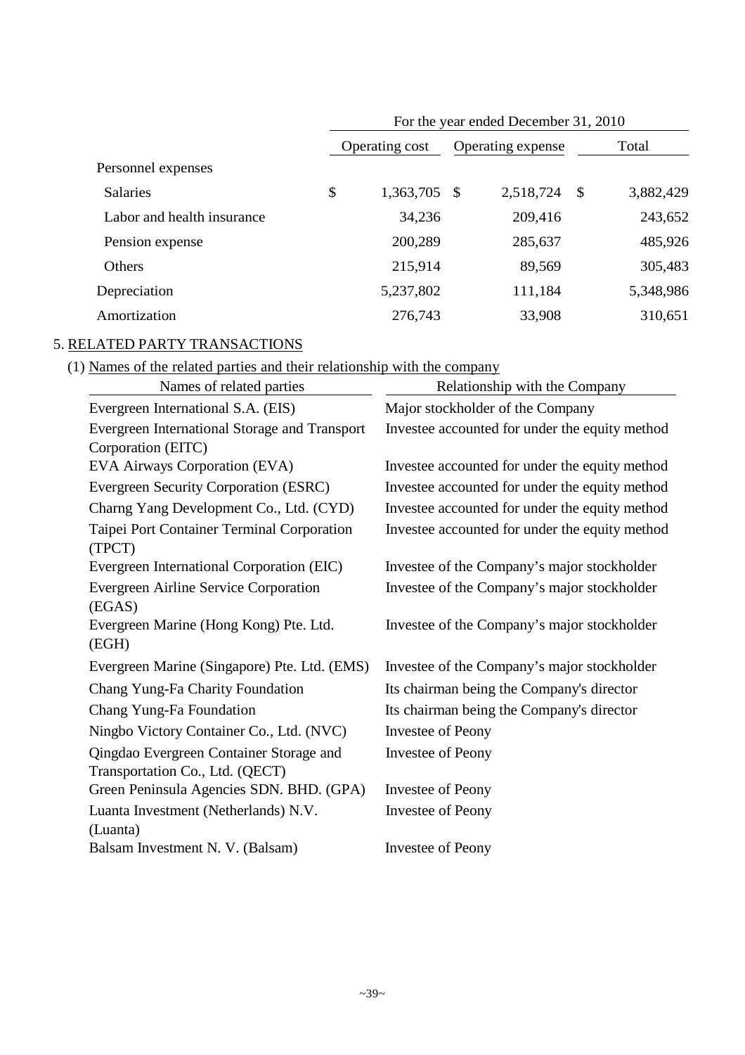|                            | For the year ended December 31, 2010 |                |      |                   |    |           |  |  |  |
|----------------------------|--------------------------------------|----------------|------|-------------------|----|-----------|--|--|--|
|                            |                                      | Operating cost |      | Operating expense |    | Total     |  |  |  |
| Personnel expenses         |                                      |                |      |                   |    |           |  |  |  |
| <b>Salaries</b>            | \$                                   | 1,363,705      | - \$ | 2,518,724         | \$ | 3,882,429 |  |  |  |
| Labor and health insurance |                                      | 34,236         |      | 209,416           |    | 243,652   |  |  |  |
| Pension expense            |                                      | 200,289        |      | 285,637           |    | 485,926   |  |  |  |
| Others                     |                                      | 215,914        |      | 89,569            |    | 305,483   |  |  |  |
| Depreciation               |                                      | 5,237,802      |      | 111,184           |    | 5,348,986 |  |  |  |
| Amortization               |                                      | 276,743        |      | 33,908            |    | 310,651   |  |  |  |

## 5. RELATED PARTY TRANSACTIONS

(1) Names of the related parties and their relationship with the company

| Names of related parties                               | Relationship with the Company                  |
|--------------------------------------------------------|------------------------------------------------|
| Evergreen International S.A. (EIS)                     | Major stockholder of the Company               |
| Evergreen International Storage and Transport          | Investee accounted for under the equity method |
| Corporation (EITC)                                     |                                                |
| EVA Airways Corporation (EVA)                          | Investee accounted for under the equity method |
| Evergreen Security Corporation (ESRC)                  | Investee accounted for under the equity method |
| Charng Yang Development Co., Ltd. (CYD)                | Investee accounted for under the equity method |
| Taipei Port Container Terminal Corporation<br>(TPCT)   | Investee accounted for under the equity method |
| Evergreen International Corporation (EIC)              | Investee of the Company's major stockholder    |
| <b>Evergreen Airline Service Corporation</b><br>(EGAS) | Investee of the Company's major stockholder    |
| Evergreen Marine (Hong Kong) Pte. Ltd.<br>(EGH)        | Investee of the Company's major stockholder    |
| Evergreen Marine (Singapore) Pte. Ltd. (EMS)           | Investee of the Company's major stockholder    |
| Chang Yung-Fa Charity Foundation                       | Its chairman being the Company's director      |
| Chang Yung-Fa Foundation                               | Its chairman being the Company's director      |
| Ningbo Victory Container Co., Ltd. (NVC)               | <b>Investee of Peony</b>                       |
| Qingdao Evergreen Container Storage and                | <b>Investee of Peony</b>                       |
| Transportation Co., Ltd. (QECT)                        |                                                |
| Green Peninsula Agencies SDN. BHD. (GPA)               | <b>Investee of Peony</b>                       |
| Luanta Investment (Netherlands) N.V.                   | <b>Investee of Peony</b>                       |
| (Luanta)                                               |                                                |
| Balsam Investment N. V. (Balsam)                       | <b>Investee of Peony</b>                       |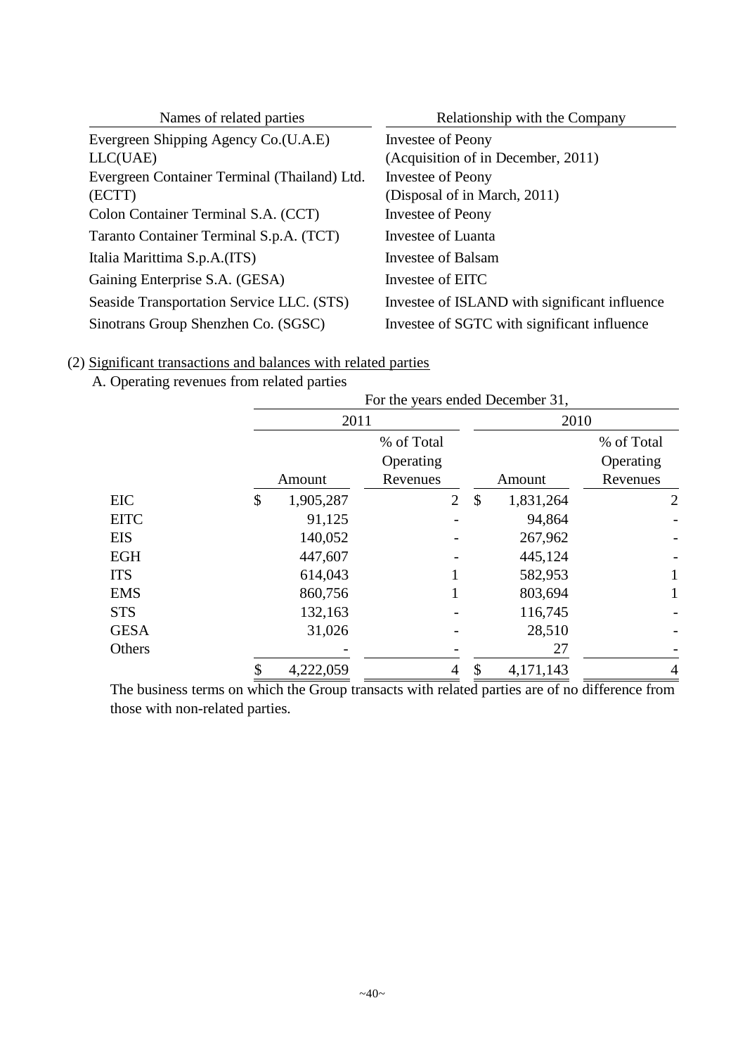| Names of related parties                     | Relationship with the Company                 |
|----------------------------------------------|-----------------------------------------------|
| Evergreen Shipping Agency Co.(U.A.E)         | Investee of Peony                             |
| LLC(UAE)                                     | (Acquisition of in December, 2011)            |
| Evergreen Container Terminal (Thailand) Ltd. | Investee of Peony                             |
| (ECTT)                                       | (Disposal of in March, 2011)                  |
| Colon Container Terminal S.A. (CCT)          | Investee of Peony                             |
| Taranto Container Terminal S.p.A. (TCT)      | Investee of Luanta                            |
| Italia Marittima S.p.A.(ITS)                 | <b>Investee of Balsam</b>                     |
| Gaining Enterprise S.A. (GESA)               | Investee of EITC                              |
| Seaside Transportation Service LLC. (STS)    | Investee of ISLAND with significant influence |
| Sinotrans Group Shenzhen Co. (SGSC)          | Investee of SGTC with significant influence   |

## (2) Significant transactions and balances with related parties

# A. Operating revenues from related parties

|             |                 |                |               | For the years ended December 31, |                |  |  |  |
|-------------|-----------------|----------------|---------------|----------------------------------|----------------|--|--|--|
|             | 2011            |                |               | 2010                             |                |  |  |  |
|             |                 | % of Total     |               |                                  | % of Total     |  |  |  |
|             |                 | Operating      |               |                                  | Operating      |  |  |  |
|             | Amount          | Revenues       |               | Amount                           | Revenues       |  |  |  |
| EIC         | \$<br>1,905,287 | $\overline{2}$ | $\frac{1}{2}$ | 1,831,264                        | 2              |  |  |  |
| <b>EITC</b> | 91,125          |                |               | 94,864                           |                |  |  |  |
| <b>EIS</b>  | 140,052         |                |               | 267,962                          |                |  |  |  |
| <b>EGH</b>  | 447,607         |                |               | 445,124                          |                |  |  |  |
| <b>ITS</b>  | 614,043         |                |               | 582,953                          |                |  |  |  |
| <b>EMS</b>  | 860,756         |                |               | 803,694                          |                |  |  |  |
| <b>STS</b>  | 132,163         |                |               | 116,745                          |                |  |  |  |
| <b>GESA</b> | 31,026          |                |               | 28,510                           |                |  |  |  |
| Others      |                 |                |               | 27                               |                |  |  |  |
|             | 4,222,059       | 4              | \$            | 4,171,143                        | $\overline{4}$ |  |  |  |

The business terms on which the Group transacts with related parties are of no difference from those with non-related parties.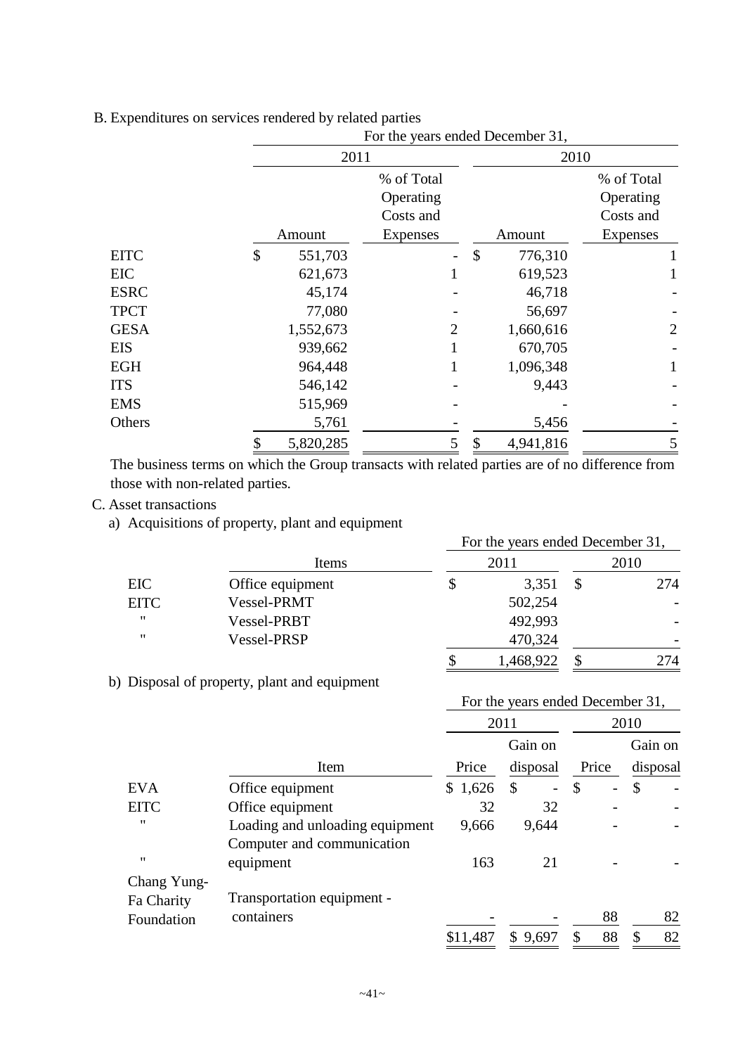|             |               | For the years ended December 31, |                 |                |  |  |  |
|-------------|---------------|----------------------------------|-----------------|----------------|--|--|--|
|             | 2011          |                                  | 2010            |                |  |  |  |
|             |               | % of Total                       |                 | % of Total     |  |  |  |
|             |               | Operating                        |                 | Operating      |  |  |  |
|             |               | Costs and                        |                 | Costs and      |  |  |  |
|             | Amount        | Expenses                         | Amount          | Expenses       |  |  |  |
| <b>EITC</b> | \$<br>551,703 |                                  | \$<br>776,310   |                |  |  |  |
| EIC         | 621,673       | 1                                | 619,523         |                |  |  |  |
| <b>ESRC</b> | 45,174        |                                  | 46,718          |                |  |  |  |
| <b>TPCT</b> | 77,080        |                                  | 56,697          |                |  |  |  |
| <b>GESA</b> | 1,552,673     | 2                                | 1,660,616       | $\overline{2}$ |  |  |  |
| <b>EIS</b>  | 939,662       | 1                                | 670,705         |                |  |  |  |
| <b>EGH</b>  | 964,448       | 1                                | 1,096,348       | 1              |  |  |  |
| <b>ITS</b>  | 546,142       |                                  | 9,443           |                |  |  |  |
| <b>EMS</b>  | 515,969       |                                  |                 |                |  |  |  |
| Others      | 5,761         |                                  | 5,456           |                |  |  |  |
|             | 5,820,285     | 5                                | 4,941,816<br>\$ | 5              |  |  |  |

## B. Expenditures on services rendered by related parties

The business terms on which the Group transacts with related parties are of no difference from those with non-related parties.

## C. Asset transactions

a) Acquisitions of property, plant and equipment

|                   |                  | For the years ended December 31, |      |
|-------------------|------------------|----------------------------------|------|
|                   | Items            | 2011                             | 2010 |
| EIC               | Office equipment | \$<br>3,351                      | 274  |
| <b>EITC</b>       | Vessel-PRMT      | 502,254                          |      |
| $^{\prime\prime}$ | Vessel-PRBT      | 492,993                          |      |
| $^{\prime\prime}$ | Vessel-PRSP      | 470,324                          |      |
|                   |                  | 1,468,922                        | 274  |

b) Disposal of property, plant and equipment

|                   |                                 |          | For the years ended December 31, |               |       |      |          |
|-------------------|---------------------------------|----------|----------------------------------|---------------|-------|------|----------|
|                   |                                 |          | 2011                             |               |       | 2010 |          |
|                   |                                 |          | Gain on                          |               |       |      | Gain on  |
|                   | Item                            | Price    | disposal                         |               | Price |      | disposal |
| <b>EVA</b>        | Office equipment                | \$1,626  | \$<br>$\overline{\phantom{0}}$   | $\mathcal{S}$ | -     | \$   |          |
| <b>EITC</b>       | Office equipment                | 32       | 32                               |               |       |      |          |
| $^{\prime\prime}$ | Loading and unloading equipment | 9,666    | 9,644                            |               |       |      |          |
|                   | Computer and communication      |          |                                  |               |       |      |          |
| "                 | equipment                       | 163      | 21                               |               |       |      |          |
| Chang Yung-       |                                 |          |                                  |               |       |      |          |
| Fa Charity        | Transportation equipment -      |          |                                  |               |       |      |          |
| Foundation        | containers                      |          |                                  |               | 88    |      | 82       |
|                   |                                 | \$11,487 | \$9,697                          | S             | 88    | S    | 82       |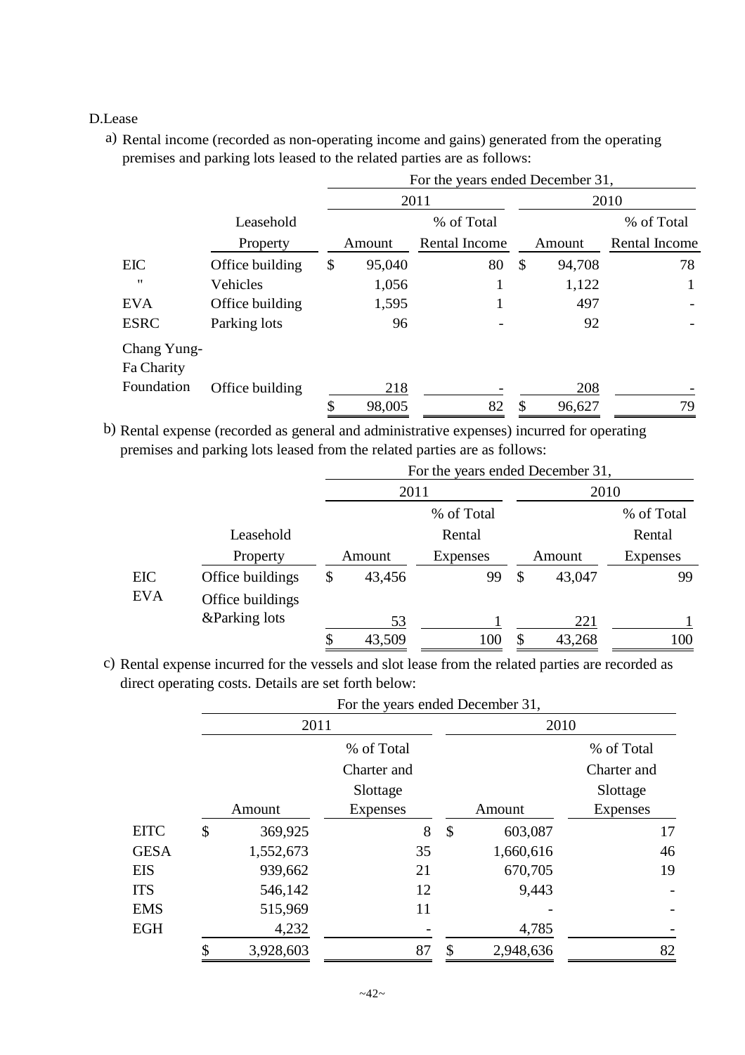## D.Lease

a) Rental income (recorded as non-operating income and gains) generated from the operating premises and parking lots leased to the related parties are as follows:

|                           |                 |              | For the years ended December 31, |              |               |
|---------------------------|-----------------|--------------|----------------------------------|--------------|---------------|
|                           |                 |              | 2011                             |              | 2010          |
|                           | Leasehold       |              | % of Total                       |              | % of Total    |
|                           | Property        | Amount       | <b>Rental Income</b>             | Amount       | Rental Income |
| <b>EIC</b>                | Office building | \$<br>95,040 | 80                               | \$<br>94,708 | 78            |
| "                         | Vehicles        | 1,056        |                                  | 1,122        |               |
| <b>EVA</b>                | Office building | 1,595        |                                  | 497          |               |
| <b>ESRC</b>               | Parking lots    | 96           |                                  | 92           |               |
| Chang Yung-<br>Fa Charity |                 |              |                                  |              |               |
| Foundation                | Office building | 218          |                                  | 208          |               |
|                           |                 | \$<br>98,005 | 82                               | \$<br>96,627 | 79            |

b) Rental expense (recorded as general and administrative expenses) incurred for operating premises and parking lots leased from the related parties are as follows:

|            |                  |              | For the years ended December 31, |               |        |                 |
|------------|------------------|--------------|----------------------------------|---------------|--------|-----------------|
|            |                  | 2011         |                                  |               | 2010   |                 |
|            |                  |              | % of Total                       |               |        | % of Total      |
|            | Leasehold        |              | Rental                           |               |        | Rental          |
|            | Property         | Amount       | <b>Expenses</b>                  |               | Amount | <b>Expenses</b> |
| EIC        | Office buildings | \$<br>43,456 | 99                               | $\mathcal{S}$ | 43,047 | 99              |
| <b>EVA</b> | Office buildings |              |                                  |               |        |                 |
|            | &Parking lots    | 53           |                                  |               | 221    |                 |
|            |                  | 43,509       | 100                              |               | 43,268 | 100             |

c) Rental expense incurred for the vessels and slot lease from the related parties are recorded as direct operating costs. Details are set forth below:

|             |               | For the years ended December 31, |                 |                 |
|-------------|---------------|----------------------------------|-----------------|-----------------|
|             | 2011          |                                  | 2010            |                 |
|             |               | % of Total                       |                 | % of Total      |
|             |               | Charter and                      |                 | Charter and     |
|             |               | Slottage                         |                 | Slottage        |
|             | Amount        | <b>Expenses</b>                  | Amount          | <b>Expenses</b> |
| EITC        | \$<br>369,925 | 8                                | \$<br>603,087   | 17              |
| <b>GESA</b> | 1,552,673     | 35                               | 1,660,616       | 46              |
| EIS         | 939,662       | 21                               | 670,705         | 19              |
| <b>ITS</b>  | 546,142       | 12                               | 9,443           |                 |
| EMS         | 515,969       | 11                               |                 |                 |
| EGH         | 4,232         |                                  | 4,785           |                 |
|             | 3,928,603     | 87                               | \$<br>2,948,636 | 82              |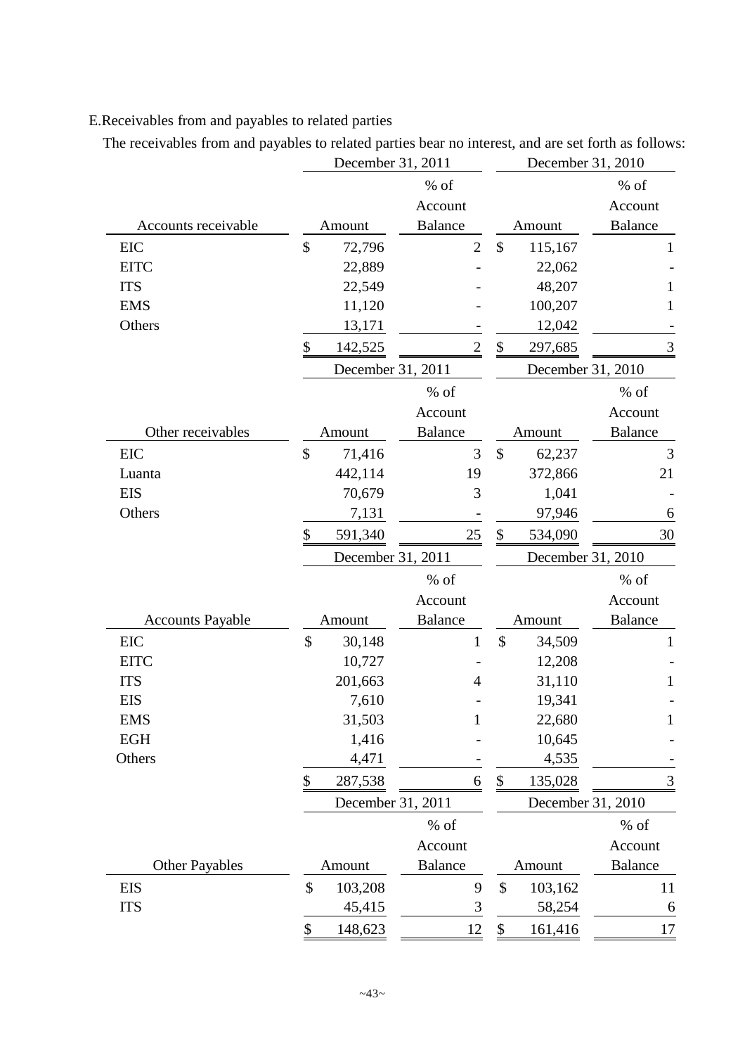## E.Receivables from and payables to related parties

The receivables from and payables to related parties bear no interest, and are set forth as follows:

|                         |               | December 31, 2011 |                |                           | December 31, 2010 |                |
|-------------------------|---------------|-------------------|----------------|---------------------------|-------------------|----------------|
|                         |               |                   | % of           |                           |                   | % of           |
|                         |               |                   | Account        |                           |                   | Account        |
| Accounts receivable     |               | Amount            | <b>Balance</b> |                           | Amount            | <b>Balance</b> |
| <b>EIC</b>              | \$            | 72,796            | $\overline{2}$ | \$                        | 115,167           | 1              |
| <b>EITC</b>             |               | 22,889            |                |                           | 22,062            |                |
| <b>ITS</b>              |               | 22,549            |                |                           | 48,207            | 1              |
| <b>EMS</b>              |               | 11,120            |                |                           | 100,207           | 1              |
| Others                  |               | 13,171            |                |                           | 12,042            |                |
|                         | \$            | 142,525           | $\overline{2}$ | \$                        | 297,685           | $\mathfrak{Z}$ |
|                         |               | December 31, 2011 |                |                           | December 31, 2010 |                |
|                         |               |                   | % of           |                           |                   | $%$ of         |
|                         |               |                   | Account        |                           |                   | Account        |
| Other receivables       |               | Amount            | <b>Balance</b> |                           | Amount            | <b>Balance</b> |
| EIC                     | \$            | 71,416            | 3              | \$                        | 62,237            | 3              |
| Luanta                  |               | 442,114           | 19             |                           | 372,866           | 21             |
| <b>EIS</b>              |               | 70,679            | 3              |                           | 1,041             |                |
| Others                  |               | 7,131             |                |                           | 97,946            | 6              |
|                         | \$            | 591,340           | 25             | \$                        | 534,090           | 30             |
|                         |               |                   |                |                           |                   |                |
|                         |               | December 31, 2011 |                |                           | December 31, 2010 |                |
|                         |               |                   | $%$ of         |                           |                   | $%$ of         |
|                         |               |                   | Account        |                           |                   | Account        |
| <b>Accounts Payable</b> |               | Amount            | <b>Balance</b> |                           | Amount            | <b>Balance</b> |
| EIC                     | $\mathcal{S}$ | 30,148            | $\mathbf{1}$   | $\mathcal{S}$             | 34,509            | 1              |
| <b>EITC</b>             |               | 10,727            |                |                           | 12,208            |                |
| <b>ITS</b>              |               | 201,663           | 4              |                           | 31,110            | 1              |
| <b>EIS</b>              |               | 7,610             |                |                           | 19,341            |                |
| <b>EMS</b>              |               | 31,503            | 1              |                           | 22,680            | $\mathbf{1}$   |
| <b>EGH</b>              |               | 1,416             |                |                           | 10,645            |                |
| Others                  |               | 4,471             |                |                           | 4,535             |                |
|                         | \$            | 287,538           | 6              | $\$\,$                    | 135,028           | $\mathfrak{Z}$ |
|                         |               | December 31, 2011 |                |                           | December 31, 2010 |                |
|                         |               |                   | % of           |                           |                   | $%$ of         |
|                         |               |                   | Account        |                           |                   | Account        |
| <b>Other Payables</b>   |               | Amount            | <b>Balance</b> |                           | Amount            | <b>Balance</b> |
| EIS                     | \$            | 103,208           | 9              | $\boldsymbol{\mathsf{S}}$ | 103,162           | 11             |
| <b>ITS</b>              |               | 45,415            | $\mathfrak{Z}$ |                           | 58,254            | 6              |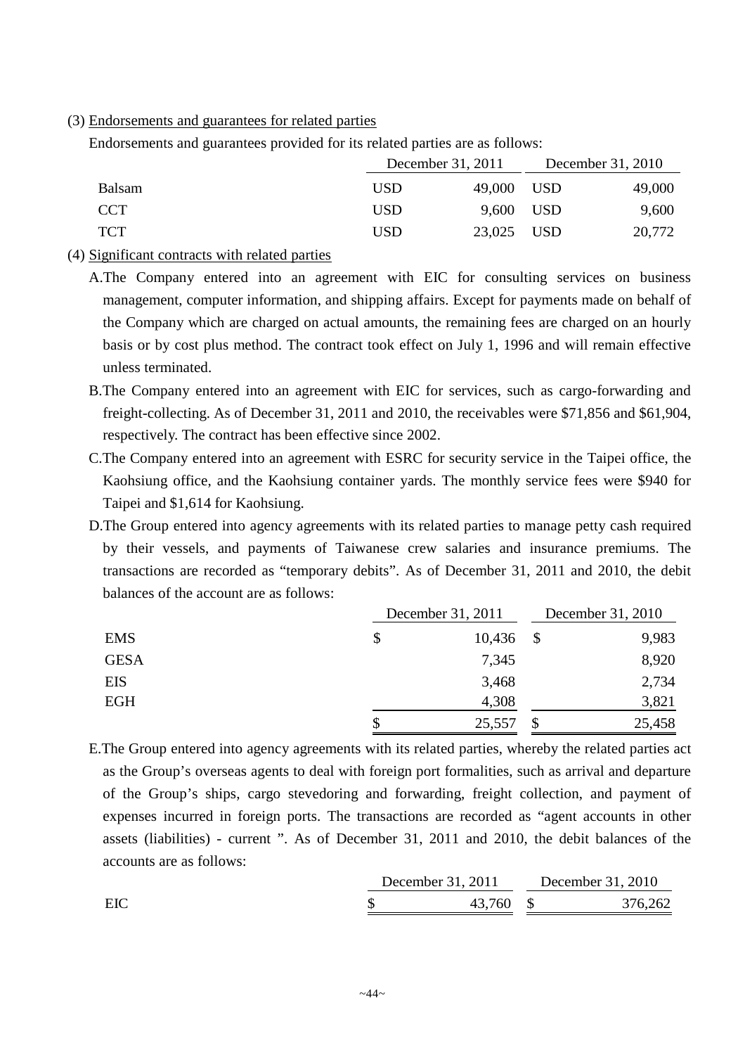(3) Endorsements and guarantees for related parties

Endorsements and guarantees provided for its related parties are as follows:

|               | December 31, 2011 |            | December 31, 2010 |
|---------------|-------------------|------------|-------------------|
| <b>Balsam</b> | <b>USD</b>        | 49,000 USD | 49,000            |
| <b>CCT</b>    | <b>USD</b>        | 9,600 USD  | 9,600             |
| <b>TCT</b>    | <b>USD</b>        | 23,025 USD | 20,772            |

- (4) Significant contracts with related parties
	- A.The Company entered into an agreement with EIC for consulting services on business management, computer information, and shipping affairs. Except for payments made on behalf of the Company which are charged on actual amounts, the remaining fees are charged on an hourly basis or by cost plus method. The contract took effect on July 1, 1996 and will remain effective unless terminated.
	- B.The Company entered into an agreement with EIC for services, such as cargo-forwarding and freight-collecting. As of December 31, 2011 and 2010, the receivables were \$71,856 and \$61,904, respectively. The contract has been effective since 2002.
	- C.The Company entered into an agreement with ESRC for security service in the Taipei office, the Kaohsiung office, and the Kaohsiung container yards. The monthly service fees were \$940 for Taipei and \$1,614 for Kaohsiung.
	- D.The Group entered into agency agreements with its related parties to manage petty cash required by their vessels, and payments of Taiwanese crew salaries and insurance premiums. The transactions are recorded as "temporary debits". As of December 31, 2011 and 2010, the debit balances of the account are as follows:

|             | December 31, 2011 | December 31, 2010 |
|-------------|-------------------|-------------------|
| <b>EMS</b>  | \$<br>10,436      | \$<br>9,983       |
| <b>GESA</b> | 7,345             | 8,920             |
| EIS         | 3,468             | 2,734             |
| <b>EGH</b>  | 4,308             | 3,821             |
|             | \$<br>25,557      | 25,458            |

E.The Group entered into agency agreements with its related parties, whereby the related parties act as the Group's overseas agents to deal with foreign port formalities, such as arrival and departure of the Group's ships, cargo stevedoring and forwarding, freight collection, and payment of expenses incurred in foreign ports. The transactions are recorded as "agent accounts in other assets (liabilities) - current ". As of December 31, 2011 and 2010, the debit balances of the accounts are as follows:

|     | December 31, 2011 |        | December 31, 2010 |         |
|-----|-------------------|--------|-------------------|---------|
| EIC |                   | 43,760 |                   | 376,262 |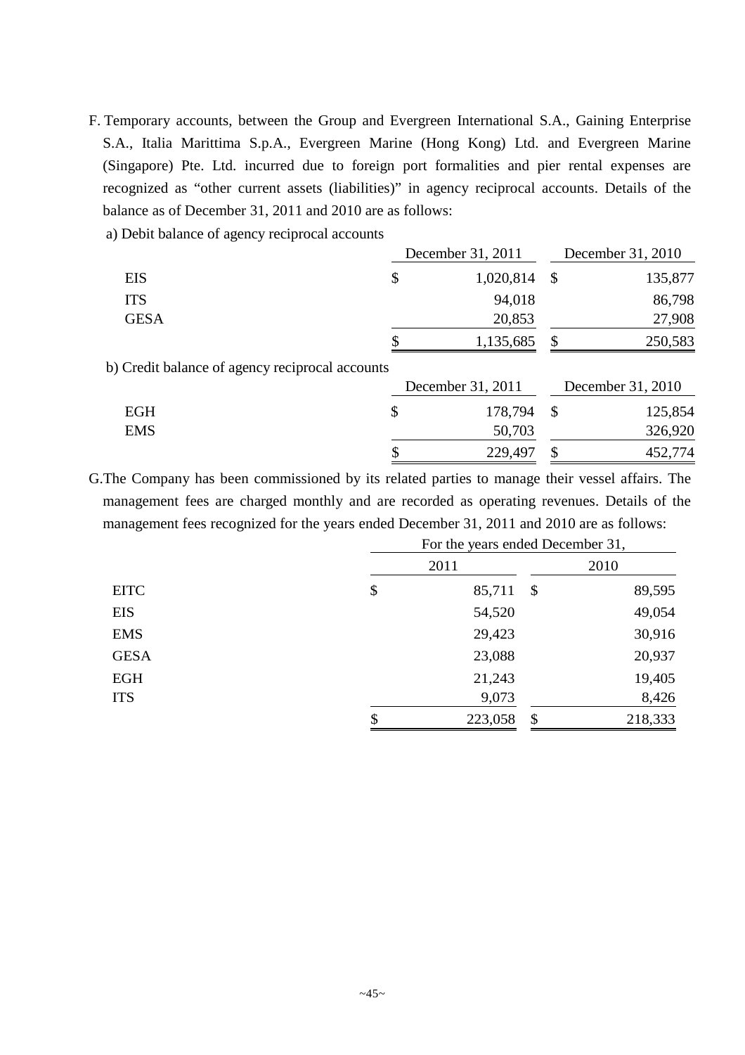- F. Temporary accounts, between the Group and Evergreen International S.A., Gaining Enterprise S.A., Italia Marittima S.p.A., Evergreen Marine (Hong Kong) Ltd. and Evergreen Marine (Singapore) Pte. Ltd. incurred due to foreign port formalities and pier rental expenses are recognized as "other current assets (liabilities)" in agency reciprocal accounts. Details of the balance as of December 31, 2011 and 2010 are as follows:
	- a) Debit balance of agency reciprocal accounts

|                                                 | December 31, 2011 |               | December 31, 2010 |
|-------------------------------------------------|-------------------|---------------|-------------------|
| <b>EIS</b>                                      | \$<br>1,020,814   | $\mathcal{S}$ | 135,877           |
| <b>ITS</b>                                      | 94,018            |               | 86,798            |
| <b>GESA</b>                                     | 20,853            |               | 27,908            |
|                                                 | \$<br>1,135,685   | \$            | 250,583           |
| b) Credit balance of agency reciprocal accounts |                   |               |                   |
|                                                 | December 31, 2011 |               | December 31, 2010 |
| <b>EGH</b>                                      | \$<br>178,794     | $\mathcal{S}$ | 125,854           |
| <b>EMS</b>                                      | 50,703            |               | 326,920           |
|                                                 | \$<br>229,497     | \$            | 452,774           |

G.The Company has been commissioned by its related parties to manage their vessel affairs. The management fees are charged monthly and are recorded as operating revenues. Details of the management fees recognized for the years ended December 31, 2011 and 2010 are as follows:

|             | For the years ended December 31, |                           |         |
|-------------|----------------------------------|---------------------------|---------|
|             | 2011                             |                           | 2010    |
| <b>EITC</b> | \$<br>85,711                     | $\boldsymbol{\mathsf{S}}$ | 89,595  |
| <b>EIS</b>  | 54,520                           |                           | 49,054  |
| <b>EMS</b>  | 29,423                           |                           | 30,916  |
| <b>GESA</b> | 23,088                           |                           | 20,937  |
| <b>EGH</b>  | 21,243                           |                           | 19,405  |
| <b>ITS</b>  | 9,073                            |                           | 8,426   |
|             | \$<br>223,058                    | \$                        | 218,333 |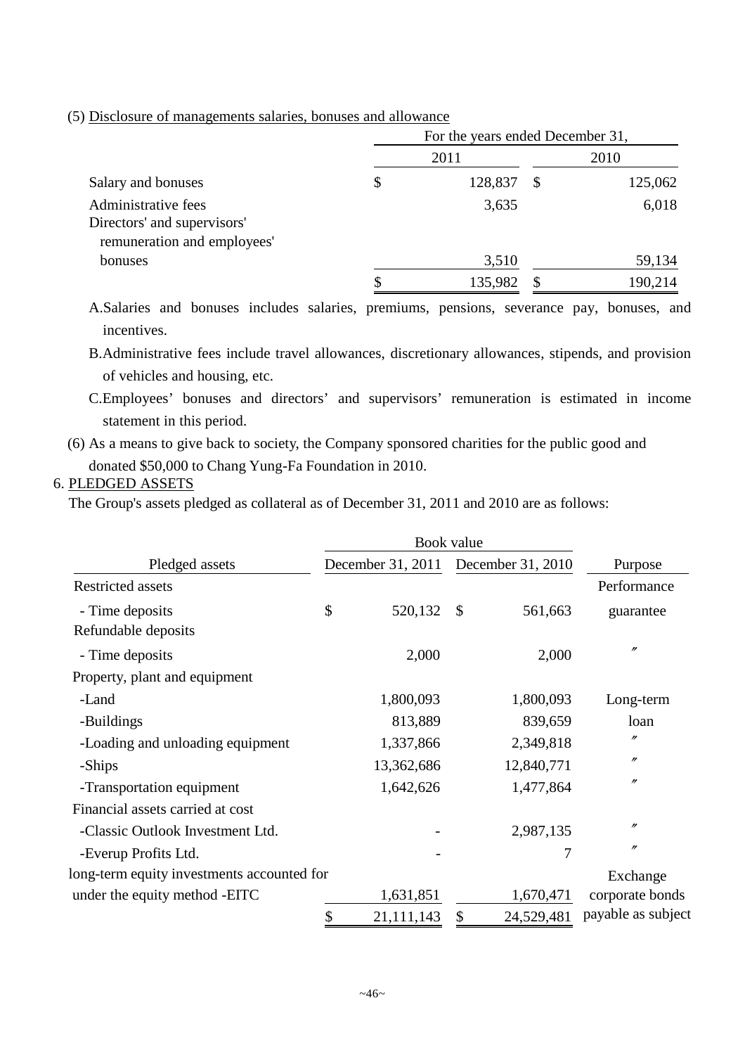|  |  |  | (5) Disclosure of managements salaries, bonuses and allowance |  |  |  |  |  |
|--|--|--|---------------------------------------------------------------|--|--|--|--|--|
|--|--|--|---------------------------------------------------------------|--|--|--|--|--|

|                                                                                   |               |               | For the years ended December 31, |  |  |
|-----------------------------------------------------------------------------------|---------------|---------------|----------------------------------|--|--|
|                                                                                   | 2011          |               | 2010                             |  |  |
| Salary and bonuses                                                                | \$<br>128,837 | <sup>\$</sup> | 125,062                          |  |  |
| Administrative fees<br>Directors' and supervisors'<br>remuneration and employees' | 3,635         |               | 6,018                            |  |  |
| bonuses                                                                           | 3,510         |               | 59,134                           |  |  |
|                                                                                   | 135,982       |               | 190,214                          |  |  |

A.Salaries and bonuses includes salaries, premiums, pensions, severance pay, bonuses, and incentives.

B.Administrative fees include travel allowances, discretionary allowances, stipends, and provision of vehicles and housing, etc.

C.Employees' bonuses and directors' and supervisors' remuneration is estimated in income statement in this period.

(6) As a means to give back to society, the Company sponsored charities for the public good and donated \$50,000 to Chang Yung-Fa Foundation in 2010.

## 6. PLEDGED ASSETS

The Group's assets pledged as collateral as of December 31, 2011 and 2010 are as follows:

|                                            | Book value                          |                           |            |                    |
|--------------------------------------------|-------------------------------------|---------------------------|------------|--------------------|
| Pledged assets                             | December 31, 2011 December 31, 2010 |                           |            | Purpose            |
| <b>Restricted assets</b>                   |                                     |                           |            | Performance        |
| - Time deposits                            | \$<br>520,132                       | $\boldsymbol{\mathsf{S}}$ | 561,663    | guarantee          |
| Refundable deposits                        |                                     |                           |            |                    |
| - Time deposits                            | 2,000                               |                           | 2,000      | $^{\prime\prime}$  |
| Property, plant and equipment              |                                     |                           |            |                    |
| -Land                                      | 1,800,093                           |                           | 1,800,093  | Long-term          |
| -Buildings                                 | 813,889                             |                           | 839,659    | loan               |
| -Loading and unloading equipment           | 1,337,866                           |                           | 2,349,818  | $^{\prime\prime}$  |
| -Ships                                     | 13,362,686                          |                           | 12,840,771 | $^{\prime\prime}$  |
| -Transportation equipment                  | 1,642,626                           |                           | 1,477,864  | $^{\prime\prime}$  |
| Financial assets carried at cost           |                                     |                           |            |                    |
| -Classic Outlook Investment Ltd.           |                                     |                           | 2,987,135  | $^{\prime\prime}$  |
| -Everup Profits Ltd.                       |                                     |                           | 7          | $^{\prime\prime}$  |
| long-term equity investments accounted for |                                     |                           |            | Exchange           |
| under the equity method -EITC              | 1,631,851                           |                           | 1,670,471  | corporate bonds    |
|                                            | \$<br>21, 111, 143                  | \$                        | 24,529,481 | payable as subject |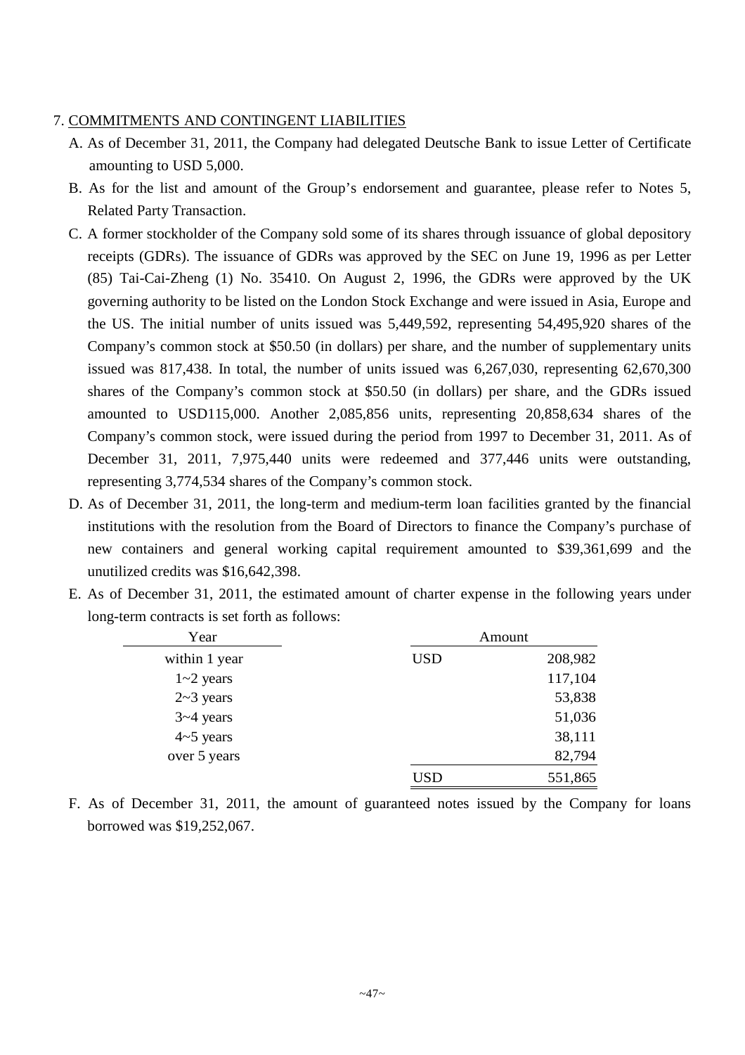### 7. COMMITMENTS AND CONTINGENT LIABILITIES

- A. As of December 31, 2011, the Company had delegated Deutsche Bank to issue Letter of Certificate amounting to USD 5,000.
- B. As for the list and amount of the Group's endorsement and guarantee, please refer to Notes 5, Related Party Transaction.
- C. A former stockholder of the Company sold some of its shares through issuance of global depository receipts (GDRs). The issuance of GDRs was approved by the SEC on June 19, 1996 as per Letter (85) Tai-Cai-Zheng (1) No. 35410. On August 2, 1996, the GDRs were approved by the UK governing authority to be listed on the London Stock Exchange and were issued in Asia, Europe and the US. The initial number of units issued was 5,449,592, representing 54,495,920 shares of the Company's common stock at \$50.50 (in dollars) per share, and the number of supplementary units issued was 817,438. In total, the number of units issued was 6,267,030, representing 62,670,300 shares of the Company's common stock at \$50.50 (in dollars) per share, and the GDRs issued amounted to USD115,000. Another 2,085,856 units, representing 20,858,634 shares of the Company's common stock, were issued during the period from 1997 to December 31, 2011. As of December 31, 2011, 7,975,440 units were redeemed and 377,446 units were outstanding, representing 3,774,534 shares of the Company's common stock.
- D. As of December 31, 2011, the long-term and medium-term loan facilities granted by the financial institutions with the resolution from the Board of Directors to finance the Company's purchase of new containers and general working capital requirement amounted to \$39,361,699 and the unutilized credits was \$16,642,398.
- E. As of December 31, 2011, the estimated amount of charter expense in the following years under long-term contracts is set forth as follows:

| Year          |            | Amount  |
|---------------|------------|---------|
| within 1 year | <b>USD</b> | 208,982 |
| $1 - 2$ years |            | 117,104 |
| $2~3$ years   |            | 53,838  |
| $3 - 4$ years |            | 51,036  |
| $4-5$ years   |            | 38,111  |
| over 5 years  |            | 82,794  |
|               | USD        | 551,865 |

F. As of December 31, 2011, the amount of guaranteed notes issued by the Company for loans borrowed was \$19,252,067.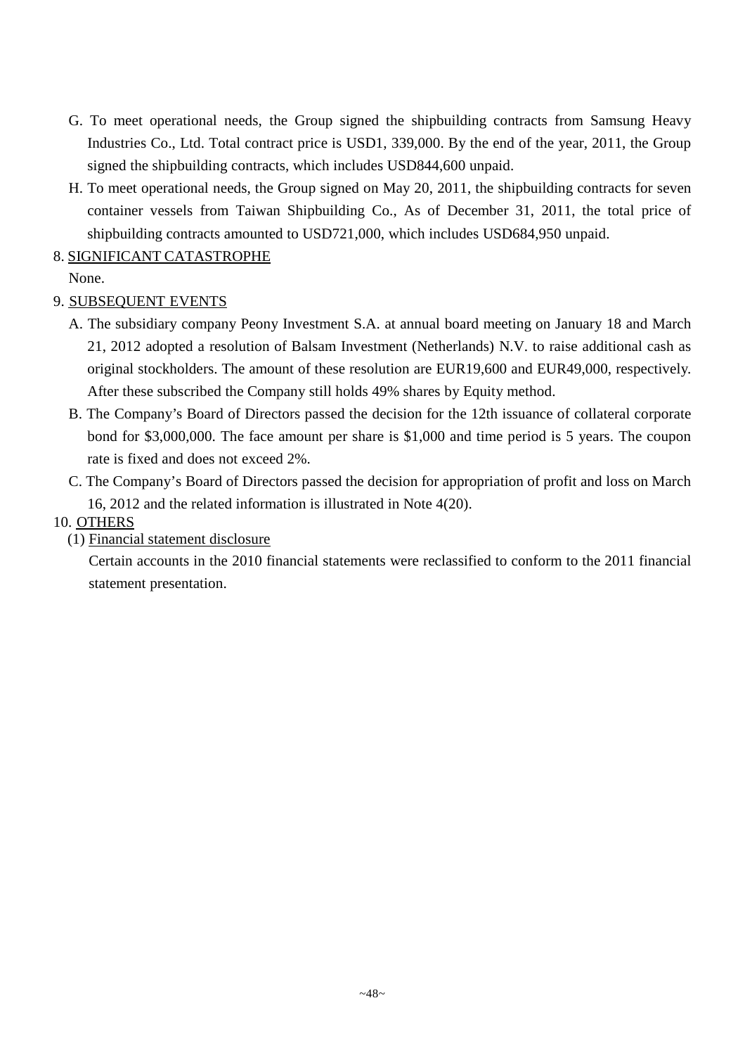- G. To meet operational needs, the Group signed the shipbuilding contracts from Samsung Heavy Industries Co., Ltd. Total contract price is USD1, 339,000. By the end of the year, 2011, the Group signed the shipbuilding contracts, which includes USD844,600 unpaid.
- H. To meet operational needs, the Group signed on May 20, 2011, the shipbuilding contracts for seven container vessels from Taiwan Shipbuilding Co., As of December 31, 2011, the total price of shipbuilding contracts amounted to USD721,000, which includes USD684,950 unpaid.

8. SIGNIFICANT CATASTROPHE

None.

## 9. SUBSEQUENT EVENTS

- A. The subsidiary company Peony Investment S.A. at annual board meeting on January 18 and March 21, 2012 adopted a resolution of Balsam Investment (Netherlands) N.V. to raise additional cash as original stockholders. The amount of these resolution are EUR19,600 and EUR49,000, respectively. After these subscribed the Company still holds 49% shares by Equity method.
- B. The Company's Board of Directors passed the decision for the 12th issuance of collateral corporate bond for \$3,000,000. The face amount per share is \$1,000 and time period is 5 years. The coupon rate is fixed and does not exceed 2%.
- C. The Company's Board of Directors passed the decision for appropriation of profit and loss on March 16, 2012 and the related information is illustrated in Note 4(20).
- 10. OTHERS
	- (1) Financial statement disclosure

Certain accounts in the 2010 financial statements were reclassified to conform to the 2011 financial statement presentation.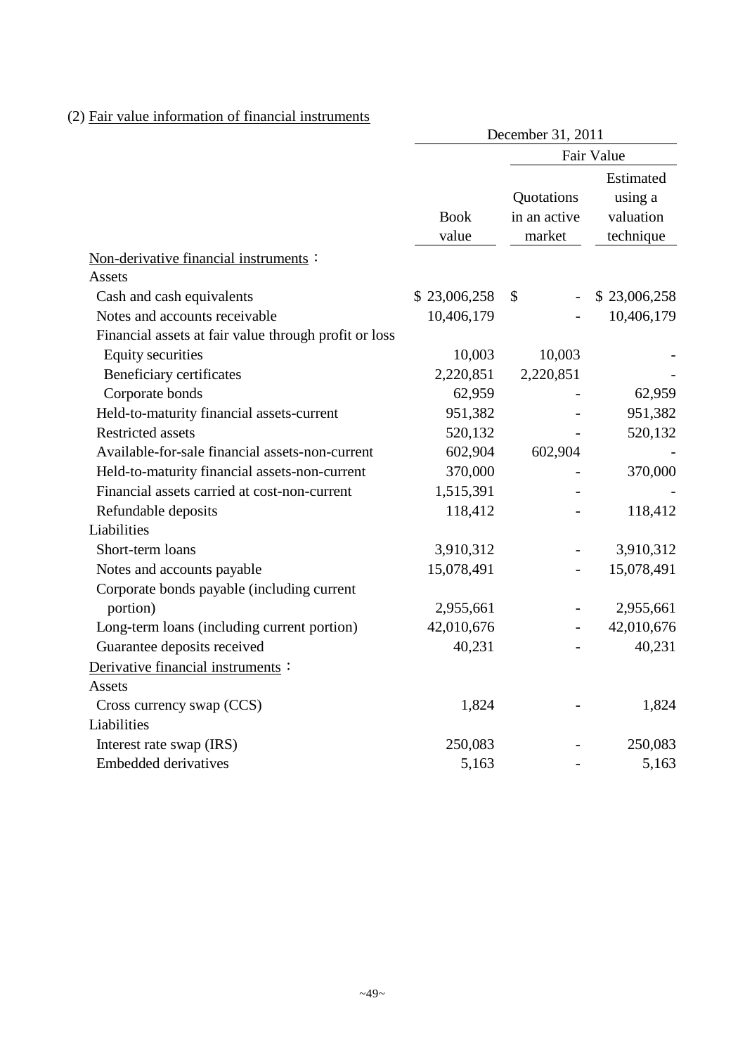## (2) Fair value information of financial instruments

|                                                       | December 31, 2011    |                                      |                                                |  |  |
|-------------------------------------------------------|----------------------|--------------------------------------|------------------------------------------------|--|--|
|                                                       |                      | Fair Value                           |                                                |  |  |
|                                                       | <b>Book</b><br>value | Quotations<br>in an active<br>market | Estimated<br>using a<br>valuation<br>technique |  |  |
| Non-derivative financial instruments:                 |                      |                                      |                                                |  |  |
| Assets                                                |                      |                                      |                                                |  |  |
| Cash and cash equivalents                             | \$23,006,258         | \$                                   | \$23,006,258                                   |  |  |
| Notes and accounts receivable                         | 10,406,179           |                                      | 10,406,179                                     |  |  |
| Financial assets at fair value through profit or loss |                      |                                      |                                                |  |  |
| <b>Equity securities</b>                              | 10,003               | 10,003                               |                                                |  |  |
| Beneficiary certificates                              | 2,220,851            | 2,220,851                            |                                                |  |  |
| Corporate bonds                                       | 62,959               |                                      | 62,959                                         |  |  |
| Held-to-maturity financial assets-current             | 951,382              |                                      | 951,382                                        |  |  |
| <b>Restricted assets</b>                              | 520,132              |                                      | 520,132                                        |  |  |
| Available-for-sale financial assets-non-current       | 602,904              | 602,904                              |                                                |  |  |
| Held-to-maturity financial assets-non-current         | 370,000              |                                      | 370,000                                        |  |  |
| Financial assets carried at cost-non-current          | 1,515,391            |                                      |                                                |  |  |
| Refundable deposits                                   | 118,412              |                                      | 118,412                                        |  |  |
| Liabilities                                           |                      |                                      |                                                |  |  |
| Short-term loans                                      | 3,910,312            |                                      | 3,910,312                                      |  |  |
| Notes and accounts payable                            | 15,078,491           |                                      | 15,078,491                                     |  |  |
| Corporate bonds payable (including current            |                      |                                      |                                                |  |  |
| portion)                                              | 2,955,661            |                                      | 2,955,661                                      |  |  |
| Long-term loans (including current portion)           | 42,010,676           |                                      | 42,010,676                                     |  |  |
| Guarantee deposits received                           | 40,231               |                                      | 40,231                                         |  |  |
| Derivative financial instruments :                    |                      |                                      |                                                |  |  |
| <b>Assets</b>                                         |                      |                                      |                                                |  |  |
| Cross currency swap (CCS)                             | 1,824                |                                      | 1,824                                          |  |  |
| Liabilities                                           |                      |                                      |                                                |  |  |
| Interest rate swap (IRS)                              | 250,083              |                                      | 250,083                                        |  |  |
| <b>Embedded derivatives</b>                           | 5,163                |                                      | 5,163                                          |  |  |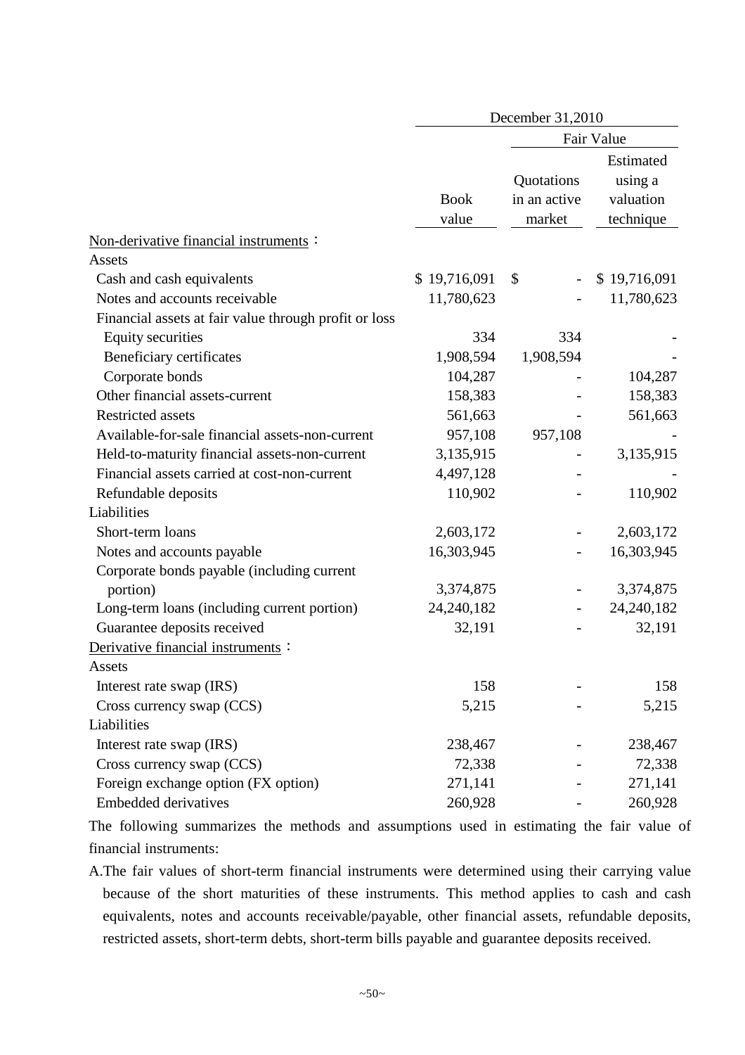|                                                       | December 31,2010     |                                      |                                                |  |  |
|-------------------------------------------------------|----------------------|--------------------------------------|------------------------------------------------|--|--|
|                                                       |                      |                                      | Fair Value                                     |  |  |
|                                                       | <b>Book</b><br>value | Quotations<br>in an active<br>market | Estimated<br>using a<br>valuation<br>technique |  |  |
| Non-derivative financial instruments :                |                      |                                      |                                                |  |  |
| Assets                                                |                      |                                      |                                                |  |  |
| Cash and cash equivalents                             | \$19,716,091         | \$<br>$\overline{\phantom{a}}$       | \$19,716,091                                   |  |  |
| Notes and accounts receivable                         | 11,780,623           |                                      | 11,780,623                                     |  |  |
| Financial assets at fair value through profit or loss |                      |                                      |                                                |  |  |
| <b>Equity securities</b>                              | 334                  | 334                                  |                                                |  |  |
| Beneficiary certificates                              | 1,908,594            | 1,908,594                            |                                                |  |  |
| Corporate bonds                                       | 104,287              |                                      | 104,287                                        |  |  |
| Other financial assets-current                        | 158,383              |                                      | 158,383                                        |  |  |
| <b>Restricted assets</b>                              | 561,663              |                                      | 561,663                                        |  |  |
| Available-for-sale financial assets-non-current       | 957,108              | 957,108                              |                                                |  |  |
| Held-to-maturity financial assets-non-current         | 3,135,915            |                                      | 3,135,915                                      |  |  |
| Financial assets carried at cost-non-current          | 4,497,128            |                                      |                                                |  |  |
| Refundable deposits                                   | 110,902              |                                      | 110,902                                        |  |  |
| Liabilities                                           |                      |                                      |                                                |  |  |
| Short-term loans                                      | 2,603,172            |                                      | 2,603,172                                      |  |  |
| Notes and accounts payable                            | 16,303,945           |                                      | 16,303,945                                     |  |  |
| Corporate bonds payable (including current            |                      |                                      |                                                |  |  |
| portion)                                              | 3,374,875            |                                      | 3,374,875                                      |  |  |
| Long-term loans (including current portion)           | 24, 240, 182         |                                      | 24, 240, 182                                   |  |  |
| Guarantee deposits received                           | 32,191               |                                      | 32,191                                         |  |  |
| Derivative financial instruments:                     |                      |                                      |                                                |  |  |
| Assets                                                |                      |                                      |                                                |  |  |
| Interest rate swap (IRS)                              | 158                  |                                      | 158                                            |  |  |
| Cross currency swap (CCS)                             | 5,215                |                                      | 5,215                                          |  |  |
| Liabilities                                           |                      |                                      |                                                |  |  |
| Interest rate swap (IRS)                              | 238,467              |                                      | 238,467                                        |  |  |
| Cross currency swap (CCS)                             | 72,338               |                                      | 72,338                                         |  |  |
| Foreign exchange option (FX option)                   | 271,141              |                                      | 271,141                                        |  |  |
| Embedded derivatives                                  | 260,928              |                                      | 260,928                                        |  |  |

The following summarizes the methods and assumptions used in estimating the fair value of financial instruments:

A.The fair values of short-term financial instruments were determined using their carrying value because of the short maturities of these instruments. This method applies to cash and cash equivalents, notes and accounts receivable/payable, other financial assets, refundable deposits, restricted assets, short-term debts, short-term bills payable and guarantee deposits received.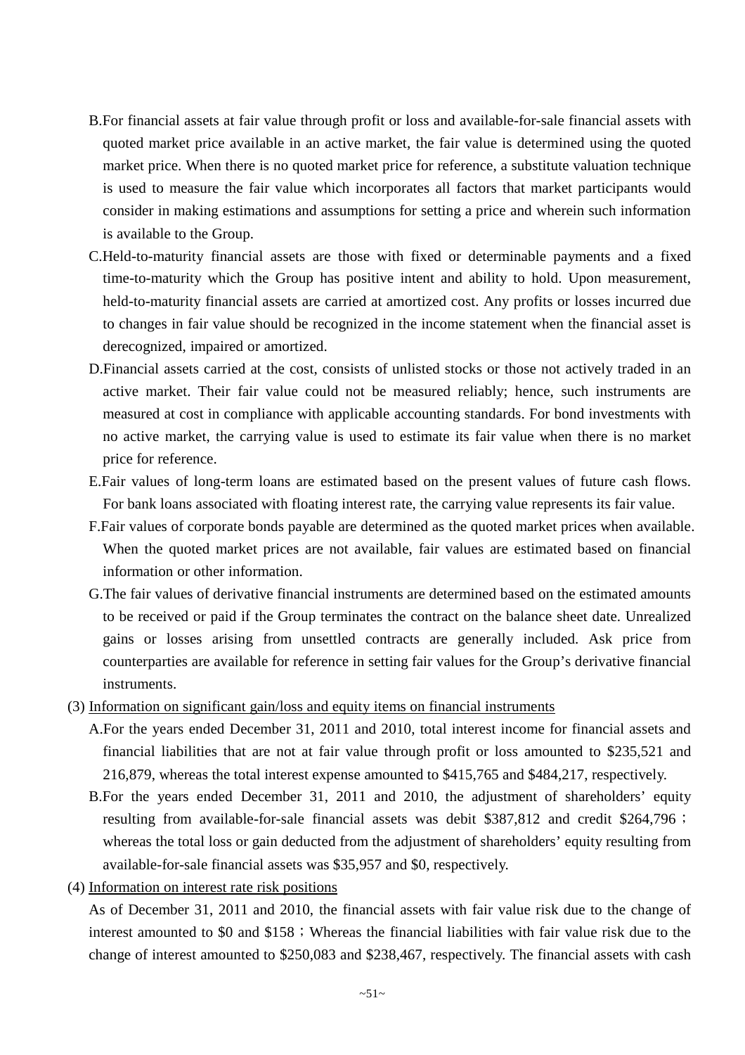- B.For financial assets at fair value through profit or loss and available-for-sale financial assets with quoted market price available in an active market, the fair value is determined using the quoted market price. When there is no quoted market price for reference, a substitute valuation technique is used to measure the fair value which incorporates all factors that market participants would consider in making estimations and assumptions for setting a price and wherein such information is available to the Group.
- C.Held-to-maturity financial assets are those with fixed or determinable payments and a fixed time-to-maturity which the Group has positive intent and ability to hold. Upon measurement, held-to-maturity financial assets are carried at amortized cost. Any profits or losses incurred due to changes in fair value should be recognized in the income statement when the financial asset is derecognized, impaired or amortized.
- D.Financial assets carried at the cost, consists of unlisted stocks or those not actively traded in an active market. Their fair value could not be measured reliably; hence, such instruments are measured at cost in compliance with applicable accounting standards. For bond investments with no active market, the carrying value is used to estimate its fair value when there is no market price for reference.
- E.Fair values of long-term loans are estimated based on the present values of future cash flows. For bank loans associated with floating interest rate, the carrying value represents its fair value.
- F.Fair values of corporate bonds payable are determined as the quoted market prices when available. When the quoted market prices are not available, fair values are estimated based on financial information or other information.
- G.The fair values of derivative financial instruments are determined based on the estimated amounts to be received or paid if the Group terminates the contract on the balance sheet date. Unrealized gains or losses arising from unsettled contracts are generally included. Ask price from counterparties are available for reference in setting fair values for the Group's derivative financial instruments.
- (3) Information on significant gain/loss and equity items on financial instruments
	- A.For the years ended December 31, 2011 and 2010, total interest income for financial assets and financial liabilities that are not at fair value through profit or loss amounted to \$235,521 and 216,879, whereas the total interest expense amounted to \$415,765 and \$484,217, respectively.
	- B.For the years ended December 31, 2011 and 2010, the adjustment of shareholders' equity resulting from available-for-sale financial assets was debit \$387,812 and credit \$264,796; whereas the total loss or gain deducted from the adjustment of shareholders' equity resulting from available-for-sale financial assets was \$35,957 and \$0, respectively.
- (4) Information on interest rate risk positions

As of December 31, 2011 and 2010, the financial assets with fair value risk due to the change of interest amounted to \$0 and  $$158$ ; Whereas the financial liabilities with fair value risk due to the change of interest amounted to \$250,083 and \$238,467, respectively. The financial assets with cash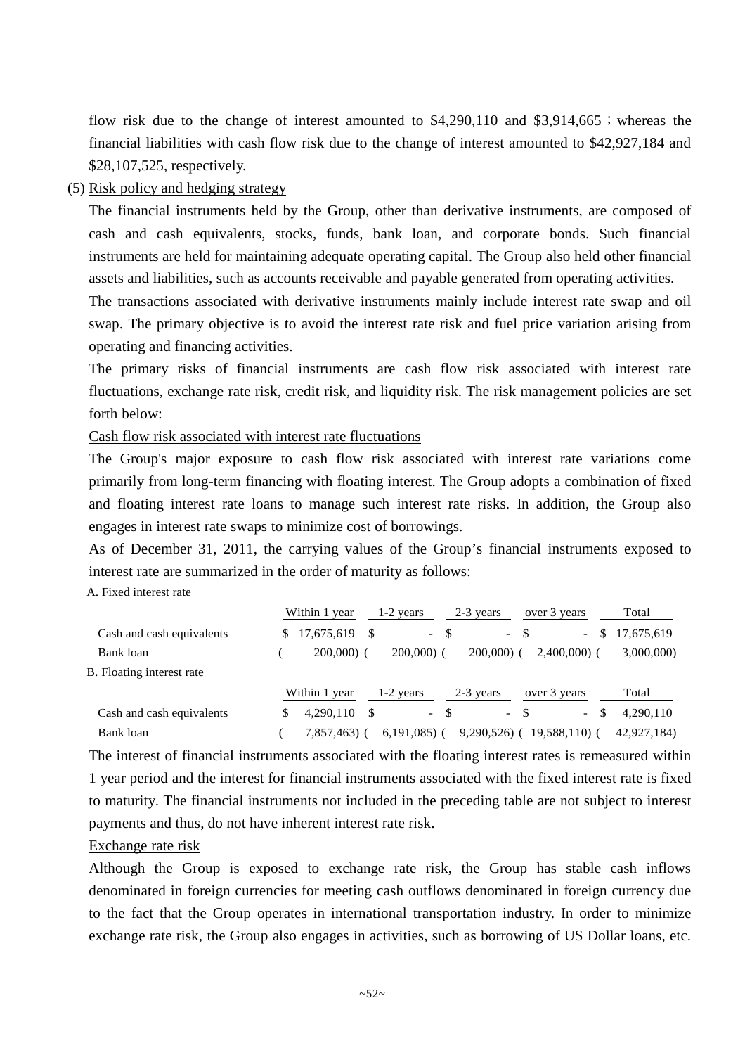flow risk due to the change of interest amounted to  $$4,290,110$  and  $$3,914,665$ ; whereas the financial liabilities with cash flow risk due to the change of interest amounted to \$42,927,184 and \$28,107,525, respectively.

## (5) Risk policy and hedging strategy

The financial instruments held by the Group, other than derivative instruments, are composed of cash and cash equivalents, stocks, funds, bank loan, and corporate bonds. Such financial instruments are held for maintaining adequate operating capital. The Group also held other financial assets and liabilities, such as accounts receivable and payable generated from operating activities.

The transactions associated with derivative instruments mainly include interest rate swap and oil swap. The primary objective is to avoid the interest rate risk and fuel price variation arising from operating and financing activities.

The primary risks of financial instruments are cash flow risk associated with interest rate fluctuations, exchange rate risk, credit risk, and liquidity risk. The risk management policies are set forth below:

Cash flow risk associated with interest rate fluctuations

The Group's major exposure to cash flow risk associated with interest rate variations come primarily from long-term financing with floating interest. The Group adopts a combination of fixed and floating interest rate loans to manage such interest rate risks. In addition, the Group also engages in interest rate swaps to minimize cost of borrowings.

As of December 31, 2011, the carrying values of the Group's financial instruments exposed to interest rate are summarized in the order of maturity as follows:

A. Fixed interest rate

|                           | Within 1 year    | $1-2$ years                    | 2-3 years      | over 3 years         | Total       |
|---------------------------|------------------|--------------------------------|----------------|----------------------|-------------|
| Cash and cash equivalents | 17.675.619<br>S. | -S<br>$\overline{\phantom{0}}$ | - \$<br>$\sim$ | \$.<br>$\sim$        | 17,675,619  |
| Bank loan                 | $200,000$ (      | $200,000$ $($                  | $200,000$ (    | $2,400,000$ (        | 3,000,000)  |
| B. Floating interest rate |                  |                                |                |                      |             |
|                           | Within 1 year    | 1-2 years                      | 2-3 years      | over 3 years         | Total       |
| Cash and cash equivalents | 4.290.110        | -S<br>$\overline{\phantom{a}}$ | - \$<br>$\sim$ | -S<br>- \$<br>$\sim$ | 4.290.110   |
| Bank loan                 | 7.857.463)       | $6,191,085$ (                  | $9,290,526$ (  | 19.588.110(          | 42,927,184) |

The interest of financial instruments associated with the floating interest rates is remeasured within 1 year period and the interest for financial instruments associated with the fixed interest rate is fixed to maturity. The financial instruments not included in the preceding table are not subject to interest payments and thus, do not have inherent interest rate risk.

### Exchange rate risk

Although the Group is exposed to exchange rate risk, the Group has stable cash inflows denominated in foreign currencies for meeting cash outflows denominated in foreign currency due to the fact that the Group operates in international transportation industry. In order to minimize exchange rate risk, the Group also engages in activities, such as borrowing of US Dollar loans, etc.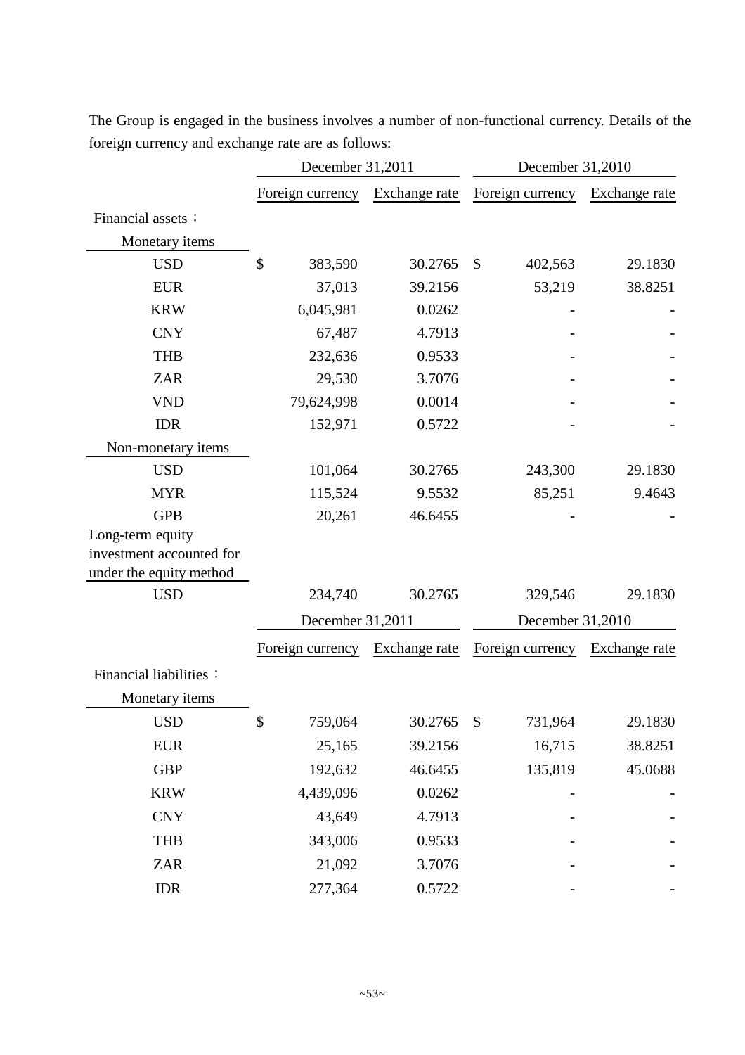|                          | December 31,2011 |               | December 31,2010         |               |  |  |
|--------------------------|------------------|---------------|--------------------------|---------------|--|--|
|                          | Foreign currency | Exchange rate | Foreign currency         | Exchange rate |  |  |
| Financial assets:        |                  |               |                          |               |  |  |
| Monetary items           |                  |               |                          |               |  |  |
| <b>USD</b>               | \$<br>383,590    | 30.2765       | $\mathcal{S}$<br>402,563 | 29.1830       |  |  |
| <b>EUR</b>               | 37,013           | 39.2156       | 53,219                   | 38.8251       |  |  |
| <b>KRW</b>               | 6,045,981        | 0.0262        |                          |               |  |  |
| <b>CNY</b>               | 67,487           | 4.7913        |                          |               |  |  |
| <b>THB</b>               | 232,636          | 0.9533        |                          |               |  |  |
| <b>ZAR</b>               | 29,530           | 3.7076        |                          |               |  |  |
| <b>VND</b>               | 79,624,998       | 0.0014        |                          |               |  |  |
| <b>IDR</b>               | 152,971          | 0.5722        |                          |               |  |  |
| Non-monetary items       |                  |               |                          |               |  |  |
| <b>USD</b>               | 101,064          | 30.2765       | 243,300                  | 29.1830       |  |  |
| <b>MYR</b>               | 115,524          | 9.5532        | 85,251                   | 9.4643        |  |  |
| <b>GPB</b>               | 20,261           | 46.6455       |                          |               |  |  |
| Long-term equity         |                  |               |                          |               |  |  |
| investment accounted for |                  |               |                          |               |  |  |
| under the equity method  |                  |               |                          |               |  |  |
| <b>USD</b>               | 234,740          | 30.2765       | 329,546                  | 29.1830       |  |  |
|                          | December 31,2011 |               | December 31,2010         |               |  |  |
|                          | Foreign currency | Exchange rate | Foreign currency         | Exchange rate |  |  |
| Financial liabilities:   |                  |               |                          |               |  |  |
| Monetary items           |                  |               |                          |               |  |  |
| <b>USD</b>               | \$<br>759,064    | 30.2765       | \$<br>731,964            | 29.1830       |  |  |
| <b>EUR</b>               | 25,165           | 39.2156       | 16,715                   | 38.8251       |  |  |
| <b>GBP</b>               | 192,632          | 46.6455       | 135,819                  | 45.0688       |  |  |
| <b>KRW</b>               | 4,439,096        | 0.0262        |                          |               |  |  |
| <b>CNY</b>               | 43,649           | 4.7913        |                          |               |  |  |
| <b>THB</b>               | 343,006          | 0.9533        |                          |               |  |  |
| ZAR                      | 21,092           | 3.7076        |                          |               |  |  |
| <b>IDR</b>               | 277,364          | 0.5722        |                          |               |  |  |

The Group is engaged in the business involves a number of non-functional currency. Details of the foreign currency and exchange rate are as follows: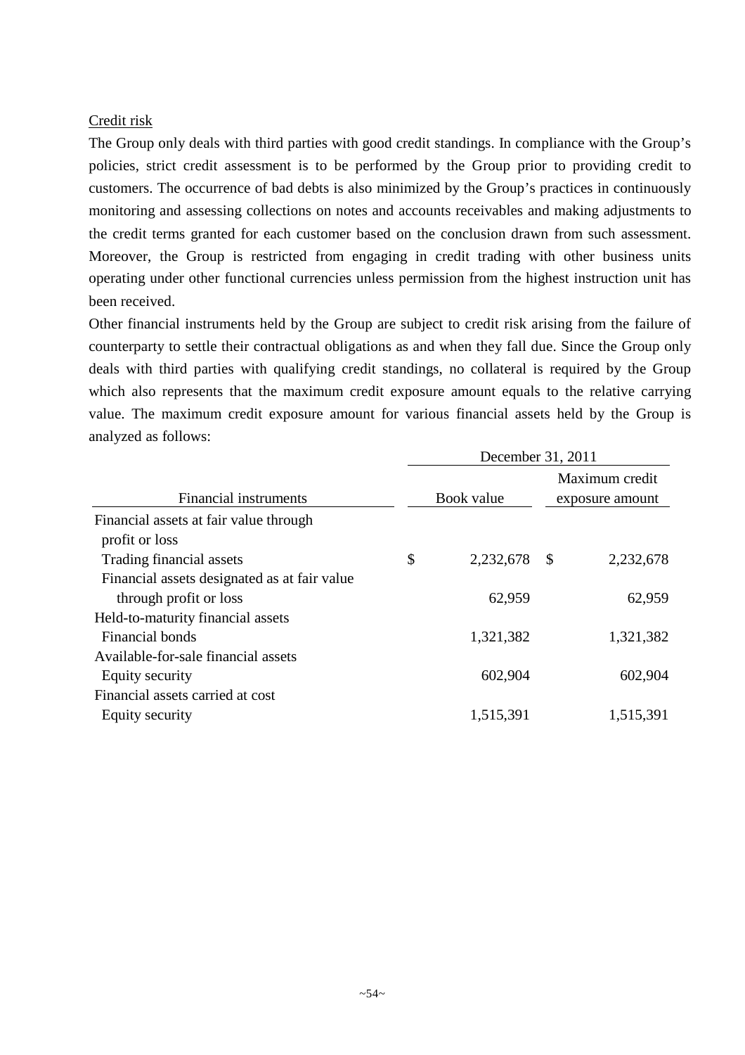### Credit risk

The Group only deals with third parties with good credit standings. In compliance with the Group's policies, strict credit assessment is to be performed by the Group prior to providing credit to customers. The occurrence of bad debts is also minimized by the Group's practices in continuously monitoring and assessing collections on notes and accounts receivables and making adjustments to the credit terms granted for each customer based on the conclusion drawn from such assessment. Moreover, the Group is restricted from engaging in credit trading with other business units operating under other functional currencies unless permission from the highest instruction unit has been received.

Other financial instruments held by the Group are subject to credit risk arising from the failure of counterparty to settle their contractual obligations as and when they fall due. Since the Group only deals with third parties with qualifying credit standings, no collateral is required by the Group which also represents that the maximum credit exposure amount equals to the relative carrying value. The maximum credit exposure amount for various financial assets held by the Group is analyzed as follows:

| December 31, 2011 |           |                   |  |  |  |
|-------------------|-----------|-------------------|--|--|--|
|                   |           | Maximum credit    |  |  |  |
|                   |           | exposure amount   |  |  |  |
|                   |           |                   |  |  |  |
|                   |           |                   |  |  |  |
| \$                | 2,232,678 | 2,232,678<br>- \$ |  |  |  |
|                   |           |                   |  |  |  |
|                   | 62,959    | 62,959            |  |  |  |
|                   |           |                   |  |  |  |
|                   | 1,321,382 | 1,321,382         |  |  |  |
|                   |           |                   |  |  |  |
|                   | 602,904   | 602,904           |  |  |  |
|                   |           |                   |  |  |  |
|                   | 1,515,391 | 1,515,391         |  |  |  |
|                   |           | Book value        |  |  |  |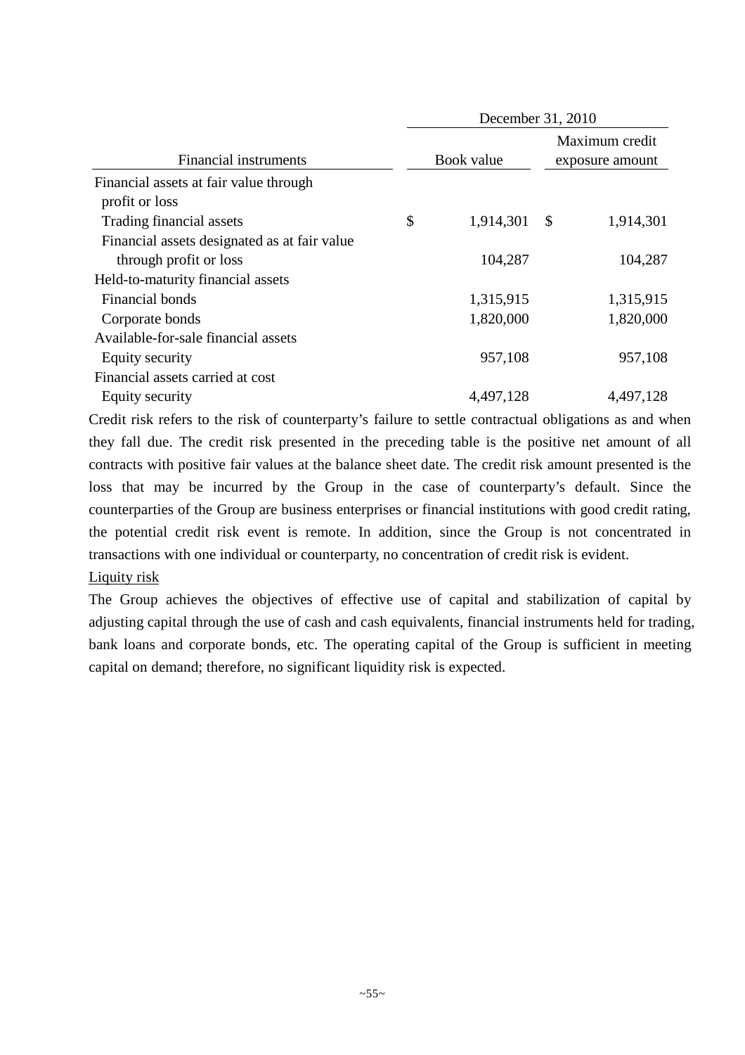|                                              | December 31, 2010 |            |                                   |  |  |  |
|----------------------------------------------|-------------------|------------|-----------------------------------|--|--|--|
| <b>Financial instruments</b>                 |                   | Book value | Maximum credit<br>exposure amount |  |  |  |
| Financial assets at fair value through       |                   |            |                                   |  |  |  |
| profit or loss                               |                   |            |                                   |  |  |  |
| Trading financial assets                     | \$                | 1,914,301  | 1,914,301<br>\$                   |  |  |  |
| Financial assets designated as at fair value |                   |            |                                   |  |  |  |
| through profit or loss                       |                   | 104,287    | 104,287                           |  |  |  |
| Held-to-maturity financial assets            |                   |            |                                   |  |  |  |
| Financial bonds                              |                   | 1,315,915  | 1,315,915                         |  |  |  |
| Corporate bonds                              |                   | 1,820,000  | 1,820,000                         |  |  |  |
| Available-for-sale financial assets          |                   |            |                                   |  |  |  |
| Equity security                              |                   | 957,108    | 957,108                           |  |  |  |
| Financial assets carried at cost             |                   |            |                                   |  |  |  |
| Equity security                              |                   | 4,497,128  | 4,497,128                         |  |  |  |

Credit risk refers to the risk of counterparty's failure to settle contractual obligations as and when they fall due. The credit risk presented in the preceding table is the positive net amount of all contracts with positive fair values at the balance sheet date. The credit risk amount presented is the loss that may be incurred by the Group in the case of counterparty's default. Since the counterparties of the Group are business enterprises or financial institutions with good credit rating, the potential credit risk event is remote. In addition, since the Group is not concentrated in transactions with one individual or counterparty, no concentration of credit risk is evident. Liquity risk

The Group achieves the objectives of effective use of capital and stabilization of capital by adjusting capital through the use of cash and cash equivalents, financial instruments held for trading, bank loans and corporate bonds, etc. The operating capital of the Group is sufficient in meeting capital on demand; therefore, no significant liquidity risk is expected.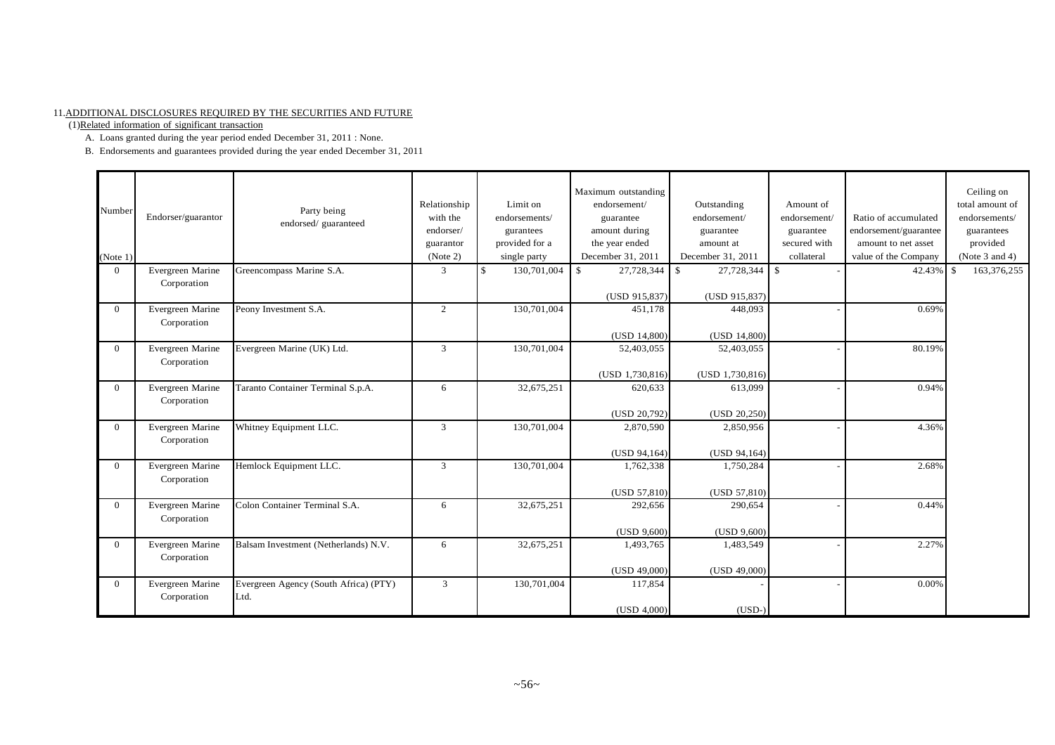#### 11.ADDITIONAL DISCLOSURES REQUIRED BY THE SECURITIES AND FUTURE

(1)Related information of significant transaction

A. Loans granted during the year period ended December 31, 2011 : None.

B. Endorsements and guarantees provided during the year ended December 31, 2011

| Number<br>(Note 1) | Endorser/guarantor              | Party being<br>endorsed/guaranteed            | Relationship<br>with the<br>endorser/<br>guarantor<br>(Note 2) | Limit on<br>endorsements/<br>gurantees<br>provided for a<br>single party | Maximum outstanding<br>endorsement/<br>guarantee<br>amount during<br>the year ended<br>December 31, 2011 | Outstanding<br>endorsement/<br>guarantee<br>amount at<br>December 31, 2011 | Amount of<br>endorsement/<br>guarantee<br>secured with<br>collateral | Ratio of accumulated<br>endorsement/guarantee<br>amount to net asset<br>value of the Company | Ceiling on<br>total amount of<br>endorsements/<br>guarantees<br>provided<br>(Note 3 and 4) |
|--------------------|---------------------------------|-----------------------------------------------|----------------------------------------------------------------|--------------------------------------------------------------------------|----------------------------------------------------------------------------------------------------------|----------------------------------------------------------------------------|----------------------------------------------------------------------|----------------------------------------------------------------------------------------------|--------------------------------------------------------------------------------------------|
| $\Omega$           | Evergreen Marine<br>Corporation | Greencompass Marine S.A.                      | 3                                                              | 130,701,004<br>\$                                                        | $\mathbf{\hat{S}}$<br>27,728,344<br>(USD 915,837)                                                        | 27,728,344<br>$\mathbf{\hat{S}}$<br>(USD 915,837)                          | $\mathsf{I}$ s                                                       | 42.43%                                                                                       | 163,376,255<br>\$                                                                          |
| $\Omega$           | Evergreen Marine<br>Corporation | Peony Investment S.A.                         | 2                                                              | 130,701,004                                                              | 451,178<br>(USD 14,800)                                                                                  | 448,093<br>(USD 14,800)                                                    |                                                                      | 0.69%                                                                                        |                                                                                            |
| $\theta$           | Evergreen Marine<br>Corporation | Evergreen Marine (UK) Ltd.                    | $\overline{3}$                                                 | 130,701,004                                                              | 52,403,055<br>$(USD\ 1,730,816)$                                                                         | 52,403,055<br>(USD 1,730,816)                                              |                                                                      | 80.19%                                                                                       |                                                                                            |
| $\Omega$           | Evergreen Marine<br>Corporation | Taranto Container Terminal S.p.A.             | 6                                                              | 32,675,251                                                               | 620,633<br>(USD 20,792)                                                                                  | 613,099<br>(USD 20,250)                                                    |                                                                      | 0.94%                                                                                        |                                                                                            |
| $\Omega$           | Evergreen Marine<br>Corporation | Whitney Equipment LLC.                        | $\overline{3}$                                                 | 130,701,004                                                              | 2,870,590<br>(USD 94,164)                                                                                | 2,850,956<br>(USD 94,164)                                                  |                                                                      | 4.36%                                                                                        |                                                                                            |
| $\theta$           | Evergreen Marine<br>Corporation | Hemlock Equipment LLC.                        | $\mathbf{3}$                                                   | 130,701,004                                                              | 1,762,338<br>(USD 57,810)                                                                                | 1,750,284<br>(USD 57,810)                                                  |                                                                      | 2.68%                                                                                        |                                                                                            |
| $\Omega$           | Evergreen Marine<br>Corporation | Colon Container Terminal S.A.                 | 6                                                              | 32,675,251                                                               | 292,656<br>(USD 9,600)                                                                                   | 290,654<br>(USD 9,600)                                                     |                                                                      | 0.44%                                                                                        |                                                                                            |
| $\theta$           | Evergreen Marine<br>Corporation | Balsam Investment (Netherlands) N.V.          | 6                                                              | 32,675,251                                                               | 1.493.765<br>(USD 49,000)                                                                                | 1,483,549<br>(USD 49,000)                                                  |                                                                      | 2.27%                                                                                        |                                                                                            |
| $\Omega$           | Evergreen Marine<br>Corporation | Evergreen Agency (South Africa) (PTY)<br>Ltd. | 3                                                              | 130,701,004                                                              | 117,854<br>(USD 4,000)                                                                                   | $(USD-)$                                                                   |                                                                      | 0.00%                                                                                        |                                                                                            |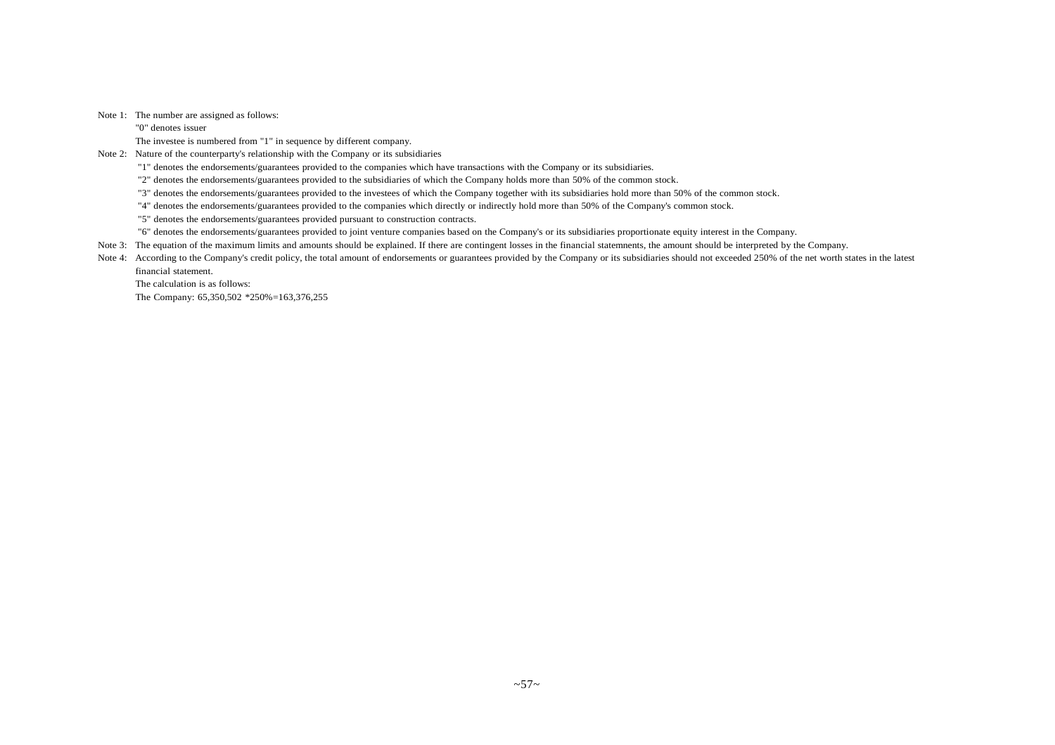#### Note 1: The number are assigned as follows:

"0" denotes issuer

The investee is numbered from "1" in sequence by different company.

Note 2: Nature of the counterparty's relationship with the Company or its subsidiaries

"1" denotes the endorsements/guarantees provided to the companies which have transactions with the Company or its subsidiaries.

"2" denotes the endorsements/guarantees provided to the subsidiaries of which the Company holds more than 50% of the common stock.

"3" denotes the endorsements/guarantees provided to the investees of which the Company together with its subsidiaries hold more than 50% of the common stock.

"4" denotes the endorsements/guarantees provided to the companies which directly or indirectly hold more than 50% of the Company's common stock.

"5" denotes the endorsements/guarantees provided pursuant to construction contracts.

"6" denotes the endorsements/guarantees provided to joint venture companies based on the Company's or its subsidiaries proportionate equity interest in the Company.

Note 3: The equation of the maximum limits and amounts should be explained. If there are contingent losses in the financial statemnents, the amount should be interpreted by the Company.

Note 4: According to the Company's credit policy, the total amount of endorsements or guarantees provided by the Company or its subsidiaries should not exceeded 250% of the net worth states in the latest financial statement.

The calculation is as follows:

The Company: 65,350,502 \*250%=163,376,255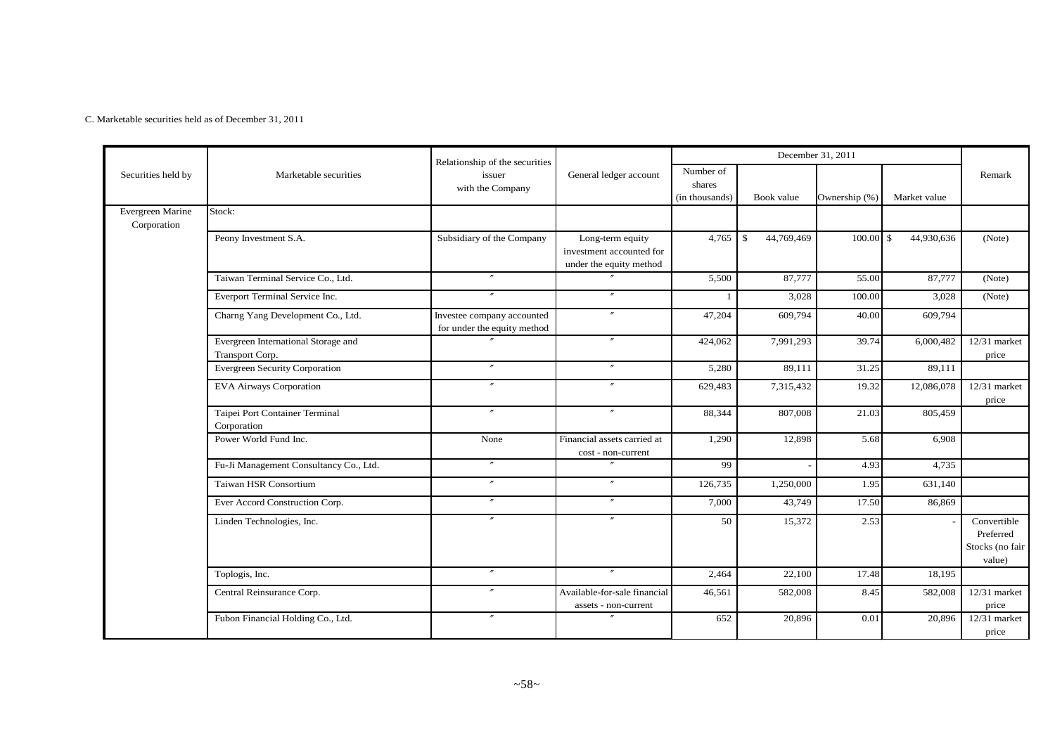C. Marketable securities held as of December 31, 2011

|                                 |                                                        | Relationship of the securities                            |                                                                         |                                       | December 31, 2011                |               |                            |                                                       |
|---------------------------------|--------------------------------------------------------|-----------------------------------------------------------|-------------------------------------------------------------------------|---------------------------------------|----------------------------------|---------------|----------------------------|-------------------------------------------------------|
| Securities held by              | Marketable securities                                  | issuer<br>with the Company                                | General ledger account                                                  | Number of<br>shares<br>(in thousands) | Book value                       | Ownership (%) | Market value               | Remark                                                |
| Evergreen Marine<br>Corporation | Stock:                                                 |                                                           |                                                                         |                                       |                                  |               |                            |                                                       |
|                                 | Peony Investment S.A.                                  | Subsidiary of the Company                                 | Long-term equity<br>investment accounted for<br>under the equity method | 4,765                                 | $\mathbf{\hat{S}}$<br>44,769,469 | 100.00        | $\mathbb{S}$<br>44,930,636 | (Note)                                                |
|                                 | Taiwan Terminal Service Co., Ltd.                      | $^{\prime\prime}$                                         | $\prime\prime$                                                          | 5,500                                 | 87,777                           | 55.00         | 87,777                     | (Note)                                                |
|                                 | Everport Terminal Service Inc.                         |                                                           | $\prime\prime$                                                          |                                       | 3,028                            | 100.00        | 3,028                      | (Note)                                                |
|                                 | Charng Yang Development Co., Ltd.                      | Investee company accounted<br>for under the equity method | $^{\prime\prime}$                                                       | 47,204                                | 609,794                          | 40.00         | 609,794                    |                                                       |
|                                 | Evergreen International Storage and<br>Transport Corp. | $\overline{''}$                                           | $\prime\prime$                                                          | 424,062                               | 7,991,293                        | 39.74         | 6,000,482                  | $12/31$ market<br>price                               |
|                                 | <b>Evergreen Security Corporation</b>                  | $^{\prime\prime}$                                         | $^{\prime\prime}$                                                       | 5,280                                 | 89,111                           | 31.25         | 89,111                     |                                                       |
|                                 | <b>EVA Airways Corporation</b>                         | $\overline{''}$                                           | $\theta$                                                                | 629,483                               | 7,315,432                        | 19.32         | 12,086,078                 | $12/31$ market<br>price                               |
|                                 | Taipei Port Container Terminal<br>Corporation          | $^{\prime\prime}$                                         | $^{\prime\prime}$                                                       | 88,344                                | 807,008                          | 21.03         | 805,459                    |                                                       |
|                                 | Power World Fund Inc.                                  | None                                                      | Financial assets carried at<br>cost - non-current                       | 1,290                                 | 12,898                           | 5.68          | 6,908                      |                                                       |
|                                 | Fu-Ji Management Consultancy Co., Ltd.                 | $^{\prime\prime}$                                         | $\theta$                                                                | 99                                    |                                  | 4.93          | 4,735                      |                                                       |
|                                 | Taiwan HSR Consortium                                  |                                                           | $^{\prime\prime}$                                                       | 126,735                               | 1,250,000                        | 1.95          | 631,140                    |                                                       |
|                                 | Ever Accord Construction Corp.                         | $^{\prime\prime}$                                         | $^{\prime\prime}$                                                       | 7,000                                 | 43,749                           | 17.50         | 86,869                     |                                                       |
|                                 | Linden Technologies, Inc.                              | $^{\prime\prime}$                                         | $\overline{''}$                                                         | 50                                    | 15,372                           | 2.53          |                            | Convertible<br>Preferred<br>Stocks (no fair<br>value) |
|                                 | Toplogis, Inc.                                         | $\prime\prime$                                            | $\prime\prime$                                                          | 2,464                                 | 22,100                           | 17.48         | 18,195                     |                                                       |
|                                 | Central Reinsurance Corp.                              |                                                           | Available-for-sale financial<br>assets - non-current                    | 46,561                                | 582,008                          | 8.45          | 582,008                    | 12/31 market<br>price                                 |
|                                 | Fubon Financial Holding Co., Ltd.                      | $^{\prime\prime}$                                         | $\prime\prime$                                                          | 652                                   | 20,896                           | 0.01          | 20,896                     | 12/31 market<br>price                                 |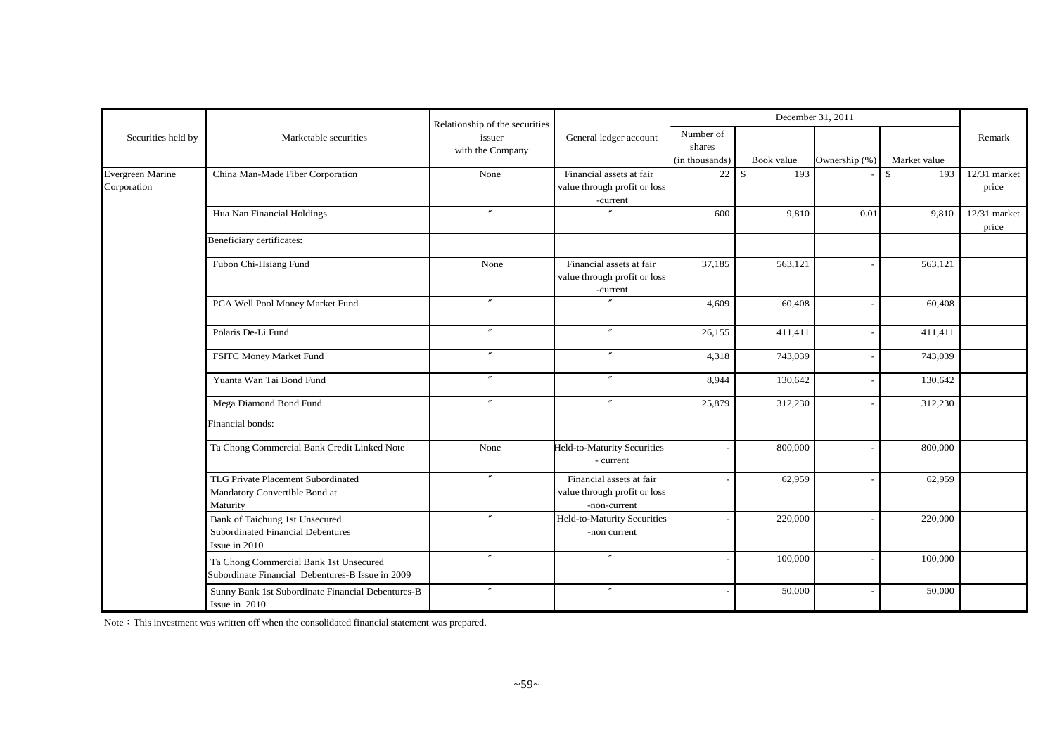|                    |                                                                                            | Relationship of the securities |                                                                          | December 31, 2011                     |                      |               |              |                         |
|--------------------|--------------------------------------------------------------------------------------------|--------------------------------|--------------------------------------------------------------------------|---------------------------------------|----------------------|---------------|--------------|-------------------------|
| Securities held by | Marketable securities                                                                      | issuer<br>with the Company     | General ledger account                                                   | Number of<br>shares<br>(in thousands) | Book value           | Ownership (%) | Market value | Remark                  |
| Evergreen Marine   | China Man-Made Fiber Corporation                                                           | None                           | Financial assets at fair                                                 | 22                                    | 193<br>$\mathcal{S}$ |               | 193<br>\$    | 12/31 market            |
| Corporation        |                                                                                            |                                | value through profit or loss<br>-current                                 |                                       |                      |               |              | price                   |
|                    | Hua Nan Financial Holdings                                                                 | $^{\prime\prime}$              | $\overline{''}$                                                          | 600                                   | 9,810                | 0.01          | 9,810        | $12/31$ market<br>price |
|                    | Beneficiary certificates:                                                                  |                                |                                                                          |                                       |                      |               |              |                         |
|                    | Fubon Chi-Hsiang Fund                                                                      | None                           | Financial assets at fair<br>value through profit or loss<br>-current     | 37,185                                | 563,121              |               | 563,121      |                         |
|                    | PCA Well Pool Money Market Fund                                                            | $^{\prime\prime}$              |                                                                          | 4,609                                 | 60,408               |               | 60,408       |                         |
|                    | Polaris De-Li Fund                                                                         | $^{\prime\prime}$              | $^{\prime\prime}$                                                        | 26,155                                | 411,411              |               | 411,411      |                         |
|                    | FSITC Money Market Fund                                                                    | $\overline{''}$                | $\overline{v}$                                                           | 4,318                                 | 743,039              |               | 743,039      |                         |
|                    | Yuanta Wan Tai Bond Fund                                                                   | $^{\prime\prime}$              | $^{\prime\prime}$                                                        | 8,944                                 | 130,642              |               | 130,642      |                         |
|                    | Mega Diamond Bond Fund                                                                     | $^{\prime\prime}$              | $^{\prime\prime}$                                                        | 25,879                                | 312,230              |               | 312,230      |                         |
|                    | Financial bonds:                                                                           |                                |                                                                          |                                       |                      |               |              |                         |
|                    | Ta Chong Commercial Bank Credit Linked Note                                                | None                           | Held-to-Maturity Securities<br>- current                                 |                                       | 800,000              |               | 800,000      |                         |
|                    | TLG Private Placement Subordinated<br>Mandatory Convertible Bond at<br>Maturity            | $\overline{''}$                | Financial assets at fair<br>value through profit or loss<br>-non-current |                                       | 62,959               |               | 62,959       |                         |
|                    | Bank of Taichung 1st Unsecured<br>Subordinated Financial Debentures<br>Issue in 2010       | $^{\prime\prime}$              | Held-to-Maturity Securities<br>-non current                              |                                       | 220,000              |               | 220,000      |                         |
|                    | Ta Chong Commercial Bank 1st Unsecured<br>Subordinate Financial Debentures-B Issue in 2009 | $\overline{''}$                | $\overline{''}$                                                          |                                       | 100,000              |               | 100,000      |                         |
|                    | Sunny Bank 1st Subordinate Financial Debentures-B<br>Issue in 2010                         | $\prime\prime$                 | $^{\prime\prime}$                                                        |                                       | 50,000               |               | 50,000       |                         |

Note: This investment was written off when the consolidated financial statement was prepared.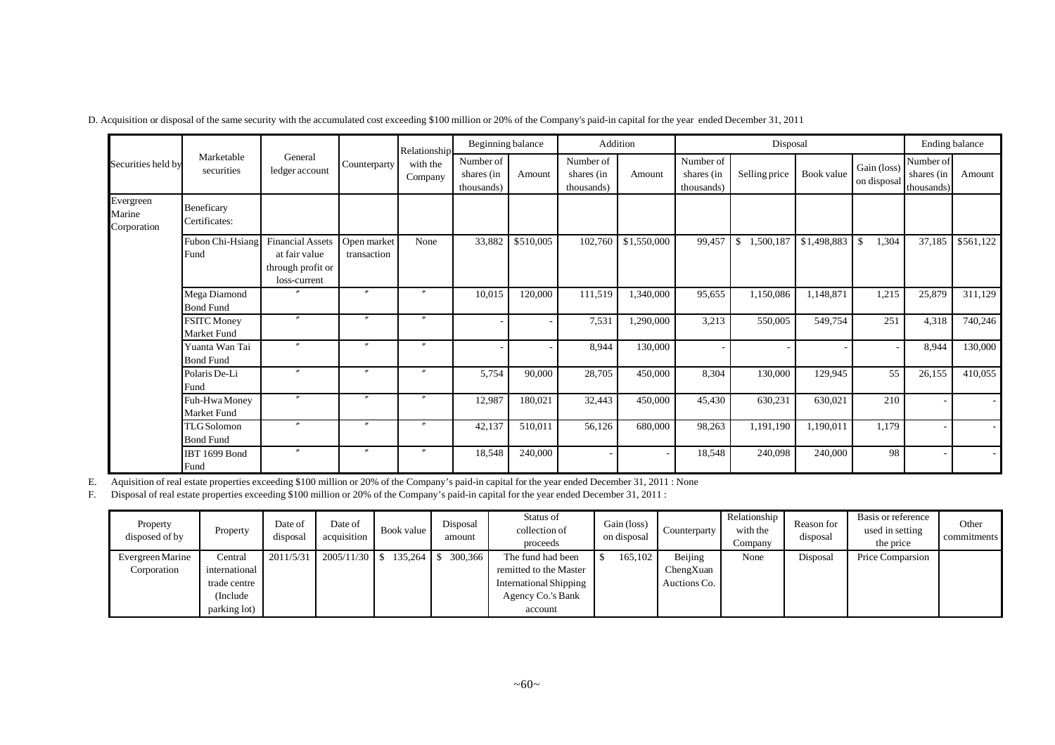|                                    |                                        |                                                                               |                            | Relationship        | Beginning balance                     |           |                                       | Addition    |                                       | Disposal                  |             |                            |                                       | Ending balance |
|------------------------------------|----------------------------------------|-------------------------------------------------------------------------------|----------------------------|---------------------|---------------------------------------|-----------|---------------------------------------|-------------|---------------------------------------|---------------------------|-------------|----------------------------|---------------------------------------|----------------|
| Securities held by                 | Marketable<br>securities               | General<br>ledger account                                                     | Counterparty               | with the<br>Company | Number of<br>shares (in<br>thousands) | Amount    | Number of<br>shares (in<br>thousands) | Amount      | Number of<br>shares (in<br>thousands) | Selling price             | Book value  | Gain (loss)<br>on disposal | Number of<br>shares (in<br>thousands) | Amount         |
| Evergreen<br>Marine<br>Corporation | Beneficary<br>Certificates:            |                                                                               |                            |                     |                                       |           |                                       |             |                                       |                           |             |                            |                                       |                |
|                                    | Fubon Chi-Hsiang<br>Fund               | <b>Financial Assets</b><br>at fair value<br>through profit or<br>loss-current | Open market<br>transaction | None                | 33,882                                | \$510,005 | 102,760                               | \$1,550,000 | 99,457                                | 1,500,187<br>$\mathbb{S}$ | \$1,498,883 | $\mathbb{S}$<br>1,304      | 37,185                                | \$561,122      |
|                                    | Mega Diamond<br><b>Bond Fund</b>       |                                                                               | $\mathbf{v}$               | $\prime\prime$      | 10,015                                | 120,000   | 111,519                               | 1,340,000   | 95,655                                | 1,150,086                 | 1,148,871   | 1,215                      | 25,879                                | 311,129        |
|                                    | <b>FSITC Money</b><br>Market Fund      |                                                                               | $\mathbf{r}$               | $\prime\prime$      |                                       |           | 7,531                                 | 1,290,000   | 3,213                                 | 550,005                   | 549,754     | 251                        | 4,318                                 | 740,246        |
|                                    | Yuanta Wan Tai<br><b>Bond Fund</b>     |                                                                               | $\mathbf{r}$               | $\prime\prime$      |                                       |           | 8,944                                 | 130,000     |                                       |                           |             |                            | 8,944                                 | 130,000        |
|                                    | Polaris De-Li<br>Fund                  | $\boldsymbol{''}$                                                             | $\mathbf{r}$               | $^{\prime\prime}$   | 5,754                                 | 90,000    | 28,705                                | 450,000     | 8,304                                 | 130,000                   | 129,945     | 55                         | 26,155                                | 410,055        |
|                                    | Fuh-Hwa Money<br>Market Fund           |                                                                               | $\overline{v}$             | $\boldsymbol{''}$   | 12,987                                | 180,021   | 32,443                                | 450,000     | 45,430                                | 630,231                   | 630,021     | 210                        |                                       |                |
|                                    | <b>TLG</b> Solomon<br><b>Bond Fund</b> | $\boldsymbol{''}$                                                             | $\overline{v}$             | $\boldsymbol{v}$    | 42,137                                | 510,011   | 56,126                                | 680,000     | 98,263                                | 1,191,190                 | 1,190,011   | 1,179                      |                                       |                |
|                                    | IBT 1699 Bond<br>Fund                  | $\prime$                                                                      | $\prime\prime$             | $\prime\prime$      | 18,548                                | 240,000   |                                       |             | 18.548                                | 240,098                   | 240,000     | 98                         |                                       | $\sim$         |

D. Acquisition or disposal of the same security with the accumulated cost exceeding \$100 million or 20% of the Company's paid-in capital for the year ended December 31, 2011

E. Aquisition of real estate properties exceeding \$100 million or 20% of the Company's paid-in capital for the year ended December 31, 2011 : None

F. Disposal of real estate properties exceeding \$100 million or 20% of the Company's paid-in capital for the year ended December 31, 2011 :

| Property<br>disposed of by | Property      | Date of<br>disposal | Date of<br>acquisition | Book value                     | Disposal<br>amount | Status of<br>collection of<br>proceeds | Gain (loss)<br>on disposal | Counterparty | Relationship<br>with the<br>Company | Reason for<br>disposal | Basis or reference<br>used in setting<br>the price | Other<br>commitments |
|----------------------------|---------------|---------------------|------------------------|--------------------------------|--------------------|----------------------------------------|----------------------------|--------------|-------------------------------------|------------------------|----------------------------------------------------|----------------------|
| Evergreen Marine           | Central       | 2011/5/31           |                        | $2005/11/30$   \$ 135.264   \$ | 300,366            | The fund had been                      | 165,102                    | Beijing      | None                                | Disposal               | Price Comparsion                                   |                      |
| Corporation                | international |                     |                        |                                |                    | remitted to the Master                 |                            | ChengXuan    |                                     |                        |                                                    |                      |
|                            | trade centre  |                     |                        |                                |                    | <b>International Shipping</b>          |                            | Auctions Co. |                                     |                        |                                                    |                      |
|                            | (Include)     |                     |                        |                                |                    | Agency Co.'s Bank                      |                            |              |                                     |                        |                                                    |                      |
|                            | parking lot)  |                     |                        |                                |                    | account                                |                            |              |                                     |                        |                                                    |                      |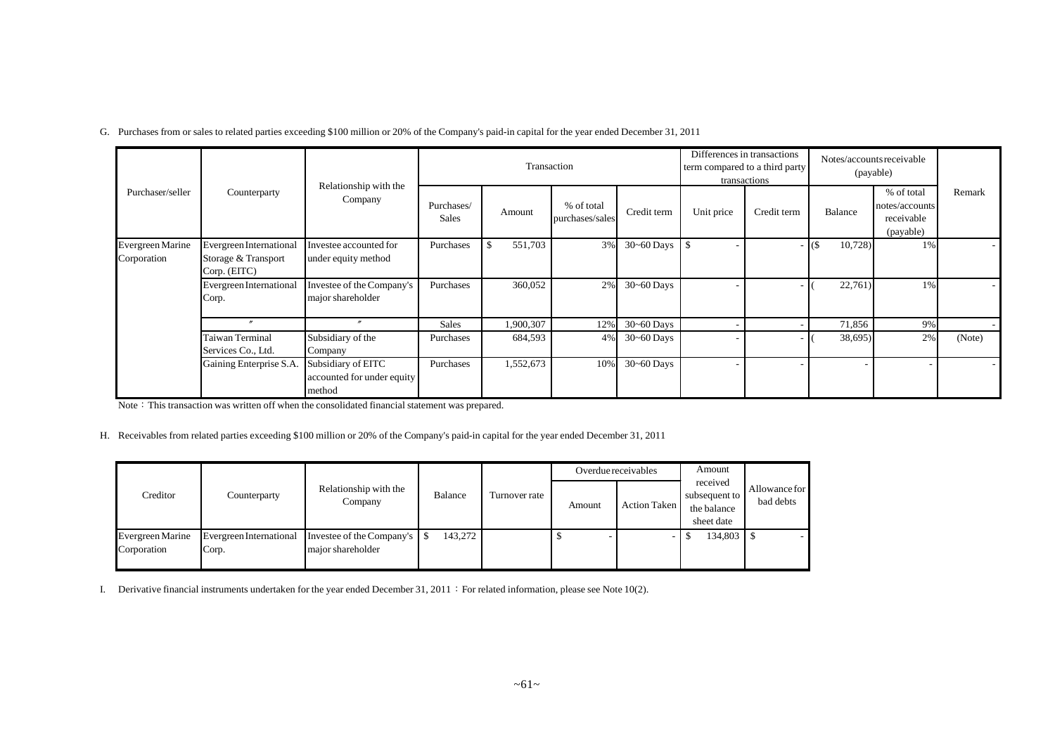G. Purchases from or sales to related parties exceeding \$100 million or 20% of the Company's paid-in capital for the year ended December 31, 2011

|                                 |                                                                |                                                            |                     | Transaction   |                               |                |            | Differences in transactions<br>term compared to a third party<br>transactions |                 | Notes/accounts receivable<br>(payable)                  |        |
|---------------------------------|----------------------------------------------------------------|------------------------------------------------------------|---------------------|---------------|-------------------------------|----------------|------------|-------------------------------------------------------------------------------|-----------------|---------------------------------------------------------|--------|
| Purchaser/seller                | Counterparty                                                   | Relationship with the<br>Company                           | Purchases/<br>Sales | Amount        | % of total<br>purchases/sales | Credit term    | Unit price | Credit term                                                                   | Balance         | % of total<br>notes/accounts<br>receivable<br>(payable) | Remark |
| Evergreen Marine<br>Corporation | Evergreen International<br>Storage & Transport<br>Corp. (EITC) | Investee accounted for<br>under equity method              | Purchases           | 551,703<br>S. | 3%                            | $30 - 60$ Days | <b>S</b>   |                                                                               | 10,728<br>I (\$ | 1%                                                      |        |
|                                 | Evergreen International<br>Corp.                               | Investee of the Company's<br>major shareholder             | Purchases           | 360,052       | 2%                            | $30 - 60$ Days |            |                                                                               | 22,761)         | 1%                                                      |        |
|                                 | $\prime\prime$                                                 | $^{\prime\prime}$                                          | Sales               | 1,900,307     | $12\%$                        | $30 - 60$ Days |            |                                                                               | 71,856          | 9%                                                      |        |
|                                 | <b>Taiwan Terminal</b><br>Services Co., Ltd.                   | Subsidiary of the<br>Company                               | Purchases           | 684,593       | 4%                            | $30 - 60$ Days |            |                                                                               | 38,695)         | 2%                                                      | (Note) |
|                                 | Gaining Enterprise S.A.                                        | Subsidiary of EITC<br>accounted for under equity<br>method | Purchases           | 1,552,673     | 10%                           | $30 - 60$ Days |            |                                                                               |                 |                                                         |        |

Note: This transaction was written off when the consolidated financial statement was prepared.

H. Receivables from related parties exceeding \$100 million or 20% of the Company's paid-in capital for the year ended December 31, 2011

|                                        |                                  |                                                  |                |               |        | Overdue receivables | Amount                                                 |                            |
|----------------------------------------|----------------------------------|--------------------------------------------------|----------------|---------------|--------|---------------------|--------------------------------------------------------|----------------------------|
| Creditor                               | Counterparty                     | Relationship with the<br>Company                 | <b>Balance</b> | Turnover rate | Amount | Action Taken        | received<br>subsequent to<br>the balance<br>sheet date | Allowance for<br>bad debts |
| <b>Evergreen Marine</b><br>Corporation | Evergreen International<br>Corp. | Investee of the Company's S<br>major shareholder | 143.272        |               |        |                     | 134,803 \$                                             |                            |

I. Derivative financial instruments undertaken for the year ended December 31, 2011: For related information, please see Note 10(2).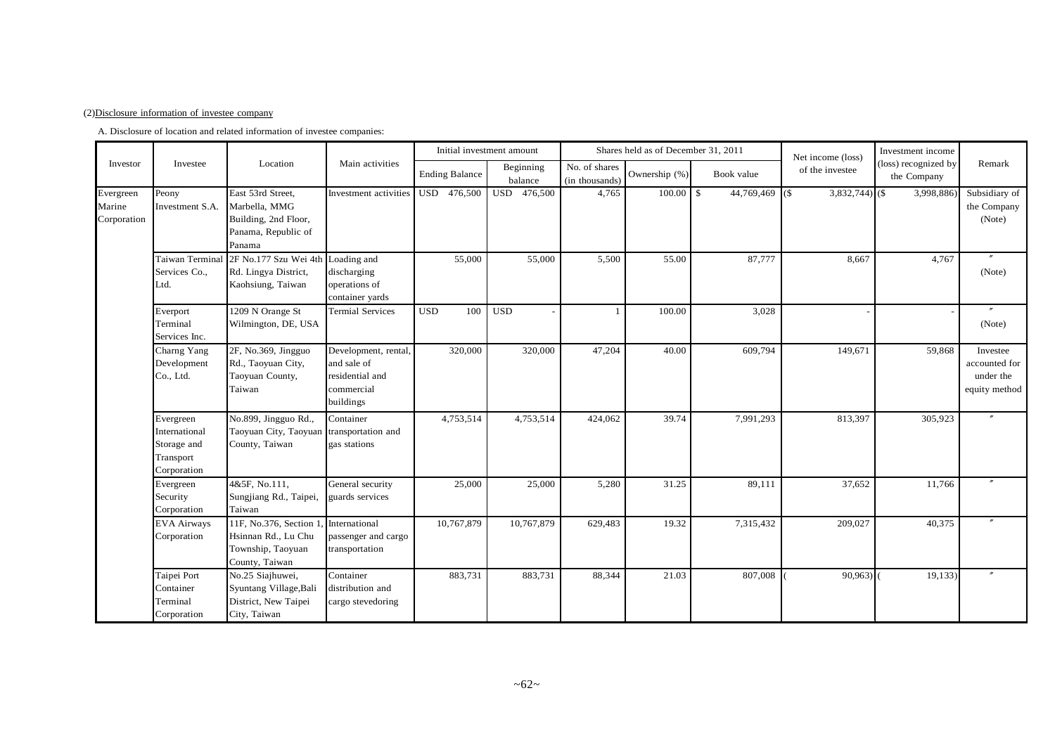#### (2)Disclosure information of investee company

A. Disclosure of location and related information of investee companies:

|                                    |                                                                       |                                                                                             |                                                                                  |                       | Initial investment amount |                                 | Shares held as of December 31, 2011 |                                 | Net income (loss) | Investment income                   |                                                         |
|------------------------------------|-----------------------------------------------------------------------|---------------------------------------------------------------------------------------------|----------------------------------------------------------------------------------|-----------------------|---------------------------|---------------------------------|-------------------------------------|---------------------------------|-------------------|-------------------------------------|---------------------------------------------------------|
| Investor                           | Investee                                                              | Location                                                                                    | Main activities                                                                  | <b>Ending Balance</b> | Beginning<br>balance      | No. of shares<br>(in thousands) | Ownership (%)                       | Book value                      | of the investee   | (loss) recognized by<br>the Company | Remark                                                  |
| Evergreen<br>Marine<br>Corporation | Peony<br>Investment S.A.                                              | East 53rd Street,<br>Marbella, MMG<br>Building, 2nd Floor,<br>Panama, Republic of<br>Panama | Investment activities                                                            | USD 476,500           | USD 476,500               | 4,765                           | 100.00                              | $\mathbf{s}$<br>44,769,469 (\$) | $3,832,744$ (\$)  | 3,998,886                           | Subsidiary of<br>the Company<br>(Note)                  |
|                                    | Taiwan Terminal<br>Services Co.,<br>Ltd.                              | 2F No.177 Szu Wei 4th<br>Rd. Lingya District,<br>Kaohsiung, Taiwan                          | Loading and<br>discharging<br>operations of<br>container yards                   | 55,000                | 55,000                    | 5,500                           | 55.00                               | 87,777                          | 8,667             | 4,767                               | (Note)                                                  |
|                                    | Everport<br>Terminal<br>Services Inc.                                 | 1209 N Orange St<br>Wilmington, DE, USA                                                     | <b>Termial Services</b>                                                          | <b>USD</b><br>100     | <b>USD</b>                | -1                              | 100.00                              | 3,028                           |                   |                                     | $\theta$<br>(Note)                                      |
|                                    | Charng Yang<br>Development<br>Co., Ltd.                               | 2F, No.369, Jingguo<br>Rd., Taoyuan City,<br>Taoyuan County,<br>Taiwan                      | Development, rental<br>and sale of<br>residential and<br>commercial<br>buildings | 320,000               | 320,000                   | 47,204                          | 40.00                               | 609,794                         | 149,671           | 59,868                              | Investee<br>accounted for<br>under the<br>equity method |
|                                    | Evergreen<br>International<br>Storage and<br>Transport<br>Corporation | No.899, Jingguo Rd.,<br>Taoyuan City, Taoyuan<br>County, Taiwan                             | Container<br>transportation and<br>gas stations                                  | 4,753,514             | 4,753,514                 | 424,062                         | 39.74                               | 7,991,293                       | 813,397           | 305,923                             |                                                         |
|                                    | Evergreen<br>Security<br>Corporation                                  | 4&5F, No.111,<br>Sungjiang Rd., Taipei,<br>Taiwan                                           | General security<br>guards services                                              | 25,000                | 25,000                    | 5,280                           | 31.25                               | 89,111                          | 37,652            | 11,766                              |                                                         |
|                                    | <b>EVA Airways</b><br>Corporation                                     | 11F, No.376, Section 1<br>Hsinnan Rd., Lu Chu<br>Township, Taoyuan<br>County, Taiwan        | International<br>passenger and cargo<br>transportation                           | 10,767,879            | 10,767,879                | 629,483                         | 19.32                               | 7,315,432                       | 209,027           | 40,375                              |                                                         |
|                                    | Taipei Port<br>Container<br>Terminal<br>Corporation                   | No.25 Siajhuwei,<br>Syuntang Village, Bali<br>District, New Taipei<br>City, Taiwan          | Container<br>distribution and<br>cargo stevedoring                               | 883,731               | 883,731                   | 88,344                          | 21.03                               | 807,008                         | 90,963            | 19, 133)                            |                                                         |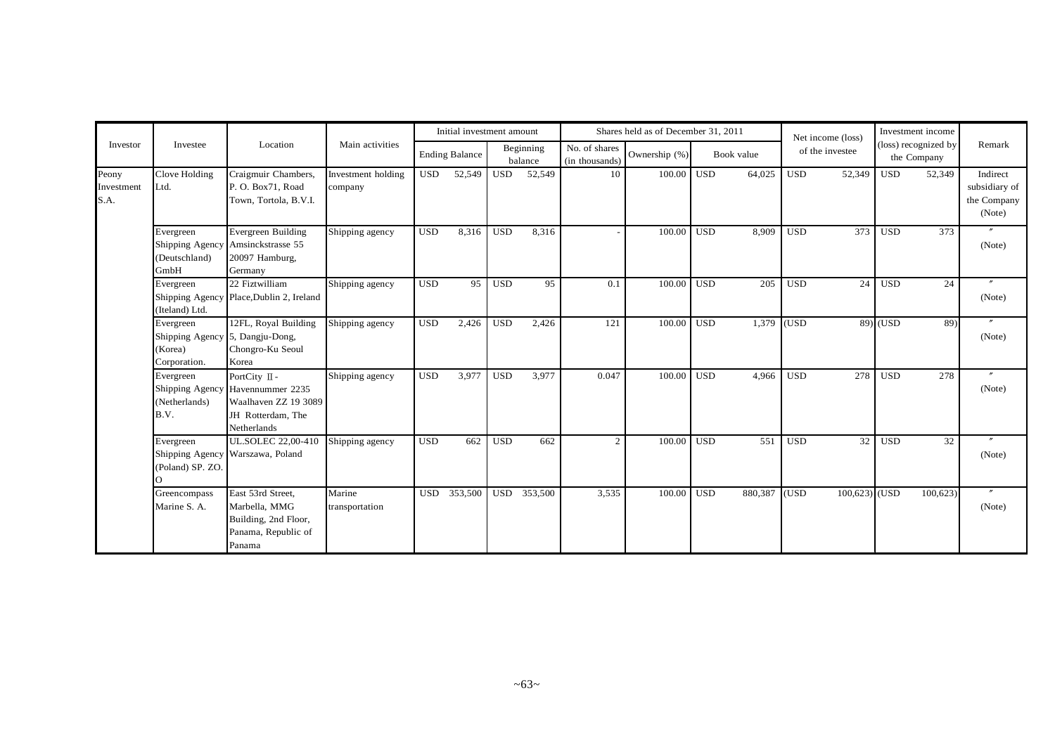|                             |                                                                         |                                                                                                               |                               |            | Initial investment amount |            |                      |                                 | Shares held as of December 31, 2011 |            |            |            | Net income (loss) |            | Investment income                   |                                                    |
|-----------------------------|-------------------------------------------------------------------------|---------------------------------------------------------------------------------------------------------------|-------------------------------|------------|---------------------------|------------|----------------------|---------------------------------|-------------------------------------|------------|------------|------------|-------------------|------------|-------------------------------------|----------------------------------------------------|
| Investor                    | Investee                                                                | Location                                                                                                      | Main activities               |            | <b>Ending Balance</b>     |            | Beginning<br>balance | No. of shares<br>(in thousands) | Ownership (%)                       |            | Book value |            | of the investee   |            | (loss) recognized by<br>the Company | Remark                                             |
| Peony<br>Investment<br>S.A. | Clove Holding<br>Ltd.                                                   | Craigmuir Chambers,<br>P. O. Box71, Road<br>Town, Tortola, B.V.I.                                             | Investment holding<br>company | <b>USD</b> | 52,549                    | <b>USD</b> | 52,549               | 10                              | $100.00$ USD                        |            | 64,025     | <b>USD</b> | 52,349            | <b>USD</b> | 52,349                              | Indirect<br>subsidiary of<br>the Company<br>(Note) |
|                             | Evergreen<br>(Deutschland)<br>GmbH                                      | Evergreen Building<br>Shipping Agency Amsinckstrasse 55<br>20097 Hamburg,<br>Germany                          | Shipping agency               | <b>USD</b> | 8,316                     | <b>USD</b> | 8,316                |                                 | 100.00                              | <b>USD</b> | 8,909      | <b>USD</b> | 373               | <b>USD</b> | 373                                 | (Note)                                             |
|                             | Evergreen<br>(Iteland) Ltd.                                             | 22 Fiztwilliam<br>Shipping Agency Place, Dublin 2, Ireland                                                    | Shipping agency               | <b>USD</b> | 95                        | <b>USD</b> | 95                   | 0.1                             | 100.00                              | <b>USD</b> | 205        | <b>USD</b> | 24                | <b>USD</b> | 24                                  | (Note)                                             |
|                             | Evergreen<br>Shipping Agency 5, Dangju-Dong,<br>(Korea)<br>Corporation. | 12FL, Royal Building<br>Chongro-Ku Seoul<br>Korea                                                             | Shipping agency               | <b>USD</b> | 2,426                     | <b>USD</b> | 2,426                | 121                             | 100.00                              | <b>USD</b> | 1,379      | (USD)      |                   | $89)$ (USD | 89)                                 | $\prime\prime$<br>(Note)                           |
|                             | Evergreen<br>(Netherlands)<br>B.V.                                      | PortCity II -<br>Shipping Agency Havennummer 2235<br>Waalhaven ZZ 19 3089<br>JH Rotterdam, The<br>Netherlands | Shipping agency               | <b>USD</b> | 3,977                     | <b>USD</b> | 3,977                | 0.047                           | 100.00                              | <b>USD</b> | 4.966      | <b>USD</b> | 278               | <b>USD</b> | 278                                 | (Note)                                             |
|                             | Evergreen<br>(Poland) SP. ZO.<br>∩                                      | <b>UL.SOLEC 22,00-410</b><br>Shipping Agency Warszawa, Poland                                                 | Shipping agency               | <b>USD</b> | 662                       | <b>USD</b> | 662                  | $\mathcal{D}$                   | 100.00                              | <b>USD</b> | 551        | <b>USD</b> | 32                | <b>USD</b> | 32                                  | (Note)                                             |
|                             | Greencompass<br>Marine S. A.                                            | East 53rd Street.<br>Marbella, MMG<br>Building, 2nd Floor,<br>Panama, Republic of<br>Panama                   | Marine<br>transportation      | <b>USD</b> | 353,500                   | <b>USD</b> | 353,500              | 3,535                           | 100.00                              | <b>USD</b> | 880,387    | (USD)      | $100,623$ (USD    |            | 100,623                             | $^{\prime\prime}$<br>(Note)                        |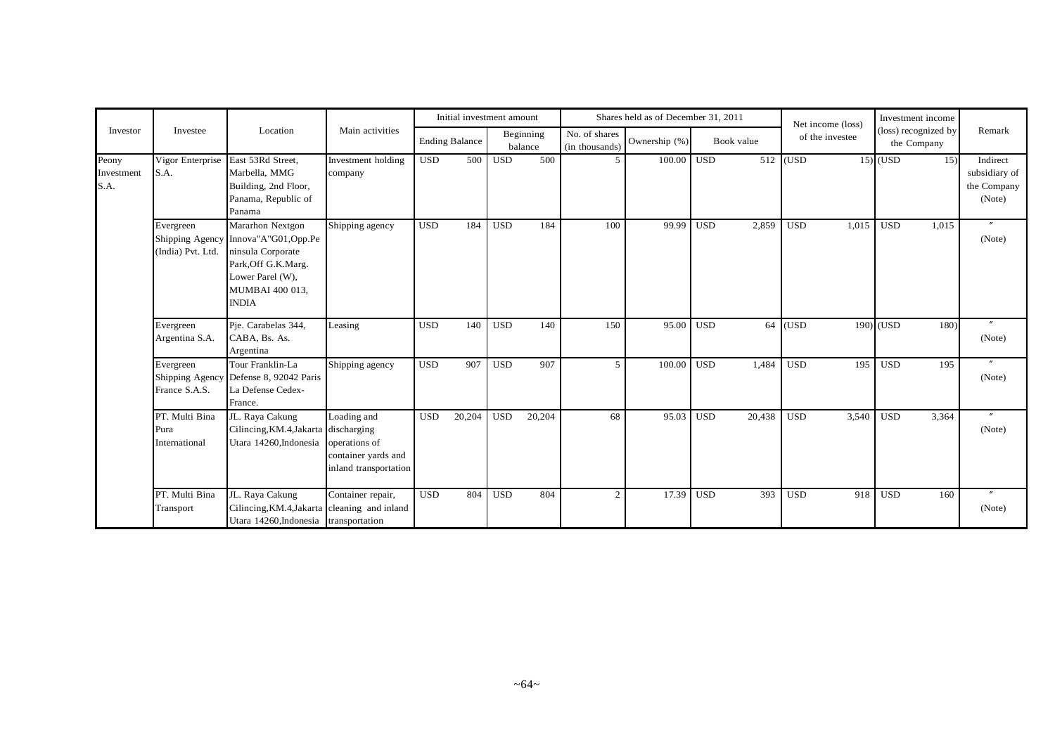|                             |                                                   |                                                                                                                                             |                                                                              |            | Initial investment amount |            |                      |                                 | Shares held as of December 31, 2011 |            |            |            | Net income (loss) |            | Investment income                   |                                                    |
|-----------------------------|---------------------------------------------------|---------------------------------------------------------------------------------------------------------------------------------------------|------------------------------------------------------------------------------|------------|---------------------------|------------|----------------------|---------------------------------|-------------------------------------|------------|------------|------------|-------------------|------------|-------------------------------------|----------------------------------------------------|
| Investor                    | Investee                                          | Location                                                                                                                                    | Main activities                                                              |            | <b>Ending Balance</b>     |            | Beginning<br>balance | No. of shares<br>(in thousands) | Ownership (%)                       |            | Book value |            | of the investee   |            | (loss) recognized by<br>the Company | Remark                                             |
| Peony<br>Investment<br>S.A. | Vigor Enterprise<br>S.A.                          | East 53Rd Street,<br>Marbella, MMG<br>Building, 2nd Floor,<br>Panama, Republic of<br>Panama                                                 | Investment holding<br>company                                                | <b>USD</b> | 500                       | <b>USD</b> | 500                  | $\overline{5}$                  | 100.00                              | <b>USD</b> | 512        | (USD)      |                   | $15)$ (USD | 15)                                 | Indirect<br>subsidiary of<br>the Company<br>(Note) |
|                             | Evergreen<br>Shipping Agency<br>(India) Pvt. Ltd. | Mararhon Nextgon<br>Innova"A"G01, Opp.Pe<br>ninsula Corporate<br>Park, Off G.K.Marg.<br>Lower Parel (W),<br>MUMBAI 400 013,<br><b>INDIA</b> | Shipping agency                                                              | <b>USD</b> | 184                       | <b>USD</b> | 184                  | 100                             | 99.99                               | <b>USD</b> | 2,859      | <b>USD</b> | 1,015             | <b>USD</b> | 1,015                               | $\prime\prime$<br>(Note)                           |
|                             | Evergreen<br>Argentina S.A.                       | Pje. Carabelas 344,<br>CABA, Bs. As.<br>Argentina                                                                                           | Leasing                                                                      | <b>USD</b> | 140                       | <b>USD</b> | 140                  | 150                             | 95.00                               | <b>USD</b> | 64         | (USD)      |                   | 190) (USD  | 180)                                | $^{\prime\prime}$<br>(Note)                        |
|                             | Evergreen<br>France S.A.S.                        | Tour Franklin-La<br>Shipping Agency Defense 8, 92042 Paris<br>La Defense Cedex-<br>France.                                                  | Shipping agency                                                              | <b>USD</b> | 907                       | <b>USD</b> | 907                  | $\mathfrak{F}$                  | 100.00                              | <b>USD</b> | 1.484      | <b>USD</b> | 195               | <b>USD</b> | 195                                 | (Note)                                             |
|                             | PT. Multi Bina<br>Pura<br>International           | JL. Raya Cakung<br>Cilincing, KM.4, Jakarta discharging<br>Utara 14260. Indonesia                                                           | Loading and<br>operations of<br>container yards and<br>inland transportation | <b>USD</b> | 20,204                    | <b>USD</b> | 20,204               | 68                              | 95.03                               | <b>USD</b> | 20,438     | <b>USD</b> | 3,540             | <b>USD</b> | 3,364                               | $^{\prime\prime}$<br>(Note)                        |
|                             | PT. Multi Bina<br>Transport                       | JL. Raya Cakung<br>Cilincing, KM.4, Jakarta cleaning and inland<br>Utara 14260, Indonesia transportation                                    | Container repair,                                                            | <b>USD</b> | 804                       | <b>USD</b> | 804                  | 2                               | 17.39                               | <b>USD</b> | 393        | <b>USD</b> | 918               | <b>USD</b> | 160                                 | $\prime\prime$<br>(Note)                           |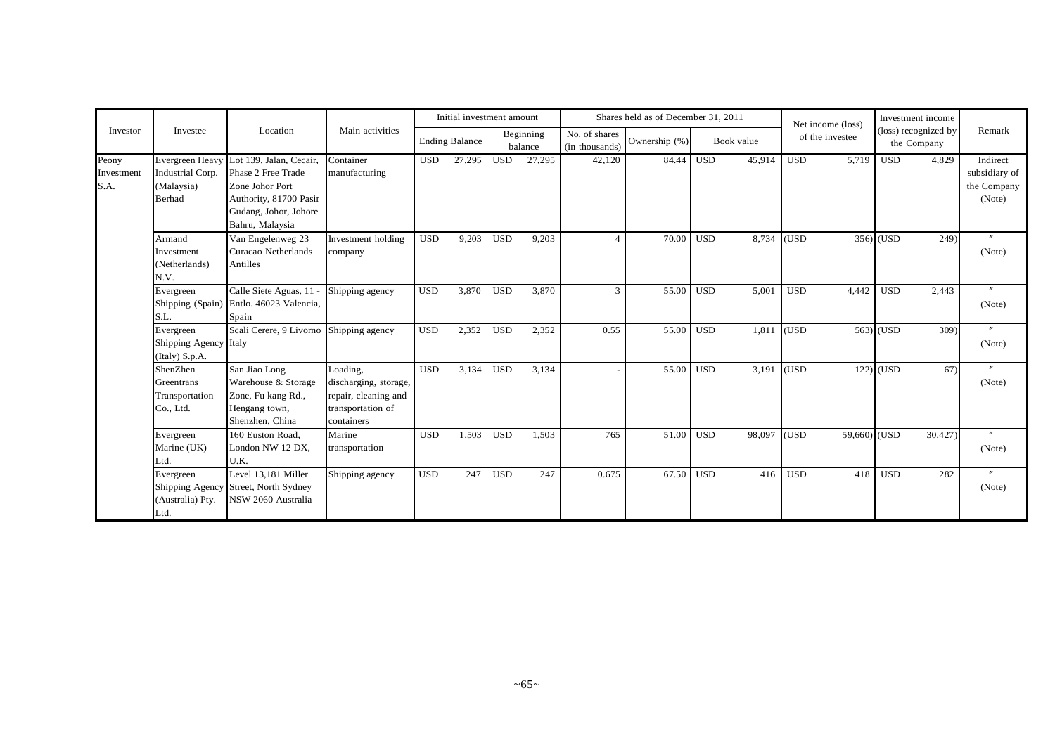|                             |                                                                    |                                                                                                                                        |                                                                                              |            | Initial investment amount |            |                      |                                 | Shares held as of December 31, 2011 |            |            |            | Net income (loss) |             | Investment income                   |                                                    |
|-----------------------------|--------------------------------------------------------------------|----------------------------------------------------------------------------------------------------------------------------------------|----------------------------------------------------------------------------------------------|------------|---------------------------|------------|----------------------|---------------------------------|-------------------------------------|------------|------------|------------|-------------------|-------------|-------------------------------------|----------------------------------------------------|
| Investor                    | Investee                                                           | Location                                                                                                                               | Main activities                                                                              |            | <b>Ending Balance</b>     |            | Beginning<br>balance | No. of shares<br>(in thousands) | Ownership (%)                       |            | Book value |            | of the investee   |             | (loss) recognized by<br>the Company | Remark                                             |
| Peony<br>Investment<br>S.A. | <b>Evergreen Heavy</b><br>Industrial Corp.<br>(Malaysia)<br>Berhad | Lot 139, Jalan, Cecair,<br>Phase 2 Free Trade<br>Zone Johor Port<br>Authority, 81700 Pasir<br>Gudang, Johor, Johore<br>Bahru, Malaysia | Container<br>manufacturing                                                                   | <b>USD</b> | 27,295                    | <b>USD</b> | 27,295               | 42,120                          | 84.44                               | <b>USD</b> | 45,914     | <b>USD</b> | 5.719             | <b>USD</b>  | 4,829                               | Indirect<br>subsidiary of<br>the Company<br>(Note) |
|                             | Armand<br>Investment<br>(Netherlands)<br>N.V.                      | Van Engelenweg 23<br>Curacao Netherlands<br>Antilles                                                                                   | Investment holding<br>company                                                                | <b>USD</b> | 9,203                     | <b>USD</b> | 9,203                |                                 | 70.00                               | <b>USD</b> | 8.734      | (USD)      |                   | 356) (USD   | 249)                                | (Note)                                             |
|                             | Evergreen<br>Shipping (Spain)<br>S.L.                              | Calle Siete Aguas, 11 -<br>Entlo. 46023 Valencia,<br>Spain                                                                             | Shipping agency                                                                              | <b>USD</b> | 3,870                     | <b>USD</b> | 3,870                | 3                               | 55.00                               | <b>USD</b> | 5,001      | <b>USD</b> | 4,442             | <b>USD</b>  | 2,443                               | $\boldsymbol{''}$<br>(Note)                        |
|                             | Evergreen<br>Shipping Agency Italy<br>(Italy) S.p.A.               | Scali Cerere, 9 Livorno                                                                                                                | Shipping agency                                                                              | <b>USD</b> | 2,352                     | <b>USD</b> | 2,352                | 0.55                            | 55.00                               | <b>USD</b> | 1,811      | (USD)      |                   | 563) (USD   | 309)                                | $^{\prime\prime}$<br>(Note)                        |
|                             | ShenZhen<br>Greentrans<br>Transportation<br>Co., Ltd.              | San Jiao Long<br>Warehouse & Storage<br>Zone, Fu kang Rd.,<br>Hengang town,<br>Shenzhen, China                                         | Loading,<br>discharging, storage,<br>repair, cleaning and<br>transportation of<br>containers | <b>USD</b> | 3,134                     | <b>USD</b> | 3,134                |                                 | 55.00                               | <b>USD</b> | 3,191      | (USD)      |                   | $122)$ (USD | 67)                                 | (Note)                                             |
|                             | Evergreen<br>Marine (UK)<br>Ltd.                                   | 160 Euston Road.<br>London NW 12 DX,<br>U.K.                                                                                           | Marine<br>transportation                                                                     | <b>USD</b> | 1,503                     | <b>USD</b> | 1,503                | 765                             | 51.00                               | <b>USD</b> | 98,097     | (USD)      | 59,660)           | (USD)       | 30,427)                             | (Note)                                             |
|                             | Evergreen<br>(Australia) Pty.<br>Ltd.                              | Level 13,181 Miller<br>Shipping Agency Street, North Sydney<br>NSW 2060 Australia                                                      | Shipping agency                                                                              | <b>USD</b> | 247                       | <b>USD</b> | 247                  | 0.675                           | 67.50                               | <b>USD</b> | 416        | <b>USD</b> | 418               | <b>USD</b>  | 282                                 | $\prime\prime$<br>(Note)                           |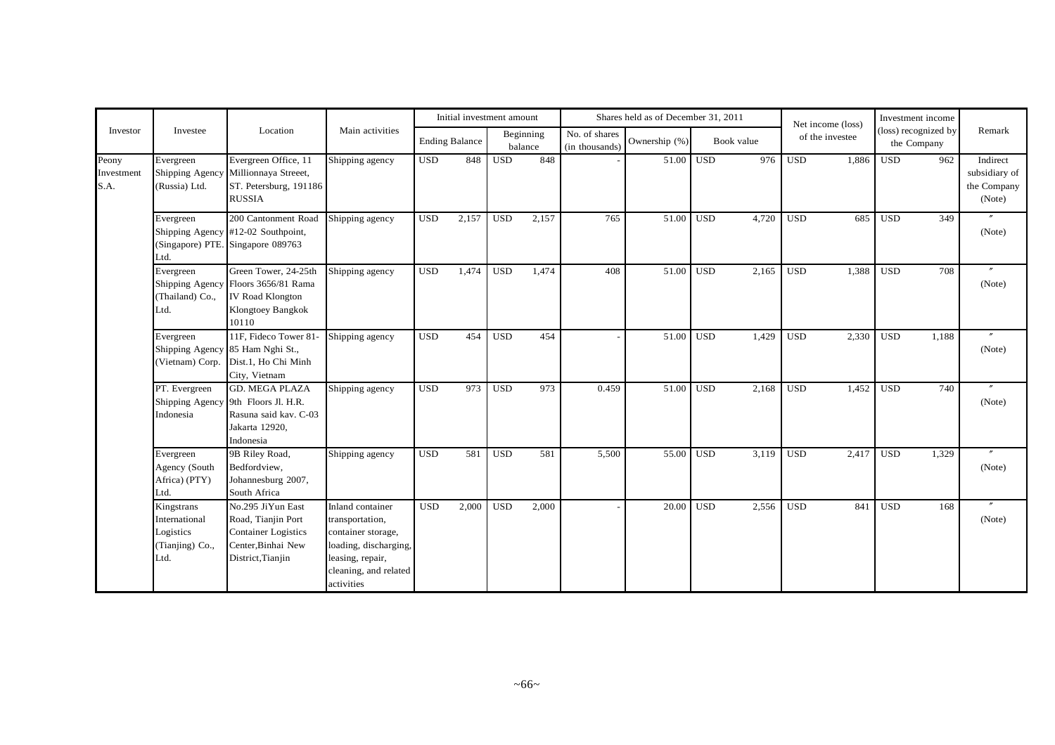|                             |                                                                     |                                                                                                                 |                                                                                                                                               |            | Initial investment amount |            |                      |                                 | Shares held as of December 31, 2011 |            |            |            | Net income (loss) |            | Investment income                   |                                                    |
|-----------------------------|---------------------------------------------------------------------|-----------------------------------------------------------------------------------------------------------------|-----------------------------------------------------------------------------------------------------------------------------------------------|------------|---------------------------|------------|----------------------|---------------------------------|-------------------------------------|------------|------------|------------|-------------------|------------|-------------------------------------|----------------------------------------------------|
| Investor                    | Investee                                                            | Location                                                                                                        | Main activities                                                                                                                               |            | <b>Ending Balance</b>     |            | Beginning<br>balance | No. of shares<br>(in thousands) | Ownership (%)                       |            | Book value |            | of the investee   |            | (loss) recognized by<br>the Company | Remark                                             |
| Peony<br>Investment<br>S.A. | Evergreen<br>Shipping Agency<br>(Russia) Ltd.                       | Evergreen Office, 11<br>Millionnaya Streeet,<br>ST. Petersburg, 191186<br><b>RUSSIA</b>                         | Shipping agency                                                                                                                               | <b>USD</b> | 848                       | <b>USD</b> | 848                  |                                 |                                     | 51.00 USD  | 976        | <b>USD</b> | 1,886             | <b>USD</b> | 962                                 | Indirect<br>subsidiary of<br>the Company<br>(Note) |
|                             | Evergreen<br>Ltd.                                                   | 200 Cantonment Road<br>Shipping Agency #12-02 Southpoint,<br>(Singapore) PTE. Singapore 089763                  | Shipping agency                                                                                                                               | <b>USD</b> | 2,157                     | <b>USD</b> | 2,157                | 765                             | 51.00 USD                           |            | 4,720      | <b>USD</b> | 685               | <b>USD</b> | 349                                 | (Note)                                             |
|                             | Evergreen<br>Shipping Agency<br>(Thailand) Co.,<br>Ltd.             | Green Tower, 24-25th<br>Floors 3656/81 Rama<br><b>IV Road Klongton</b><br>Klongtoey Bangkok<br>10110            | Shipping agency                                                                                                                               | <b>USD</b> | 1,474                     | <b>USD</b> | 1,474                | 408                             | 51.00                               | <b>USD</b> | 2,165      | <b>USD</b> | 1,388             | <b>USD</b> | 708                                 | $^{\prime\prime}$<br>(Note)                        |
|                             | Evergreen<br>(Vietnam) Corp.                                        | 11F, Fideco Tower 81-<br>Shipping Agency 85 Ham Nghi St.,<br>Dist.1, Ho Chi Minh<br>City, Vietnam               | Shipping agency                                                                                                                               | <b>USD</b> | 454                       | <b>USD</b> | 454                  |                                 | 51.00                               | <b>USD</b> | 1,429      | <b>USD</b> | 2,330             | <b>USD</b> | 1,188                               | (Note)                                             |
|                             | PT. Evergreen<br>Shipping Agency<br>Indonesia                       | <b>GD. MEGA PLAZA</b><br>9th Floors Jl. H.R.<br>Rasuna said kav. C-03<br>Jakarta 12920,<br>Indonesia            | Shipping agency                                                                                                                               | <b>USD</b> | 973                       | <b>USD</b> | 973                  | 0.459                           | 51.00                               | <b>USD</b> | 2,168      | <b>USD</b> | 1,452             | <b>USD</b> | 740                                 | (Note)                                             |
|                             | Evergreen<br>Agency (South<br>Africa) (PTY)<br>Ltd.                 | 9B Riley Road,<br>Bedfordview,<br>Johannesburg 2007,<br>South Africa                                            | Shipping agency                                                                                                                               | <b>USD</b> | 581                       | <b>USD</b> | 581                  | 5,500                           | 55.00                               | <b>USD</b> | 3,119      | <b>USD</b> | 2,417             | <b>USD</b> | 1,329                               | (Note)                                             |
|                             | Kingstrans<br>International<br>Logistics<br>(Tianjing) Co.,<br>Ltd. | No.295 JiYun East<br>Road, Tianjin Port<br><b>Container Logistics</b><br>Center.Binhai New<br>District, Tianjin | Inland container<br>transportation,<br>container storage,<br>loading, discharging,<br>leasing, repair,<br>cleaning, and related<br>activities | <b>USD</b> | 2,000                     | <b>USD</b> | 2,000                |                                 | 20.00                               | <b>USD</b> | 2,556      | <b>USD</b> | 841               | <b>USD</b> | 168                                 | (Note)                                             |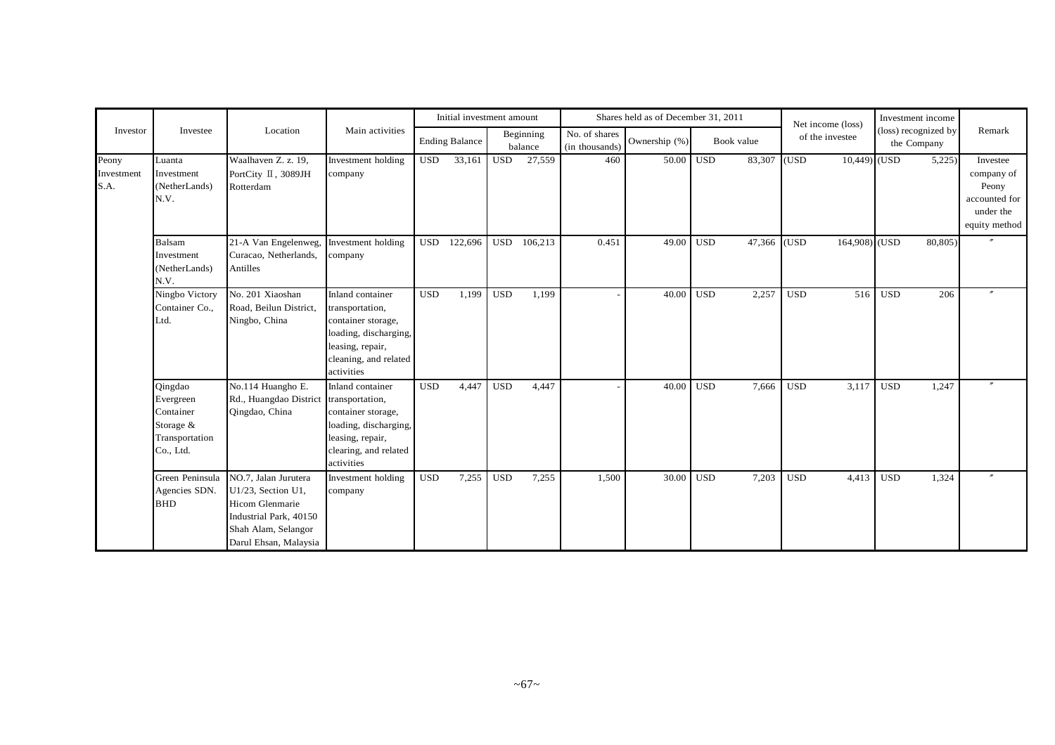|                             |                                                                               |                                                                                                                                         |                                                                                                                                               |            | Initial investment amount |              |                      |                                 | Shares held as of December 31, 2011 |            |            |            | Net income (loss) |            | Investment income                   |                                                                                |
|-----------------------------|-------------------------------------------------------------------------------|-----------------------------------------------------------------------------------------------------------------------------------------|-----------------------------------------------------------------------------------------------------------------------------------------------|------------|---------------------------|--------------|----------------------|---------------------------------|-------------------------------------|------------|------------|------------|-------------------|------------|-------------------------------------|--------------------------------------------------------------------------------|
| Investor                    | Investee                                                                      | Location                                                                                                                                | Main activities                                                                                                                               |            | <b>Ending Balance</b>     |              | Beginning<br>balance | No. of shares<br>(in thousands) | Ownership (%)                       |            | Book value |            | of the investee   |            | (loss) recognized by<br>the Company | Remark                                                                         |
| Peony<br>Investment<br>S.A. | Luanta<br>Investment<br>(NetherLands)<br>N.V.                                 | Waalhaven Z. z. 19,<br>PortCity II, 3089JH<br>Rotterdam                                                                                 | Investment holding<br>company                                                                                                                 | <b>USD</b> | 33,161                    | USD          | 27,559               | 460                             | 50.00                               | <b>USD</b> | 83,307     | (USD)      | $10,449$ (USD     |            | 5,225                               | Investee<br>company of<br>Peony<br>accounted for<br>under the<br>equity method |
|                             | <b>Balsam</b><br>Investment<br>(NetherLands)<br>N.V.                          | 21-A Van Engelenweg,<br>Curacao, Netherlands,<br>Antilles                                                                               | Investment holding<br>company                                                                                                                 | <b>USD</b> | 122,696                   | <b>USD</b>   | 106,213              | 0.451                           | 49.00                               | <b>USD</b> | 47,366     | (USD)      | 164,908) (USD     |            | 80,805)                             | $\overline{v}$                                                                 |
|                             | Ningbo Victory<br>Container Co.,<br>Ltd.                                      | No. 201 Xiaoshan<br>Road, Beilun District,<br>Ningbo, China                                                                             | Inland container<br>transportation,<br>container storage,<br>loading, discharging,<br>leasing, repair,<br>cleaning, and related<br>activities | <b>USD</b> | 1,199                     | <b>USD</b>   | 1,199                |                                 | 40.00                               | <b>USD</b> | 2,257      | <b>USD</b> | 516               | <b>USD</b> | 206                                 |                                                                                |
|                             | Qingdao<br>Evergreen<br>Container<br>Storage &<br>Transportation<br>Co., Ltd. | No.114 Huangho E.<br>Rd., Huangdao District<br>Qingdao, China                                                                           | Inland container<br>transportation,<br>container storage,<br>loading, discharging,<br>leasing, repair,<br>clearing, and related<br>activities | <b>USD</b> | 4,447                     | <b>USD</b>   | 4,447                |                                 | 40.00                               | <b>USD</b> | 7,666      | <b>USD</b> | 3,117             | <b>USD</b> | 1,247                               | $\prime\prime$                                                                 |
|                             | Green Peninsula<br>Agencies SDN.<br><b>BHD</b>                                | NO.7, Jalan Jurutera<br>U1/23, Section U1,<br>Hicom Glenmarie<br>Industrial Park, 40150<br>Shah Alam, Selangor<br>Darul Ehsan, Malaysia | Investment holding<br>company                                                                                                                 | <b>USD</b> | 7,255                     | $_{\rm USD}$ | 7,255                | 1,500                           | 30.00                               | <b>USD</b> | 7,203      | <b>USD</b> | 4,413             | <b>USD</b> | 1,324                               |                                                                                |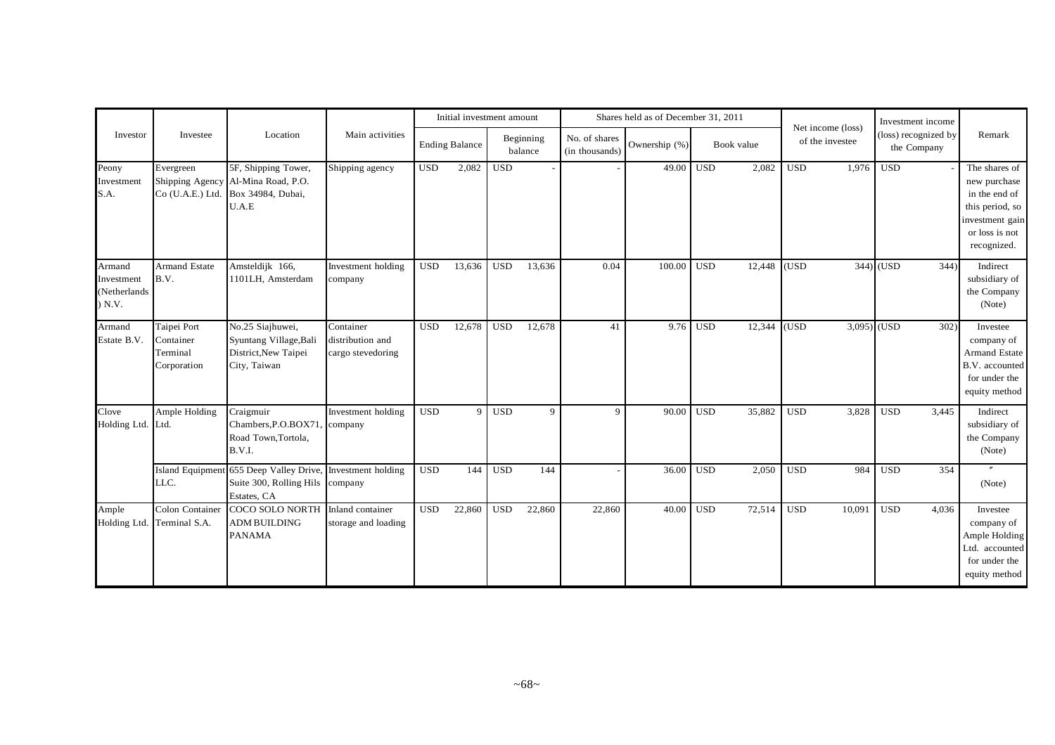|                                            |                                                     |                                                                                    |                                                    |            | Initial investment amount |            |                      |                                 | Shares held as of December 31, 2011 |            |            |            |                                      |             | Investment income                   |                                                                                                                       |
|--------------------------------------------|-----------------------------------------------------|------------------------------------------------------------------------------------|----------------------------------------------------|------------|---------------------------|------------|----------------------|---------------------------------|-------------------------------------|------------|------------|------------|--------------------------------------|-------------|-------------------------------------|-----------------------------------------------------------------------------------------------------------------------|
| Investor                                   | Investee                                            | Location                                                                           | Main activities                                    |            | <b>Ending Balance</b>     |            | Beginning<br>balance | No. of shares<br>(in thousands) | Ownership (%)                       |            | Book value |            | Net income (loss)<br>of the investee |             | (loss) recognized by<br>the Company | Remark                                                                                                                |
| Peony<br>Investment<br>S.A.                | Evergreen<br>Shipping Agency<br>Co (U.A.E.) Ltd.    | 5F, Shipping Tower,<br>Al-Mina Road, P.O.<br>Box 34984, Dubai,<br>U.A.E            | Shipping agency                                    | <b>USD</b> | 2,082                     | <b>USD</b> |                      |                                 | 49.00                               | <b>USD</b> | 2,082      | <b>USD</b> | 1,976                                | <b>USD</b>  |                                     | The shares of<br>new purchase<br>in the end of<br>this period, so<br>investment gain<br>or loss is not<br>recognized. |
| Armand<br>nvestment<br>Netherlands<br>N.V. | <b>Armand Estate</b><br>B.V.                        | Amsteldijk 166,<br>1101LH, Amsterdam                                               | Investment holding<br>company                      | <b>USD</b> | 13,636                    | <b>USD</b> | 13,636               | 0.04                            | 100.00                              | <b>USD</b> | 12,448     | (USD)      |                                      | $344)$ (USD | 344)                                | Indirect<br>subsidiary of<br>the Company<br>(Note)                                                                    |
| Armand<br>Estate B.V.                      | Taipei Port<br>Container<br>Terminal<br>Corporation | No.25 Siajhuwei,<br>Syuntang Village, Bali<br>District, New Taipei<br>City, Taiwan | Container<br>distribution and<br>cargo stevedoring | <b>USD</b> | 12,678                    | <b>USD</b> | 12,678               | 41                              | 9.76                                | <b>USD</b> | 12,344     | (USD)      | 3,095) (USD                          |             | 302)                                | Investee<br>company of<br><b>Armand Estate</b><br>B.V. accounted<br>for under the<br>equity method                    |
| Clove<br>Holding Ltd.                      | Ample Holding<br>Ltd.                               | Craigmuir<br>Chambers, P.O.BOX71<br>Road Town, Tortola,<br>B.V.I.                  | Investment holding<br>company                      | <b>USD</b> | 9                         | <b>USD</b> | $\overline{9}$       | 9                               | 90.00                               | <b>USD</b> | 35,882     | <b>USD</b> | 3,828                                | <b>USD</b>  | 3.445                               | Indirect<br>subsidiary of<br>the Company<br>(Note)                                                                    |
|                                            | <b>Island Equipment</b><br>LLC.                     | 655 Deep Valley Drive,<br>Suite 300, Rolling Hils<br>Estates, CA                   | Investment holding<br>company                      | <b>USD</b> | 144                       | <b>USD</b> | 144                  |                                 | 36.00                               | <b>USD</b> | 2,050      | <b>USD</b> | 984                                  | <b>USD</b>  | 354                                 | (Note)                                                                                                                |
| Ample<br>Holding Ltd.                      | Colon Container<br>Terminal S.A.                    | COCO SOLO NORTH Inland container<br><b>ADM BUILDING</b><br><b>PANAMA</b>           | storage and loading                                | <b>USD</b> | 22,860                    | <b>USD</b> | 22,860               | 22,860                          | 40.00                               | <b>USD</b> | 72,514     | <b>USD</b> | 10,091                               | <b>USD</b>  | 4,036                               | Investee<br>company of<br>Ample Holding<br>Ltd. accounted<br>for under the<br>equity method                           |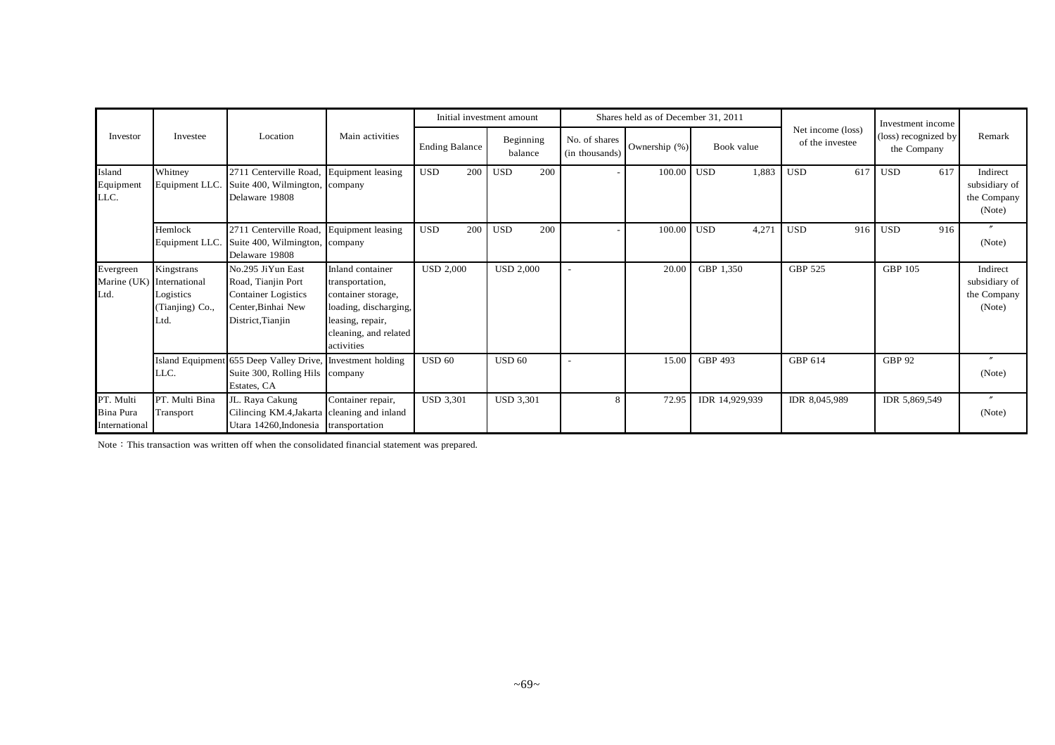|                                                |                                                    |                                                                                                                  |                                                                                                                                               |                       |     | Initial investment amount |     |                                 | Shares held as of December 31, 2011 |                           |                                      | Investment income                   |                                                    |
|------------------------------------------------|----------------------------------------------------|------------------------------------------------------------------------------------------------------------------|-----------------------------------------------------------------------------------------------------------------------------------------------|-----------------------|-----|---------------------------|-----|---------------------------------|-------------------------------------|---------------------------|--------------------------------------|-------------------------------------|----------------------------------------------------|
| Investor                                       | Investee                                           | Location                                                                                                         | Main activities                                                                                                                               | <b>Ending Balance</b> |     | Beginning<br>balance      |     | No. of shares<br>(in thousands) | Ownership (%)                       | Book value                | Net income (loss)<br>of the investee | (loss) recognized by<br>the Company | Remark                                             |
| Island<br>Equipment<br>LLC.                    | Whitney<br>Equipment LLC.                          | 2711 Centerville Road,<br>Suite 400, Wilmington,<br>Delaware 19808                                               | Equipment leasing<br>company                                                                                                                  | <b>USD</b>            | 200 | <b>USD</b>                | 200 |                                 | 100.00                              | <b>USD</b><br>1,883       | <b>USD</b><br>617                    | <b>USD</b><br>617                   | Indirect<br>subsidiary of<br>the Company<br>(Note) |
|                                                | Hemlock<br>Equipment LLC.                          | 2711 Centerville Road,<br>Suite 400, Wilmington, company<br>Delaware 19808                                       | Equipment leasing                                                                                                                             | <b>USD</b>            | 200 | <b>USD</b>                | 200 |                                 | 100.00                              | 4,271<br>USD <sup>1</sup> | 916<br><b>USD</b>                    | <b>USD</b><br>916                   | $\overline{u}$<br>(Note)                           |
| Evergreen<br>Marine (UK) International<br>Ltd. | Kingstrans<br>Logistics<br>(Tianjing) Co.,<br>Ltd. | No.295 JiYun East<br>Road, Tianjin Port<br><b>Container Logistics</b><br>Center, Binhai New<br>District, Tianjin | Inland container<br>transportation,<br>container storage,<br>loading, discharging,<br>leasing, repair,<br>cleaning, and related<br>activities | <b>USD 2,000</b>      |     | <b>USD 2,000</b>          |     |                                 | 20.00                               | GBP 1,350                 | <b>GBP 525</b>                       | <b>GBP 105</b>                      | Indirect<br>subsidiary of<br>the Company<br>(Note) |
|                                                | LLC.                                               | Island Equipment 655 Deep Valley Drive,<br>Suite 300, Rolling Hils company<br>Estates, CA                        | Investment holding                                                                                                                            | <b>USD 60</b>         |     | <b>USD 60</b>             |     |                                 | 15.00                               | GBP 493                   | GBP 614                              | <b>GBP 92</b>                       | $\prime$<br>(Note)                                 |
| PT. Multi<br><b>Bina Pura</b><br>International | PT. Multi Bina<br>Transport                        | JL. Raya Cakung<br>Cilincing KM.4, Jakarta cleaning and inland<br>Utara 14260, Indonesia transportation          | Container repair,                                                                                                                             | <b>USD 3,301</b>      |     | <b>USD 3,301</b>          |     | 8                               | 72.95                               | IDR 14,929,939            | IDR 8,045,989                        | IDR 5,869,549                       | $\overline{''}$<br>(Note)                          |

Note: This transaction was written off when the consolidated financial statement was prepared.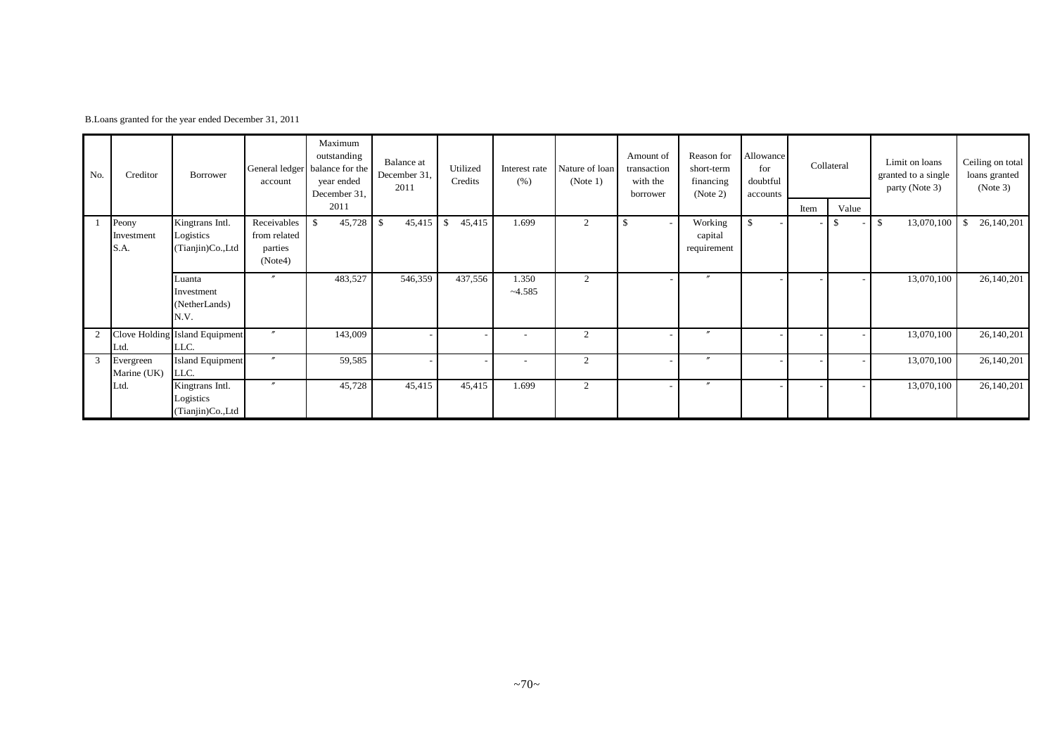|  |  | B.Loans granted for the year ended December 31, 2011 |  |
|--|--|------------------------------------------------------|--|
|--|--|------------------------------------------------------|--|

| No. | Creditor                 | Borrower                                         | General ledger   b<br>account | Maximum<br>outstanding<br>alance for the<br>year ended<br>December 31, | Balance at<br>December 31,<br>2011 | Utilized<br>Credits     | Interest rate<br>(% ) | Nature of loan<br>(Note 1) | Amount of<br>transaction<br>with the<br>borrower | Reason for<br>short-term<br>financing<br>(Note 2) | Allowance<br>for<br>doubtful<br>accounts |      | Collateral | Limit on loans<br>granted to a single<br>party (Note 3) | Ceiling on total<br>loans granted<br>(Note 3) |
|-----|--------------------------|--------------------------------------------------|-------------------------------|------------------------------------------------------------------------|------------------------------------|-------------------------|-----------------------|----------------------------|--------------------------------------------------|---------------------------------------------------|------------------------------------------|------|------------|---------------------------------------------------------|-----------------------------------------------|
|     |                          |                                                  |                               | 2011                                                                   |                                    |                         |                       |                            |                                                  |                                                   |                                          | Item | Value      |                                                         |                                               |
|     | Peony<br>Investment      | Kingtrans Intl.<br>Logistics                     | Receivables<br>from related   | $\mathbf{s}$<br>45,728                                                 | 45,415<br>$\mathcal{S}$            | 45,415<br>$\mathbf{\$}$ | 1.699                 | $\overline{2}$             |                                                  | Working<br>capital                                | \$                                       |      | S.         | 13,070,100<br>\$                                        | 26,140,201<br>-\$                             |
|     | S.A.                     | (Tianjin)Co.,Ltd                                 | parties<br>(Note4)            |                                                                        |                                    |                         |                       |                            |                                                  | requirement                                       |                                          |      |            |                                                         |                                               |
|     |                          | Luanta<br>Investment<br>(NetherLands)<br>N.V.    | $\overline{u}$                | 483,527                                                                | 546,359                            | 437,556                 | 1.350<br>$-4.585$     | 2                          |                                                  | $\overline{''}$                                   |                                          |      |            | 13,070,100                                              | 26,140,201                                    |
| 2   | Ltd.                     | Clove Holding Island Equipment<br>LLC.           | $\prime\prime$                | 143,009                                                                |                                    |                         |                       | $\overline{2}$             |                                                  | $\overline{v}$                                    |                                          |      |            | 13,070,100                                              | 26,140,201                                    |
| 3   | Evergreen<br>Marine (UK) | <b>Island Equipment</b><br>LLC.                  | $\prime$                      | 59,585                                                                 |                                    |                         | $\sim$                | $\overline{2}$             | $\overline{\phantom{a}}$                         | $\prime\prime$                                    |                                          |      |            | 13,070,100                                              | 26,140,201                                    |
|     | Ltd.                     | Kingtrans Intl.<br>Logistics<br>(Tianjin)Co.,Ltd | $\overline{\phantom{a}}$      | 45,728                                                                 | 45,415                             | 45,415                  | 1.699                 | $\overline{2}$             |                                                  | $\boldsymbol{''}$                                 |                                          |      |            | 13,070,100                                              | 26,140,201                                    |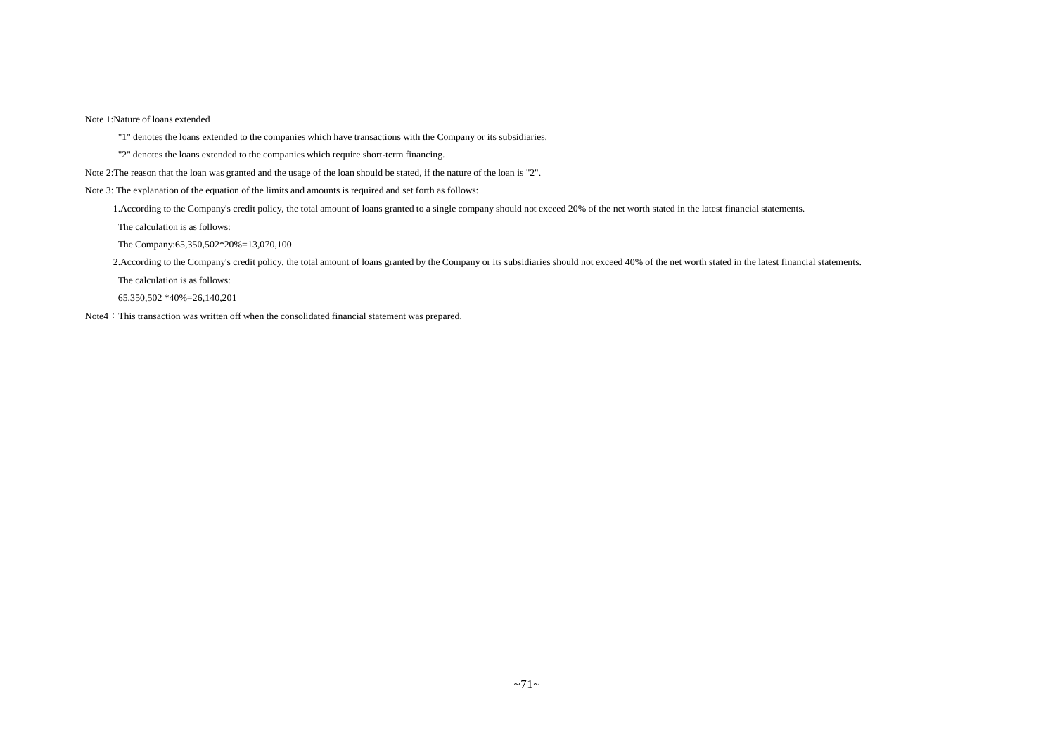Note 1:Nature of loans extended

"1" denotes the loans extended to the companies which have transactions with the Company or its subsidiaries.

"2" denotes the loans extended to the companies which require short-term financing.

Note 2:The reason that the loan was granted and the usage of the loan should be stated, if the nature of the loan is "2".

Note 3: The explanation of the equation of the limits and amounts is required and set forth as follows:

1.According to the Company's credit policy, the total amount of loans granted to a single company should not exceed 20% of the net worth stated in the latest financial statements.

The calculation is as follows:

The Company:65,350,502\*20%=13,070,100

2.According to the Company's credit policy, the total amount of loans granted by the Company or its subsidiaries should not exceed 40% of the net worth stated in the latest financial statements.

The calculation is as follows:

65,350,502 \*40%=26,140,201

Note4: This transaction was written off when the consolidated financial statement was prepared.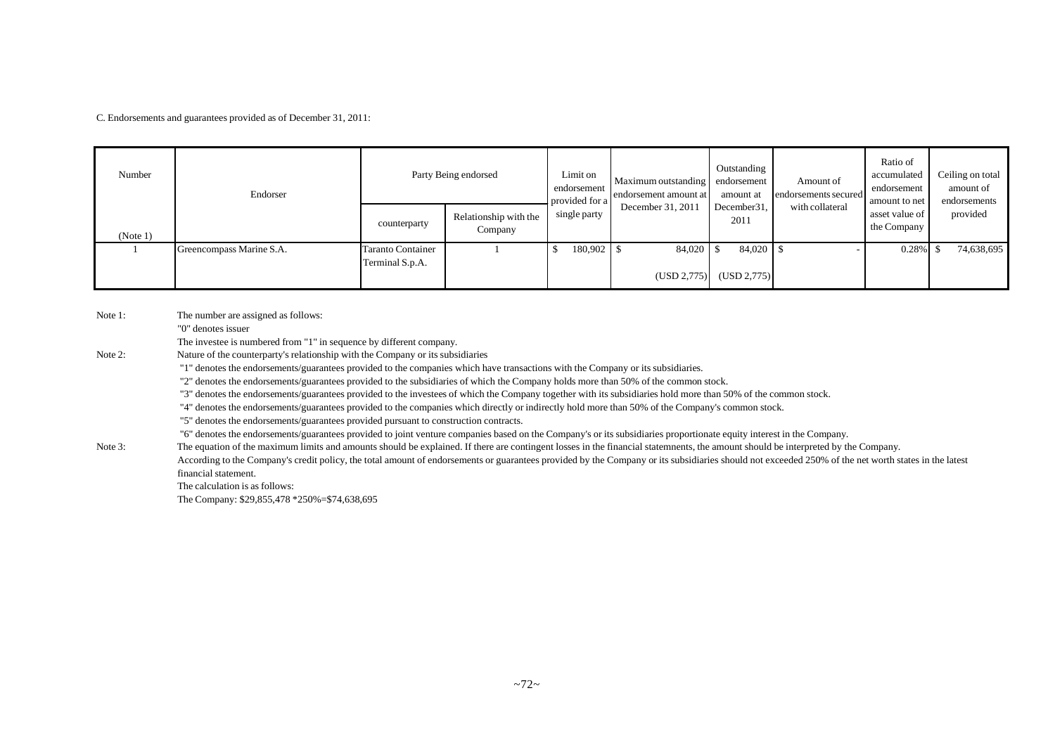C. Endorsements and guarantees provided as of December 31, 2011:

| Number   | Endorser                 | Party Being endorsed                        |                                  | Limit on<br>endorsement<br>provided for a | Maximum outstanding endorsement<br>endorsement amount at | Outstanding<br>amount at | Amount of<br>endorsements secured | Ratio of<br>accumulated<br>endorsement<br>amount to net | Ceiling on total<br>amount of<br>endorsements |
|----------|--------------------------|---------------------------------------------|----------------------------------|-------------------------------------------|----------------------------------------------------------|--------------------------|-----------------------------------|---------------------------------------------------------|-----------------------------------------------|
| (Note 1) |                          | counterparty                                | Relationship with the<br>Company | single party                              | December 31, 2011                                        | December 31,<br>2011     | with collateral                   | asset value of<br>the Company                           | provided                                      |
|          | Greencompass Marine S.A. | <b>Taranto Container</b><br>Terminal S.p.A. |                                  | 180,902 \$                                | $84,020$ \$<br>(USD 2,775)                               | 84,020 \$<br>(USD 2,775) |                                   | $0.28\%$ \$                                             | 74,638,695                                    |

Note 1: The number are assigned as follows:

"0" denotes issuer

The investee is numbered from "1" in sequence by different company.

Note 2: Nature of the counterparty's relationship with the Company or its subsidiaries

"1" denotes the endorsements/guarantees provided to the companies which have transactions with the Company or its subsidiaries.

"2" denotes the endorsements/guarantees provided to the subsidiaries of which the Company holds more than 50% of the common stock.

"3" denotes the endorsements/guarantees provided to the investees of which the Company together with its subsidiaries hold more than 50% of the common stock.

"4" denotes the endorsements/guarantees provided to the companies which directly or indirectly hold more than 50% of the Company's common stock.

"5" denotes the endorsements/guarantees provided pursuant to construction contracts.

"6" denotes the endorsements/guarantees provided to joint venture companies based on the Company's or its subsidiaries proportionate equity interest in the Company.

Note 3: The equation of the maximum limits and amounts should be explained. If there are contingent losses in the financial statemnents, the amount should be interpreted by the Company. According to the Company's credit policy, the total amount of endorsements or guarantees provided by the Company or its subsidiaries should not exceeded 250% of the net worth states in the latest financial statement.

The calculation is as follows:

The Company: \$29,855,478 \*250%=\$74,638,695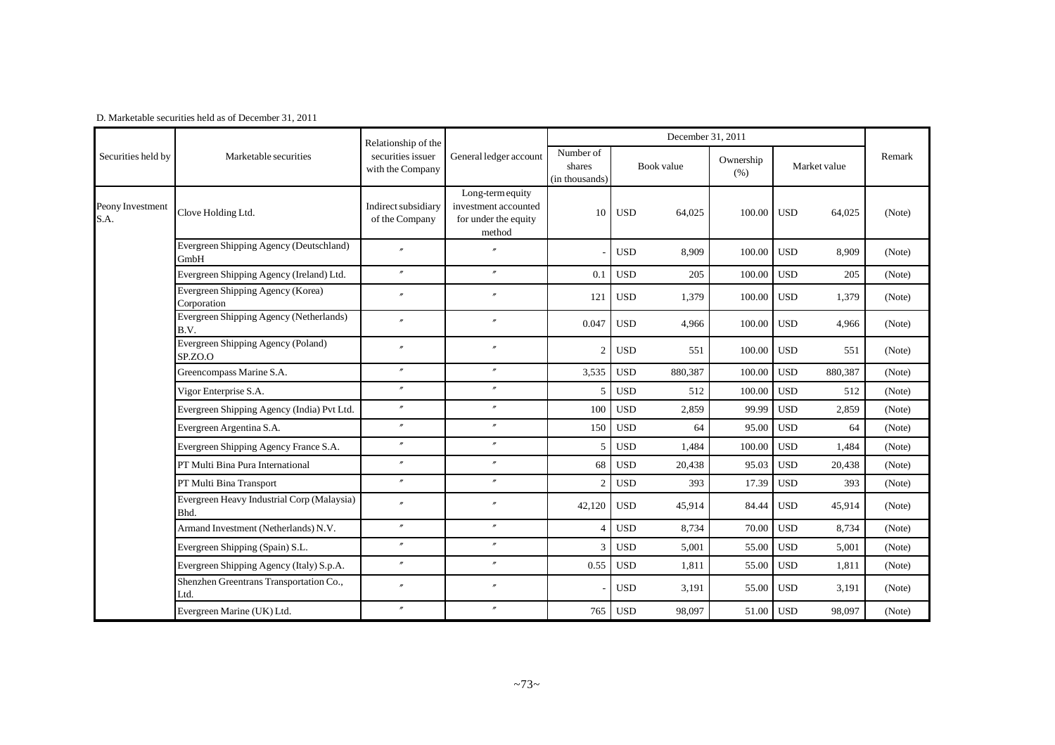|                          |                                                    | Relationship of the                   |                                                                            |                                       |            | December 31, 2011 |                   |            |              |        |
|--------------------------|----------------------------------------------------|---------------------------------------|----------------------------------------------------------------------------|---------------------------------------|------------|-------------------|-------------------|------------|--------------|--------|
| Securities held by       | Marketable securities                              | securities issuer<br>with the Company | General ledger account                                                     | Number of<br>shares<br>(in thousands) |            | Book value        | Ownership<br>(% ) |            | Market value | Remark |
| Peony Investment<br>S.A. | Clove Holding Ltd.                                 | Indirect subsidiary<br>of the Company | Long-term equity<br>investment accounted<br>for under the equity<br>method | 10                                    | <b>USD</b> | 64,025            | 100.00            | <b>USD</b> | 64,025       | (Note) |
|                          | Evergreen Shipping Agency (Deutschland)<br>GmbH    | $\overline{v}$                        | $\overline{v}$                                                             |                                       | <b>USD</b> | 8,909             | 100.00            | <b>USD</b> | 8,909        | (Note) |
|                          | Evergreen Shipping Agency (Ireland) Ltd.           | $\prime\prime$                        | $^{\prime\prime}$                                                          | 0.1                                   | <b>USD</b> | 205               | 100.00            | <b>USD</b> | 205          | (Note) |
|                          | Evergreen Shipping Agency (Korea)<br>Corporation   | $\overline{''}$                       | $\theta$                                                                   | 121                                   | <b>USD</b> | 1,379             | 100.00            | <b>USD</b> | 1,379        | (Note) |
|                          | Evergreen Shipping Agency (Netherlands)<br>B.V.    | $\overline{v}$                        | $^{\prime\prime}$                                                          | 0.047                                 | <b>USD</b> | 4,966             | 100.00            | <b>USD</b> | 4,966        | (Note) |
|                          | Evergreen Shipping Agency (Poland)<br>SP.ZO.O      | $\overline{''}$                       | $^{\prime\prime}$                                                          | $\overline{2}$                        | <b>USD</b> | 551               | 100.00            | <b>USD</b> | 551          | (Note) |
|                          | Greencompass Marine S.A.                           | $\overline{''}$                       | $^{\prime\prime}$                                                          | 3,535                                 | <b>USD</b> | 880,387           | 100.00            | <b>USD</b> | 880,387      | (Note) |
|                          | Vigor Enterprise S.A.                              | $\prime$                              | $^{\prime\prime}$                                                          | 5                                     | <b>USD</b> | 512               | 100.00            | <b>USD</b> | 512          | (Note) |
|                          | Evergreen Shipping Agency (India) Pvt Ltd.         | $\overline{''}$                       | $\overline{r}$                                                             | 100                                   | <b>USD</b> | 2,859             | 99.99             | <b>USD</b> | 2,859        | (Note) |
|                          | Evergreen Argentina S.A.                           | $\overline{''}$                       | $^{\prime\prime}$                                                          | 150                                   | <b>USD</b> | 64                | 95.00             | <b>USD</b> | 64           | (Note) |
|                          | Evergreen Shipping Agency France S.A.              | $\overline{''}$                       | $^{\prime\prime}$                                                          | $\overline{5}$                        | <b>USD</b> | 1.484             | 100.00            | <b>USD</b> | 1,484        | (Note) |
|                          | PT Multi Bina Pura International                   | $\overline{''}$                       | $^{\prime\prime}$                                                          | 68                                    | <b>USD</b> | 20,438            | 95.03             | <b>USD</b> | 20,438       | (Note) |
|                          | PT Multi Bina Transport                            | $\prime\prime$                        | $^{\prime\prime}$                                                          | $\overline{2}$                        | <b>USD</b> | 393               | 17.39             | <b>USD</b> | 393          | (Note) |
|                          | Evergreen Heavy Industrial Corp (Malaysia)<br>Bhd. | $\overline{v}$                        | $^{\prime\prime}$                                                          | 42,120                                | <b>USD</b> | 45,914            | 84.44             | <b>USD</b> | 45,914       | (Note) |
|                          | Armand Investment (Netherlands) N.V.               | $\overline{''}$                       | $\prime$                                                                   | $\overline{4}$                        | <b>USD</b> | 8,734             | 70.00             | <b>USD</b> | 8,734        | (Note) |
|                          | Evergreen Shipping (Spain) S.L.                    | $\overline{v}$                        | $^{\prime\prime}$                                                          | 3                                     | <b>USD</b> | 5,001             | 55.00             | <b>USD</b> | 5,001        | (Note) |
|                          | Evergreen Shipping Agency (Italy) S.p.A.           | $\prime$                              | $^{\prime\prime}$                                                          | 0.55                                  | <b>USD</b> | 1.811             | 55.00             | <b>USD</b> | 1,811        | (Note) |
|                          | Shenzhen Greentrans Transportation Co.,<br>Ltd.    | $\overline{''}$                       | $^{\prime\prime}$                                                          |                                       | <b>USD</b> | 3,191             | 55.00             | <b>USD</b> | 3,191        | (Note) |
|                          | Evergreen Marine (UK) Ltd.                         | $\overline{''}$                       | $^{\prime\prime}$                                                          | 765                                   | <b>USD</b> | 98,097            | 51.00             | <b>USD</b> | 98,097       | (Note) |

D. Marketable securities held as of December 31, 2011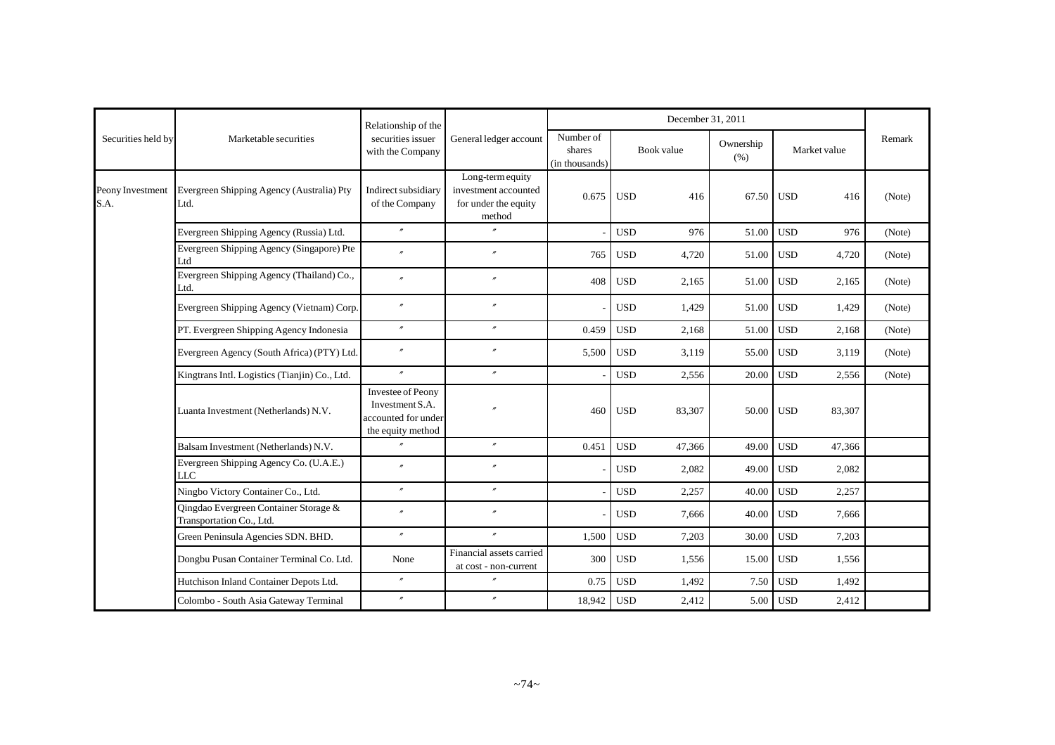|                          |                                                                   | Relationship of the                                                                     |                                                                            |                                       |            | December 31, 2011 |                   |                      |        |
|--------------------------|-------------------------------------------------------------------|-----------------------------------------------------------------------------------------|----------------------------------------------------------------------------|---------------------------------------|------------|-------------------|-------------------|----------------------|--------|
| Securities held by       | Marketable securities                                             | securities issuer<br>with the Company                                                   | General ledger account                                                     | Number of<br>shares<br>(in thousands) |            | Book value        | Ownership<br>(% ) | Market value         | Remark |
| Peony Investment<br>S.A. | Evergreen Shipping Agency (Australia) Pty<br>Ltd.                 | Indirect subsidiary<br>of the Company                                                   | Long-term equity<br>investment accounted<br>for under the equity<br>method | 0.675                                 | <b>USD</b> | 416               | 67.50             | <b>USD</b><br>416    | (Note) |
|                          | Evergreen Shipping Agency (Russia) Ltd.                           | $\pmb{\prime\prime}$                                                                    | $\theta$                                                                   |                                       | <b>USD</b> | 976               | 51.00             | <b>USD</b><br>976    | (Note) |
|                          | Evergreen Shipping Agency (Singapore) Pte<br>Ltd                  | $\overline{r}$                                                                          |                                                                            | 765                                   | <b>USD</b> | 4,720             | 51.00             | <b>USD</b><br>4,720  | (Note) |
|                          | Evergreen Shipping Agency (Thailand) Co.,<br>Ltd.                 | n                                                                                       | $^{\prime\prime}$                                                          | 408                                   | <b>USD</b> | 2,165             | 51.00             | <b>USD</b><br>2,165  | (Note) |
|                          | Evergreen Shipping Agency (Vietnam) Corp.                         | $^{\prime\prime}$                                                                       | $\theta$                                                                   |                                       | <b>USD</b> | 1,429             | 51.00             | <b>USD</b><br>1,429  | (Note) |
|                          | PT. Evergreen Shipping Agency Indonesia                           | $^{\prime\prime}$                                                                       | $^{\prime\prime}$                                                          | 0.459                                 | <b>USD</b> | 2,168             | 51.00             | <b>USD</b><br>2,168  | (Note) |
|                          | Evergreen Agency (South Africa) (PTY) Ltd.                        | $^{\prime\prime}$                                                                       | $\boldsymbol{''}$                                                          | 5,500                                 | <b>USD</b> | 3,119             | 55.00             | <b>USD</b><br>3,119  | (Note) |
|                          | Kingtrans Intl. Logistics (Tianjin) Co., Ltd.                     | $^{\prime\prime}$                                                                       | $^{\prime\prime}$                                                          |                                       | <b>USD</b> | 2,556             | 20.00             | <b>USD</b><br>2,556  | (Note) |
|                          | Luanta Investment (Netherlands) N.V.                              | <b>Investee of Peony</b><br>Investment S.A.<br>accounted for under<br>the equity method |                                                                            | 460                                   | <b>USD</b> | 83,307            | 50.00             | <b>USD</b><br>83,307 |        |
|                          | Balsam Investment (Netherlands) N.V.                              | $\theta$                                                                                | $^{\prime\prime}$                                                          | 0.451                                 | <b>USD</b> | 47,366            | 49.00             | <b>USD</b><br>47,366 |        |
|                          | Evergreen Shipping Agency Co. (U.A.E.)<br><b>LLC</b>              | n                                                                                       | $^{\prime\prime}$                                                          |                                       | <b>USD</b> | 2,082             | 49.00             | <b>USD</b><br>2,082  |        |
|                          | Ningbo Victory Container Co., Ltd.                                | $\theta$                                                                                | $\boldsymbol{''}$                                                          |                                       | <b>USD</b> | 2,257             | 40.00             | <b>USD</b><br>2,257  |        |
|                          | Qingdao Evergreen Container Storage &<br>Transportation Co., Ltd. | n                                                                                       | $^{\prime\prime}$                                                          |                                       | <b>USD</b> | 7,666             | 40.00             | <b>USD</b><br>7,666  |        |
|                          | Green Peninsula Agencies SDN. BHD.                                | $^{\prime\prime}$                                                                       | $^{\prime\prime}$                                                          | 1,500                                 | <b>USD</b> | 7,203             | 30.00             | <b>USD</b><br>7,203  |        |
|                          | Dongbu Pusan Container Terminal Co. Ltd.                          | None                                                                                    | Financial assets carried<br>at cost - non-current                          | 300                                   | <b>USD</b> | 1,556             | 15.00             | <b>USD</b><br>1,556  |        |
|                          | Hutchison Inland Container Depots Ltd.                            | $^{\prime\prime}$                                                                       | $^{\prime\prime}$                                                          | 0.75                                  | <b>USD</b> | 1,492             | 7.50              | <b>USD</b><br>1,492  |        |
|                          | Colombo - South Asia Gateway Terminal                             | $^{\prime\prime}$                                                                       | $\boldsymbol{''}$                                                          | 18,942                                | <b>USD</b> | 2,412             | 5.00              | <b>USD</b><br>2,412  |        |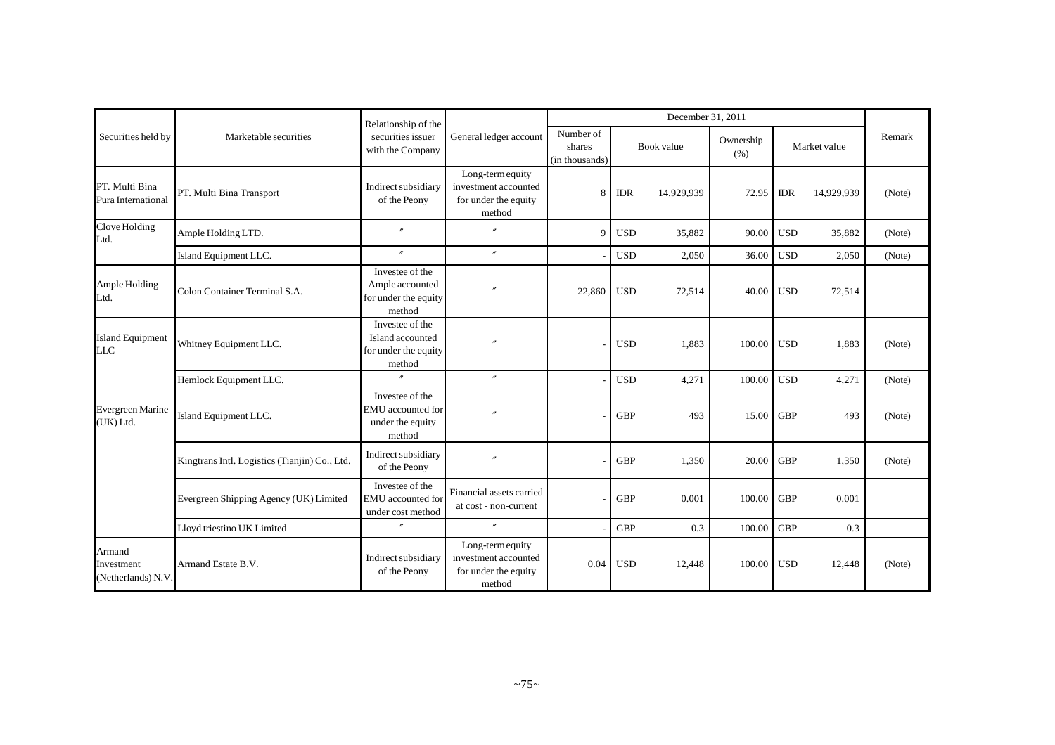|                                           |                                               | Relationship of the                                                   |                                                                            |                                       |            | December 31, 2011 |                   |            |              |        |
|-------------------------------------------|-----------------------------------------------|-----------------------------------------------------------------------|----------------------------------------------------------------------------|---------------------------------------|------------|-------------------|-------------------|------------|--------------|--------|
| Securities held by                        | Marketable securities                         | securities issuer<br>with the Company                                 | General ledger account                                                     | Number of<br>shares<br>(in thousands) |            | Book value        | Ownership<br>(% ) |            | Market value | Remark |
| PT. Multi Bina<br>Pura International      | PT. Multi Bina Transport                      | Indirect subsidiary<br>of the Peony                                   | Long-term equity<br>investment accounted<br>for under the equity<br>method | 8                                     | <b>IDR</b> | 14,929,939        | 72.95             | <b>IDR</b> | 14,929,939   | (Note) |
| Clove Holding<br>Ltd.                     | Ample Holding LTD.                            | $\theta$                                                              |                                                                            | $\mathbf Q$                           | <b>USD</b> | 35,882            | 90.00             | <b>USD</b> | 35,882       | (Note) |
|                                           | Island Equipment LLC.                         | $\theta$                                                              | $\overline{''}$                                                            |                                       | <b>USD</b> | 2,050             | 36.00             | <b>USD</b> | 2,050        | (Note) |
| Ample Holding<br>Ltd.                     | Colon Container Terminal S.A.                 | Investee of the<br>Ample accounted<br>for under the equity<br>method  |                                                                            | 22,860                                | <b>USD</b> | 72,514            | 40.00             | <b>USD</b> | 72,514       |        |
| <b>Island Equipment</b><br><b>LLC</b>     | Whitney Equipment LLC.                        | Investee of the<br>Island accounted<br>for under the equity<br>method |                                                                            |                                       | <b>USD</b> | 1,883             | 100.00            | <b>USD</b> | 1,883        | (Note) |
|                                           | Hemlock Equipment LLC.                        | $^{\prime\prime}$                                                     | $^{\prime\prime}$                                                          |                                       | <b>USD</b> | 4,271             | 100.00            | <b>USD</b> | 4,271        | (Note) |
| <b>Evergreen Marine</b><br>(UK) Ltd.      | Island Equipment LLC.                         | Investee of the<br>EMU accounted for<br>under the equity<br>method    |                                                                            |                                       | <b>GBP</b> | 493               | 15.00             | <b>GBP</b> | 493          | (Note) |
|                                           | Kingtrans Intl. Logistics (Tianjin) Co., Ltd. | Indirect subsidiary<br>of the Peony                                   |                                                                            |                                       | <b>GBP</b> | 1,350             | 20.00             | <b>GBP</b> | 1,350        | (Note) |
|                                           | Evergreen Shipping Agency (UK) Limited        | Investee of the<br>EMU accounted for<br>under cost method             | Financial assets carried<br>at cost - non-current                          |                                       | <b>GBP</b> | 0.001             | 100.00            | <b>GBP</b> | 0.001        |        |
|                                           | Lloyd triestino UK Limited                    | $\theta$                                                              | $^{\prime\prime}$                                                          |                                       | <b>GBP</b> | 0.3               | 100.00            | <b>GBP</b> | 0.3          |        |
| Armand<br>Investment<br>(Netherlands) N.V | Armand Estate B.V.                            | Indirect subsidiary<br>of the Peony                                   | Long-term equity<br>investment accounted<br>for under the equity<br>method | 0.04                                  | <b>USD</b> | 12,448            | 100.00            | <b>USD</b> | 12,448       | (Note) |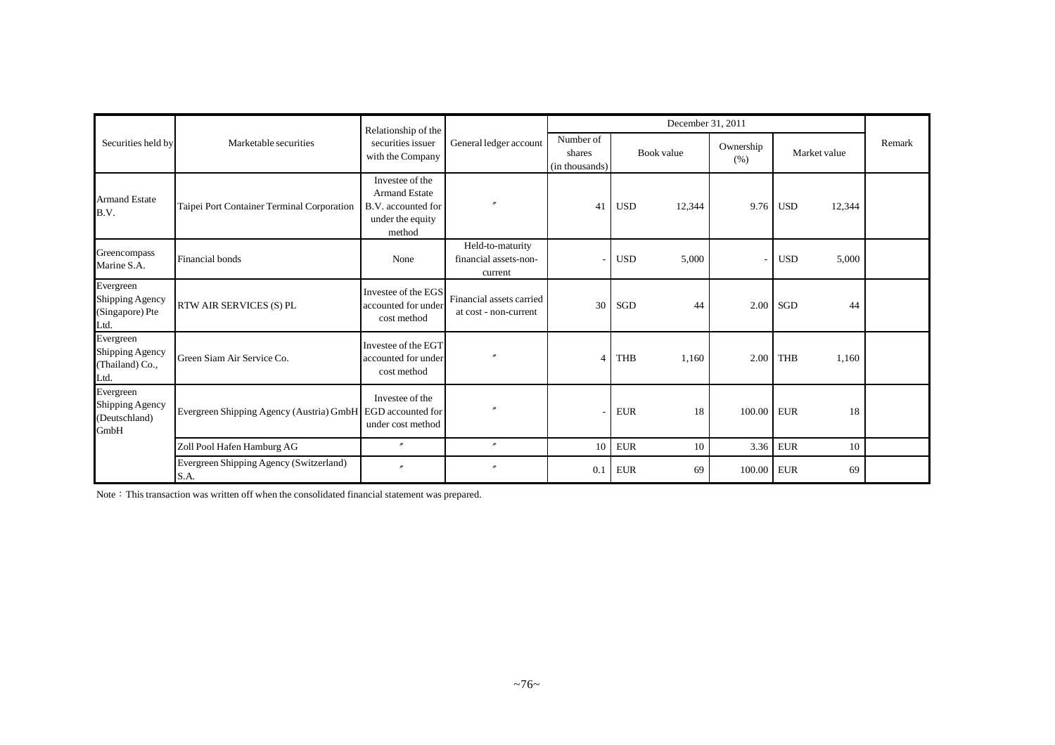|                                                         |                                                            | Relationship of the                                                                         |                                                      |                                       |            | December 31, 2011 |                   |                      |        |
|---------------------------------------------------------|------------------------------------------------------------|---------------------------------------------------------------------------------------------|------------------------------------------------------|---------------------------------------|------------|-------------------|-------------------|----------------------|--------|
| Securities held by                                      | Marketable securities                                      | securities issuer<br>with the Company                                                       | General ledger account                               | Number of<br>shares<br>(in thousands) |            | Book value        | Ownership<br>(% ) | Market value         | Remark |
| <b>Armand Estate</b><br>B.V.                            | Taipei Port Container Terminal Corporation                 | Investee of the<br><b>Armand Estate</b><br>B.V. accounted for<br>under the equity<br>method |                                                      | 41                                    | <b>USD</b> | 12,344            | 9.76              | 12,344<br><b>USD</b> |        |
| Greencompass<br>Marine S.A.                             | Financial bonds                                            | None                                                                                        | Held-to-maturity<br>financial assets-non-<br>current |                                       | <b>USD</b> | 5,000             |                   | <b>USD</b><br>5,000  |        |
| Evergreen<br>Shipping Agency<br>(Singapore) Pte<br>Ltd. | RTW AIR SERVICES (S) PL                                    | Investee of the EGS<br>accounted for under<br>cost method                                   | Financial assets carried<br>at cost - non-current    | 30                                    | SGD        | 44                | 2.00              | SGD<br>44            |        |
| Evergreen<br>Shipping Agency<br>(Thailand) Co.,<br>Ltd. | Green Siam Air Service Co.                                 | Investee of the EGT<br>accounted for under<br>cost method                                   |                                                      | $\overline{4}$                        | <b>THB</b> | 1,160             | 2.00              | THB<br>1,160         |        |
| Evergreen<br>Shipping Agency<br>(Deutschland)<br>GmbH   | Evergreen Shipping Agency (Austria) GmbH EGD accounted for | Investee of the<br>under cost method                                                        |                                                      |                                       | <b>EUR</b> | 18                | 100.00 EUR        | 18                   |        |
|                                                         | Zoll Pool Hafen Hamburg AG                                 | $\theta$                                                                                    | $\overline{u}$                                       | 10                                    | <b>EUR</b> | 10                | 3.36              | <b>EUR</b><br>10     |        |
|                                                         | Evergreen Shipping Agency (Switzerland)<br>S.A.            | $^{\prime\prime}$                                                                           | $\overline{''}$                                      | 0.1                                   | <b>EUR</b> | 69                | 100.00            | <b>EUR</b><br>69     |        |

Note: This transaction was written off when the consolidated financial statement was prepared.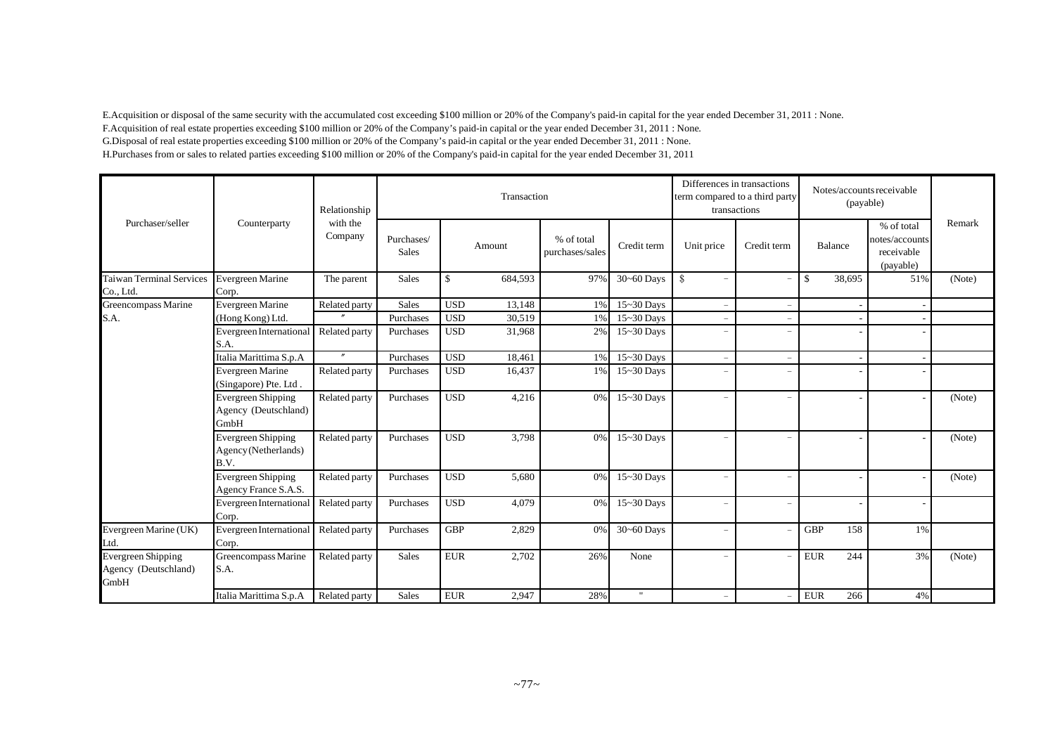E.Acquisition or disposal of the same security with the accumulated cost exceeding \$100 million or 20% of the Company's paid-in capital for the year ended December 31, 2011 : None. F.Acquisition of real estate properties exceeding \$100 million or 20% of the Company's paid-in capital or the year ended December 31, 2011 : None. G.Disposal of real estate properties exceeding \$100 million or 20% of the Company's paid-in capital or the year ended December 31, 2011 : None. H.Purchases from or sales to related parties exceeding \$100 million or 20% of the Company's paid-in capital for the year ended December 31, 2011

|                                                           |                                                           | Relationship        | Transaction                |             |         |                               |                | Differences in transactions<br>term compared to a third party | transactions             | Notes/accounts receivable<br>(payable) |         |                                                         |        |
|-----------------------------------------------------------|-----------------------------------------------------------|---------------------|----------------------------|-------------|---------|-------------------------------|----------------|---------------------------------------------------------------|--------------------------|----------------------------------------|---------|---------------------------------------------------------|--------|
| Purchaser/seller                                          | Counterparty                                              | with the<br>Company | Purchases/<br><b>Sales</b> |             | Amount  | % of total<br>purchases/sales | Credit term    | Unit price                                                    | Credit term              |                                        | Balance | % of total<br>notes/accounts<br>receivable<br>(payable) | Remark |
| <b>Taiwan Terminal Services</b><br>Co., Ltd.              | Evergreen Marine<br>Corp.                                 | The parent          | <b>Sales</b>               | \$          | 684,593 | 97%                           | 30~60 Days     | $\mathcal{S}$<br>$\overline{\phantom{a}}$                     |                          | \$                                     | 38,695  | 51%                                                     | (Note) |
| Greencompass Marine                                       | Evergreen Marine                                          | Related party       | <b>Sales</b>               | <b>USD</b>  | 13,148  | 1%                            | $15 - 30$ Days | $\equiv$                                                      | $\sim$                   |                                        |         |                                                         |        |
| S.A.                                                      | (Hong Kong) Ltd.                                          |                     | Purchases                  | <b>USD</b>  | 30,519  | 1%                            | $15 - 30$ Days | $\equiv$                                                      |                          |                                        |         |                                                         |        |
|                                                           | Evergreen International<br>S.A.                           | Related party       | Purchases                  | <b>USD</b>  | 31,968  | 2%                            | $15 - 30$ Days | $\overline{\phantom{m}}$                                      |                          |                                        |         |                                                         |        |
|                                                           | Italia Marittima S.p.A                                    | $^{\prime\prime}$   | Purchases                  | <b>USD</b>  | 18,461  | 1%                            | 15~30 Days     | $\overline{\phantom{m}}$                                      | $\sim$                   |                                        |         |                                                         |        |
|                                                           | Evergreen Marine<br>(Singapore) Pte. Ltd.                 | Related party       | Purchases                  | <b>USD</b>  | 16,437  | 1%                            | 15~30 Days     | $\overline{\phantom{a}}$                                      | $\overline{\phantom{a}}$ |                                        |         |                                                         |        |
|                                                           | <b>Evergreen Shipping</b><br>Agency (Deutschland)<br>GmbH | Related party       | Purchases                  | <b>USD</b>  | 4,216   | 0%                            | $15 - 30$ Days | $\overline{\phantom{m}}$                                      |                          |                                        |         |                                                         | (Note) |
|                                                           | Evergreen Shipping<br>Agency (Netherlands)<br>B.V.        | Related party       | Purchases                  | <b>USD</b>  | 3,798   | 0%                            | 15~30 Days     | $\overline{\phantom{m}}$                                      |                          |                                        |         |                                                         | (Note) |
|                                                           | Evergreen Shipping<br>Agency France S.A.S.                | Related party       | Purchases                  | <b>USD</b>  | 5,680   | 0%                            | 15~30 Days     | $\equiv$                                                      |                          |                                        |         |                                                         | (Note) |
|                                                           | Evergreen International<br>Corp.                          | Related party       | Purchases                  | <b>USD</b>  | 4.079   | 0%                            | $15 - 30$ Days | $\overline{\phantom{a}}$                                      | $\overline{\phantom{a}}$ |                                        |         |                                                         |        |
| Evergreen Marine (UK)<br>Ltd.                             | <b>Evergreen International</b><br>Corp.                   | Related party       | Purchases                  | <b>GBP</b>  | 2,829   | 0%                            | $30 - 60$ Days | $\equiv$                                                      |                          | <b>GBP</b>                             | 158     | 1%                                                      |        |
| <b>Evergreen Shipping</b><br>Agency (Deutschland)<br>GmbH | Greencompass Marine<br>S.A.                               | Related party       | <b>Sales</b>               | ${\rm EUR}$ | 2,702   | 26%                           | None           | $\overline{\phantom{m}}$                                      |                          | <b>EUR</b>                             | 244     | 3%                                                      | (Note) |
|                                                           | Italia Marittima S.p.A                                    | Related party       | Sales                      | <b>EUR</b>  | 2,947   | 28%                           | $\mathbf{H}$   |                                                               |                          | <b>EUR</b>                             | 266     | 4%                                                      |        |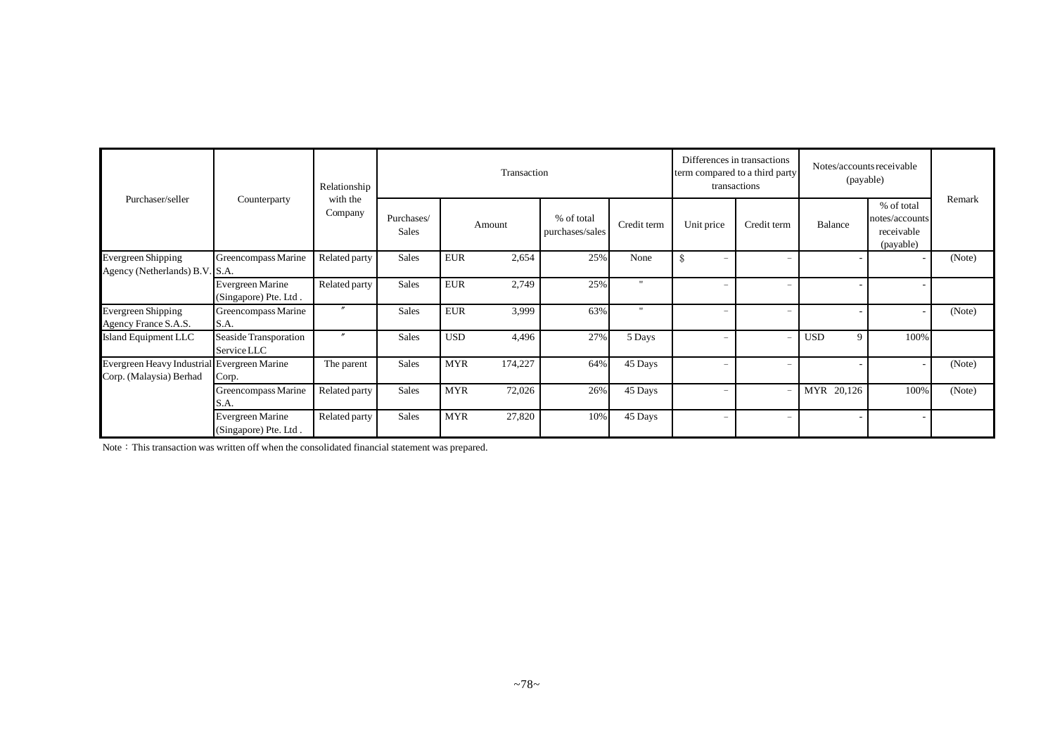|                                                                        |                                           | Relationship        |                            | Transaction |         |                               |             |                                           | Differences in transactions<br>term compared to a third party<br>transactions | Notes/accounts receivable<br>(payable) |                                                         |        |
|------------------------------------------------------------------------|-------------------------------------------|---------------------|----------------------------|-------------|---------|-------------------------------|-------------|-------------------------------------------|-------------------------------------------------------------------------------|----------------------------------------|---------------------------------------------------------|--------|
| Purchaser/seller                                                       | Counterparty                              | with the<br>Company | Purchases/<br><b>Sales</b> |             | Amount  | % of total<br>purchases/sales | Credit term | Unit price                                | Credit term                                                                   | Balance                                | % of total<br>notes/accounts<br>receivable<br>(payable) | Remark |
| <b>Evergreen Shipping</b><br>Agency (Netherlands) B.V. S.A.            | Greencompass Marine                       | Related party       | Sales                      | <b>EUR</b>  | 2,654   | 25%                           | None        | $\mathcal{S}$<br>$\overline{\phantom{0}}$ |                                                                               |                                        |                                                         | (Note) |
|                                                                        | Evergreen Marine<br>(Singapore) Pte. Ltd. | Related party       | <b>Sales</b>               | <b>EUR</b>  | 2,749   | 25%                           | 11.         | $\qquad \qquad -$                         | $\overline{\phantom{0}}$                                                      |                                        |                                                         |        |
| <b>Evergreen Shipping</b><br>Agency France S.A.S.                      | Greencompass Marine<br>S.A.               | $\prime\prime$      | <b>Sales</b>               | <b>EUR</b>  | 3,999   | 63%                           | 11.         | $\overline{\phantom{0}}$                  | $\overline{\phantom{0}}$                                                      |                                        |                                                         | (Note) |
| Island Equipment LLC                                                   | Seaside Transporation<br>Service LLC      | $^{\prime\prime}$   | <b>Sales</b>               | <b>USD</b>  | 4,496   | 27%                           | 5 Days      | $\qquad \qquad -$                         | $\overline{\phantom{a}}$                                                      | <b>USD</b><br>9                        | 100%                                                    |        |
| Evergreen Heavy Industrial Evergreen Marine<br>Corp. (Malaysia) Berhad | Corp.                                     | The parent          | Sales                      | <b>MYR</b>  | 174,227 | 64%                           | 45 Days     | $\overline{\phantom{m}}$                  | $\qquad \qquad$                                                               |                                        |                                                         | (Note) |
|                                                                        | Greencompass Marine<br>S.A.               | Related party       | Sales                      | <b>MYR</b>  | 72,026  | 26%                           | 45 Days     | $\qquad \qquad -$                         | $\overline{\phantom{a}}$                                                      | 20,126<br>MYR                          | 100%                                                    | (Note) |
|                                                                        | Evergreen Marine<br>(Singapore) Pte. Ltd. | Related party       | <b>Sales</b>               | <b>MYR</b>  | 27,820  | 10%                           | 45 Days     | $\qquad \qquad -$                         | $\qquad \qquad$                                                               |                                        |                                                         |        |

Note: This transaction was written off when the consolidated financial statement was prepared.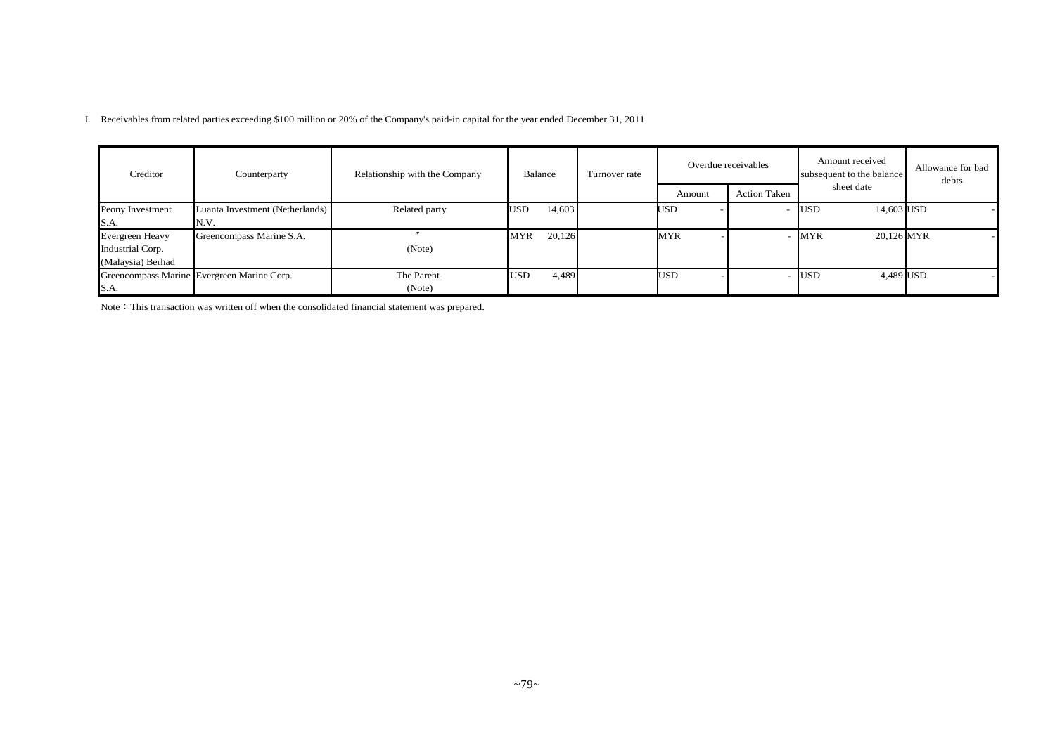I. Receivables from related parties exceeding \$100 million or 20% of the Company's paid-in capital for the year ended December 31, 2011

| Creditor          | Counterparty                               | Relationship with the Company | Balance    |        | Turnover rate |            | Overdue receivables | Amount received<br>subsequent to the balance | Allowance for bad<br>debts |
|-------------------|--------------------------------------------|-------------------------------|------------|--------|---------------|------------|---------------------|----------------------------------------------|----------------------------|
|                   |                                            |                               |            |        |               | Amount     | <b>Action Taken</b> | sheet date                                   |                            |
| Peony Investment  | Luanta Investment (Netherlands)            | Related party                 | <b>USD</b> | 14,603 |               | USD        |                     | 14,603 USD<br><b>USD</b>                     |                            |
| S.A.              | N.V.                                       |                               |            |        |               |            |                     |                                              |                            |
| Evergreen Heavy   | Greencompass Marine S.A.                   |                               | <b>MYR</b> | 20,126 |               | MYR        |                     | 20,126 MYR<br><b>MYR</b>                     |                            |
| Industrial Corp.  |                                            | (Note)                        |            |        |               |            |                     |                                              |                            |
| (Malaysia) Berhad |                                            |                               |            |        |               |            |                     |                                              |                            |
|                   | Greencompass Marine Evergreen Marine Corp. | The Parent                    | <b>USD</b> | 4,489  |               | <b>USD</b> |                     | 4,489 USD<br><b>USD</b>                      |                            |
| S.A.              |                                            | (Note)                        |            |        |               |            |                     |                                              |                            |

Note: This transaction was written off when the consolidated financial statement was prepared.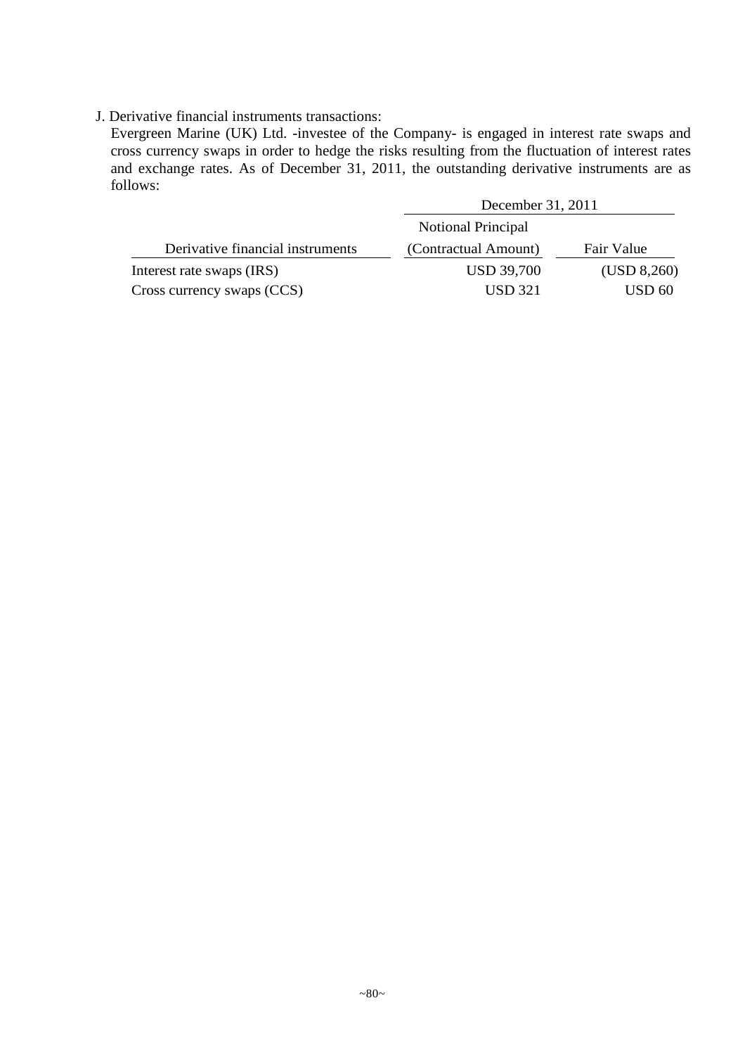## J. Derivative financial instruments transactions:

Evergreen Marine (UK) Ltd. -investee of the Company- is engaged in interest rate swaps and cross currency swaps in order to hedge the risks resulting from the fluctuation of interest rates and exchange rates. As of December 31, 2011, the outstanding derivative instruments are as follows:

|                                  | December 31, 2011         |                   |  |  |  |
|----------------------------------|---------------------------|-------------------|--|--|--|
|                                  | <b>Notional Principal</b> |                   |  |  |  |
| Derivative financial instruments | (Contractual Amount)      | Fair Value        |  |  |  |
| Interest rate swaps (IRS)        | <b>USD 39,700</b>         | (USD 8,260)       |  |  |  |
| Cross currency swaps (CCS)       | <b>USD 321</b>            | USD <sub>60</sub> |  |  |  |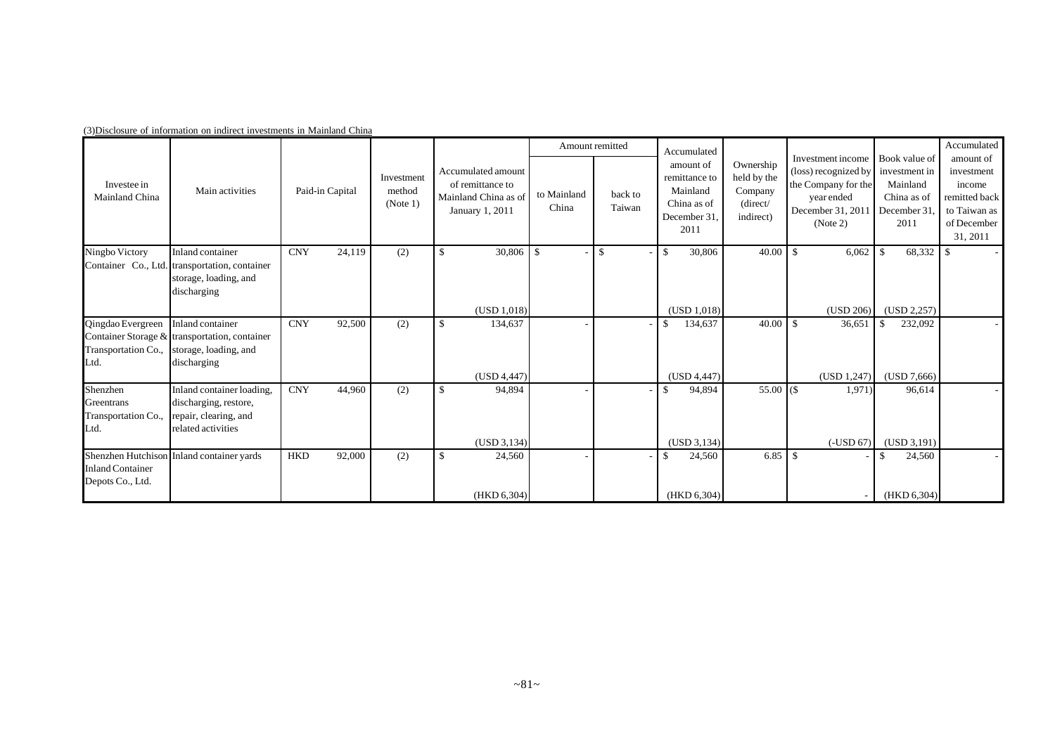|                                                       |                                                                                                           |                      |                                  |                                                                                   |                      | Amount remitted   | Accumulated                                                                  |                                                              |                                                                                                                              |                                                                 | Accumulated                                                                                   |
|-------------------------------------------------------|-----------------------------------------------------------------------------------------------------------|----------------------|----------------------------------|-----------------------------------------------------------------------------------|----------------------|-------------------|------------------------------------------------------------------------------|--------------------------------------------------------------|------------------------------------------------------------------------------------------------------------------------------|-----------------------------------------------------------------|-----------------------------------------------------------------------------------------------|
| Investee in<br>Mainland China                         | Main activities                                                                                           | Paid-in Capital      | Investment<br>method<br>(Note 1) | Accumulated amount<br>of remittance to<br>Mainland China as of<br>January 1, 2011 | to Mainland<br>China | back to<br>Taiwan | amount of<br>remittance to<br>Mainland<br>China as of<br>December 31<br>2011 | Ownership<br>held by the<br>Company<br>(direct/<br>indirect) | Investment income Book value of<br>(loss) recognized by<br>the Company for the<br>vearended<br>December 31, 2011<br>(Note 2) | investment in<br>Mainland<br>China as of<br>December 31<br>2011 | amount of<br>investment<br>income<br>remitted back<br>to Taiwan as<br>of December<br>31, 2011 |
| Ningbo Victory                                        | Inland container<br>Container Co., Ltd. transportation, container<br>storage, loading, and<br>discharging | <b>CNY</b><br>24,119 | (2)                              | $30,806$ \$                                                                       |                      | $\mathbb{S}$      | 30,806<br>- \$                                                               | 40.00                                                        | 6,062<br>$\mathbb{S}$                                                                                                        | $\mathbb{S}$<br>68,332                                          | $\overline{\phantom{a}}$                                                                      |
|                                                       |                                                                                                           |                      |                                  | (USD 1,018)                                                                       |                      |                   | (USD 1,018)                                                                  |                                                              | (USD 206)                                                                                                                    | (USD 2, 257)                                                    |                                                                                               |
| Qingdao Evergreen<br>Transportation Co.,<br>Ltd.      | Inland container<br>Container Storage & transportation, container<br>storage, loading, and<br>discharging | 92,500<br><b>CNY</b> | (2)                              | 134,637<br>(USD 4,447)                                                            |                      |                   | 134,637<br>-8<br>(USD 4,447)                                                 | 40.00                                                        | $\mathbf{\hat{S}}$<br>36,651<br>(USD 1,247)                                                                                  | $\mathbb{S}$<br>232,092<br>(USD 7,666)                          |                                                                                               |
| Shenzhen<br>Greentrans<br>Transportation Co.,<br>Ltd. | Inland container loading,<br>discharging, restore,<br>repair, clearing, and<br>related activities         | <b>CNY</b><br>44,960 | (2)                              | 94,894<br>S<br>(USD 3, 134)                                                       |                      |                   | 94,894<br>(USD 3, 134)                                                       | $55.00$ (\$)                                                 | 1,971)<br>$(-USD 67)$                                                                                                        | 96,614<br>(USD 3, 191)                                          |                                                                                               |
| <b>Inland Container</b><br>Depots Co., Ltd.           | Shenzhen Hutchison Inland container yards                                                                 | 92,000<br><b>HKD</b> | (2)                              | 24,560<br>.S<br>(HKD 6,304)                                                       |                      |                   | 24,560<br>-\$<br>(HKD 6,304)                                                 | 6.85                                                         | \$                                                                                                                           | 24,560<br>\$<br>(HKD 6, 304)                                    |                                                                                               |

(3)Disclosure of information on indirect investments in Mainland China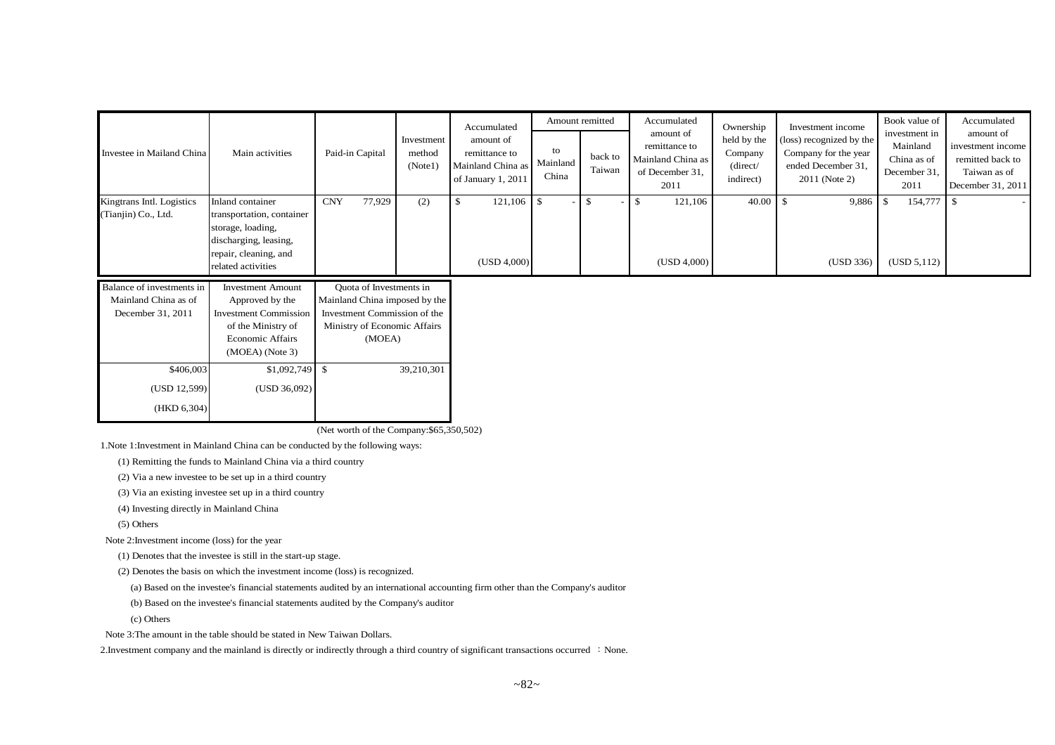| Investee in Mailand China                              | Main activities                                                                                                                            | Paid-in Capital                                                    | Investment<br>method<br>(Note1) | Accumulated<br>amount of<br>remittance to<br>Mainland China as<br>of January 1, 2011 | Amount remitted<br>to<br>Mainland<br>China | back to<br>Taiwan | Accumulated<br>amount of<br>remittance to<br>Mainland China as<br>of December 31,<br>2011 | Ownership<br>held by the<br>Company<br>(direct/<br>indirect) | Investment income<br>(loss) recognized by the<br>Company for the year<br>ended December 31,<br>2011 (Note 2) | Book value of<br>investment in<br>Mainland<br>China as of<br>December 31,<br>2011 | Accumulated<br>amount of<br>investment income<br>remitted back to<br>Taiwan as of<br>December 31, 2011 |
|--------------------------------------------------------|--------------------------------------------------------------------------------------------------------------------------------------------|--------------------------------------------------------------------|---------------------------------|--------------------------------------------------------------------------------------|--------------------------------------------|-------------------|-------------------------------------------------------------------------------------------|--------------------------------------------------------------|--------------------------------------------------------------------------------------------------------------|-----------------------------------------------------------------------------------|--------------------------------------------------------------------------------------------------------|
| Kingtrans Intl. Logistics<br>(Tianjin) Co., Ltd.       | Inland container<br>transportation, container<br>storage, loading,<br>discharging, leasing,<br>repair, cleaning, and<br>related activities | 77,929<br><b>CNY</b>                                               | (2)                             | 121,106<br>в.<br>(USD 4,000)                                                         | . <b>\$</b>                                |                   | 121,106<br>ъ<br>(USD 4,000)                                                               | 40.00                                                        | 9,886<br>(USD 336)                                                                                           | 154,777<br>- \$<br>(USD 5,112)                                                    |                                                                                                        |
| Balance of investments in<br>Mainland China as of<br>. | <b>Investment Amount</b><br>Approved by the                                                                                                | Quota of Investments in<br>Mainland China imposed by the<br>______ |                                 |                                                                                      |                                            |                   |                                                                                           |                                                              |                                                                                                              |                                                                                   |                                                                                                        |

| танианы слина аз оп | Approved by the              | <b>Manhand China imposed by the</b> |
|---------------------|------------------------------|-------------------------------------|
| December 31, 2011   | <b>Investment Commission</b> | Investment Commission of the        |
|                     | of the Ministry of           | Ministry of Economic Affairs        |
|                     | <b>Economic Affairs</b>      | (MOEA)                              |
|                     | $(MOEA)$ (Note 3)            |                                     |
| \$406,003           | \$1,092,749                  | 39,210,301<br>\$                    |
| (USD 12,599)        | (USD 36,092)                 |                                     |
| (HKD 6,304)         |                              |                                     |

(Net worth of the Company:\$65,350,502)

1.Note 1:Investment in Mainland China can be conducted by the following ways:

(1) Remitting the funds to Mainland China via a third country

(2) Via a new investee to be set up in a third country

(3) Via an existing investee set up in a third country

(4) Investing directly in Mainland China

(5) Others

Note 2:Investment income (loss) for the year

(1) Denotes that the investee is still in the start-up stage.

(2) Denotes the basis on which the investment income (loss) is recognized.

(a) Based on the investee's financial statements audited by an international accounting firm other than the Company's auditor

(b) Based on the investee's financial statements audited by the Company's auditor

(c) Others

Note 3:The amount in the table should be stated in New Taiwan Dollars.

2. Investment company and the mainland is directly or indirectly through a third country of significant transactions occurred : None.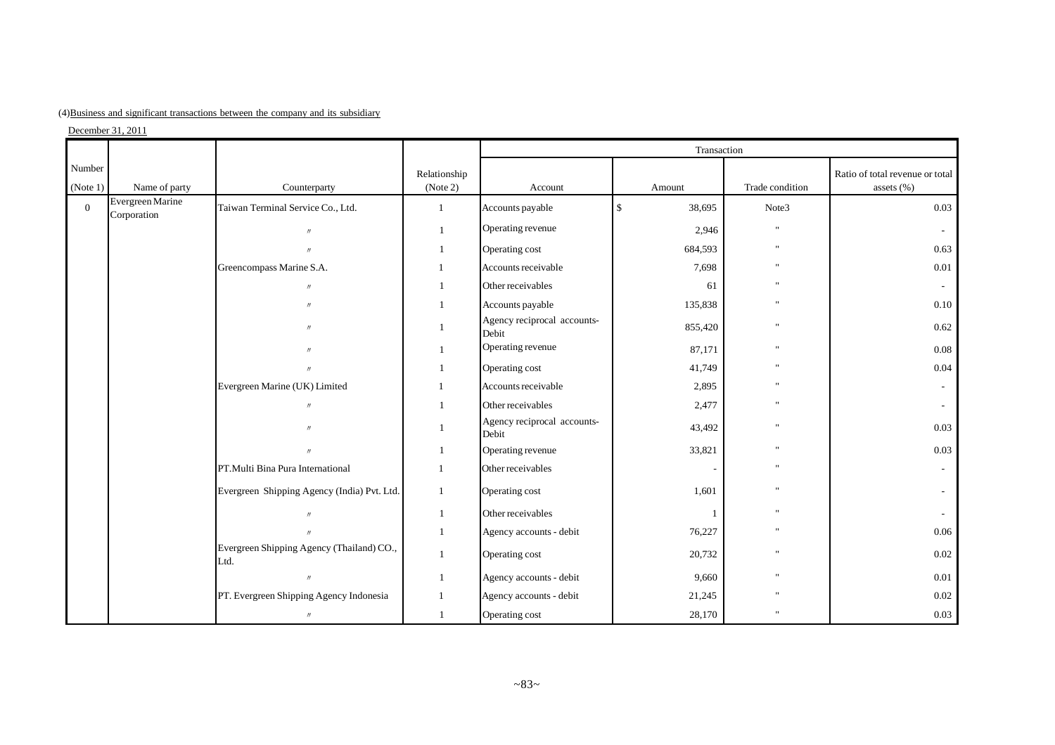| (4) Business and significant transactions between the company and its subsidiary |
|----------------------------------------------------------------------------------|
|----------------------------------------------------------------------------------|

 $December 31, 2011$ 

|                    |                                 |                                                   |                          |                                      | Transaction            |                 |                                               |
|--------------------|---------------------------------|---------------------------------------------------|--------------------------|--------------------------------------|------------------------|-----------------|-----------------------------------------------|
| Number<br>(Note 1) | Name of party                   | Counterparty                                      | Relationship<br>(Note 2) | Account                              | Amount                 | Trade condition | Ratio of total revenue or total<br>assets (%) |
| $\mathbf{0}$       | Evergreen Marine<br>Corporation | Taiwan Terminal Service Co., Ltd.                 | $\mathbf{1}$             | Accounts payable                     | 38,695<br>$\mathbf{s}$ | Note3           | 0.03                                          |
|                    |                                 | $\prime$                                          | $\mathbf{1}$             | Operating revenue                    | 2,946                  | u,              | $\sim$                                        |
|                    |                                 |                                                   | 1                        | Operating cost                       | 684,593                | $\mathbf{u}$    | 0.63                                          |
|                    |                                 | Greencompass Marine S.A.                          |                          | Accounts receivable                  | 7,698                  |                 | 0.01                                          |
|                    |                                 | $^{\prime}$                                       |                          | Other receivables                    | 61                     |                 | $\sim$                                        |
|                    |                                 | $^{\prime}$                                       | -1                       | Accounts payable                     | 135,838                |                 | 0.10                                          |
|                    |                                 | $\overline{u}$                                    | 1                        | Agency reciprocal accounts-<br>Debit | 855,420                | u,              | 0.62                                          |
|                    |                                 |                                                   | $\mathbf{1}$             | Operating revenue                    | 87,171                 |                 | 0.08                                          |
|                    |                                 |                                                   | 1                        | Operating cost                       | 41,749                 |                 | 0.04                                          |
|                    |                                 | Evergreen Marine (UK) Limited                     |                          | Accounts receivable                  | 2,895                  |                 | $\sim$                                        |
|                    |                                 | $\prime$                                          | $\mathbf{1}$             | Other receivables                    | 2,477                  | $\mathbf{u}$    | $\sim$                                        |
|                    |                                 | $^{\prime}$                                       |                          | Agency reciprocal accounts-<br>Debit | 43,492                 |                 | 0.03                                          |
|                    |                                 | $\overline{H}$                                    | 1                        | Operating revenue                    | 33,821                 |                 | 0.03                                          |
|                    |                                 | PT.Multi Bina Pura International                  | $\mathbf{1}$             | Other receivables                    |                        |                 | $\sim$                                        |
|                    |                                 | Evergreen Shipping Agency (India) Pvt. Ltd.       | $\mathbf{1}$             | Operating cost                       | 1,601                  |                 |                                               |
|                    |                                 | $\mathcal{U}$                                     | $\mathbf{1}$             | Other receivables                    | $\overline{1}$         | $\mathbf{u}$    | $\sim$                                        |
|                    |                                 |                                                   | $\mathbf{1}$             | Agency accounts - debit              | 76,227                 |                 | 0.06                                          |
|                    |                                 | Evergreen Shipping Agency (Thailand) CO.,<br>Ltd. | 1                        | Operating cost                       | 20,732                 |                 | 0.02                                          |
|                    |                                 | $\mathcal{U}$                                     | $\mathbf{1}$             | Agency accounts - debit              | 9,660                  |                 | 0.01                                          |
|                    |                                 | PT. Evergreen Shipping Agency Indonesia           | $\mathbf{1}$             | Agency accounts - debit              | 21,245                 |                 | 0.02                                          |
|                    |                                 | $\prime\prime$                                    | $\mathbf{1}$             | Operating cost                       | 28,170                 |                 | 0.03                                          |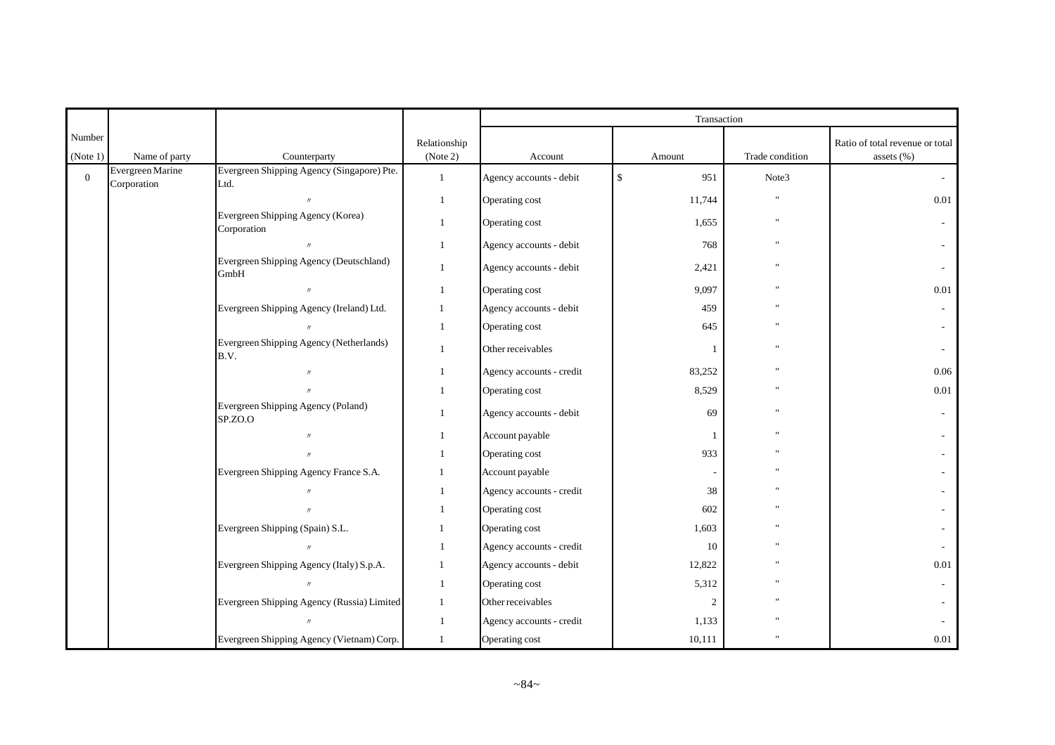|                    |                                 |                                                    |                          |                          | Transaction         |                 |                                                   |
|--------------------|---------------------------------|----------------------------------------------------|--------------------------|--------------------------|---------------------|-----------------|---------------------------------------------------|
| Number<br>(Note 1) | Name of party                   | Counterparty                                       | Relationship<br>(Note 2) | Account                  | Amount              | Trade condition | Ratio of total revenue or total<br>assets $(\% )$ |
| $\mathbf{0}$       | Evergreen Marine<br>Corporation | Evergreen Shipping Agency (Singapore) Pte.<br>Ltd. | $\mathbf{1}$             | Agency accounts - debit  | $\mathbb{S}$<br>951 | Note3           | $\sim$                                            |
|                    |                                 | $\prime\prime$                                     | $\mathbf{1}$             | Operating cost           | 11,744              | $\mathbf{u}$    | 0.01                                              |
|                    |                                 | Evergreen Shipping Agency (Korea)<br>Corporation   | $\mathbf{1}$             | Operating cost           | 1,655               |                 |                                                   |
|                    |                                 |                                                    | $\mathbf{1}$             | Agency accounts - debit  | 768                 |                 |                                                   |
|                    |                                 | Evergreen Shipping Agency (Deutschland)<br>GmbH    | $\mathbf{1}$             | Agency accounts - debit  | 2,421               |                 |                                                   |
|                    |                                 | $^{\prime\prime}$                                  | $\overline{1}$           | Operating cost           | 9,097               |                 | $0.01\,$                                          |
|                    |                                 | Evergreen Shipping Agency (Ireland) Ltd.           | 1                        | Agency accounts - debit  | 459                 |                 |                                                   |
|                    |                                 | $\prime$                                           | $\mathbf{1}$             | Operating cost           | 645                 |                 |                                                   |
|                    |                                 | Evergreen Shipping Agency (Netherlands)<br>B.V.    | $\overline{1}$           | Other receivables        |                     |                 |                                                   |
|                    |                                 | $\prime$                                           |                          | Agency accounts - credit | 83,252              |                 | 0.06                                              |
|                    |                                 |                                                    |                          | Operating cost           | 8,529               |                 | $0.01\,$                                          |
|                    |                                 | Evergreen Shipping Agency (Poland)<br>SP.ZO.O      | $\mathbf{1}$             | Agency accounts - debit  | 69                  |                 |                                                   |
|                    |                                 | $\prime$                                           |                          | Account payable          |                     |                 |                                                   |
|                    |                                 | $\prime$                                           |                          | Operating cost           | 933                 |                 |                                                   |
|                    |                                 | Evergreen Shipping Agency France S.A.              |                          | Account payable          |                     |                 |                                                   |
|                    |                                 | $\overline{H}$                                     |                          | Agency accounts - credit | 38                  |                 |                                                   |
|                    |                                 |                                                    |                          | Operating cost           | 602                 |                 |                                                   |
|                    |                                 | Evergreen Shipping (Spain) S.L.                    |                          | Operating cost           | 1,603               |                 |                                                   |
|                    |                                 | $\prime$                                           |                          | Agency accounts - credit | 10                  |                 |                                                   |
|                    |                                 | Evergreen Shipping Agency (Italy) S.p.A.           | 1                        | Agency accounts - debit  | 12,822              |                 | $0.01\,$                                          |
|                    |                                 | $\prime$                                           | $\mathbf{1}$             | Operating cost           | 5,312               |                 |                                                   |
|                    |                                 | Evergreen Shipping Agency (Russia) Limited         | $\mathbf{1}$             | Other receivables        | $\overline{2}$      |                 |                                                   |
|                    |                                 |                                                    | $\mathbf{1}$             | Agency accounts - credit | 1,133               |                 |                                                   |
|                    |                                 | Evergreen Shipping Agency (Vietnam) Corp.          | $\mathbf{1}$             | Operating cost           | 10,111              |                 | 0.01                                              |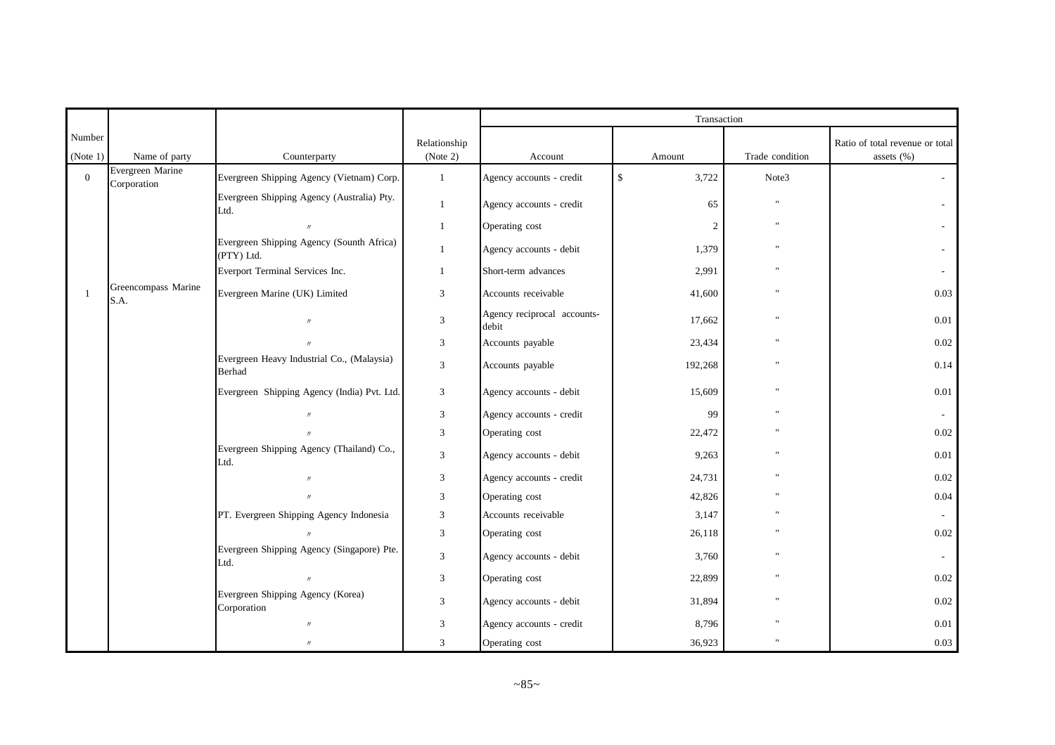|                    |                                 |                                                         |                             |                                      | Transaction           |                 |                                                   |
|--------------------|---------------------------------|---------------------------------------------------------|-----------------------------|--------------------------------------|-----------------------|-----------------|---------------------------------------------------|
| Number<br>(Note 1) | Name of party                   | Counterparty                                            | Relationship<br>(Note 2)    | Account                              | Amount                | Trade condition | Ratio of total revenue or total<br>assets $(\% )$ |
| $\mathbf{0}$       | Evergreen Marine<br>Corporation | Evergreen Shipping Agency (Vietnam) Corp.               | $\mathbf{1}$                | Agency accounts - credit             | $\mathbb{S}$<br>3,722 | Note3           |                                                   |
|                    |                                 | Evergreen Shipping Agency (Australia) Pty.<br>Ltd.      | $\mathbf{1}$                | Agency accounts - credit             | 65                    |                 |                                                   |
|                    |                                 | $\prime\prime$                                          | 1                           | Operating cost                       | 2                     |                 |                                                   |
|                    |                                 | Evergreen Shipping Agency (Sounth Africa)<br>(PTY) Ltd. |                             | Agency accounts - debit              | 1,379                 |                 |                                                   |
|                    |                                 | Everport Terminal Services Inc.                         | $\mathbf{1}$                | Short-term advances                  | 2,991                 |                 |                                                   |
| $\overline{1}$     | Greencompass Marine<br>S.A.     | Evergreen Marine (UK) Limited                           | $\mathfrak{Z}$              | Accounts receivable                  | 41,600                |                 | 0.03                                              |
|                    |                                 | $^{\prime}$                                             | $\sqrt{3}$                  | Agency reciprocal accounts-<br>debit | 17,662                |                 | 0.01                                              |
|                    |                                 | $^{\prime\prime}$                                       | $\sqrt{3}$                  | Accounts payable                     | 23,434                |                 | $0.02\,$                                          |
|                    |                                 | Evergreen Heavy Industrial Co., (Malaysia)<br>Berhad    | $\mathfrak{Z}$              | Accounts payable                     | 192,268               |                 | 0.14                                              |
|                    |                                 | Evergreen Shipping Agency (India) Pvt. Ltd.             | 3                           | Agency accounts - debit              | 15,609                |                 | $0.01\,$                                          |
|                    |                                 | $\overline{u}$                                          | $\ensuremath{\mathfrak{Z}}$ | Agency accounts - credit             | 99                    |                 |                                                   |
|                    |                                 |                                                         | $\mathfrak{Z}$              | Operating cost                       | 22,472                |                 | $0.02\,$                                          |
|                    |                                 | Evergreen Shipping Agency (Thailand) Co.,<br>Ltd.       | $\mathfrak{Z}$              | Agency accounts - debit              | 9,263                 |                 | $0.01\,$                                          |
|                    |                                 | $\prime\prime$                                          | 3                           | Agency accounts - credit             | 24,731                |                 | 0.02                                              |
|                    |                                 |                                                         | 3                           | Operating cost                       | 42,826                |                 | 0.04                                              |
|                    |                                 | PT. Evergreen Shipping Agency Indonesia                 | 3                           | Accounts receivable                  | 3,147                 |                 |                                                   |
|                    |                                 | $\boldsymbol{\mu}$                                      | $\mathfrak{Z}$              | Operating cost                       | 26,118                |                 | $0.02\,$                                          |
|                    |                                 | Evergreen Shipping Agency (Singapore) Pte.<br>Ltd.      | $\mathfrak{Z}$              | Agency accounts - debit              | 3,760                 |                 |                                                   |
|                    |                                 | $\prime$                                                | $\ensuremath{\mathfrak{Z}}$ | Operating cost                       | 22,899                |                 | $0.02\,$                                          |
|                    |                                 | Evergreen Shipping Agency (Korea)<br>Corporation        | $\mathfrak{Z}$              | Agency accounts - debit              | 31,894                |                 | $0.02\,$                                          |
|                    |                                 | $^{\prime\prime}$                                       | 3                           | Agency accounts - credit             | 8,796                 |                 | 0.01                                              |
|                    |                                 | $\prime$                                                | 3                           | Operating cost                       | 36,923                |                 | 0.03                                              |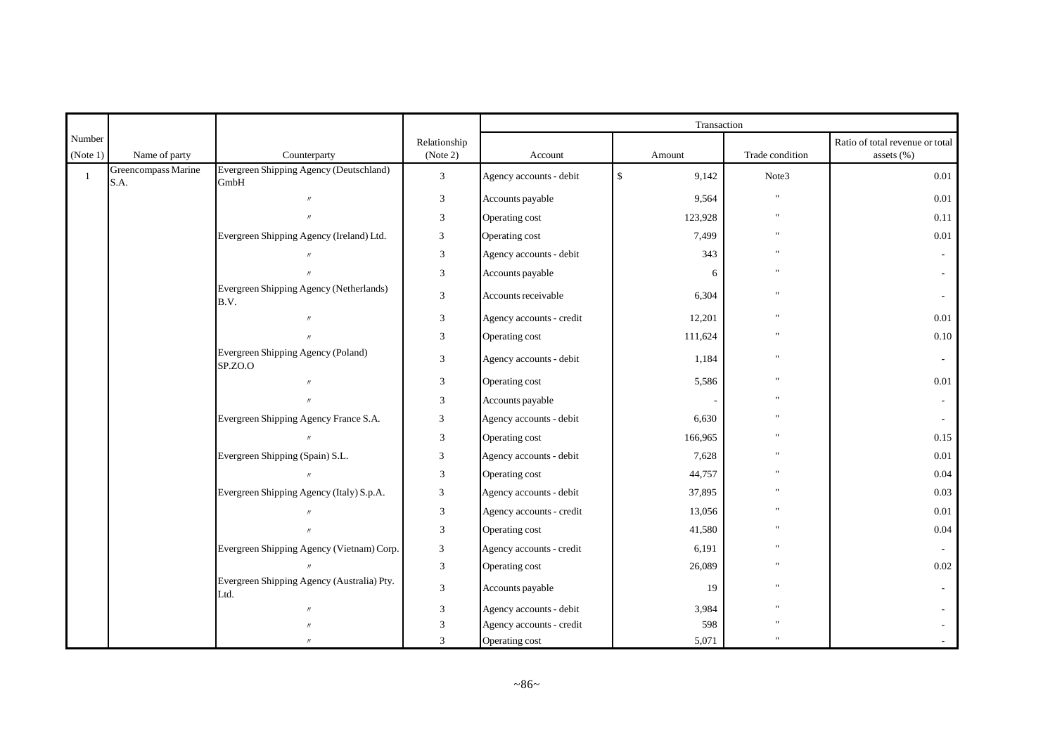|              |                             |                                                    |                             |                          | Transaction           |                 |                                 |
|--------------|-----------------------------|----------------------------------------------------|-----------------------------|--------------------------|-----------------------|-----------------|---------------------------------|
| Number       |                             |                                                    | Relationship                |                          |                       |                 | Ratio of total revenue or total |
| (Note 1)     | Name of party               | Counterparty                                       | (Note 2)                    | Account                  | Amount                | Trade condition | assets $(\% )$                  |
| $\mathbf{1}$ | Greencompass Marine<br>S.A. | Evergreen Shipping Agency (Deutschland)<br>GmbH    | $\overline{3}$              | Agency accounts - debit  | $\mathbb{S}$<br>9,142 | Note3           | 0.01                            |
|              |                             | $\boldsymbol{\eta}$                                | $\ensuremath{\mathfrak{Z}}$ | Accounts payable         | 9,564                 |                 | $0.01\,$                        |
|              |                             | $^{\prime\prime}$                                  | 3                           | Operating cost           | 123,928               |                 | 0.11                            |
|              |                             | Evergreen Shipping Agency (Ireland) Ltd.           | 3                           | Operating cost           | 7,499                 |                 | 0.01                            |
|              |                             | $\prime\prime$                                     | $\mathfrak 3$               | Agency accounts - debit  | 343                   |                 |                                 |
|              |                             | $\overline{u}$                                     | 3                           | Accounts payable         | 6                     |                 |                                 |
|              |                             | Evergreen Shipping Agency (Netherlands)<br>B.V.    | 3                           | Accounts receivable      | 6,304                 |                 |                                 |
|              |                             | $\overline{H}$                                     | $\mathfrak 3$               | Agency accounts - credit | 12,201                |                 | $0.01\,$                        |
|              |                             |                                                    | 3                           | Operating cost           | 111,624               |                 | $0.10\,$                        |
|              |                             | Evergreen Shipping Agency (Poland)<br>SP.ZO.O      | 3                           | Agency accounts - debit  | 1,184                 |                 | $\overline{\phantom{a}}$        |
|              |                             | $^{\prime\prime}$                                  | $\mathfrak 3$               | Operating cost           | 5,586                 |                 | 0.01                            |
|              |                             | $\overline{u}$                                     | $\mathfrak{Z}$              | Accounts payable         |                       |                 | $\sim$                          |
|              |                             | Evergreen Shipping Agency France S.A.              | 3                           | Agency accounts - debit  | 6,630                 |                 | $\sim$                          |
|              |                             |                                                    | 3                           | Operating cost           | 166,965               |                 | 0.15                            |
|              |                             | Evergreen Shipping (Spain) S.L.                    | $\mathfrak z$               | Agency accounts - debit  | 7,628                 |                 | $0.01\,$                        |
|              |                             | $^{\prime\prime}$                                  | 3                           | Operating cost           | 44,757                |                 | 0.04                            |
|              |                             | Evergreen Shipping Agency (Italy) S.p.A.           | 3                           | Agency accounts - debit  | 37,895                |                 | 0.03                            |
|              |                             |                                                    | 3                           | Agency accounts - credit | 13,056                |                 | 0.01                            |
|              |                             | $\overline{u}$                                     | $\ensuremath{\mathfrak{Z}}$ | Operating cost           | 41,580                |                 | $0.04\,$                        |
|              |                             | Evergreen Shipping Agency (Vietnam) Corp.          | 3                           | Agency accounts - credit | 6,191                 |                 |                                 |
|              |                             |                                                    | $\mathfrak 3$               | Operating cost           | 26,089                |                 | 0.02                            |
|              |                             | Evergreen Shipping Agency (Australia) Pty.<br>Ltd. | $\mathfrak{Z}$              | Accounts payable         | 19                    |                 |                                 |
|              |                             |                                                    | 3                           | Agency accounts - debit  | 3,984                 |                 |                                 |
|              |                             |                                                    | 3                           | Agency accounts - credit | 598                   |                 |                                 |
|              |                             | $^{\prime}$                                        | 3                           | Operating cost           | 5,071                 |                 |                                 |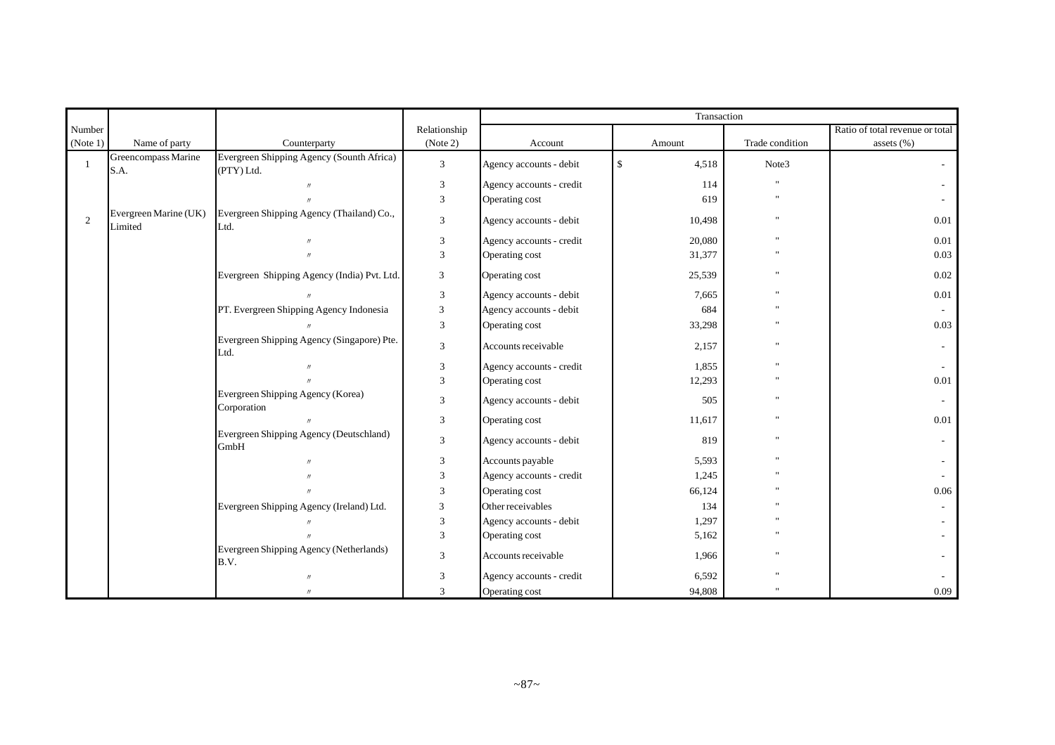|                |                                  |                                                         |                |                          | Transaction           |                 |                                 |
|----------------|----------------------------------|---------------------------------------------------------|----------------|--------------------------|-----------------------|-----------------|---------------------------------|
| Number         |                                  |                                                         | Relationship   |                          |                       |                 | Ratio of total revenue or total |
| (Note 1)       | Name of party                    | Counterparty                                            | (Note 2)       | Account                  | Amount                | Trade condition | assets $(\% )$                  |
| $\overline{1}$ | Greencompass Marine<br>S.A.      | Evergreen Shipping Agency (Sounth Africa)<br>(PTY) Ltd. | 3              | Agency accounts - debit  | $\mathbb{S}$<br>4,518 | Note3           |                                 |
|                |                                  |                                                         | 3              | Agency accounts - credit | 114                   |                 |                                 |
|                |                                  |                                                         | $\mathfrak{Z}$ | Operating cost           | 619                   |                 |                                 |
| 2              | Evergreen Marine (UK)<br>Limited | Evergreen Shipping Agency (Thailand) Co.,<br>Ltd.       | 3              | Agency accounts - debit  | 10,498                |                 | 0.01                            |
|                |                                  |                                                         | 3              | Agency accounts - credit | 20,080                |                 | 0.01                            |
|                |                                  |                                                         | 3              | Operating cost           | 31,377                |                 | 0.03                            |
|                |                                  | Evergreen Shipping Agency (India) Pvt. Ltd.             | 3              | Operating cost           | 25,539                |                 | 0.02                            |
|                |                                  |                                                         | 3              | Agency accounts - debit  | 7,665                 |                 | 0.01                            |
|                |                                  | PT. Evergreen Shipping Agency Indonesia                 | 3              | Agency accounts - debit  | 684                   |                 |                                 |
|                |                                  |                                                         | 3              | Operating cost           | 33,298                |                 | 0.03                            |
|                |                                  | Evergreen Shipping Agency (Singapore) Pte.<br>Ltd.      | 3              | Accounts receivable      | 2,157                 |                 |                                 |
|                |                                  |                                                         | 3              | Agency accounts - credit | 1,855                 |                 |                                 |
|                |                                  |                                                         | 3              | Operating cost           | 12,293                |                 | 0.01                            |
|                |                                  | Evergreen Shipping Agency (Korea)<br>Corporation        | 3              | Agency accounts - debit  | 505                   |                 | $\sim$                          |
|                |                                  |                                                         | 3              | Operating cost           | 11,617                |                 | 0.01                            |
|                |                                  | Evergreen Shipping Agency (Deutschland)<br>GmbH         | 3              | Agency accounts - debit  | 819                   |                 |                                 |
|                |                                  |                                                         | $\mathfrak{Z}$ | Accounts payable         | 5,593                 |                 |                                 |
|                |                                  |                                                         | 3              | Agency accounts - credit | 1,245                 |                 |                                 |
|                |                                  |                                                         | 3              | Operating cost           | 66,124                |                 | 0.06                            |
|                |                                  | Evergreen Shipping Agency (Ireland) Ltd.                | 3              | Other receivables        | 134                   |                 |                                 |
|                |                                  |                                                         | 3              | Agency accounts - debit  | 1,297                 |                 |                                 |
|                |                                  |                                                         | 3              | Operating cost           | 5,162                 |                 |                                 |
|                |                                  | Evergreen Shipping Agency (Netherlands)<br>B.V.         | 3              | Accounts receivable      | 1,966                 |                 |                                 |
|                |                                  | $\overline{u}$                                          | 3              | Agency accounts - credit | 6,592                 |                 |                                 |
|                |                                  | $^{\prime\prime}$                                       | 3              | Operating cost           | 94,808                |                 | 0.09                            |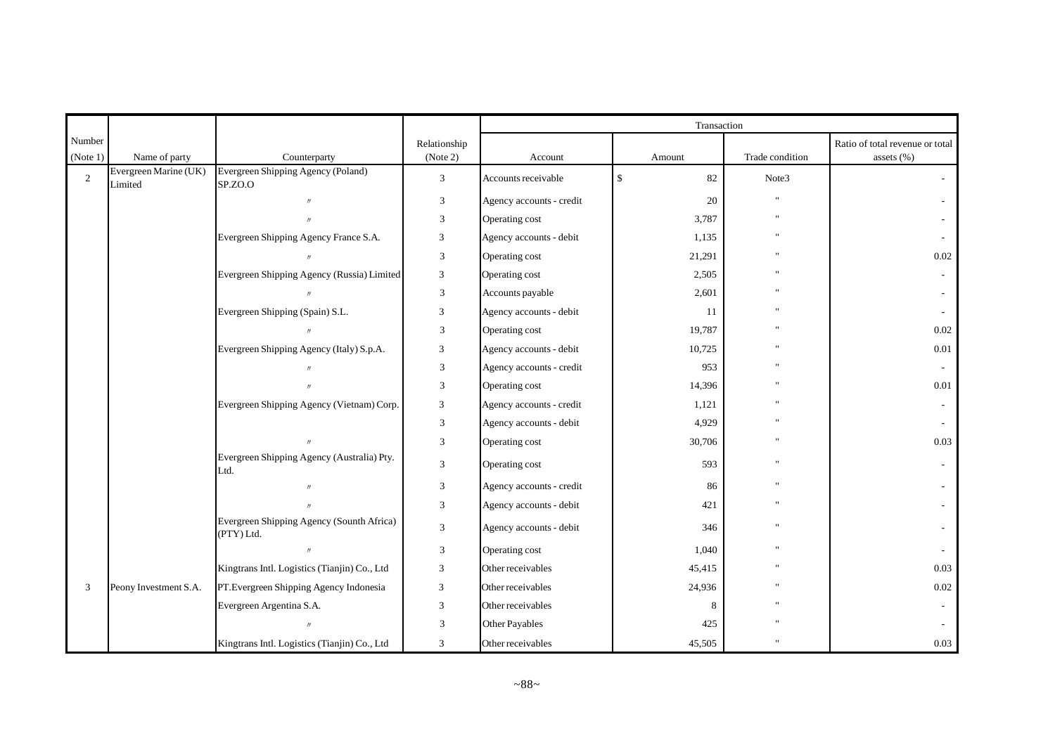|          |                                  |                                                         |                             |                          | Transaction        |                 |                                 |
|----------|----------------------------------|---------------------------------------------------------|-----------------------------|--------------------------|--------------------|-----------------|---------------------------------|
| Number   |                                  |                                                         | Relationship                |                          |                    |                 | Ratio of total revenue or total |
| (Note 1) | Name of party                    | Counterparty                                            | (Note 2)                    | Account                  | Amount             | Trade condition | assets (%)                      |
| 2        | Evergreen Marine (UK)<br>Limited | Evergreen Shipping Agency (Poland)<br>SP.ZO.O           | 3                           | Accounts receivable      | $\mathbb{S}$<br>82 | Note3           |                                 |
|          |                                  |                                                         | 3                           | Agency accounts - credit | 20                 |                 |                                 |
|          |                                  | $\prime$                                                | 3                           | Operating cost           | 3,787              | $\mathbf{u}$    |                                 |
|          |                                  | Evergreen Shipping Agency France S.A.                   | 3                           | Agency accounts - debit  | 1,135              |                 |                                 |
|          |                                  |                                                         | 3                           | Operating cost           | 21,291             |                 | 0.02                            |
|          |                                  | Evergreen Shipping Agency (Russia) Limited              | 3                           | Operating cost           | 2,505              |                 |                                 |
|          |                                  |                                                         | 3                           | Accounts payable         | 2,601              | $\mathbf{u}$    |                                 |
|          |                                  | Evergreen Shipping (Spain) S.L.                         | 3                           | Agency accounts - debit  | -11                |                 |                                 |
|          |                                  |                                                         | $\mathfrak{Z}$              | Operating cost           | 19,787             |                 | 0.02                            |
|          |                                  | Evergreen Shipping Agency (Italy) S.p.A.                | 3                           | Agency accounts - debit  | 10,725             |                 | 0.01                            |
|          |                                  |                                                         | 3                           | Agency accounts - credit | 953                | $^{\prime}$     |                                 |
|          |                                  |                                                         | $\ensuremath{\mathfrak{Z}}$ | Operating cost           | 14,396             |                 | 0.01                            |
|          |                                  | Evergreen Shipping Agency (Vietnam) Corp.               | 3                           | Agency accounts - credit | 1,121              |                 |                                 |
|          |                                  |                                                         | 3                           | Agency accounts - debit  | 4,929              | $\mathbf{u}$    |                                 |
|          |                                  |                                                         | 3                           | Operating cost           | 30,706             |                 | 0.03                            |
|          |                                  | Evergreen Shipping Agency (Australia) Pty.<br>Ltd.      | $\ensuremath{\mathfrak{Z}}$ | Operating cost           | 593                |                 | $\sim$                          |
|          |                                  |                                                         | $\mathfrak{Z}$              | Agency accounts - credit | 86                 |                 |                                 |
|          |                                  |                                                         | $\mathfrak{Z}$              | Agency accounts - debit  | 421                | $\mathbf{u}$    |                                 |
|          |                                  | Evergreen Shipping Agency (Sounth Africa)<br>(PTY) Ltd. | 3                           | Agency accounts - debit  | 346                | $\mathbf{u}$    |                                 |
|          |                                  | $\prime$                                                | $\mathfrak{Z}$              | Operating cost           | 1,040              |                 |                                 |
|          |                                  | Kingtrans Intl. Logistics (Tianjin) Co., Ltd            | 3                           | Other receivables        | 45,415             | $\mathbf{u}$    | 0.03                            |
| 3        | Peony Investment S.A.            | PT. Evergreen Shipping Agency Indonesia                 | 3                           | Other receivables        | 24,936             |                 | $0.02\,$                        |
|          |                                  | Evergreen Argentina S.A.                                | 3                           | Other receivables        | 8                  |                 |                                 |
|          |                                  |                                                         | $\mathfrak{Z}$              | Other Payables           | 425                |                 |                                 |
|          |                                  | Kingtrans Intl. Logistics (Tianjin) Co., Ltd            | 3                           | Other receivables        | 45,505             |                 | 0.03                            |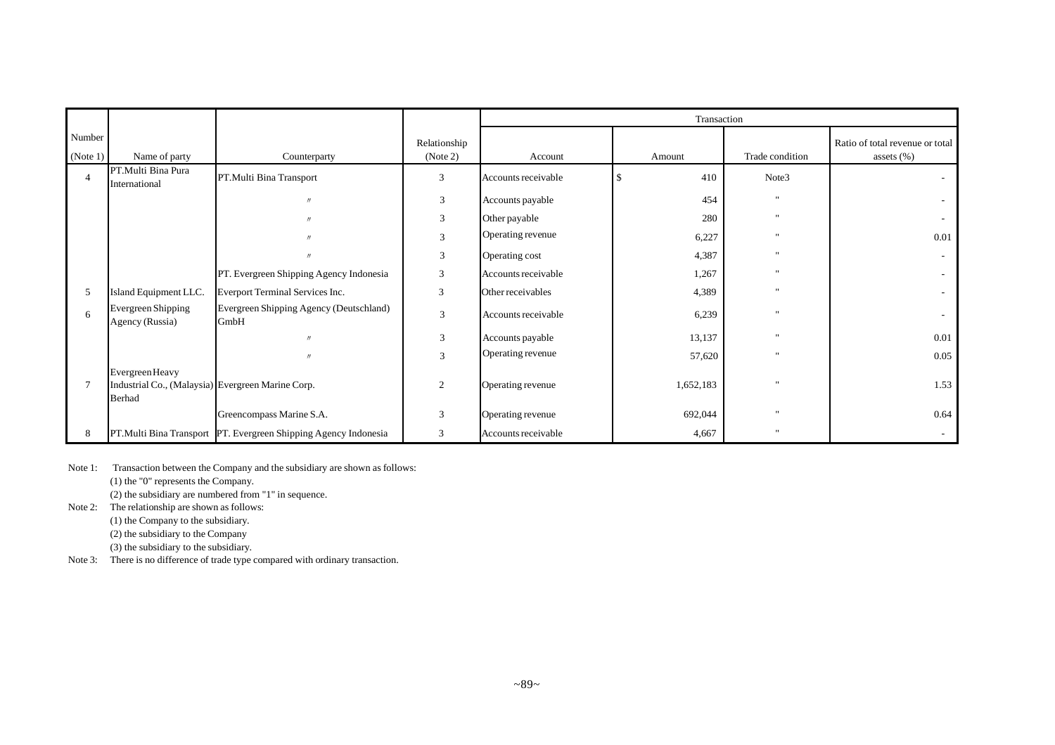|                    |                                                                                       |                                                                 |                          |                     | Transaction |                 |                                                   |  |
|--------------------|---------------------------------------------------------------------------------------|-----------------------------------------------------------------|--------------------------|---------------------|-------------|-----------------|---------------------------------------------------|--|
| Number<br>(Note 1) | Name of party                                                                         | Counterparty                                                    | Relationship<br>(Note 2) | Account             | Amount      | Trade condition | Ratio of total revenue or total<br>assets $(\% )$ |  |
| $\overline{4}$     | PT.Multi Bina Pura<br>International                                                   | PT.Multi Bina Transport                                         | 3                        | Accounts receivable | 410         | Note3           |                                                   |  |
|                    |                                                                                       | $\prime$                                                        | 3                        | Accounts payable    | 454         |                 |                                                   |  |
|                    |                                                                                       | $^{\prime\prime}$                                               | 3                        | Other payable       | 280         | $\mathbf{u}$    |                                                   |  |
|                    |                                                                                       |                                                                 | 3                        | Operating revenue   | 6,227       | $\mathbf{u}$    | 0.01                                              |  |
|                    |                                                                                       | $^{\prime\prime}$                                               | 3                        | Operating cost      | 4,387       | $\mathbf{u}$    | $\sim$                                            |  |
|                    |                                                                                       | PT. Evergreen Shipping Agency Indonesia                         | 3                        | Accounts receivable | 1,267       | $\mathbf{u}$    | $\sim$                                            |  |
| 5                  | Island Equipment LLC.                                                                 | Everport Terminal Services Inc.                                 | 3                        | Other receivables   | 4,389       | $\mathbf{u}$    |                                                   |  |
| 6                  | Evergreen Shipping<br>Agency (Russia)                                                 | Evergreen Shipping Agency (Deutschland)<br><b>GmbH</b>          | 3                        | Accounts receivable | 6,239       | $\mathbf{u}$    |                                                   |  |
|                    |                                                                                       |                                                                 | 3                        | Accounts payable    | 13,137      | $\mathbf{u}$    | 0.01                                              |  |
|                    |                                                                                       |                                                                 | 3                        | Operating revenue   | 57,620      | $\mathbf{u}$    | 0.05                                              |  |
| 7                  | Evergreen Heavy<br>Industrial Co., (Malaysia) Evergreen Marine Corp.<br><b>Berhad</b> |                                                                 | $\overline{c}$           | Operating revenue   | 1,652,183   | $\mathbf{u}$    | 1.53                                              |  |
|                    |                                                                                       | Greencompass Marine S.A.                                        | 3                        | Operating revenue   | 692,044     | $\mathbf{u}$    | 0.64                                              |  |
| 8                  |                                                                                       | PT.Multi Bina Transport PT. Evergreen Shipping Agency Indonesia | 3                        | Accounts receivable | 4,667       | $\mathbf{u}$    |                                                   |  |

Note 1: Transaction between the Company and the subsidiary are shown as follows:

(1) the "0" represents the Company.

(2) the subsidiary are numbered from "1" in sequence.

Note 2: The relationship are shown as follows:

(1) the Company to the subsidiary.

(2) the subsidiary to the Company

(3) the subsidiary to the subsidiary.

Note 3: There is no difference of trade type compared with ordinary transaction.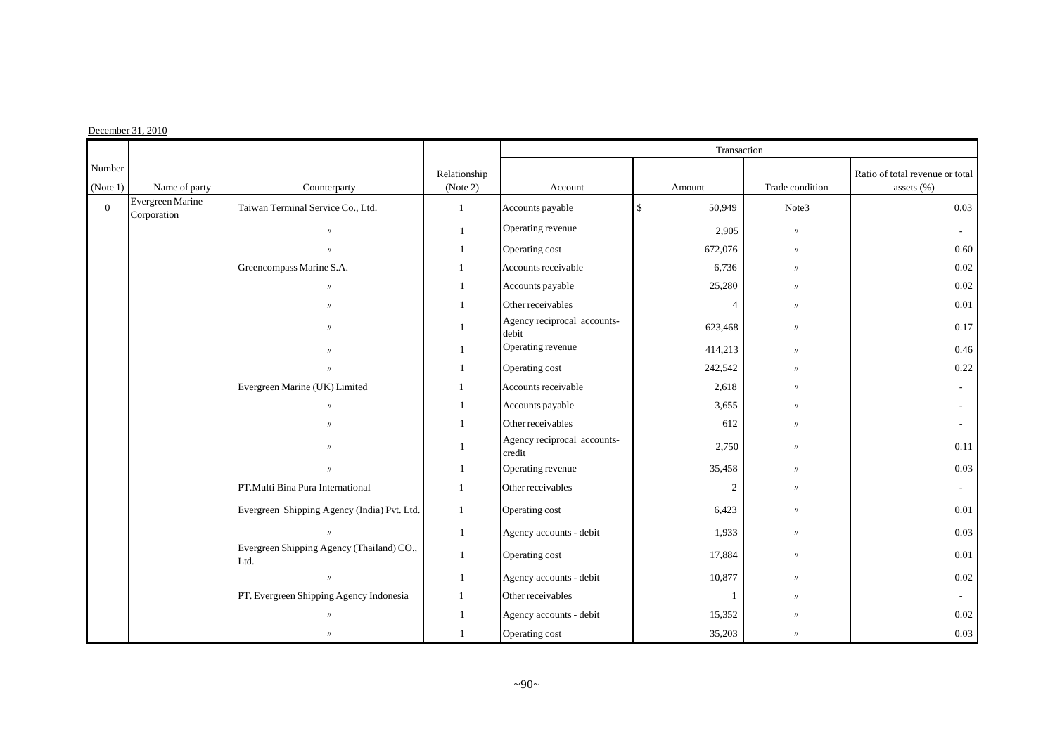#### $December 31, 2010$

|                    |                                 |                                                   |                          |                                       | Transaction                  |                 |                                               |
|--------------------|---------------------------------|---------------------------------------------------|--------------------------|---------------------------------------|------------------------------|-----------------|-----------------------------------------------|
| Number<br>(Note 1) | Name of party                   | Counterparty                                      | Relationship<br>(Note 2) | Account                               | Amount                       | Trade condition | Ratio of total revenue or total<br>assets (%) |
| $\mathbf{0}$       | Evergreen Marine<br>Corporation | Taiwan Terminal Service Co., Ltd.                 | $\mathbf{1}$             | Accounts payable                      | 50,949<br>$\mathbf{\hat{S}}$ | Note3           | 0.03                                          |
|                    |                                 | $\prime\prime$                                    | $\mathbf{1}$             | Operating revenue                     | 2,905                        | $\prime\prime$  |                                               |
|                    |                                 | $^{\prime\prime}$                                 | $\mathbf{1}$             | Operating cost                        | 672,076                      | $\prime$        | 0.60                                          |
|                    |                                 | Greencompass Marine S.A.                          | $\mathbf{1}$             | Accounts receivable                   | 6,736                        | $\prime\prime$  | 0.02                                          |
|                    |                                 | $^{\prime\prime}$                                 | $\mathbf{1}$             | Accounts payable                      | 25,280                       | $\prime\prime$  | 0.02                                          |
|                    |                                 | $\mathbf{u}$                                      | $\overline{1}$           | Other receivables                     | $\overline{4}$               | $\prime$        | $0.01\,$                                      |
|                    |                                 | $^{\prime\prime}$                                 |                          | Agency reciprocal accounts-<br>debit  | 623,468                      | $\prime\prime$  | 0.17                                          |
|                    |                                 |                                                   | $\mathbf{1}$             | Operating revenue                     | 414,213                      | $\prime\prime$  | 0.46                                          |
|                    |                                 | $\prime$                                          | $\mathbf{1}$             | Operating cost                        | 242,542                      | $\prime$        | 0.22                                          |
|                    |                                 | Evergreen Marine (UK) Limited                     | 1                        | Accounts receivable                   | 2,618                        | $\prime$        |                                               |
|                    |                                 | $\prime\prime$                                    | $\overline{1}$           | Accounts payable                      | 3,655                        | $\prime$        |                                               |
|                    |                                 | $\prime$                                          | 1                        | Other receivables                     | 612                          | $\prime\prime$  |                                               |
|                    |                                 |                                                   | $\mathbf{1}$             | Agency reciprocal accounts-<br>credit | 2,750                        | $\prime$        | 0.11                                          |
|                    |                                 | $^{\prime\prime}$                                 | 1                        | Operating revenue                     | 35,458                       | $\prime$        | 0.03                                          |
|                    |                                 | PT. Multi Bina Pura International                 | 1                        | Other receivables                     | 2                            | $\prime$        |                                               |
|                    |                                 | Evergreen Shipping Agency (India) Pvt. Ltd.       | $\mathbf{1}$             | Operating cost                        | 6,423                        | $\prime\prime$  | 0.01                                          |
|                    |                                 | $\prime\prime$                                    | $\mathbf{1}$             | Agency accounts - debit               | 1,933                        | $\prime$        | 0.03                                          |
|                    |                                 | Evergreen Shipping Agency (Thailand) CO.,<br>Ltd. | $\mathbf{1}$             | Operating cost                        | 17,884                       | $\prime$        | $0.01\,$                                      |
|                    |                                 | $^{\prime\prime}$                                 | $\mathbf{1}$             | Agency accounts - debit               | 10,877                       | $\prime\prime$  | 0.02                                          |
|                    |                                 | PT. Evergreen Shipping Agency Indonesia           | $\mathbf{1}$             | Other receivables                     | $\overline{1}$               | $\prime$        |                                               |
|                    |                                 | $^{\prime\prime}$                                 | $\overline{1}$           | Agency accounts - debit               | 15,352                       | $\prime$        | 0.02                                          |
|                    |                                 | $^{\prime\prime}$                                 | $\mathbf{1}$             | Operating cost                        | 35,203                       | $\prime$        | 0.03                                          |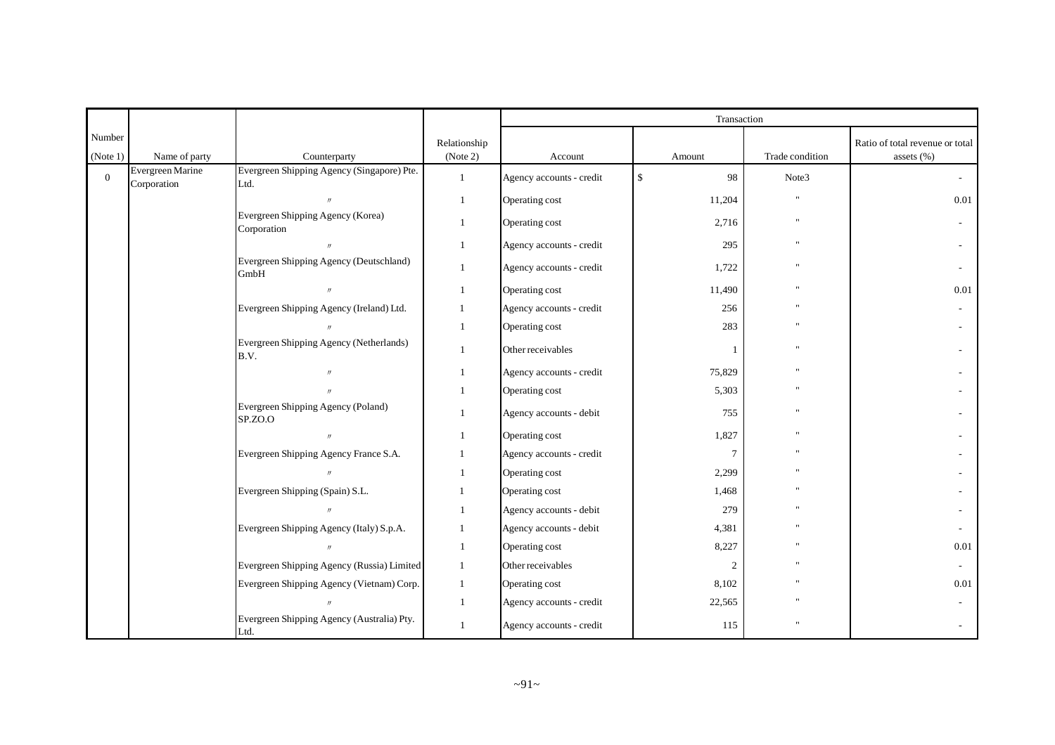|                    |                                 |                                                    |                          |                          | Transaction        |                 |                                               |
|--------------------|---------------------------------|----------------------------------------------------|--------------------------|--------------------------|--------------------|-----------------|-----------------------------------------------|
| Number<br>(Note 1) | Name of party                   | Counterparty                                       | Relationship<br>(Note 2) | Account                  | Amount             | Trade condition | Ratio of total revenue or total<br>assets (%) |
| $\overline{0}$     | Evergreen Marine<br>Corporation | Evergreen Shipping Agency (Singapore) Pte.<br>Ltd. | $\mathbf{1}$             | Agency accounts - credit | $\mathbb{S}$<br>98 | Note3           | $\sim$                                        |
|                    |                                 | $^{\prime\prime}$                                  | $\mathbf{1}$             | Operating cost           | 11,204             | $\mathbf{u}$    | 0.01                                          |
|                    |                                 | Evergreen Shipping Agency (Korea)<br>Corporation   | $\mathbf{1}$             | Operating cost           | 2,716              | $\mathbf{H}$    |                                               |
|                    |                                 |                                                    | 1                        | Agency accounts - credit | 295                |                 |                                               |
|                    |                                 | Evergreen Shipping Agency (Deutschland)<br>GmbH    | $\mathbf{1}$             | Agency accounts - credit | 1,722              |                 |                                               |
|                    |                                 | $\prime$                                           | 1                        | Operating cost           | 11,490             |                 | 0.01                                          |
|                    |                                 | Evergreen Shipping Agency (Ireland) Ltd.           | 1                        | Agency accounts - credit | 256                |                 |                                               |
|                    |                                 |                                                    | $\mathbf{1}$             | Operating cost           | 283                |                 |                                               |
|                    |                                 | Evergreen Shipping Agency (Netherlands)<br>B.V.    | $\mathbf{1}$             | Other receivables        | 1                  | $\mathbf{u}$    |                                               |
|                    |                                 | $^{\prime}$                                        | 1                        | Agency accounts - credit | 75,829             |                 |                                               |
|                    |                                 |                                                    | 1                        | Operating cost           | 5,303              |                 |                                               |
|                    |                                 | Evergreen Shipping Agency (Poland)<br>SP.ZO.O      | $\mathbf{1}$             | Agency accounts - debit  | 755                | $\mathbf{u}$    |                                               |
|                    |                                 | $\prime\prime$                                     | 1                        | Operating cost           | 1,827              |                 |                                               |
|                    |                                 | Evergreen Shipping Agency France S.A.              | 1                        | Agency accounts - credit | $\tau$             |                 |                                               |
|                    |                                 |                                                    | 1                        | Operating cost           | 2,299              |                 |                                               |
|                    |                                 | Evergreen Shipping (Spain) S.L.                    | $\mathbf{1}$             | Operating cost           | 1,468              |                 |                                               |
|                    |                                 |                                                    | $\mathbf{1}$             | Agency accounts - debit  | 279                |                 |                                               |
|                    |                                 | Evergreen Shipping Agency (Italy) S.p.A.           | $\mathbf{1}$             | Agency accounts - debit  | 4,381              |                 |                                               |
|                    |                                 | $\prime\prime$                                     | 1                        | Operating cost           | 8,227              |                 | 0.01                                          |
|                    |                                 | Evergreen Shipping Agency (Russia) Limited         | 1                        | Other receivables        | $\overline{c}$     |                 | $\sim$                                        |
|                    |                                 | Evergreen Shipping Agency (Vietnam) Corp.          | $\mathbf{1}$             | Operating cost           | 8,102              |                 | 0.01                                          |
|                    |                                 |                                                    | 1                        | Agency accounts - credit | 22,565             |                 |                                               |
|                    |                                 | Evergreen Shipping Agency (Australia) Pty.<br>Ltd. | 1                        | Agency accounts - credit | 115                |                 |                                               |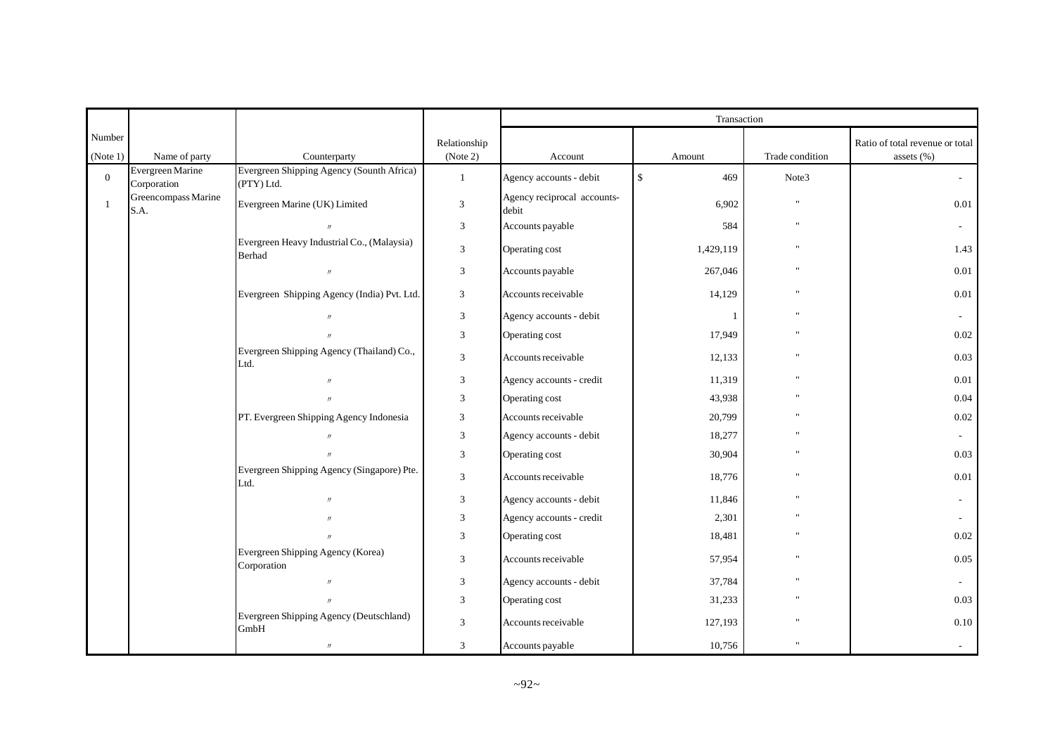|                    |                                 |                                                         |                          |                                      | Transaction         |                 |                                               |
|--------------------|---------------------------------|---------------------------------------------------------|--------------------------|--------------------------------------|---------------------|-----------------|-----------------------------------------------|
| Number<br>(Note 1) | Name of party                   | Counterparty                                            | Relationship<br>(Note 2) | Account                              | Amount              | Trade condition | Ratio of total revenue or total<br>assets (%) |
| $\mathbf{0}$       | Evergreen Marine<br>Corporation | Evergreen Shipping Agency (Sounth Africa)<br>(PTY) Ltd. | $\mathbf{1}$             | Agency accounts - debit              | $\mathbb{S}$<br>469 | Note3           | $\mathcal{L}_{\mathcal{A}}$                   |
| -1                 | Greencompass Marine<br>S.A.     | Evergreen Marine (UK) Limited                           | $\mathfrak{Z}$           | Agency reciprocal accounts-<br>debit | 6,902               | $\mathbf{u}$    | 0.01                                          |
|                    |                                 | $\prime\prime$                                          | $\mathfrak{Z}$           | Accounts payable                     | 584                 | $\mathbf{H}$    | $\sim$                                        |
|                    |                                 | Evergreen Heavy Industrial Co., (Malaysia)<br>Berhad    | $\sqrt{3}$               | Operating cost                       | 1,429,119           | $\mathbf{u}$    | 1.43                                          |
|                    |                                 | $^{\prime\prime}$                                       | $\mathfrak{Z}$           | Accounts payable                     | 267,046             |                 | $0.01\,$                                      |
|                    |                                 | Evergreen Shipping Agency (India) Pvt. Ltd.             | 3                        | Accounts receivable                  | 14,129              | $\mathbf{u}$    | 0.01                                          |
|                    |                                 | $^{\prime\prime}$                                       | 3                        | Agency accounts - debit              |                     |                 | $\sim$                                        |
|                    |                                 |                                                         | 3                        | Operating cost                       | 17,949              | $\mathbf{u}$    | 0.02                                          |
|                    |                                 | Evergreen Shipping Agency (Thailand) Co.,<br>Ltd.       | $\overline{3}$           | Accounts receivable                  | 12,133              | $\mathbf{u}$    | 0.03                                          |
|                    |                                 |                                                         | 3                        | Agency accounts - credit             | 11,319              | $\mathbf{u}$    | 0.01                                          |
|                    |                                 | $^{\prime\prime}$                                       | 3                        | Operating cost                       | 43,938              |                 | 0.04                                          |
|                    |                                 | PT. Evergreen Shipping Agency Indonesia                 | 3                        | Accounts receivable                  | 20,799              |                 | 0.02                                          |
|                    |                                 | $^{\prime\prime}$                                       | $\overline{3}$           | Agency accounts - debit              | 18,277              |                 | $\sim$                                        |
|                    |                                 |                                                         | $\overline{3}$           | Operating cost                       | 30,904              |                 | 0.03                                          |
|                    |                                 | Evergreen Shipping Agency (Singapore) Pte.<br>Ltd.      | $\mathfrak{Z}$           | Accounts receivable                  | 18,776              | $\mathbf{u}$    | 0.01                                          |
|                    |                                 | $^{\prime\prime}$                                       | 3                        | Agency accounts - debit              | 11,846              |                 |                                               |
|                    |                                 |                                                         | 3                        | Agency accounts - credit             | 2,301               | $\mathbf{u}$    |                                               |
|                    |                                 |                                                         | 3                        | Operating cost                       | 18,481              |                 | 0.02                                          |
|                    |                                 | Evergreen Shipping Agency (Korea)<br>Corporation        | 3                        | Accounts receivable                  | 57,954              |                 | 0.05                                          |
|                    |                                 | $^{\prime\prime}$                                       | 3                        | Agency accounts - debit              | 37,784              |                 | $\sim$                                        |
|                    |                                 |                                                         | 3                        | Operating cost                       | 31,233              | $\mathbf{u}$    | 0.03                                          |
|                    |                                 | Evergreen Shipping Agency (Deutschland)<br>GmbH         | 3                        | Accounts receivable                  | 127,193             |                 | $0.10\,$                                      |
|                    |                                 | $\prime$                                                | 3                        | Accounts payable                     | 10,756              | $\mathbf{u}$    |                                               |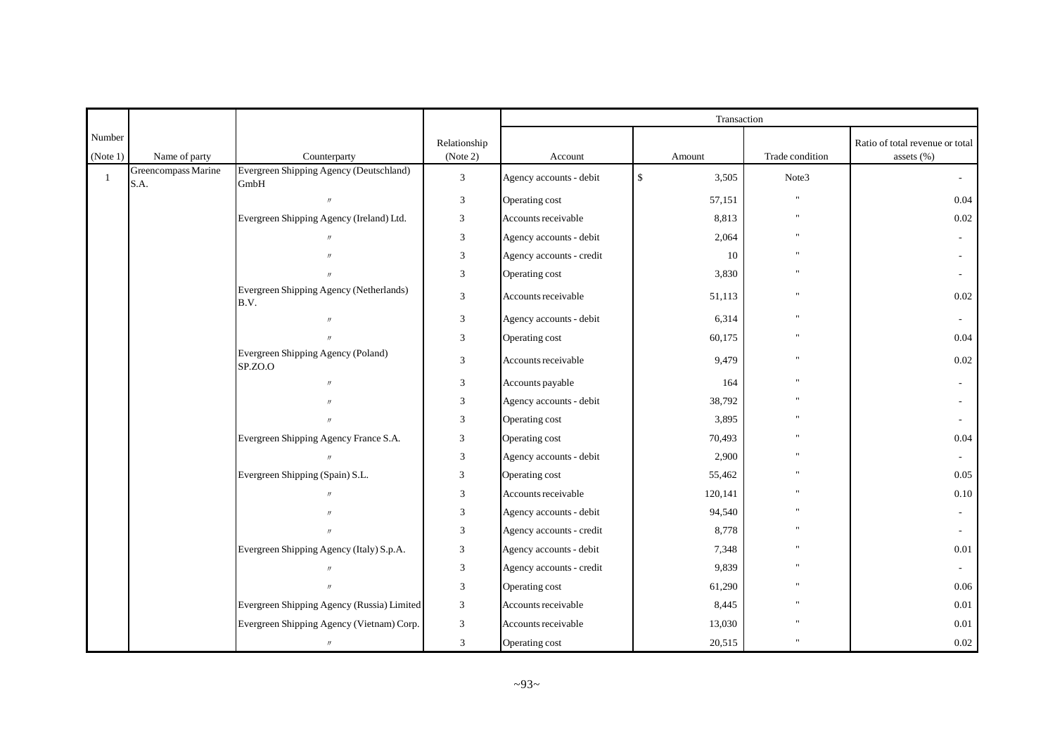|                    |                             |                                                 |                          |                          | Transaction           |                 |                                                   |
|--------------------|-----------------------------|-------------------------------------------------|--------------------------|--------------------------|-----------------------|-----------------|---------------------------------------------------|
| Number<br>(Note 1) | Name of party               | Counterparty                                    | Relationship<br>(Note 2) | Account                  | Amount                | Trade condition | Ratio of total revenue or total<br>assets $(\% )$ |
| $\overline{1}$     | Greencompass Marine<br>S.A. | Evergreen Shipping Agency (Deutschland)<br>GmbH | $\mathfrak{Z}$           | Agency accounts - debit  | $\mathbb{S}$<br>3,505 | Note3           | $\sim$                                            |
|                    |                             | $\mathcal{U}$                                   | 3                        | Operating cost           | 57,151                | $^{\prime}$     | 0.04                                              |
|                    |                             | Evergreen Shipping Agency (Ireland) Ltd.        | 3                        | Accounts receivable      | 8,813                 |                 | 0.02                                              |
|                    |                             | $\mathcal{U}$                                   | 3                        | Agency accounts - debit  | 2,064                 |                 |                                                   |
|                    |                             |                                                 | 3                        | Agency accounts - credit | 10                    |                 |                                                   |
|                    |                             |                                                 | 3                        | Operating cost           | 3,830                 |                 |                                                   |
|                    |                             | Evergreen Shipping Agency (Netherlands)<br>B.V. | $\mathfrak{Z}$           | Accounts receivable      | 51,113                | $\mathbf{u}$    | 0.02                                              |
|                    |                             | $\prime$                                        | 3                        | Agency accounts - debit  | 6,314                 | $\mathbf{u}$    |                                                   |
|                    |                             |                                                 | 3                        | Operating cost           | 60,175                |                 | 0.04                                              |
|                    |                             | Evergreen Shipping Agency (Poland)<br>SP.ZO.O   | 3                        | Accounts receivable      | 9,479                 | $\mathbf{u}$    | 0.02                                              |
|                    |                             | $\mathbf{u}$                                    | 3                        | Accounts payable         | 164                   |                 |                                                   |
|                    |                             |                                                 | 3                        | Agency accounts - debit  | 38,792                |                 |                                                   |
|                    |                             |                                                 | 3                        | Operating cost           | 3,895                 |                 |                                                   |
|                    |                             | Evergreen Shipping Agency France S.A.           | 3                        | Operating cost           | 70,493                |                 | 0.04                                              |
|                    |                             | $\prime$                                        | 3                        | Agency accounts - debit  | 2,900                 |                 |                                                   |
|                    |                             | Evergreen Shipping (Spain) S.L.                 | 3                        | Operating cost           | 55,462                |                 | 0.05                                              |
|                    |                             |                                                 | 3                        | Accounts receivable      | 120,141               |                 | $0.10\,$                                          |
|                    |                             |                                                 | 3                        | Agency accounts - debit  | 94,540                |                 |                                                   |
|                    |                             | $\prime$                                        | $\mathfrak{Z}$           | Agency accounts - credit | 8,778                 |                 |                                                   |
|                    |                             | Evergreen Shipping Agency (Italy) S.p.A.        | 3                        | Agency accounts - debit  | 7,348                 |                 | 0.01                                              |
|                    |                             |                                                 | 3                        | Agency accounts - credit | 9,839                 |                 |                                                   |
|                    |                             |                                                 | 3                        | Operating cost           | 61,290                |                 | 0.06                                              |
|                    |                             | Evergreen Shipping Agency (Russia) Limited      | 3                        | Accounts receivable      | 8,445                 |                 | $0.01\,$                                          |
|                    |                             | Evergreen Shipping Agency (Vietnam) Corp.       | 3                        | Accounts receivable      | 13,030                |                 | 0.01                                              |
|                    |                             | $^{\prime\prime}$                               | 3                        | Operating cost           | 20,515                | $\mathbf{u}$    | $0.02\,$                                          |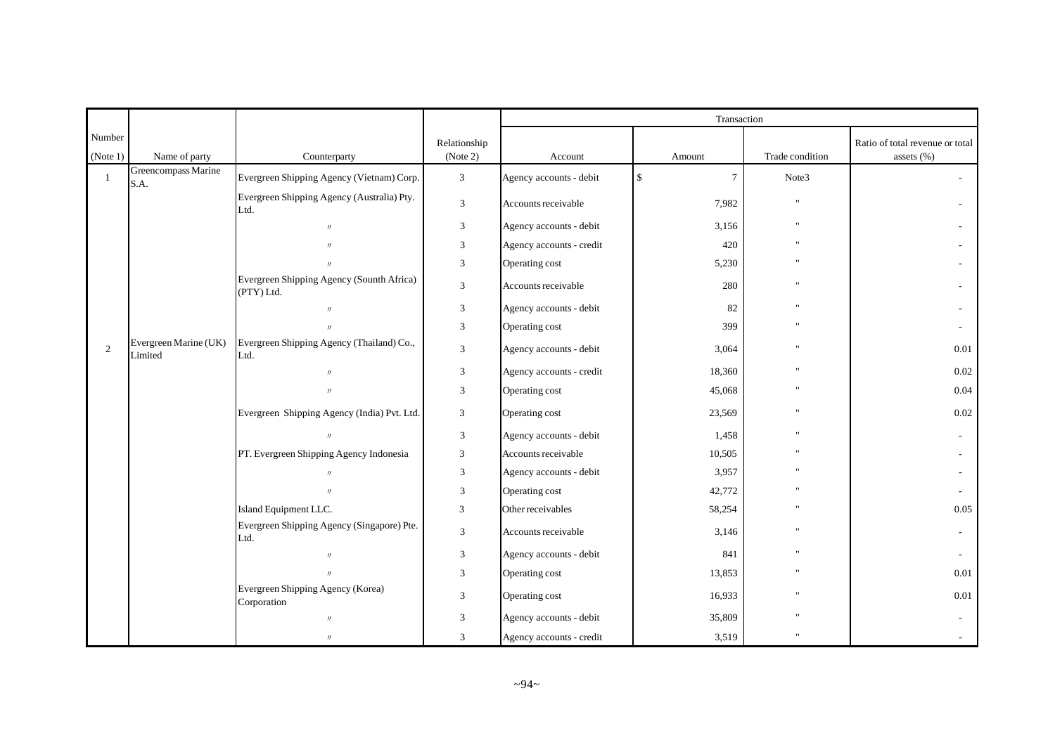|                    |                                  |                                                         |                          | Transaction              |              |                 |                                               |  |
|--------------------|----------------------------------|---------------------------------------------------------|--------------------------|--------------------------|--------------|-----------------|-----------------------------------------------|--|
| Number<br>(Note 1) | Name of party                    | Counterparty                                            | Relationship<br>(Note 2) | Account                  | Amount       | Trade condition | Ratio of total revenue or total<br>assets (%) |  |
| -1                 | Greencompass Marine<br>S.A.      | Evergreen Shipping Agency (Vietnam) Corp.               | $\overline{3}$           | Agency accounts - debit  | \$<br>$\tau$ | Note3           |                                               |  |
|                    |                                  | Evergreen Shipping Agency (Australia) Pty.<br>Ltd.      | $\mathfrak{Z}$           | Accounts receivable      | 7,982        | $\mathbf{u}$    |                                               |  |
|                    |                                  | $\mathcal{U}$                                           | 3                        | Agency accounts - debit  | 3,156        |                 |                                               |  |
|                    |                                  |                                                         | 3                        | Agency accounts - credit | 420          |                 |                                               |  |
|                    |                                  |                                                         | 3                        | Operating cost           | 5,230        |                 |                                               |  |
|                    |                                  | Evergreen Shipping Agency (Sounth Africa)<br>(PTY) Ltd. | 3                        | Accounts receivable      | 280          |                 |                                               |  |
|                    |                                  | $\mathcal{U}$                                           | $\mathfrak{Z}$           | Agency accounts - debit  | 82           |                 |                                               |  |
|                    |                                  | $\overline{u}$                                          | 3                        | Operating cost           | 399          |                 |                                               |  |
| 2                  | Evergreen Marine (UK)<br>Limited | Evergreen Shipping Agency (Thailand) Co.,<br>Ltd.       | $\mathbf{3}$             | Agency accounts - debit  | 3,064        |                 | 0.01                                          |  |
|                    |                                  | $^{\prime\prime}$                                       | $\mathfrak{Z}$           | Agency accounts - credit | 18,360       |                 | 0.02                                          |  |
|                    |                                  |                                                         | 3                        | Operating cost           | 45,068       |                 | 0.04                                          |  |
|                    |                                  | Evergreen Shipping Agency (India) Pvt. Ltd.             | 3                        | Operating cost           | 23,569       |                 | 0.02                                          |  |
|                    |                                  |                                                         | $\mathfrak{Z}$           | Agency accounts - debit  | 1,458        |                 |                                               |  |
|                    |                                  | PT. Evergreen Shipping Agency Indonesia                 | 3                        | Accounts receivable      | 10,505       |                 |                                               |  |
|                    |                                  |                                                         | 3                        | Agency accounts - debit  | 3,957        |                 |                                               |  |
|                    |                                  |                                                         | 3                        | Operating cost           | 42,772       |                 |                                               |  |
|                    |                                  | Island Equipment LLC.                                   | 3                        | Other receivables        | 58,254       |                 | 0.05                                          |  |
|                    |                                  | Evergreen Shipping Agency (Singapore) Pte.<br>Ltd.      | 3                        | Accounts receivable      | 3,146        |                 |                                               |  |
|                    |                                  | $\mathcal{U}$                                           | $\mathfrak{Z}$           | Agency accounts - debit  | 841          |                 |                                               |  |
|                    |                                  | $\mathbf{u}$                                            | 3                        | Operating cost           | 13,853       |                 | 0.01                                          |  |
|                    |                                  | Evergreen Shipping Agency (Korea)<br>Corporation        | 3                        | Operating cost           | 16,933       |                 | 0.01                                          |  |
|                    |                                  | $\mathcal{U}$                                           | 3                        | Agency accounts - debit  | 35,809       |                 |                                               |  |
|                    |                                  | $\mathcal{U}$                                           | 3                        | Agency accounts - credit | 3,519        |                 |                                               |  |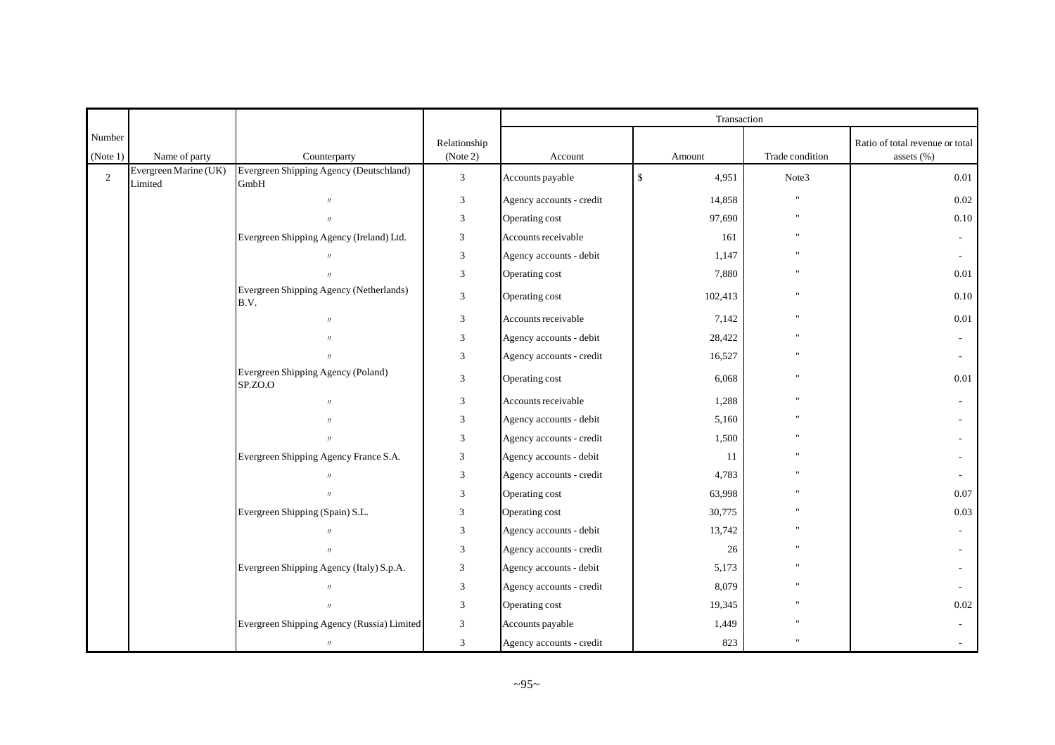|                    |                                  |                                                 |                          | Transaction              |                       |                 |                                                   |  |
|--------------------|----------------------------------|-------------------------------------------------|--------------------------|--------------------------|-----------------------|-----------------|---------------------------------------------------|--|
| Number<br>(Note 1) | Name of party                    | Counterparty                                    | Relationship<br>(Note 2) | Account                  | Amount                | Trade condition | Ratio of total revenue or total<br>assets $(\% )$ |  |
| 2                  | Evergreen Marine (UK)<br>Limited | Evergreen Shipping Agency (Deutschland)<br>GmbH | 3                        | Accounts payable         | $\mathbb{S}$<br>4,951 | Note3           | 0.01                                              |  |
|                    |                                  | $\mathcal{U}$                                   | 3                        | Agency accounts - credit | 14,858                | $\mathbf{u}$    | 0.02                                              |  |
|                    |                                  | $\overline{u}$                                  | 3                        | Operating cost           | 97,690                | $^{\prime}$     | $0.10\,$                                          |  |
|                    |                                  | Evergreen Shipping Agency (Ireland) Ltd.        | 3                        | Accounts receivable      | 161                   |                 |                                                   |  |
|                    |                                  |                                                 | 3                        | Agency accounts - debit  | 1,147                 |                 | $\sim$                                            |  |
|                    |                                  |                                                 | 3                        | Operating cost           | 7,880                 |                 | 0.01                                              |  |
|                    |                                  | Evergreen Shipping Agency (Netherlands)<br>B.V. | $\mathfrak{Z}$           | Operating cost           | 102,413               | $\mathbf{u}$    | $0.10\,$                                          |  |
|                    |                                  | $\overline{u}$                                  | 3                        | Accounts receivable      | 7,142                 | $\mathbf{u}$    | 0.01                                              |  |
|                    |                                  |                                                 | 3                        | Agency accounts - debit  | 28,422                |                 |                                                   |  |
|                    |                                  |                                                 | 3                        | Agency accounts - credit | 16,527                |                 |                                                   |  |
|                    |                                  | Evergreen Shipping Agency (Poland)<br>SP.ZO.O   | 3                        | Operating cost           | 6,068                 | $\mathbf{u}$    | 0.01                                              |  |
|                    |                                  | $\overline{u}$                                  | 3                        | Accounts receivable      | 1,288                 |                 |                                                   |  |
|                    |                                  |                                                 | 3                        | Agency accounts - debit  | 5,160                 |                 |                                                   |  |
|                    |                                  |                                                 | 3                        | Agency accounts - credit | 1,500                 |                 |                                                   |  |
|                    |                                  | Evergreen Shipping Agency France S.A.           | 3                        | Agency accounts - debit  | 11                    |                 |                                                   |  |
|                    |                                  | $^{\prime\prime}$                               | 3                        | Agency accounts - credit | 4,783                 |                 |                                                   |  |
|                    |                                  |                                                 | 3                        | Operating cost           | 63,998                |                 | 0.07                                              |  |
|                    |                                  | Evergreen Shipping (Spain) S.L.                 | 3                        | Operating cost           | 30,775                |                 | 0.03                                              |  |
|                    |                                  | $^{\prime\prime}$                               | 3                        | Agency accounts - debit  | 13,742                |                 |                                                   |  |
|                    |                                  |                                                 | 3                        | Agency accounts - credit | 26                    |                 |                                                   |  |
|                    |                                  | Evergreen Shipping Agency (Italy) S.p.A.        | 3                        | Agency accounts - debit  | 5,173                 |                 |                                                   |  |
|                    |                                  |                                                 | 3                        | Agency accounts - credit | 8,079                 |                 |                                                   |  |
|                    |                                  |                                                 | 3                        | Operating cost           | 19,345                |                 | 0.02                                              |  |
|                    |                                  | Evergreen Shipping Agency (Russia) Limited      | 3                        | Accounts payable         | 1,449                 |                 |                                                   |  |
|                    |                                  | $^{\prime\prime}$                               | 3                        | Agency accounts - credit | 823                   |                 |                                                   |  |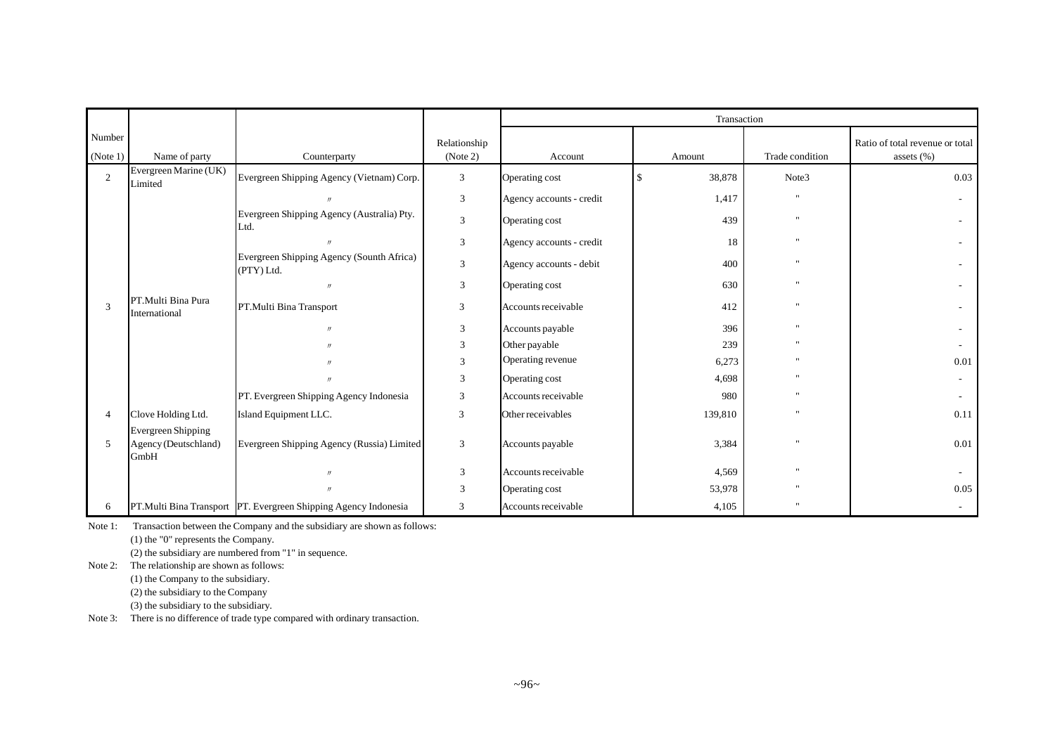|                    |                                                           |                                                                  |                          | Transaction              |              |                 |                                                   |  |
|--------------------|-----------------------------------------------------------|------------------------------------------------------------------|--------------------------|--------------------------|--------------|-----------------|---------------------------------------------------|--|
| Number<br>(Note 1) | Name of party                                             | Counterparty                                                     | Relationship<br>(Note 2) | Account                  | Amount       | Trade condition | Ratio of total revenue or total<br>assets $(\% )$ |  |
| $\overline{2}$     | Evergreen Marine (UK)<br>Limited                          | Evergreen Shipping Agency (Vietnam) Corp.                        | 3                        | Operating cost           | 38,878<br>\$ | Note3           | 0.03                                              |  |
|                    |                                                           |                                                                  | 3                        | Agency accounts - credit | 1,417        | $\mathbf{H}$    |                                                   |  |
|                    |                                                           | Evergreen Shipping Agency (Australia) Pty.<br>Ltd.               | $\overline{3}$           | Operating cost           | 439          | $\mathbf{u}$    |                                                   |  |
|                    |                                                           | $^{\prime\prime}$                                                | $\overline{3}$           | Agency accounts - credit | 18           | $\mathbf{u}$    |                                                   |  |
|                    |                                                           | Evergreen Shipping Agency (Sounth Africa)<br>(PTY) Ltd.          | 3                        | Agency accounts - debit  | 400          | $\mathbf{u}$    |                                                   |  |
|                    |                                                           | $^{\prime\prime}$                                                | 3                        | Operating cost           | 630          | $\mathbf{u}$    |                                                   |  |
| 3                  | PT.Multi Bina Pura<br>International                       | PT.Multi Bina Transport                                          | 3                        | Accounts receivable      | 412          | $^{\prime}$     |                                                   |  |
|                    |                                                           | $\prime\prime$                                                   | 3                        | Accounts payable         | 396          | $\mathbf{u}$    |                                                   |  |
|                    |                                                           | $^{\prime\prime}$                                                | 3                        | Other payable            | 239          |                 |                                                   |  |
|                    |                                                           |                                                                  | 3                        | Operating revenue        | 6,273        | $\mathbf{u}$    | 0.01                                              |  |
|                    |                                                           | $^{\prime\prime}$                                                | 3                        | Operating cost           | 4,698        |                 |                                                   |  |
|                    |                                                           | PT. Evergreen Shipping Agency Indonesia                          | 3                        | Accounts receivable      | 980          | $\mathbf{H}$    |                                                   |  |
| $\overline{4}$     | Clove Holding Ltd.                                        | Island Equipment LLC.                                            | 3                        | Other receivables        | 139,810      |                 | 0.11                                              |  |
| 5                  | <b>Evergreen Shipping</b><br>Agency (Deutschland)<br>GmbH | Evergreen Shipping Agency (Russia) Limited                       | 3                        | Accounts payable         | 3,384        |                 | 0.01                                              |  |
|                    |                                                           |                                                                  | $\mathfrak{Z}$           | Accounts receivable      | 4,569        | $\mathbf{u}$    |                                                   |  |
|                    |                                                           |                                                                  | 3                        | Operating cost           | 53,978       | $\mathbf{u}$    | 0.05                                              |  |
| 6                  |                                                           | PT. Multi Bina Transport PT. Evergreen Shipping Agency Indonesia | 3                        | Accounts receivable      | 4,105        | $\mathbf{u}$    |                                                   |  |

Note 1: Transaction between the Company and the subsidiary are shown as follows:

(1) the "0" represents the Company.

(2) the subsidiary are numbered from "1" in sequence.

Note 2: The relationship are shown as follows:

(1) the Company to the subsidiary.

(2) the subsidiary to the Company

(3) the subsidiary to the subsidiary.

Note 3: There is no difference of trade type compared with ordinary transaction.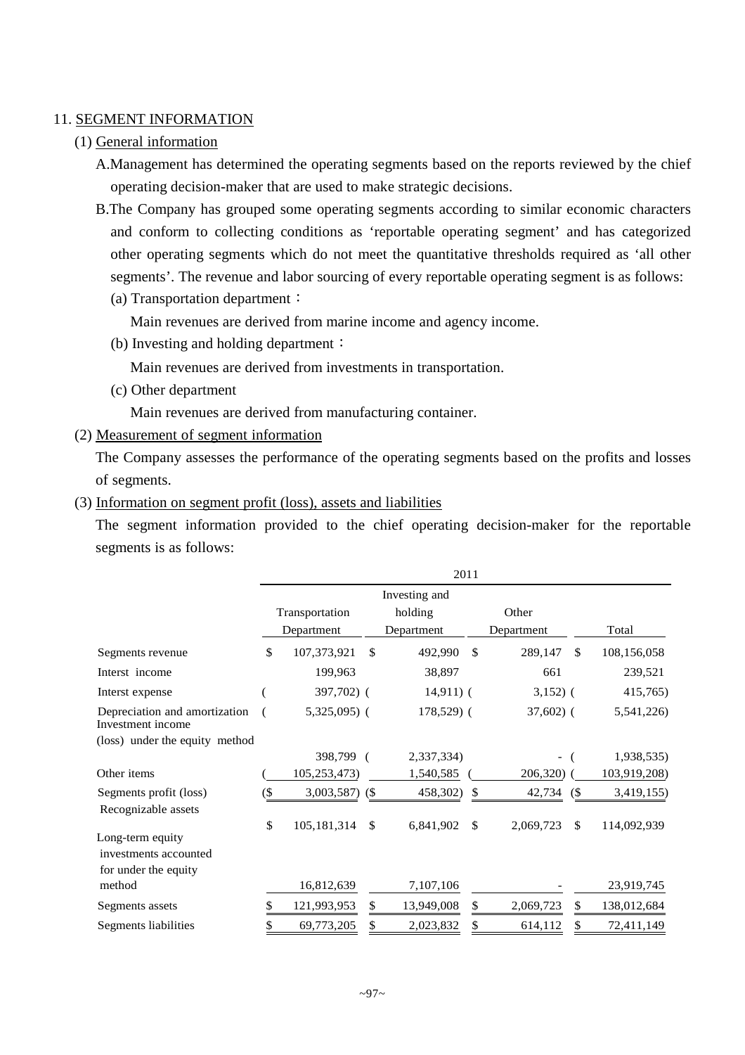## 11. SEGMENT INFORMATION

## (1) General information

A.Management has determined the operating segments based on the reports reviewed by the chief operating decision-maker that are used to make strategic decisions.

- B.The Company has grouped some operating segments according to similar economic characters and conform to collecting conditions as 'reportable operating segment' and has categorized other operating segments which do not meet the quantitative thresholds required as 'all other segments'. The revenue and labor sourcing of every reportable operating segment is as follows:
	- (a) Transportation department:

Main revenues are derived from marine income and agency income.

(b) Investing and holding department:

Main revenues are derived from investments in transportation.

(c) Other department

Main revenues are derived from manufacturing container.

(2) Measurement of segment information

The Company assesses the performance of the operating segments based on the profits and losses of segments.

(3) Information on segment profit (loss), assets and liabilities

The segment information provided to the chief operating decision-maker for the reportable segments is as follows:

|                                                                   | 2011 |                  |               |               |               |                          |     |              |
|-------------------------------------------------------------------|------|------------------|---------------|---------------|---------------|--------------------------|-----|--------------|
|                                                                   |      |                  |               | Investing and |               |                          |     |              |
|                                                                   |      | Transportation   |               | holding       |               | Other                    |     |              |
|                                                                   |      | Department       |               | Department    |               | Department               |     | Total        |
| Segments revenue                                                  | \$   | 107,373,921      | $\mathcal{S}$ | 492,990       | $\mathcal{S}$ | 289,147                  | \$. | 108,156,058  |
| Interst income                                                    |      | 199,963          |               | 38,897        |               | 661                      |     | 239,521      |
| Interst expense                                                   |      | 397,702) (       |               | $14,911)$ (   |               | $3,152)$ (               |     | 415,765)     |
| Depreciation and amortization<br>Investment income                |      | $5,325,095$ (    |               | 178,529) (    |               | $37,602$ (               |     | 5,541,226)   |
| (loss) under the equity method                                    |      |                  |               |               |               |                          |     |              |
|                                                                   |      | 398,799          |               | 2,337,334)    |               | $\overline{\phantom{0}}$ |     | 1,938,535)   |
| Other items                                                       |      | 105,253,473)     |               | 1,540,585     |               | 206,320)                 |     | 103,919,208) |
| Segments profit (loss)<br>Recognizable assets                     | (\$  | $3,003,587$ (\$) |               | 458,302)      | \$            | 42,734                   | (   | 3,419,155)   |
| Long-term equity<br>investments accounted<br>for under the equity | \$   | 105,181,314      | $\mathbb{S}$  | 6,841,902     | \$            | 2,069,723                | S.  | 114,092,939  |
| method                                                            |      | 16,812,639       |               | 7,107,106     |               |                          |     | 23,919,745   |
| Segments assets                                                   | \$   | 121,993,953      | \$            | 13,949,008    | \$            | 2,069,723                | S.  | 138,012,684  |
| Segments liabilities                                              | \$   | 69,773,205       | \$            | 2,023,832     | \$            | 614,112                  |     | 72,411,149   |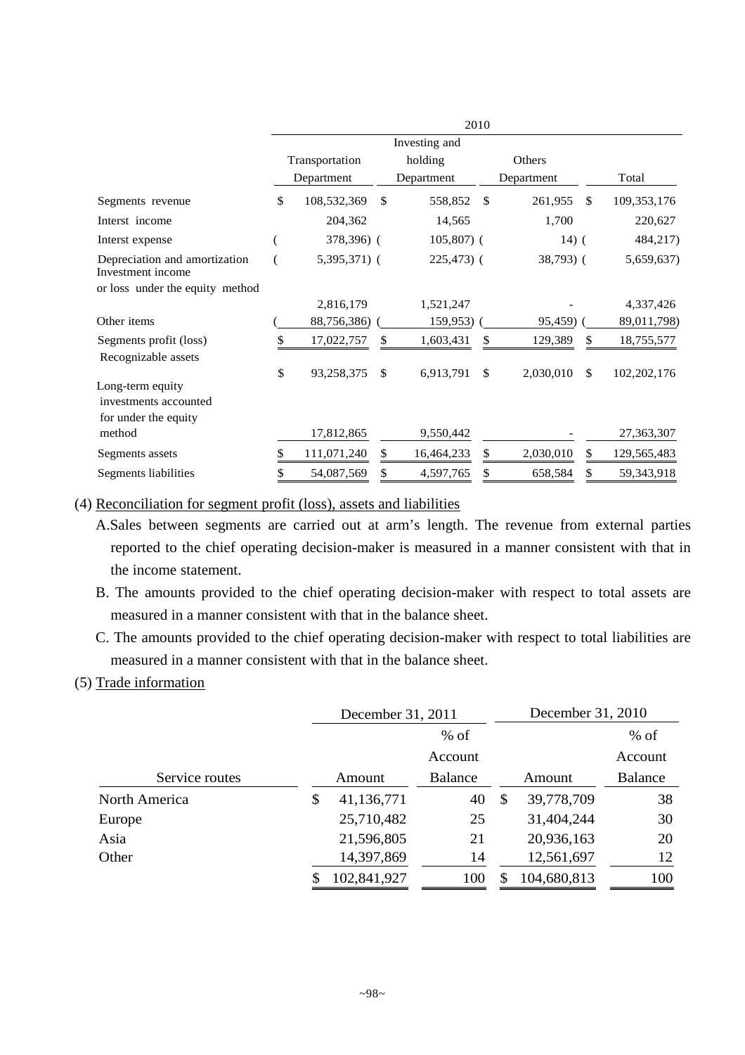|                                                                   | 2010          |                |               |             |               |            |    |               |
|-------------------------------------------------------------------|---------------|----------------|---------------|-------------|---------------|------------|----|---------------|
|                                                                   | Investing and |                |               |             |               |            |    |               |
|                                                                   |               | Transportation |               | holding     |               | Others     |    |               |
|                                                                   |               | Department     |               | Department  |               | Department |    | Total         |
| Segments revenue                                                  | \$            | 108,532,369    | <sup>\$</sup> | 558,852     | <sup>\$</sup> | 261,955    | S. | 109, 353, 176 |
| Interst income                                                    |               | 204,362        |               | 14,565      |               | 1,700      |    | 220,627       |
| Interst expense                                                   |               | 378,396) (     |               | $105,807$ ( |               | $14)$ (    |    | 484,217)      |
| Depreciation and amortization<br>Investment income                |               | $5,395,371$ (  |               | $225,473$ ( |               | 38,793) (  |    | 5,659,637)    |
| or loss under the equity method                                   |               |                |               |             |               |            |    |               |
|                                                                   |               | 2,816,179      |               | 1,521,247   |               |            |    | 4,337,426     |
| Other items                                                       |               | 88,756,386)    |               | $159,953$ ) |               | 95,459)    |    | 89,011,798)   |
| Segments profit (loss)<br>Recognizable assets                     | \$            | 17,022,757     | \$            | 1,603,431   | \$            | 129,389    |    | 18,755,577    |
|                                                                   | \$            | 93,258,375     | \$            | 6,913,791   | \$            | 2,030,010  | \$ | 102, 202, 176 |
| Long-term equity<br>investments accounted<br>for under the equity |               |                |               |             |               |            |    |               |
| method                                                            |               | 17,812,865     |               | 9,550,442   |               |            |    | 27,363,307    |
| Segments assets                                                   |               | 111,071,240    | S             | 16,464,233  | \$            | 2,030,010  |    | 129, 565, 483 |
| Segments liabilities                                              |               | 54,087,569     |               | 4,597,765   | \$            | 658,584    |    | 59,343,918    |

(4) Reconciliation for segment profit (loss), assets and liabilities

- A.Sales between segments are carried out at arm's length. The revenue from external parties reported to the chief operating decision-maker is measured in a manner consistent with that in the income statement.
- B. The amounts provided to the chief operating decision-maker with respect to total assets are measured in a manner consistent with that in the balance sheet.
- C. The amounts provided to the chief operating decision-maker with respect to total liabilities are measured in a manner consistent with that in the balance sheet.

## (5) Trade information

|                | December 31, 2011 |         |    | December 31, 2010 |         |
|----------------|-------------------|---------|----|-------------------|---------|
|                | $%$ of            |         |    |                   | $%$ of  |
|                |                   | Account |    |                   | Account |
| Service routes | Amount            | Balance |    | Amount            | Balance |
| North America  | \$<br>41,136,771  | 40      | \$ | 39,778,709        | 38      |
| Europe         | 25,710,482        | 25      |    | 31,404,244        | 30      |
| Asia           | 21,596,805        | 21      |    | 20,936,163        | 20      |
| Other          | 14,397,869        | 14      |    | 12,561,697        | 12      |
|                | 102,841,927       | 100     |    | 104,680,813       | 100     |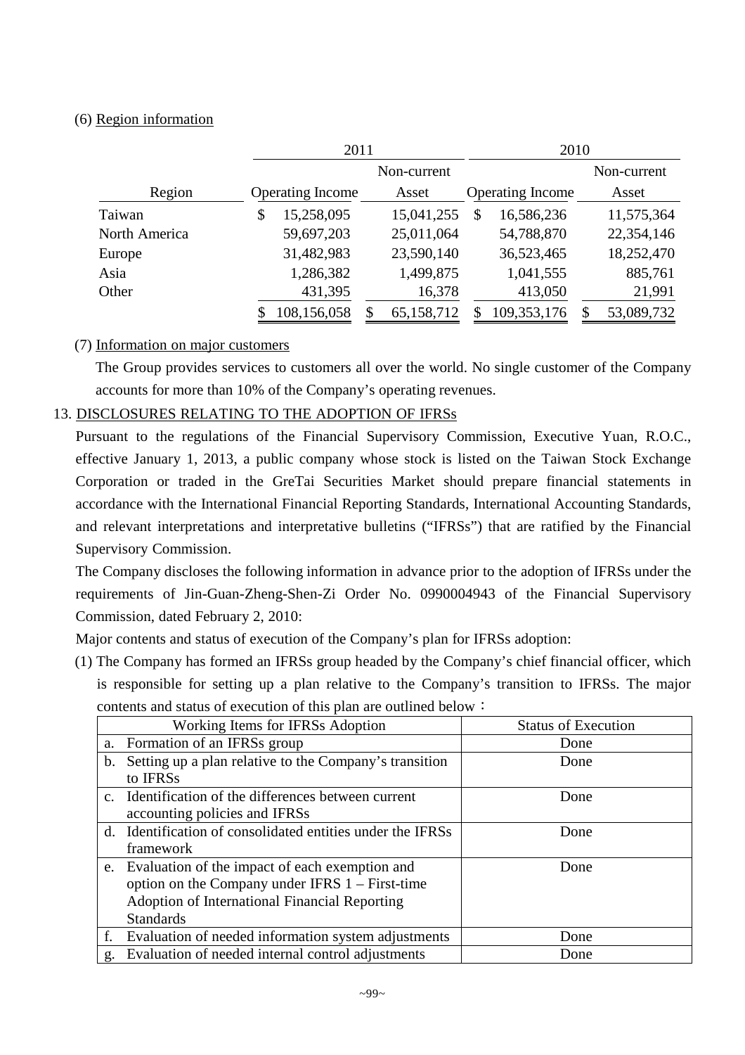## (6) Region information

|               | 2011                    |             | 2010                    |             |  |  |  |
|---------------|-------------------------|-------------|-------------------------|-------------|--|--|--|
|               |                         | Non-current |                         | Non-current |  |  |  |
| Region        | <b>Operating Income</b> | Asset       | <b>Operating Income</b> | Asset       |  |  |  |
| Taiwan        | 15,258,095<br>\$        | 15,041,255  | 16,586,236<br>S         | 11,575,364  |  |  |  |
| North America | 59,697,203              | 25,011,064  | 54,788,870              | 22,354,146  |  |  |  |
| Europe        | 31,482,983              | 23,590,140  | 36,523,465              | 18,252,470  |  |  |  |
| Asia          | 1,286,382               | 1,499,875   | 1,041,555               | 885,761     |  |  |  |
| Other         | 431,395                 | 16,378      | 413,050                 | 21,991      |  |  |  |
|               | 108,156,058             | 65,158,712  | 109,353,176             | 53,089,732  |  |  |  |

## (7) Information on major customers

The Group provides services to customers all over the world. No single customer of the Company accounts for more than 10% of the Company's operating revenues.

# 13. DISCLOSURES RELATING TO THE ADOPTION OF IFRSs

Pursuant to the regulations of the Financial Supervisory Commission, Executive Yuan, R.O.C., effective January 1, 2013, a public company whose stock is listed on the Taiwan Stock Exchange Corporation or traded in the GreTai Securities Market should prepare financial statements in accordance with the International Financial Reporting Standards, International Accounting Standards, and relevant interpretations and interpretative bulletins ("IFRSs") that are ratified by the Financial Supervisory Commission.

The Company discloses the following information in advance prior to the adoption of IFRSs under the requirements of Jin-Guan-Zheng-Shen-Zi Order No. 0990004943 of the Financial Supervisory Commission, dated February 2, 2010:

Major contents and status of execution of the Company's plan for IFRSs adoption:

(1) The Company has formed an IFRSs group headed by the Company's chief financial officer, which is responsible for setting up a plan relative to the Company's transition to IFRSs. The major contents and status of execution of this plan are outlined below:

|    | Working Items for IFRSs Adoption                           | <b>Status of Execution</b> |
|----|------------------------------------------------------------|----------------------------|
|    | a. Formation of an IFRSs group                             | Done                       |
| b. | Setting up a plan relative to the Company's transition     | Done                       |
|    | to IFRS <sub>s</sub>                                       |                            |
|    | c. Identification of the differences between current       | Done                       |
|    | accounting policies and IFRSs                              |                            |
|    | d. Identification of consolidated entities under the IFRSs | Done                       |
|    | framework                                                  |                            |
|    | e. Evaluation of the impact of each exemption and          | Done                       |
|    | option on the Company under IFRS $1 -$ First-time          |                            |
|    | Adoption of International Financial Reporting              |                            |
|    | <b>Standards</b>                                           |                            |
| f. | Evaluation of needed information system adjustments        | Done                       |
| g. | Evaluation of needed internal control adjustments          | Done                       |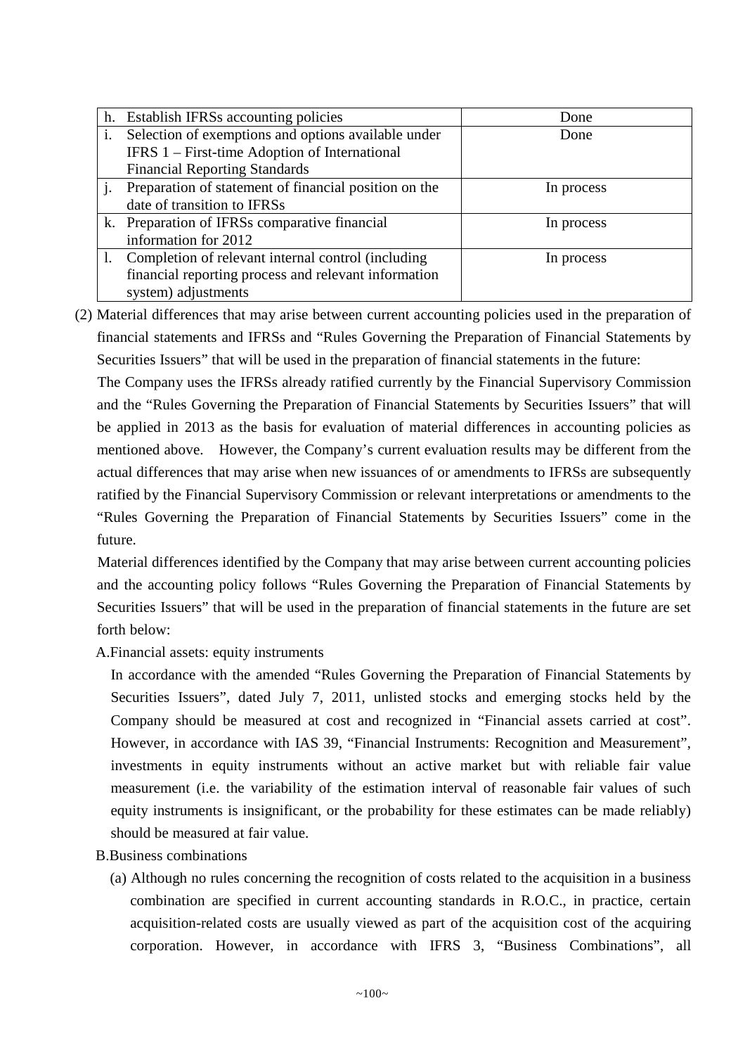|                | h. Establish IFRSs accounting policies                | Done       |
|----------------|-------------------------------------------------------|------------|
| $\mathbf{i}$ . | Selection of exemptions and options available under   | Done       |
|                | IFRS 1 – First-time Adoption of International         |            |
|                | <b>Financial Reporting Standards</b>                  |            |
|                | Preparation of statement of financial position on the | In process |
|                | date of transition to IFRSs                           |            |
|                | k. Preparation of IFRSs comparative financial         | In process |
|                | information for 2012                                  |            |
|                | 1. Completion of relevant internal control (including | In process |
|                | financial reporting process and relevant information  |            |
|                | system) adjustments                                   |            |

(2) Material differences that may arise between current accounting policies used in the preparation of financial statements and IFRSs and "Rules Governing the Preparation of Financial Statements by Securities Issuers" that will be used in the preparation of financial statements in the future:

The Company uses the IFRSs already ratified currently by the Financial Supervisory Commission and the "Rules Governing the Preparation of Financial Statements by Securities Issuers" that will be applied in 2013 as the basis for evaluation of material differences in accounting policies as mentioned above. However, the Company's current evaluation results may be different from the actual differences that may arise when new issuances of or amendments to IFRSs are subsequently ratified by the Financial Supervisory Commission or relevant interpretations or amendments to the "Rules Governing the Preparation of Financial Statements by Securities Issuers" come in the future.

Material differences identified by the Company that may arise between current accounting policies and the accounting policy follows "Rules Governing the Preparation of Financial Statements by Securities Issuers" that will be used in the preparation of financial statements in the future are set forth below:

A.Financial assets: equity instruments

In accordance with the amended "Rules Governing the Preparation of Financial Statements by Securities Issuers", dated July 7, 2011, unlisted stocks and emerging stocks held by the Company should be measured at cost and recognized in "Financial assets carried at cost". However, in accordance with IAS 39, "Financial Instruments: Recognition and Measurement", investments in equity instruments without an active market but with reliable fair value measurement (i.e. the variability of the estimation interval of reasonable fair values of such equity instruments is insignificant, or the probability for these estimates can be made reliably) should be measured at fair value.

- B.Business combinations
	- (a) Although no rules concerning the recognition of costs related to the acquisition in a business combination are specified in current accounting standards in R.O.C., in practice, certain acquisition-related costs are usually viewed as part of the acquisition cost of the acquiring corporation. However, in accordance with IFRS 3, "Business Combinations", all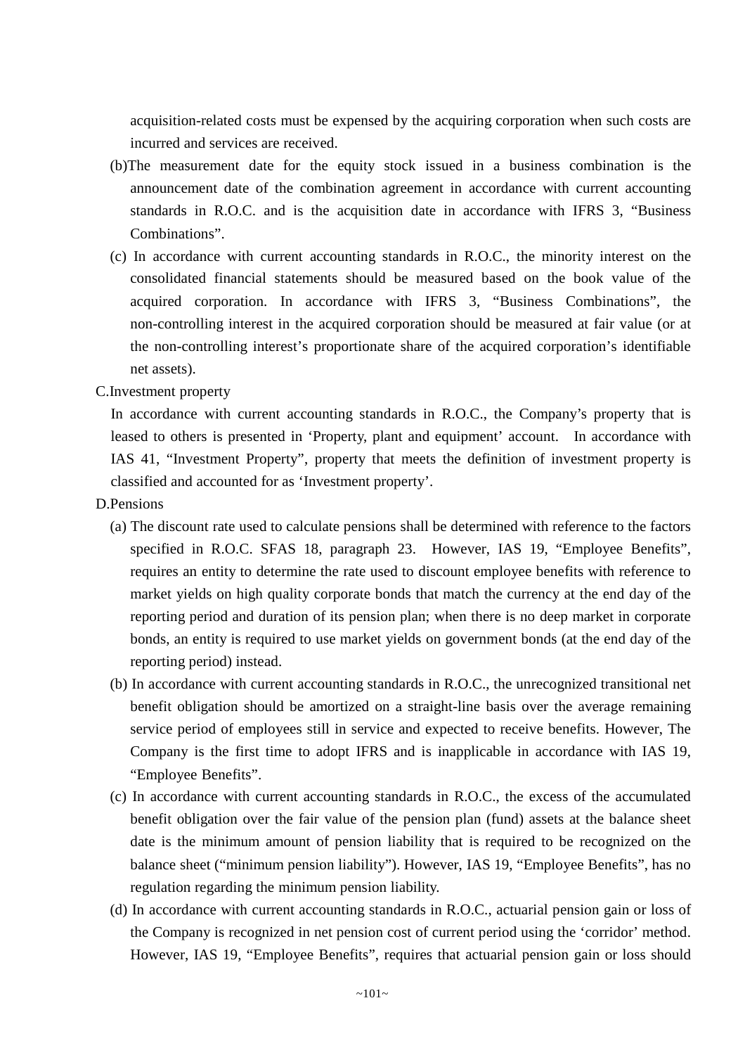acquisition-related costs must be expensed by the acquiring corporation when such costs are incurred and services are received.

- (b)The measurement date for the equity stock issued in a business combination is the announcement date of the combination agreement in accordance with current accounting standards in R.O.C. and is the acquisition date in accordance with IFRS 3, "Business Combinations".
- (c) In accordance with current accounting standards in R.O.C., the minority interest on the consolidated financial statements should be measured based on the book value of the acquired corporation. In accordance with IFRS 3, "Business Combinations", the non-controlling interest in the acquired corporation should be measured at fair value (or at the non-controlling interest's proportionate share of the acquired corporation's identifiable net assets).

C.Investment property

In accordance with current accounting standards in R.O.C., the Company's property that is leased to others is presented in 'Property, plant and equipment' account. In accordance with IAS 41, "Investment Property", property that meets the definition of investment property is classified and accounted for as 'Investment property'.

- D.Pensions
	- (a) The discount rate used to calculate pensions shall be determined with reference to the factors specified in R.O.C. SFAS 18, paragraph 23. However, IAS 19, "Employee Benefits", requires an entity to determine the rate used to discount employee benefits with reference to market yields on high quality corporate bonds that match the currency at the end day of the reporting period and duration of its pension plan; when there is no deep market in corporate bonds, an entity is required to use market yields on government bonds (at the end day of the reporting period) instead.
	- (b) In accordance with current accounting standards in R.O.C., the unrecognized transitional net benefit obligation should be amortized on a straight-line basis over the average remaining service period of employees still in service and expected to receive benefits. However, The Company is the first time to adopt IFRS and is inapplicable in accordance with IAS 19, "Employee Benefits".
	- (c) In accordance with current accounting standards in R.O.C., the excess of the accumulated benefit obligation over the fair value of the pension plan (fund) assets at the balance sheet date is the minimum amount of pension liability that is required to be recognized on the balance sheet ("minimum pension liability"). However, IAS 19, "Employee Benefits", has no regulation regarding the minimum pension liability.
	- (d) In accordance with current accounting standards in R.O.C., actuarial pension gain or loss of the Company is recognized in net pension cost of current period using the 'corridor' method. However, IAS 19, "Employee Benefits", requires that actuarial pension gain or loss should